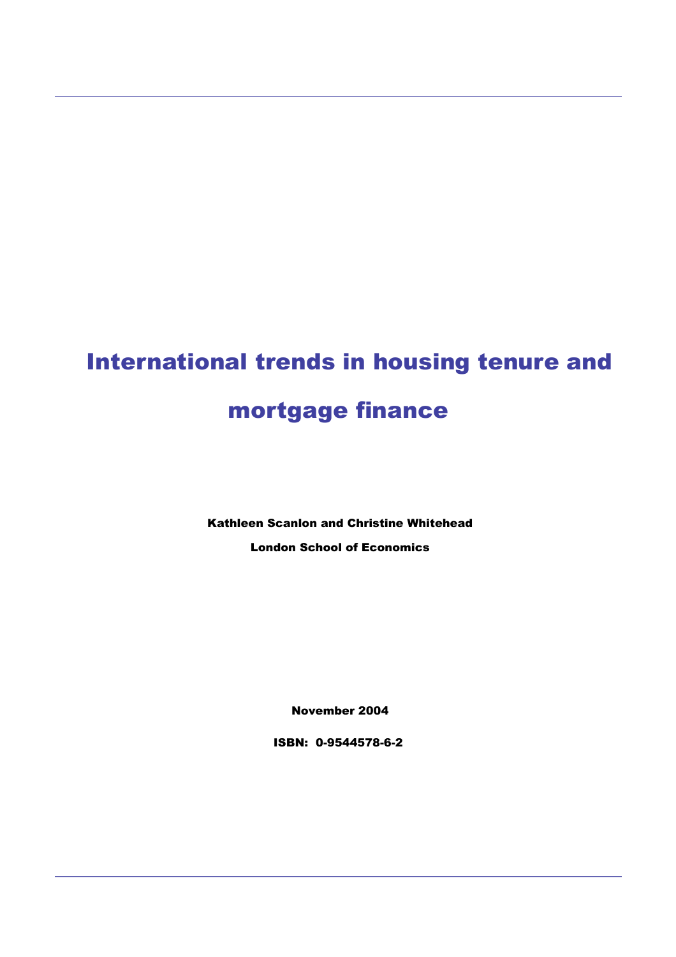# International trends in housing tenure and

# mortgage finance

 Kathleen Scanlon and Christine Whitehead London School of Economics

November 2004

ISBN: 0-9544578-6-2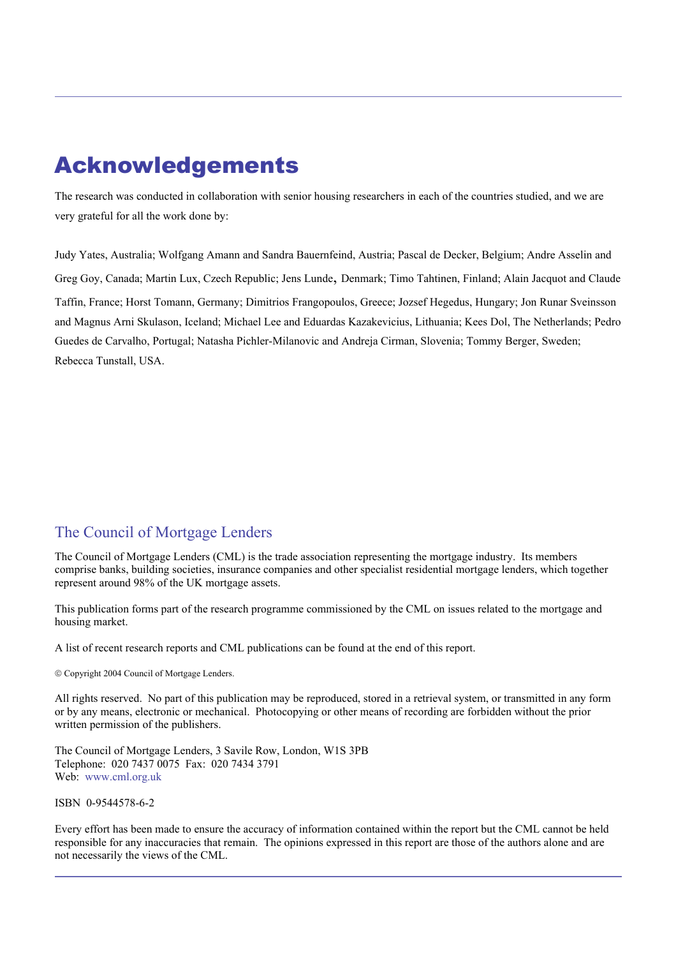# Acknowledgements

The research was conducted in collaboration with senior housing researchers in each of the countries studied, and we are very grateful for all the work done by:

Judy Yates, Australia; Wolfgang Amann and Sandra Bauernfeind, Austria; Pascal de Decker, Belgium; Andre Asselin and Greg Goy, Canada; Martin Lux, Czech Republic; Jens Lunde, Denmark; Timo Tahtinen, Finland; Alain Jacquot and Claude Taffin, France; Horst Tomann, Germany; Dimitrios Frangopoulos, Greece; Jozsef Hegedus, Hungary; Jon Runar Sveinsson and Magnus Arni Skulason, Iceland; Michael Lee and Eduardas Kazakevicius, Lithuania; Kees Dol, The Netherlands; Pedro Guedes de Carvalho, Portugal; Natasha Pichler-Milanovic and Andreja Cirman, Slovenia; Tommy Berger, Sweden; Rebecca Tunstall, USA.

### The Council of Mortgage Lenders

The Council of Mortgage Lenders (CML) is the trade association representing the mortgage industry. Its members comprise banks, building societies, insurance companies and other specialist residential mortgage lenders, which together represent around 98% of the UK mortgage assets.

This publication forms part of the research programme commissioned by the CML on issues related to the mortgage and housing market.

A list of recent research reports and CML publications can be found at the end of this report.

Copyright 2004 Council of Mortgage Lenders.

All rights reserved. No part of this publication may be reproduced, stored in a retrieval system, or transmitted in any form or by any means, electronic or mechanical. Photocopying or other means of recording are forbidden without the prior written permission of the publishers.

The Council of Mortgage Lenders, 3 Savile Row, London, W1S 3PB Telephone: 020 7437 0075 Fax: 020 7434 3791 Web: www.cml.org.uk

ISBN 0-9544578-6-2

Every effort has been made to ensure the accuracy of information contained within the report but the CML cannot be held responsible for any inaccuracies that remain. The opinions expressed in this report are those of the authors alone and are not necessarily the views of the CML.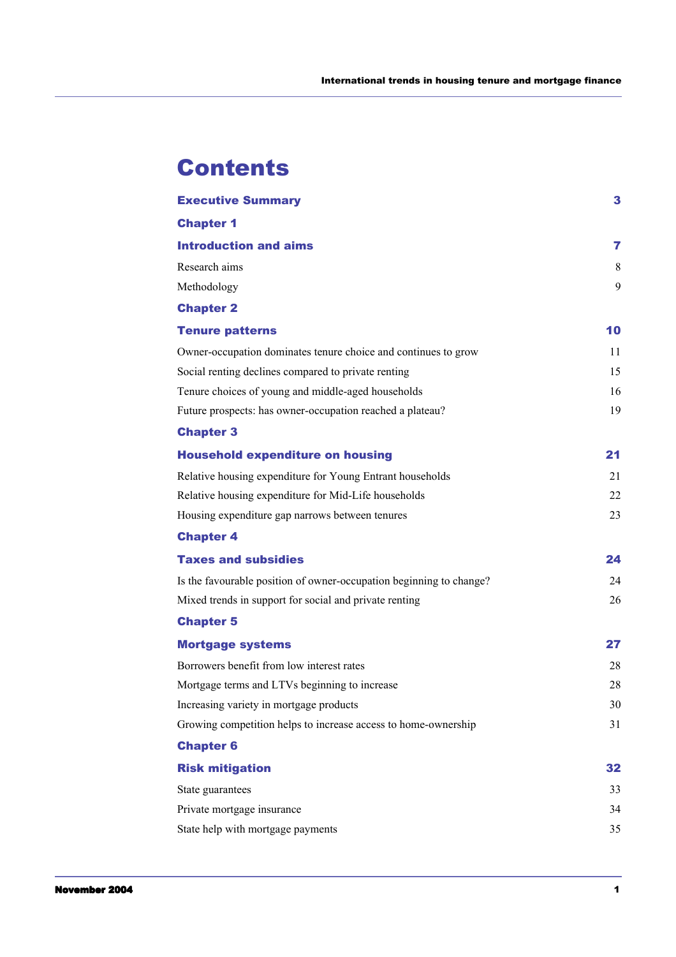# Contents

| <b>Executive Summary</b>                                            | 3  |
|---------------------------------------------------------------------|----|
| <b>Chapter 1</b>                                                    |    |
| <b>Introduction and aims</b>                                        | 7  |
| Research aims                                                       | 8  |
| Methodology                                                         | 9  |
| <b>Chapter 2</b>                                                    |    |
| <b>Tenure patterns</b>                                              | 10 |
| Owner-occupation dominates tenure choice and continues to grow      | 11 |
| Social renting declines compared to private renting                 | 15 |
| Tenure choices of young and middle-aged households                  | 16 |
| Future prospects: has owner-occupation reached a plateau?           | 19 |
| <b>Chapter 3</b>                                                    |    |
| <b>Household expenditure on housing</b>                             | 21 |
| Relative housing expenditure for Young Entrant households           | 21 |
| Relative housing expenditure for Mid-Life households                | 22 |
| Housing expenditure gap narrows between tenures                     | 23 |
| <b>Chapter 4</b>                                                    |    |
| <b>Taxes and subsidies</b>                                          | 24 |
| Is the favourable position of owner-occupation beginning to change? | 24 |
| Mixed trends in support for social and private renting              | 26 |
| <b>Chapter 5</b>                                                    |    |
| <b>Mortgage systems</b>                                             | 27 |
| Borrowers benefit from low interest rates                           | 28 |
| Mortgage terms and LTVs beginning to increase                       | 28 |
| Increasing variety in mortgage products                             | 30 |
| Growing competition helps to increase access to home-ownership      | 31 |
| <b>Chapter 6</b>                                                    |    |
| <b>Risk mitigation</b>                                              | 32 |
| State guarantees                                                    | 33 |
| Private mortgage insurance                                          | 34 |
| State help with mortgage payments                                   | 35 |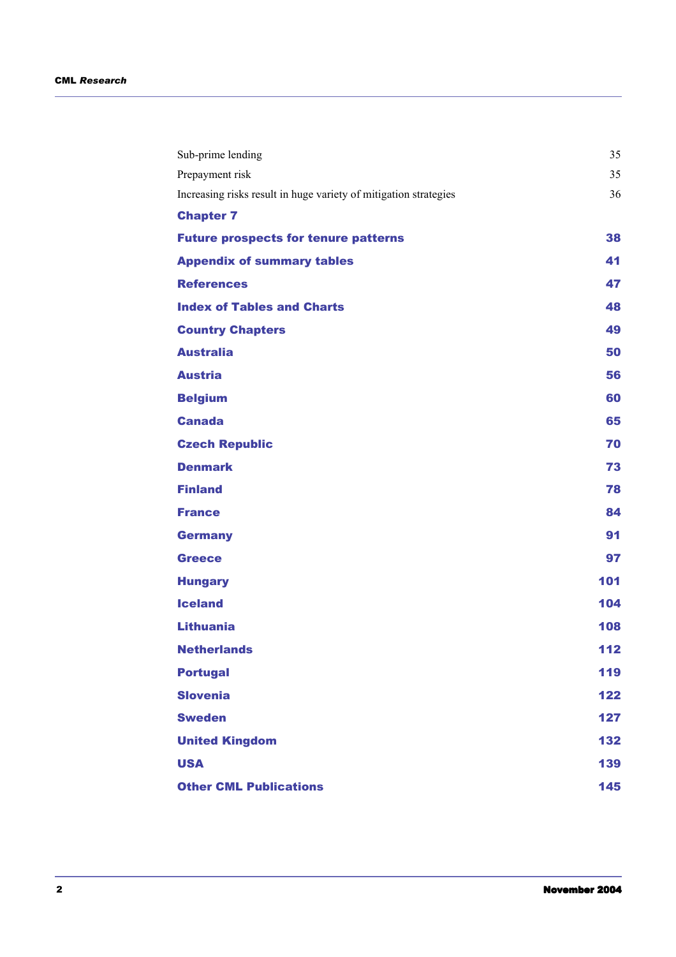| Sub-prime lending                                                | 35  |
|------------------------------------------------------------------|-----|
| Prepayment risk                                                  | 35  |
| Increasing risks result in huge variety of mitigation strategies | 36  |
| <b>Chapter 7</b>                                                 |     |
| <b>Future prospects for tenure patterns</b>                      | 38  |
| <b>Appendix of summary tables</b>                                | 41  |
| <b>References</b>                                                | 47  |
| <b>Index of Tables and Charts</b>                                | 48  |
| <b>Country Chapters</b>                                          | 49  |
| <b>Australia</b>                                                 | 50  |
| <b>Austria</b>                                                   | 56  |
| <b>Belgium</b>                                                   | 60  |
| <b>Canada</b>                                                    | 65  |
| <b>Czech Republic</b>                                            | 70  |
| <b>Denmark</b>                                                   | 73  |
| <b>Finland</b>                                                   | 78  |
| <b>France</b>                                                    | 84  |
| <b>Germany</b>                                                   | 91  |
| <b>Greece</b>                                                    | 97  |
| <b>Hungary</b>                                                   | 101 |
| <b>Iceland</b>                                                   | 104 |
| <b>Lithuania</b>                                                 | 108 |
| <b>Netherlands</b>                                               | 112 |
| <b>Portugal</b>                                                  | 119 |
| <b>Slovenia</b>                                                  | 122 |
| <b>Sweden</b>                                                    | 127 |
| <b>United Kingdom</b>                                            | 132 |
| <b>USA</b>                                                       | 139 |
| <b>Other CML Publications</b>                                    | 145 |
|                                                                  |     |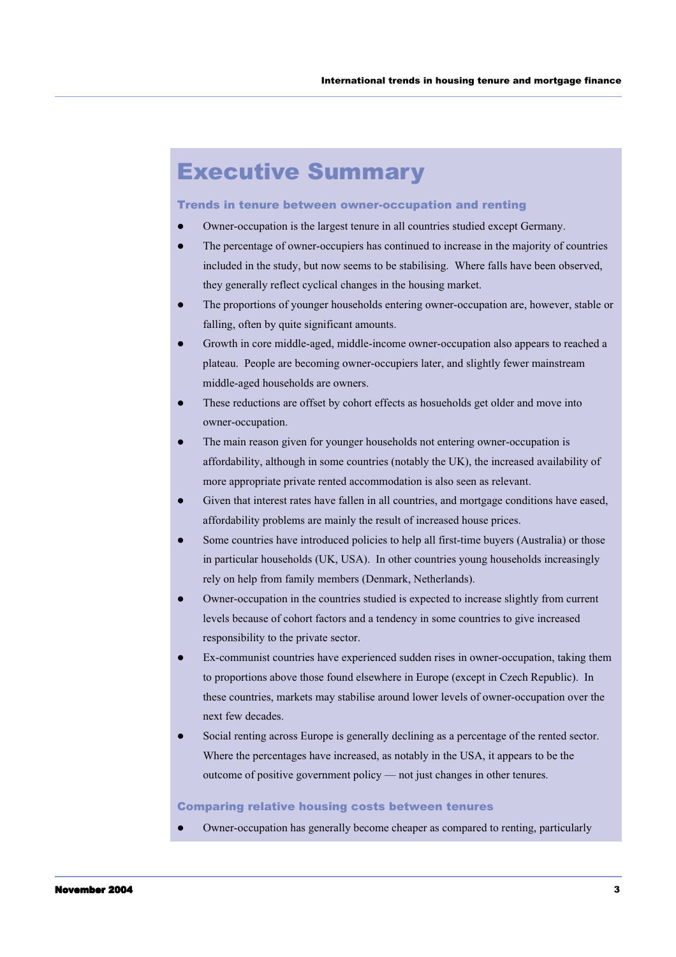# **Executive Summary**

#### Trends in tenure between owner-occupation and renting

- Owner-occupation is the largest tenure in all countries studied except Germany.
- The percentage of owner-occupiers has continued to increase in the majority of countries included in the study, but now seems to be stabilising. Where falls have been observed, they generally reflect cyclical changes in the housing market.
- The proportions of younger households entering owner-occupation are, however, stable or falling, often by quite significant amounts.
- Growth in core middle-aged, middle-income owner-occupation also appears to reached a plateau. People are becoming owner-occupiers later, and slightly fewer mainstream middle-aged households are owners.
- These reductions are offset by cohort effects as hosueholds get older and move into owner-occupation.
- The main reason given for younger households not entering owner-occupation is affordability, although in some countries (notably the UK), the increased availability of more appropriate private rented accommodation is also seen as relevant.
- Given that interest rates have fallen in all countries, and mortgage conditions have eased, affordability problems are mainly the result of increased house prices.
- Some countries have introduced policies to help all first-time buyers (Australia) or those in particular households (UK, USA). In other countries young households increasingly rely on help from family members (Denmark, Netherlands).
- Owner-occupation in the countries studied is expected to increase slightly from current levels because of cohort factors and a tendency in some countries to give increased responsibility to the private sector.
- Ex-communist countries have experienced sudden rises in owner-occupation, taking them to proportions above those found elsewhere in Europe (except in Czech Republic). In these countries, markets may stabilise around lower levels of owner-occupation over the next few decades.
- Social renting across Europe is generally declining as a percentage of the rented sector. Where the percentages have increased, as notably in the USA, it appears to be the outcome of positive government policy — not just changes in other tenures.

#### Comparing relative housing costs between tenures

Owner-occupation has generally become cheaper as compared to renting, particularly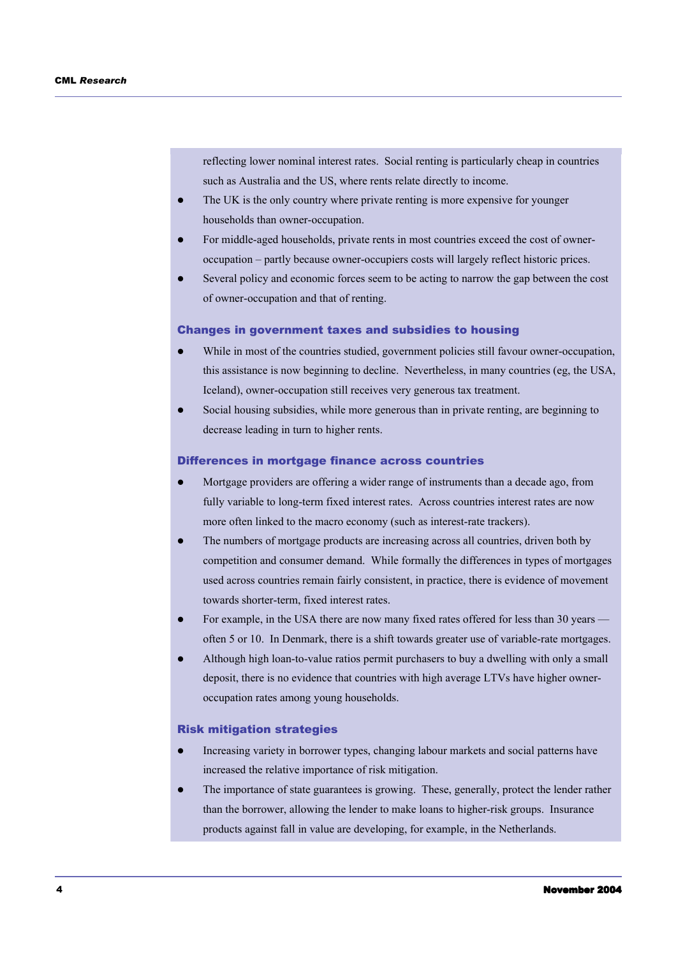reflecting lower nominal interest rates. Social renting is particularly cheap in countries such as Australia and the US, where rents relate directly to income.

- ! The UK is the only country where private renting is more expensive for younger households than owner-occupation.
- ! For middle-aged households, private rents in most countries exceed the cost of owneroccupation - partly because owner-occupiers costs will largely reflect historic prices.
- Several policy and economic forces seem to be acting to narrow the gap between the cost of owner-occupation and that of renting.

#### Changes in government taxes and subsidies to housing

- While in most of the countries studied, government policies still favour owner-occupation, this assistance is now beginning to decline. Nevertheless, in many countries (eg, the USA, Iceland), owner-occupation still receives very generous tax treatment.
- Social housing subsidies, while more generous than in private renting, are beginning to decrease leading in turn to higher rents.

#### Differences in mortgage finance across countries

- ! Mortgage providers are offering a wider range of instruments than a decade ago, from fully variable to long-term fixed interest rates. Across countries interest rates are now more often linked to the macro economy (such as interest-rate trackers).
- The numbers of mortgage products are increasing across all countries, driven both by competition and consumer demand. While formally the differences in types of mortgages used across countries remain fairly consistent, in practice, there is evidence of movement towards shorter-term, fixed interest rates.
- For example, in the USA there are now many fixed rates offered for less than 30 years often 5 or 10. In Denmark, there is a shift towards greater use of variable-rate mortgages.
- ! Although high loan-to-value ratios permit purchasers to buy a dwelling with only a small deposit, there is no evidence that countries with high average LTVs have higher owneroccupation rates among young households.

#### Risk mitigation strategies

- ! Increasing variety in borrower types, changing labour markets and social patterns have increased the relative importance of risk mitigation.
- ! The importance of state guarantees is growing. These, generally, protect the lender rather than the borrower, allowing the lender to make loans to higher-risk groups. Insurance products against fall in value are developing, for example, in the Netherlands.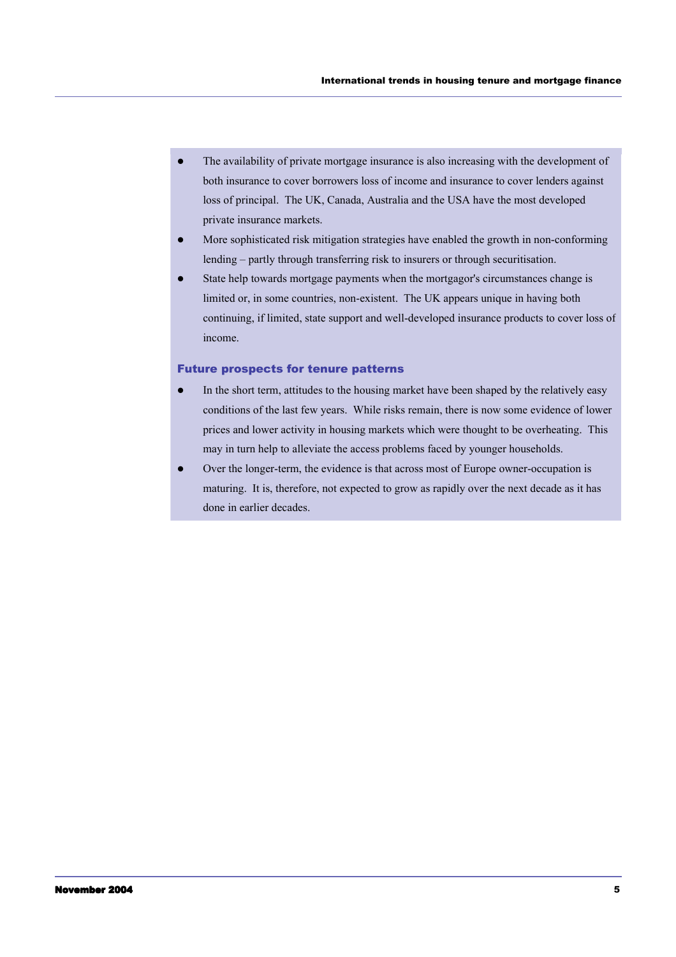- The availability of private mortgage insurance is also increasing with the development of both insurance to cover borrowers loss of income and insurance to cover lenders against loss of principal. The UK, Canada, Australia and the USA have the most developed private insurance markets.
- ! More sophisticated risk mitigation strategies have enabled the growth in non-conforming lending – partly through transferring risk to insurers or through securitisation.
- State help towards mortgage payments when the mortgagor's circumstances change is limited or, in some countries, non-existent. The UK appears unique in having both continuing, if limited, state support and well-developed insurance products to cover loss of income.

#### Future prospects for tenure patterns

- In the short term, attitudes to the housing market have been shaped by the relatively easy conditions of the last few years. While risks remain, there is now some evidence of lower prices and lower activity in housing markets which were thought to be overheating. This may in turn help to alleviate the access problems faced by younger households.
- Over the longer-term, the evidence is that across most of Europe owner-occupation is maturing. It is, therefore, not expected to grow as rapidly over the next decade as it has done in earlier decades.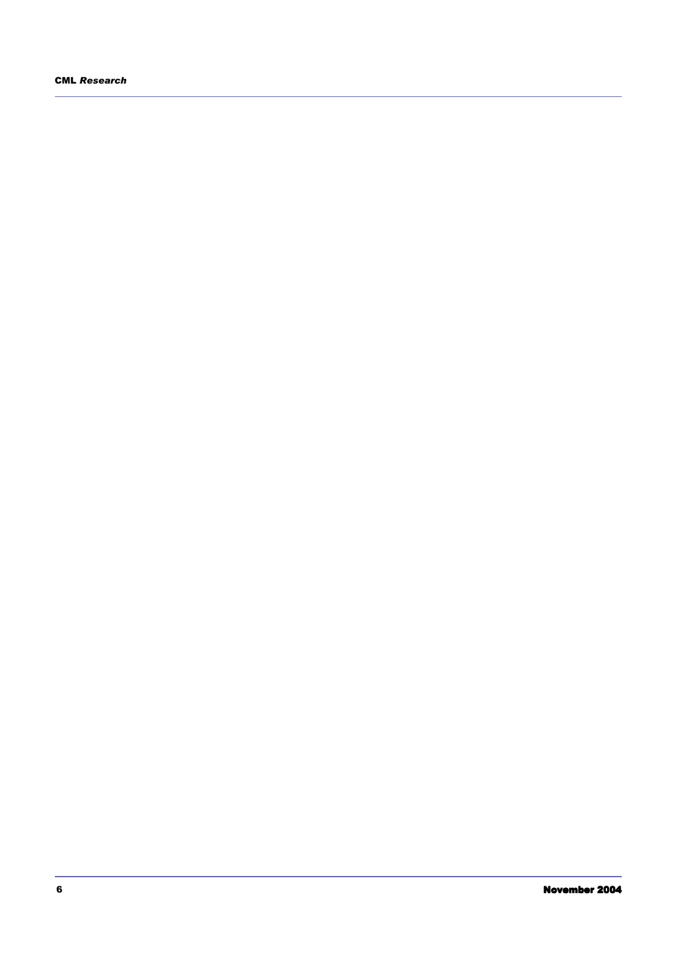CML *Research*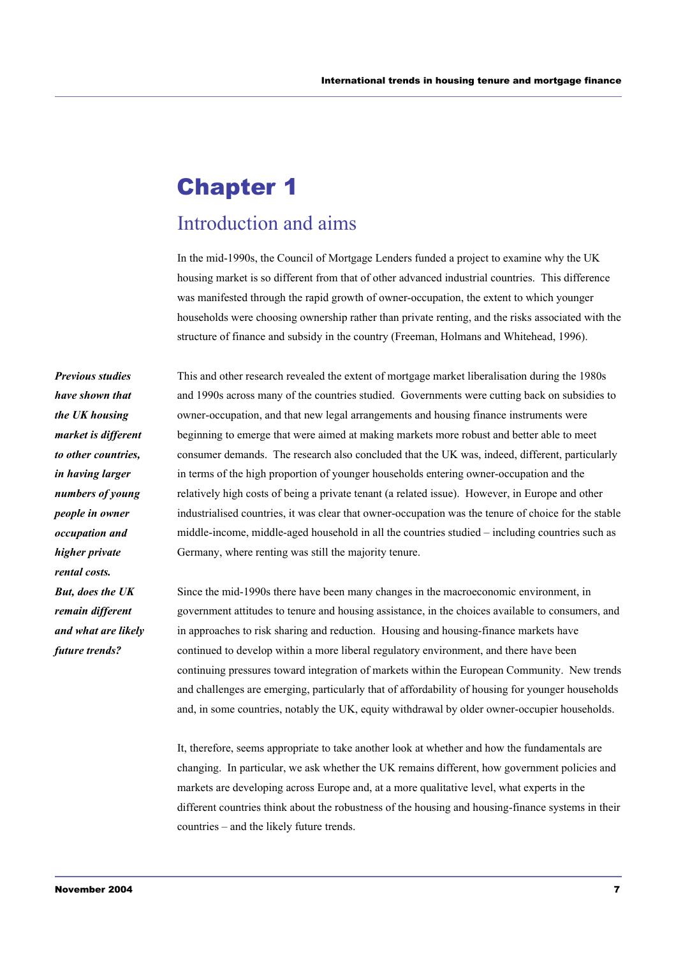# Chapter 1

### Introduction and aims

In the mid-1990s, the Council of Mortgage Lenders funded a project to examine why the UK housing market is so different from that of other advanced industrial countries. This difference was manifested through the rapid growth of owner-occupation, the extent to which younger households were choosing ownership rather than private renting, and the risks associated with the structure of finance and subsidy in the country (Freeman, Holmans and Whitehead, 1996).

*Previous studies have shown that the UK housing market is different to other countries, in having larger numbers of young people in owner occupation and higher private rental costs. But, does the UK remain different and what are likely future trends?* 

This and other research revealed the extent of mortgage market liberalisation during the 1980s and 1990s across many of the countries studied. Governments were cutting back on subsidies to owner-occupation, and that new legal arrangements and housing finance instruments were beginning to emerge that were aimed at making markets more robust and better able to meet consumer demands. The research also concluded that the UK was, indeed, different, particularly in terms of the high proportion of younger households entering owner-occupation and the relatively high costs of being a private tenant (a related issue). However, in Europe and other industrialised countries, it was clear that owner-occupation was the tenure of choice for the stable middle-income, middle-aged household in all the countries studied  $-$  including countries such as Germany, where renting was still the majority tenure.

Since the mid-1990s there have been many changes in the macroeconomic environment, in government attitudes to tenure and housing assistance, in the choices available to consumers, and in approaches to risk sharing and reduction. Housing and housing-finance markets have continued to develop within a more liberal regulatory environment, and there have been continuing pressures toward integration of markets within the European Community. New trends and challenges are emerging, particularly that of affordability of housing for younger households and, in some countries, notably the UK, equity withdrawal by older owner-occupier households.

It, therefore, seems appropriate to take another look at whether and how the fundamentals are changing. In particular, we ask whether the UK remains different, how government policies and markets are developing across Europe and, at a more qualitative level, what experts in the different countries think about the robustness of the housing and housing-finance systems in their countries - and the likely future trends.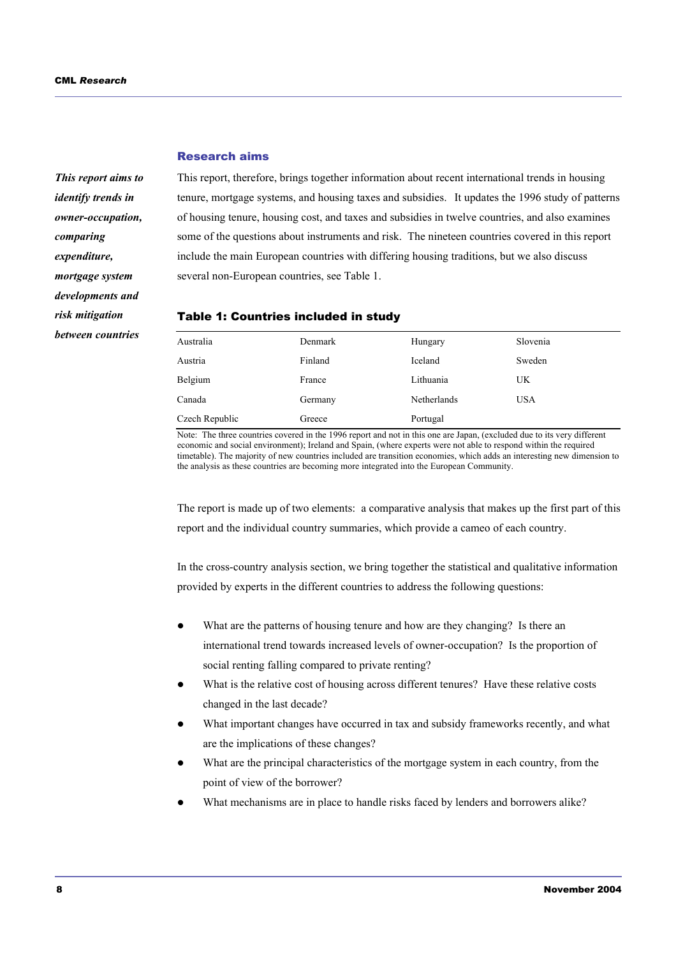*This report aims to identify trends in owner-occupation, comparing expenditure, mortgage system developments and risk mitigation between countries* 

#### Research aims

This report, therefore, brings together information about recent international trends in housing tenure, mortgage systems, and housing taxes and subsidies. It updates the 1996 study of patterns of housing tenure, housing cost, and taxes and subsidies in twelve countries, and also examines some of the questions about instruments and risk. The nineteen countries covered in this report include the main European countries with differing housing traditions, but we also discuss several non-European countries, see Table 1.

### Australia **Denmark** Hungary Slovenia Austria Finland Iceland Sweden Belgium France Lithuania UK Canada Germany Netherlands USA Czech Republic Greece Portugal

#### Table 1: Countries included in study

Note: The three countries covered in the 1996 report and not in this one are Japan, (excluded due to its very different economic and social environment); Ireland and Spain, (where experts were not able to respond within the required timetable). The majority of new countries included are transition economies, which adds an interesting new dimension to the analysis as these countries are becoming more integrated into the European Community.

The report is made up of two elements: a comparative analysis that makes up the first part of this report and the individual country summaries, which provide a cameo of each country.

In the cross-country analysis section, we bring together the statistical and qualitative information provided by experts in the different countries to address the following questions:

- What are the patterns of housing tenure and how are they changing? Is there an international trend towards increased levels of owner-occupation? Is the proportion of social renting falling compared to private renting?
- What is the relative cost of housing across different tenures? Have these relative costs changed in the last decade?
- What important changes have occurred in tax and subsidy frameworks recently, and what are the implications of these changes?
- ! What are the principal characteristics of the mortgage system in each country, from the point of view of the borrower?
- ! What mechanisms are in place to handle risks faced by lenders and borrowers alike?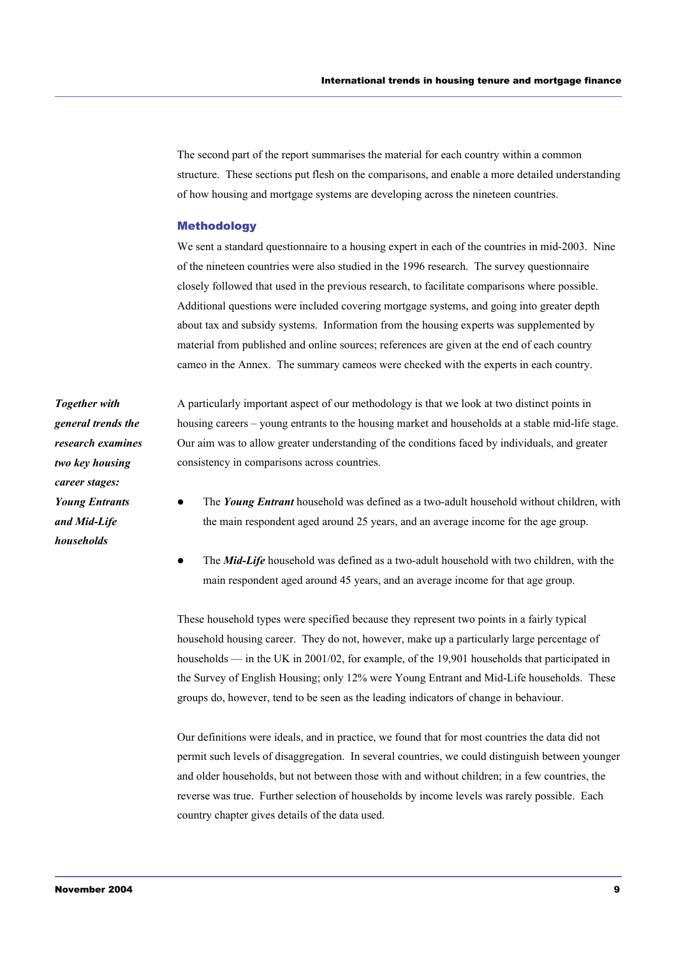The second part of the report summarises the material for each country within a common structure. These sections put flesh on the comparisons, and enable a more detailed understanding of how housing and mortgage systems are developing across the nineteen countries.

#### Methodology

We sent a standard questionnaire to a housing expert in each of the countries in mid-2003. Nine of the nineteen countries were also studied in the 1996 research. The survey questionnaire closely followed that used in the previous research, to facilitate comparisons where possible. Additional questions were included covering mortgage systems, and going into greater depth about tax and subsidy systems. Information from the housing experts was supplemented by material from published and online sources; references are given at the end of each country cameo in the Annex. The summary cameos were checked with the experts in each country.

*Together with general trends the research examines two key housing career stages: Young Entrants and Mid-Life households* 

A particularly important aspect of our methodology is that we look at two distinct points in housing careers – young entrants to the housing market and households at a stable mid-life stage. Our aim was to allow greater understanding of the conditions faced by individuals, and greater consistency in comparisons across countries.

- ! The *Young Entrant* household was defined as a two-adult household without children, with the main respondent aged around 25 years, and an average income for the age group.
- ! The *Mid-Life* household was defined as a two-adult household with two children, with the main respondent aged around 45 years, and an average income for that age group.

These household types were specified because they represent two points in a fairly typical household housing career. They do not, however, make up a particularly large percentage of households  $-$  in the UK in 2001/02, for example, of the 19,901 households that participated in the Survey of English Housing; only 12% were Young Entrant and Mid-Life households. These groups do, however, tend to be seen as the leading indicators of change in behaviour.

Our definitions were ideals, and in practice, we found that for most countries the data did not permit such levels of disaggregation. In several countries, we could distinguish between younger and older households, but not between those with and without children; in a few countries, the reverse was true. Further selection of households by income levels was rarely possible. Each country chapter gives details of the data used.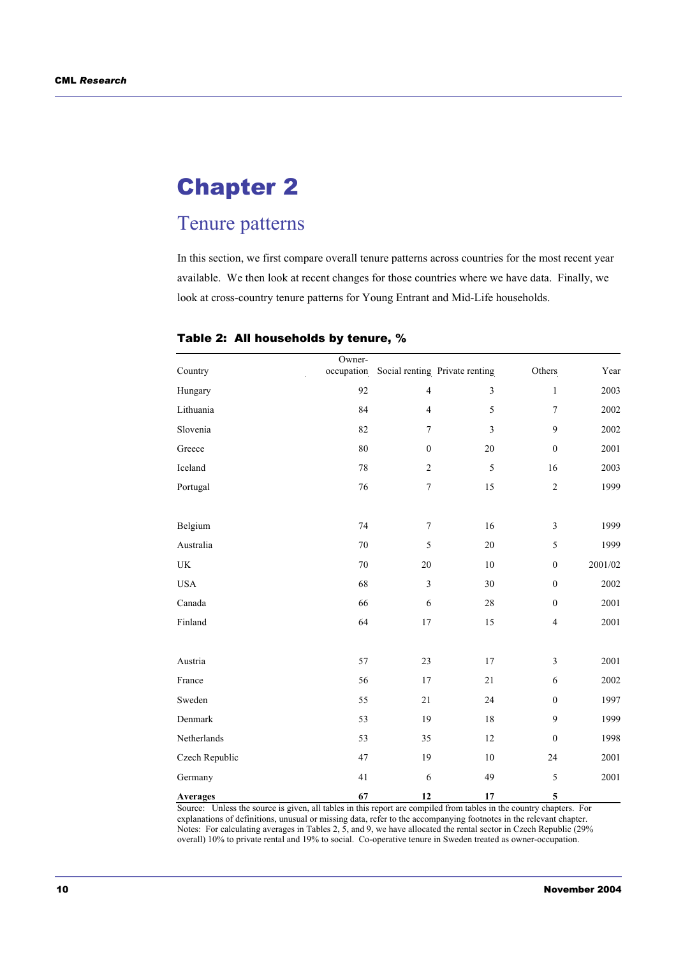# Chapter 2

### Tenure patterns

In this section, we first compare overall tenure patterns across countries for the most recent year available. We then look at recent changes for those countries where we have data. Finally, we look at cross-country tenure patterns for Young Entrant and Mid-Life households.

| Country                         | Owner-<br>occupation |                  | Social renting Private renting | Others           | Year    |
|---------------------------------|----------------------|------------------|--------------------------------|------------------|---------|
| Hungary                         | 92                   | $\overline{4}$   | $\overline{\mathbf{3}}$        | $\mathbf{1}$     | 2003    |
| Lithuania                       | 84                   | $\overline{4}$   | 5                              | $\overline{7}$   | 2002    |
| Slovenia                        | 82                   | 7                | $\overline{\mathbf{3}}$        | $\overline{9}$   | 2002    |
| Greece                          | 80                   | $\boldsymbol{0}$ | 20                             | $\boldsymbol{0}$ | 2001    |
| Iceland                         | 78                   | $\overline{c}$   | 5                              | 16               | 2003    |
| Portugal                        | 76                   | $\boldsymbol{7}$ | 15                             | $\sqrt{2}$       | 1999    |
| Belgium                         | 74                   | $\boldsymbol{7}$ | 16                             | $\mathfrak{Z}$   | 1999    |
| Australia                       | 70                   | 5                | 20                             | 5                | 1999    |
| $\ensuremath{\text{UK}}\xspace$ | $70\,$               | 20               | 10                             | $\mathbf{0}$     | 2001/02 |
| <b>USA</b>                      | 68                   | 3                | 30                             | $\mathbf{0}$     | 2002    |
| Canada                          | 66                   | $\sqrt{6}$       | 28                             | $\boldsymbol{0}$ | 2001    |
| Finland                         | 64                   | $17\,$           | 15                             | $\overline{4}$   | 2001    |
| Austria                         | 57                   | 23               | 17                             | $\mathfrak{Z}$   | 2001    |
| France                          | 56                   | 17               | 21                             | $\epsilon$       | 2002    |
| Sweden                          | 55                   | $21\,$           | 24                             | $\boldsymbol{0}$ | 1997    |
| Denmark                         | 53                   | 19               | 18                             | 9                | 1999    |
| Netherlands                     | 53                   | 35               | 12                             | $\boldsymbol{0}$ | 1998    |
| Czech Republic                  | 47                   | 19               | $10\,$                         | 24               | 2001    |
| Germany                         | 41                   | 6                | 49                             | 5                | 2001    |
| <b>Averages</b>                 | 67                   | 12               | 17                             | 5                |         |

|  |  | Table 2: All households by tenure, % |  |  |  |
|--|--|--------------------------------------|--|--|--|
|--|--|--------------------------------------|--|--|--|

Source: Unless the source is given, all tables in this report are compiled from tables in the country chapters. For explanations of definitions, unusual or missing data, refer to the accompanying footnotes in the relevant chapter. Notes: For calculating averages in Tables 2, 5, and 9, we have allocated the rental sector in Czech Republic (29% overall) 10% to private rental and 19% to social. Co-operative tenure in Sweden treated as owner-occupation.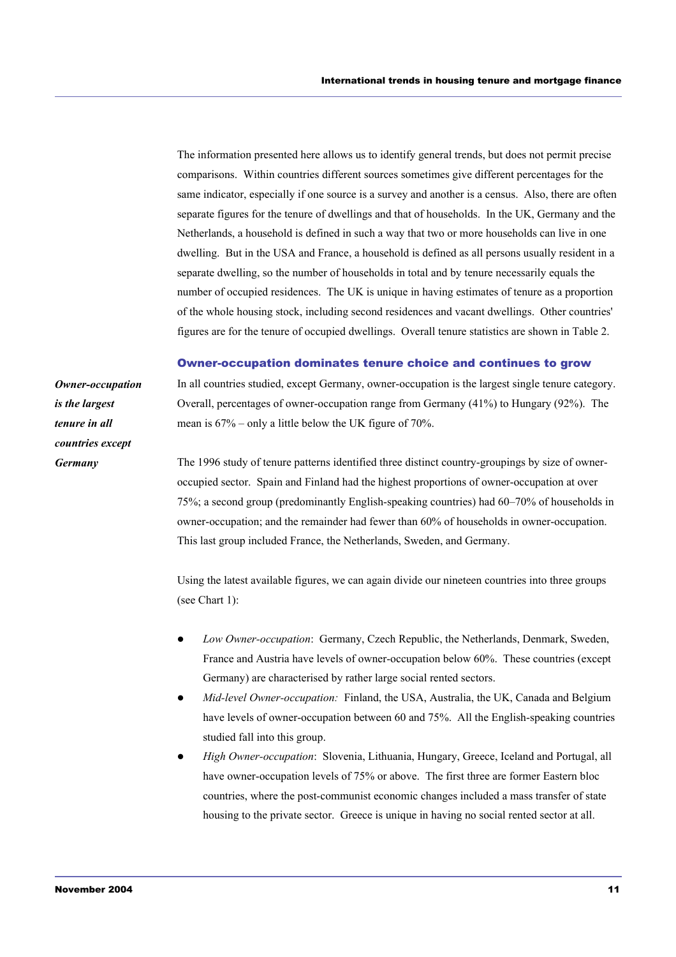The information presented here allows us to identify general trends, but does not permit precise comparisons. Within countries different sources sometimes give different percentages for the same indicator, especially if one source is a survey and another is a census. Also, there are often separate figures for the tenure of dwellings and that of households. In the UK, Germany and the Netherlands, a household is defined in such a way that two or more households can live in one dwelling. But in the USA and France, a household is defined as all persons usually resident in a separate dwelling, so the number of households in total and by tenure necessarily equals the number of occupied residences. The UK is unique in having estimates of tenure as a proportion of the whole housing stock, including second residences and vacant dwellings. Other countries' figures are for the tenure of occupied dwellings. Overall tenure statistics are shown in Table 2.

#### Owner-occupation dominates tenure choice and continues to grow

*Owner-occupation is the largest tenure in all countries except Germany* 

In all countries studied, except Germany, owner-occupation is the largest single tenure category. Overall, percentages of owner-occupation range from Germany (41%) to Hungary (92%). The mean is  $67\%$  – only a little below the UK figure of 70%.

The 1996 study of tenure patterns identified three distinct country-groupings by size of owneroccupied sector. Spain and Finland had the highest proportions of owner-occupation at over 75%; a second group (predominantly English-speaking countries) had 60–70% of households in owner-occupation; and the remainder had fewer than 60% of households in owner-occupation. This last group included France, the Netherlands, Sweden, and Germany.

Using the latest available figures, we can again divide our nineteen countries into three groups (see Chart 1):

- ! *Low Owner-occupation*: Germany, Czech Republic, the Netherlands, Denmark, Sweden, France and Austria have levels of owner-occupation below 60%. These countries (except Germany) are characterised by rather large social rented sectors.
- ! *Mid-level Owner-occupation:* Finland, the USA, Australia, the UK, Canada and Belgium have levels of owner-occupation between 60 and 75%. All the English-speaking countries studied fall into this group.
- ! *High Owner-occupation*: Slovenia, Lithuania, Hungary, Greece, Iceland and Portugal, all have owner-occupation levels of 75% or above. The first three are former Eastern bloc countries, where the post-communist economic changes included a mass transfer of state housing to the private sector. Greece is unique in having no social rented sector at all.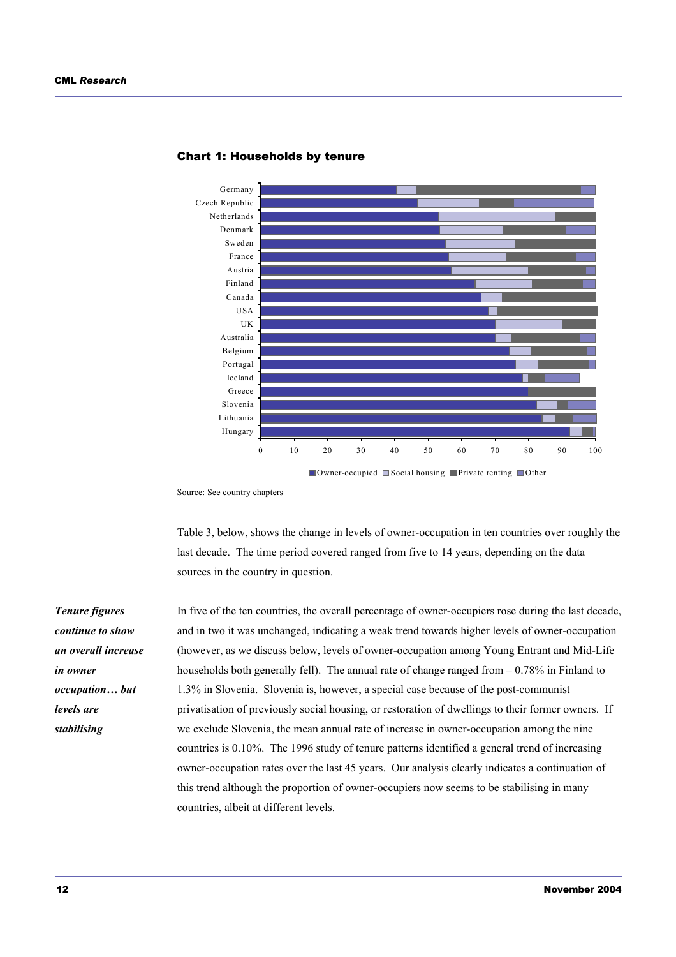

#### Chart 1: Households by tenure

Source: See country chapters

Table 3, below, shows the change in levels of owner-occupation in ten countries over roughly the last decade. The time period covered ranged from five to 14 years, depending on the data sources in the country in question.

*Tenure figures continue to show an overall increase in owner*   $occupation...$  but *levels are stabilising* 

In five of the ten countries, the overall percentage of owner-occupiers rose during the last decade, and in two it was unchanged, indicating a weak trend towards higher levels of owner-occupation (however, as we discuss below, levels of owner-occupation among Young Entrant and Mid-Life households both generally fell). The annual rate of change ranged from  $-0.78\%$  in Finland to 1.3% in Slovenia. Slovenia is, however, a special case because of the post-communist privatisation of previously social housing, or restoration of dwellings to their former owners. If we exclude Slovenia, the mean annual rate of increase in owner-occupation among the nine countries is 0.10%. The 1996 study of tenure patterns identified a general trend of increasing owner-occupation rates over the last 45 years. Our analysis clearly indicates a continuation of this trend although the proportion of owner-occupiers now seems to be stabilising in many countries, albeit at different levels.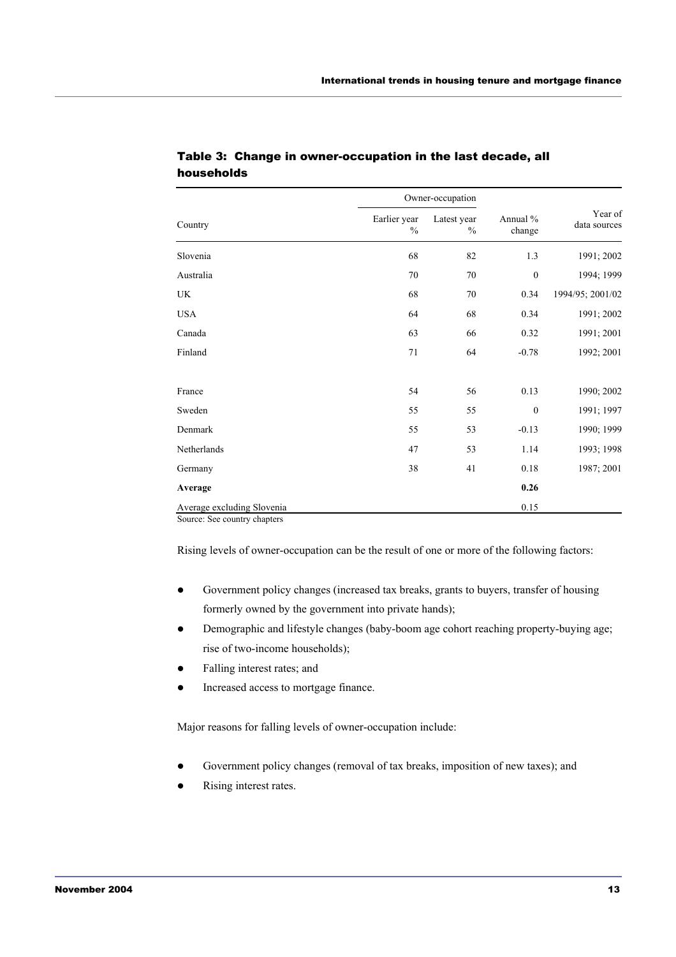|                                      |                               | Owner-occupation             |                    |                         |
|--------------------------------------|-------------------------------|------------------------------|--------------------|-------------------------|
| Country                              | Earlier year<br>$\frac{0}{0}$ | Latest year<br>$\frac{0}{0}$ | Annual %<br>change | Year of<br>data sources |
| Slovenia                             | 68                            | 82                           | 1.3                | 1991; 2002              |
| Australia                            | 70                            | 70                           | $\boldsymbol{0}$   | 1994; 1999              |
| UK                                   | 68                            | 70                           | 0.34               | 1994/95; 2001/02        |
| <b>USA</b>                           | 64                            | 68                           | 0.34               | 1991; 2002              |
| Canada                               | 63                            | 66                           | 0.32               | 1991; 2001              |
| Finland                              | 71                            | 64                           | $-0.78$            | 1992; 2001              |
| France                               | 54                            | 56                           | 0.13               | 1990; 2002              |
| Sweden                               | 55                            | 55                           | $\boldsymbol{0}$   | 1991; 1997              |
| Denmark                              | 55                            | 53                           | $-0.13$            | 1990; 1999              |
| Netherlands                          | 47                            | 53                           | 1.14               | 1993; 1998              |
| Germany                              | 38                            | 41                           | 0.18               | 1987; 2001              |
| Average                              |                               |                              | 0.26               |                         |
| Average excluding Slovenia<br>$\sim$ |                               |                              | 0.15               |                         |

#### Table 3: Change in owner-occupation in the last decade, all households

Source: See country chapters

Rising levels of owner-occupation can be the result of one or more of the following factors:

- ! Government policy changes (increased tax breaks, grants to buyers, transfer of housing formerly owned by the government into private hands);
- ! Demographic and lifestyle changes (baby-boom age cohort reaching property-buying age; rise of two-income households);
- ! Falling interest rates; and
- ! Increased access to mortgage finance.

Major reasons for falling levels of owner-occupation include:

- Government policy changes (removal of tax breaks, imposition of new taxes); and
- Rising interest rates.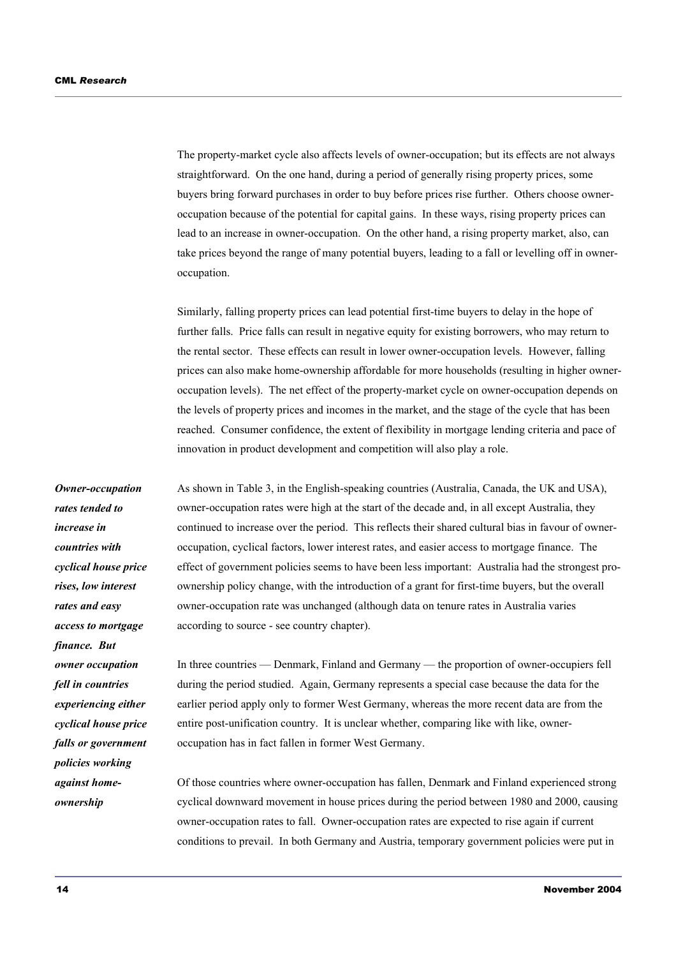The property-market cycle also affects levels of owner-occupation; but its effects are not always straightforward. On the one hand, during a period of generally rising property prices, some buyers bring forward purchases in order to buy before prices rise further. Others choose owneroccupation because of the potential for capital gains. In these ways, rising property prices can lead to an increase in owner-occupation. On the other hand, a rising property market, also, can take prices beyond the range of many potential buyers, leading to a fall or levelling off in owneroccupation.

Similarly, falling property prices can lead potential first-time buyers to delay in the hope of further falls. Price falls can result in negative equity for existing borrowers, who may return to the rental sector. These effects can result in lower owner-occupation levels. However, falling prices can also make home-ownership affordable for more households (resulting in higher owneroccupation levels). The net effect of the property-market cycle on owner-occupation depends on the levels of property prices and incomes in the market, and the stage of the cycle that has been reached. Consumer confidence, the extent of flexibility in mortgage lending criteria and pace of innovation in product development and competition will also play a role.

As shown in Table 3, in the English-speaking countries (Australia, Canada, the UK and USA), owner-occupation rates were high at the start of the decade and, in all except Australia, they continued to increase over the period. This reflects their shared cultural bias in favour of owneroccupation, cyclical factors, lower interest rates, and easier access to mortgage finance. The effect of government policies seems to have been less important: Australia had the strongest proownership policy change, with the introduction of a grant for first-time buyers, but the overall owner-occupation rate was unchanged (although data on tenure rates in Australia varies according to source - see country chapter).

In three countries  $-$  Denmark, Finland and Germany  $-$  the proportion of owner-occupiers fell during the period studied. Again, Germany represents a special case because the data for the earlier period apply only to former West Germany, whereas the more recent data are from the entire post-unification country. It is unclear whether, comparing like with like, owneroccupation has in fact fallen in former West Germany.

Of those countries where owner-occupation has fallen, Denmark and Finland experienced strong cyclical downward movement in house prices during the period between 1980 and 2000, causing owner-occupation rates to fall. Owner-occupation rates are expected to rise again if current conditions to prevail. In both Germany and Austria, temporary government policies were put in

*Owner-occupation rates tended to increase in countries with cyclical house price rises, low interest rates and easy access to mortgage finance. But owner occupation fell in countries experiencing either cyclical house price falls or government policies working against homeownership*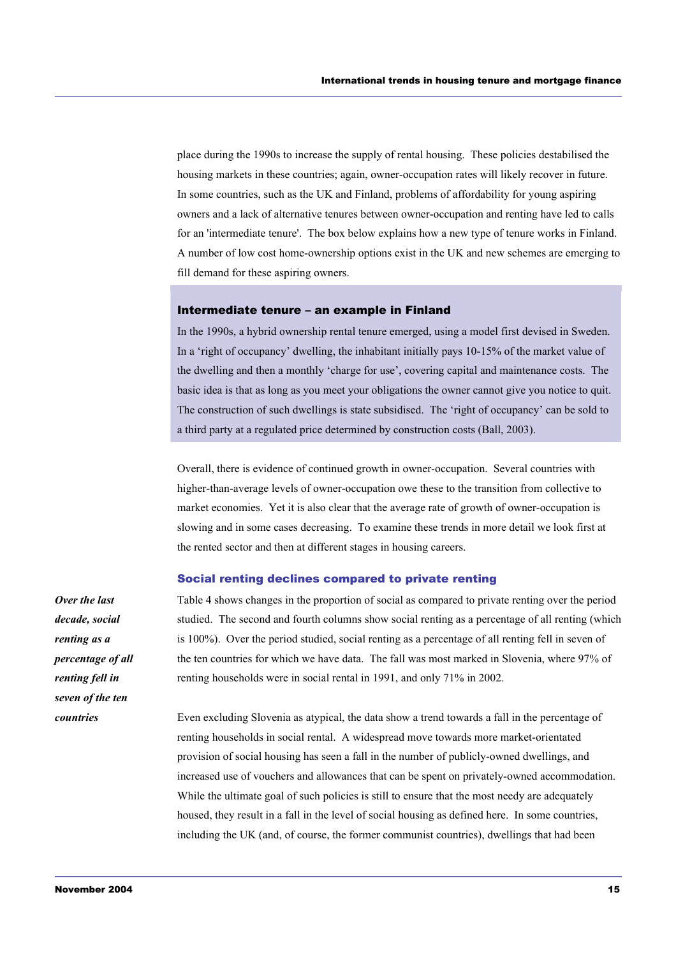place during the 1990s to increase the supply of rental housing. These policies destabilised the housing markets in these countries; again, owner-occupation rates will likely recover in future. In some countries, such as the UK and Finland, problems of affordability for young aspiring owners and a lack of alternative tenures between owner-occupation and renting have led to calls for an 'intermediate tenure'. The box below explains how a new type of tenure works in Finland. A number of low cost home-ownership options exist in the UK and new schemes are emerging to fill demand for these aspiring owners.

#### Intermediate tenure - an example in Finland

In the 1990s, a hybrid ownership rental tenure emerged, using a model first devised in Sweden. In a 'right of occupancy' dwelling, the inhabitant initially pays 10-15% of the market value of the dwelling and then a monthly 'charge for use', covering capital and maintenance costs. The basic idea is that as long as you meet your obligations the owner cannot give you notice to quit. The construction of such dwellings is state subsidised. The 'right of occupancy' can be sold to a third party at a regulated price determined by construction costs (Ball, 2003).

Overall, there is evidence of continued growth in owner-occupation. Several countries with higher-than-average levels of owner-occupation owe these to the transition from collective to market economies. Yet it is also clear that the average rate of growth of owner-occupation is slowing and in some cases decreasing. To examine these trends in more detail we look first at the rented sector and then at different stages in housing careers.

#### Social renting declines compared to private renting

*Over the last decade, social renting as a percentage of all renting fell in seven of the ten countries* 

Table 4 shows changes in the proportion of social as compared to private renting over the period studied. The second and fourth columns show social renting as a percentage of all renting (which is 100%). Over the period studied, social renting as a percentage of all renting fell in seven of the ten countries for which we have data. The fall was most marked in Slovenia, where 97% of renting households were in social rental in 1991, and only 71% in 2002.

Even excluding Slovenia as atypical, the data show a trend towards a fall in the percentage of renting households in social rental. A widespread move towards more market-orientated provision of social housing has seen a fall in the number of publicly-owned dwellings, and increased use of vouchers and allowances that can be spent on privately-owned accommodation. While the ultimate goal of such policies is still to ensure that the most needy are adequately housed, they result in a fall in the level of social housing as defined here. In some countries, including the UK (and, of course, the former communist countries), dwellings that had been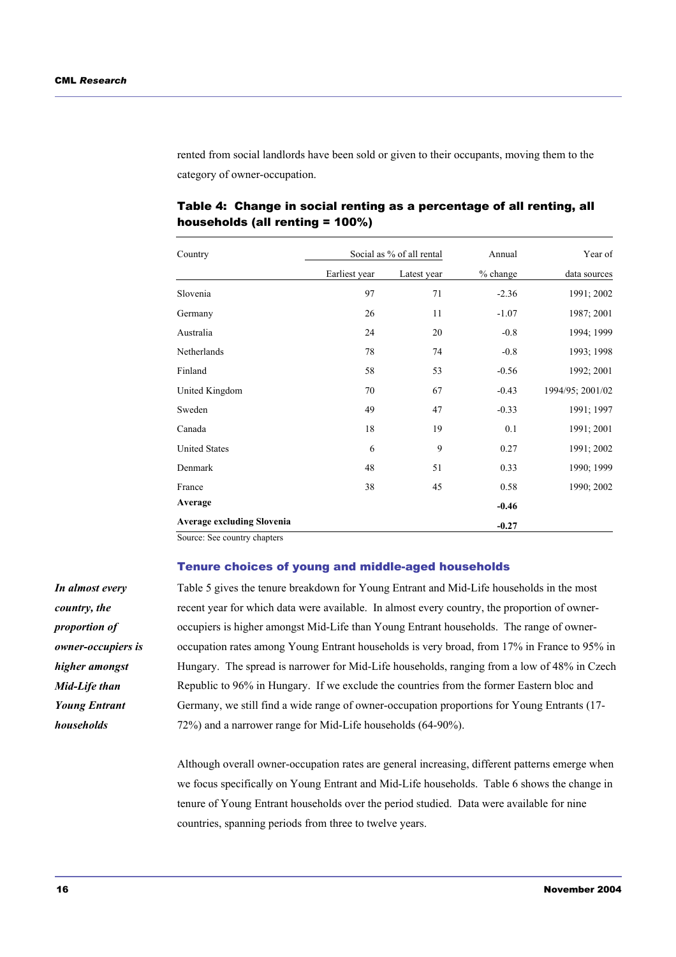rented from social landlords have been sold or given to their occupants, moving them to the category of owner-occupation.

|                                 | Table 4: Change in social renting as a percentage of all renting, all |  |  |  |
|---------------------------------|-----------------------------------------------------------------------|--|--|--|
| households (all renting = 100%) |                                                                       |  |  |  |

| Country                           |               | Social as % of all rental | Annual     | Year of          |
|-----------------------------------|---------------|---------------------------|------------|------------------|
|                                   | Earliest year | Latest year               | $%$ change | data sources     |
| Slovenia                          | 97            | 71                        | $-2.36$    | 1991; 2002       |
| Germany                           | 26            | 11                        | $-1.07$    | 1987; 2001       |
| Australia                         | 24            | 20                        | $-0.8$     | 1994; 1999       |
| Netherlands                       | 78            | 74                        | $-0.8$     | 1993; 1998       |
| Finland                           | 58            | 53                        | $-0.56$    | 1992; 2001       |
| United Kingdom                    | 70            | 67                        | $-0.43$    | 1994/95; 2001/02 |
| Sweden                            | 49            | 47                        | $-0.33$    | 1991; 1997       |
| Canada                            | 18            | 19                        | 0.1        | 1991; 2001       |
| <b>United States</b>              | 6             | 9                         | 0.27       | 1991; 2002       |
| Denmark                           | 48            | 51                        | 0.33       | 1990; 1999       |
| France                            | 38            | 45                        | 0.58       | 1990; 2002       |
| Average                           |               |                           | $-0.46$    |                  |
| <b>Average excluding Slovenia</b> |               |                           | $-0.27$    |                  |

Source: See country chapters

#### Tenure choices of young and middle-aged households

*In almost every country, the proportion of owner-occupiers is higher amongst Mid-Life than Young Entrant households* 

Table 5 gives the tenure breakdown for Young Entrant and Mid-Life households in the most recent year for which data were available. In almost every country, the proportion of owneroccupiers is higher amongst Mid-Life than Young Entrant households. The range of owneroccupation rates among Young Entrant households is very broad, from 17% in France to 95% in Hungary. The spread is narrower for Mid-Life households, ranging from a low of 48% in Czech Republic to 96% in Hungary. If we exclude the countries from the former Eastern bloc and Germany, we still find a wide range of owner-occupation proportions for Young Entrants (17- 72%) and a narrower range for Mid-Life households (64-90%).

Although overall owner-occupation rates are general increasing, different patterns emerge when we focus specifically on Young Entrant and Mid-Life households. Table 6 shows the change in tenure of Young Entrant households over the period studied. Data were available for nine countries, spanning periods from three to twelve years.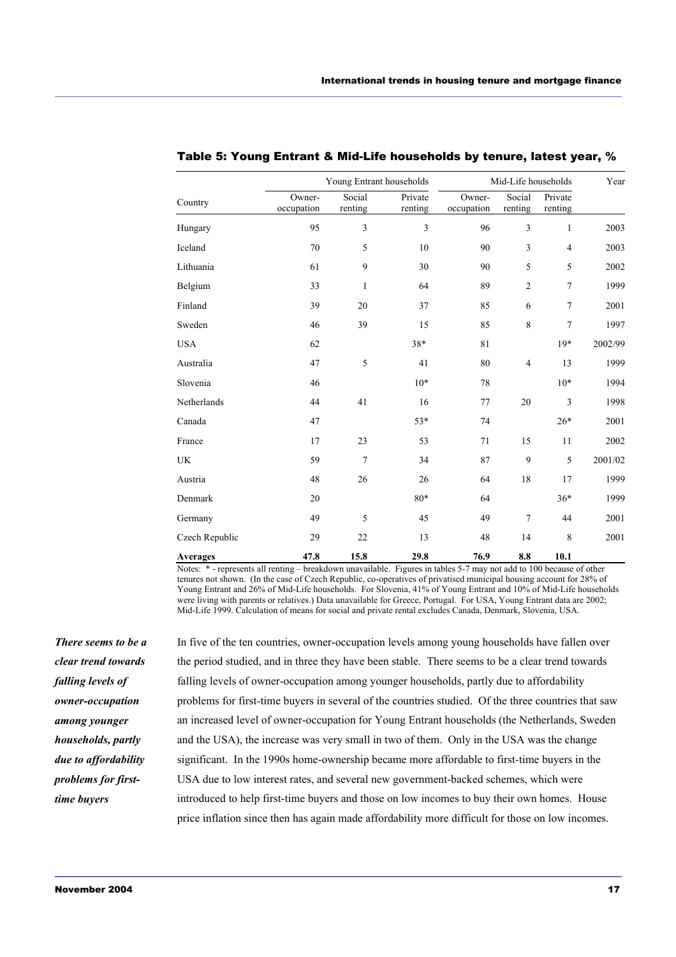|                 |                      | Young Entrant households |                    |                      | Mid-Life households     |                    |         |
|-----------------|----------------------|--------------------------|--------------------|----------------------|-------------------------|--------------------|---------|
| Country         | Owner-<br>occupation | Social<br>renting        | Private<br>renting | Owner-<br>occupation | Social<br>renting       | Private<br>renting |         |
| Hungary         | 95                   | 3                        | $\overline{3}$     | 96                   | $\mathfrak{Z}$          | $\mathbf{1}$       | 2003    |
| Iceland         | 70                   | 5                        | 10                 | 90                   | $\overline{\mathbf{3}}$ | $\overline{4}$     | 2003    |
| Lithuania       | 61                   | 9                        | 30                 | 90                   | 5                       | 5                  | 2002    |
| Belgium         | 33                   | $\mathbf{1}$             | 64                 | 89                   | $\mathbf{2}$            | $\overline{7}$     | 1999    |
| Finland         | 39                   | 20                       | 37                 | 85                   | 6                       | $\overline{7}$     | 2001    |
| Sweden          | 46                   | 39                       | 15                 | 85                   | $\,$ 8 $\,$             | $\overline{7}$     | 1997    |
| <b>USA</b>      | 62                   |                          | $38*$              | 81                   |                         | $19*$              | 2002/99 |
| Australia       | 47                   | 5                        | 41                 | 80                   | $\overline{4}$          | 13                 | 1999    |
| Slovenia        | 46                   |                          | $10*$              | 78                   |                         | $10*$              | 1994    |
| Netherlands     | 44                   | 41                       | 16                 | 77                   | 20                      | $\overline{3}$     | 1998    |
| Canada          | 47                   |                          | 53*                | 74                   |                         | $26*$              | 2001    |
| France          | 17                   | 23                       | 53                 | 71                   | 15                      | 11                 | 2002    |
| UK              | 59                   | $\overline{7}$           | 34                 | 87                   | 9                       | 5                  | 2001/02 |
| Austria         | 48                   | 26                       | 26                 | 64                   | 18                      | 17                 | 1999    |
| Denmark         | 20                   |                          | $80*$              | 64                   |                         | $36*$              | 1999    |
| Germany         | 49                   | 5                        | 45                 | 49                   | $\overline{7}$          | 44                 | 2001    |
| Czech Republic  | 29                   | 22                       | 13                 | 48                   | 14                      | 8                  | 2001    |
| <b>Averages</b> | 47.8                 | 15.8                     | 29.8               | 76.9                 | 8.8                     | 10.1               |         |

#### Table 5: Young Entrant & Mid-Life households by tenure, latest year, %

Notes:  $*$  - represents all renting – breakdown unavailable. Figures in tables 5-7 may not add to 100 because of other tenures not shown. (In the case of Czech Republic, co-operatives of privatised municipal housing account for 28% of Young Entrant and 26% of Mid-Life households. For Slovenia, 41% of Young Entrant and 10% of Mid-Life households were living with parents or relatives.) Data unavailable for Greece, Portugal. For USA, Young Entrant data are 2002; Mid-Life 1999. Calculation of means for social and private rental excludes Canada, Denmark, Slovenia, USA.

*There seems to be a clear trend towards falling levels of owner-occupation among younger households, partly due to affordability problems for firsttime buyers* 

In five of the ten countries, owner-occupation levels among young households have fallen over the period studied, and in three they have been stable. There seems to be a clear trend towards falling levels of owner-occupation among younger households, partly due to affordability problems for first-time buyers in several of the countries studied. Of the three countries that saw an increased level of owner-occupation for Young Entrant households (the Netherlands, Sweden and the USA), the increase was very small in two of them. Only in the USA was the change significant. In the 1990s home-ownership became more affordable to first-time buyers in the USA due to low interest rates, and several new government-backed schemes, which were introduced to help first-time buyers and those on low incomes to buy their own homes. House price inflation since then has again made affordability more difficult for those on low incomes.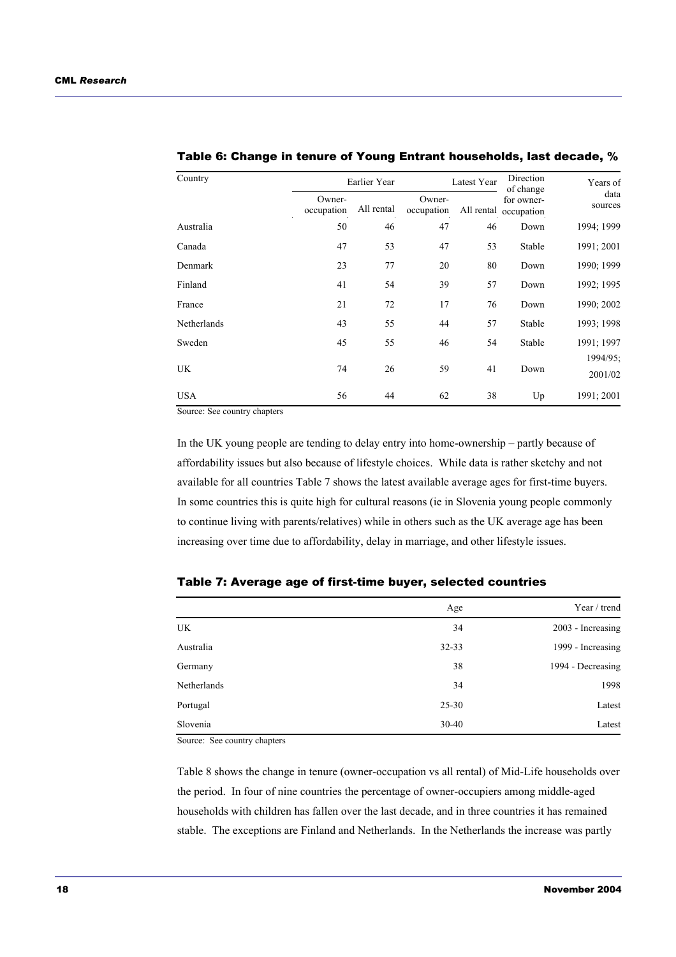| Country     |                      | Earlier Year |                      | Latest Year | Direction<br>of change   | Years of            |
|-------------|----------------------|--------------|----------------------|-------------|--------------------------|---------------------|
|             | Owner-<br>occupation | All rental   | Owner-<br>occupation | All rental  | for owner-<br>occupation | data<br>sources     |
| Australia   | 50                   | 46           | 47                   | 46          | Down                     | 1994; 1999          |
| Canada      | 47                   | 53           | 47                   | 53          | Stable                   | 1991; 2001          |
| Denmark     | 23                   | 77           | 20                   | 80          | Down                     | 1990; 1999          |
| Finland     | 41                   | 54           | 39                   | 57          | Down                     | 1992; 1995          |
| France      | 21                   | 72           | 17                   | 76          | Down                     | 1990; 2002          |
| Netherlands | 43                   | 55           | 44                   | 57          | Stable                   | 1993; 1998          |
| Sweden      | 45                   | 55           | 46                   | 54          | Stable                   | 1991; 1997          |
| UK.         | 74                   | 26           | 59                   | 41          | Down                     | 1994/95;<br>2001/02 |
| <b>USA</b>  | 56                   | 44           | 62                   | 38          | Up                       | 1991; 2001          |

#### Table 6: Change in tenure of Young Entrant households, last decade, %

Source: See country chapters

In the UK young people are tending to delay entry into home-ownership  $-$  partly because of affordability issues but also because of lifestyle choices. While data is rather sketchy and not available for all countries Table 7 shows the latest available average ages for first-time buyers. In some countries this is quite high for cultural reasons (ie in Slovenia young people commonly to continue living with parents/relatives) while in others such as the UK average age has been increasing over time due to affordability, delay in marriage, and other lifestyle issues.

|             | Age       | Year / trend      |
|-------------|-----------|-------------------|
| UK          | 34        | 2003 - Increasing |
| Australia   | $32 - 33$ | 1999 - Increasing |
| Germany     | 38        | 1994 - Decreasing |
| Netherlands | 34        | 1998              |
| Portugal    | $25 - 30$ | Latest            |
| Slovenia    | $30 - 40$ | Latest            |

Table 7: Average age of first-time buyer, selected countries

Source: See country chapters

Table 8 shows the change in tenure (owner-occupation vs all rental) of Mid-Life households over the period. In four of nine countries the percentage of owner-occupiers among middle-aged households with children has fallen over the last decade, and in three countries it has remained stable. The exceptions are Finland and Netherlands. In the Netherlands the increase was partly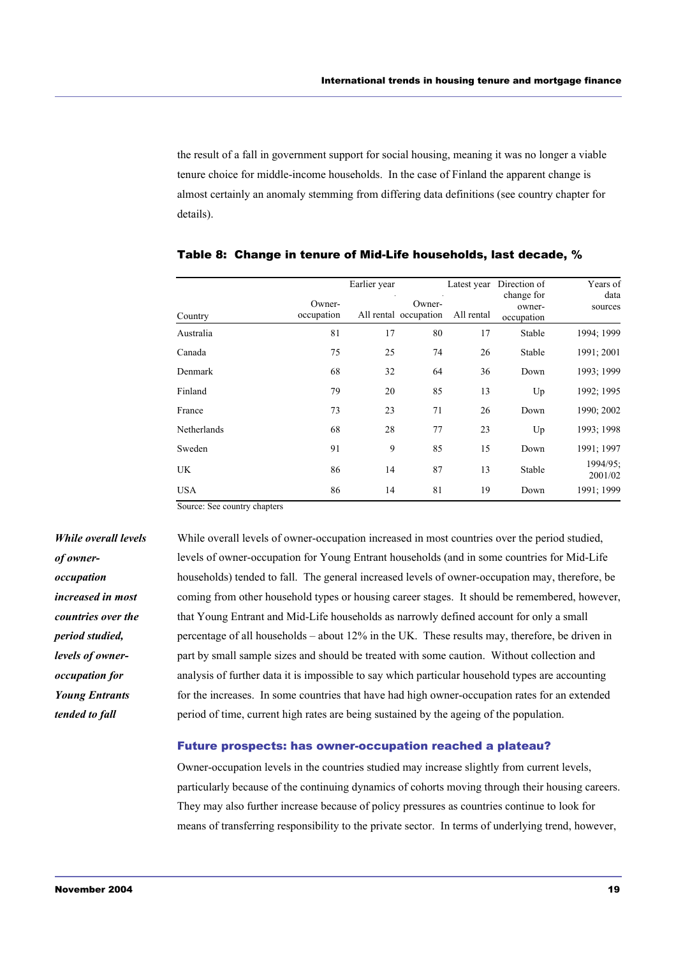the result of a fall in government support for social housing, meaning it was no longer a viable tenure choice for middle-income households. In the case of Finland the apparent change is almost certainly an anomaly stemming from differing data definitions (see country chapter for details).

|             |                      | Earlier year<br>Latest year |                                 |            | Direction of                       | Years of            |
|-------------|----------------------|-----------------------------|---------------------------------|------------|------------------------------------|---------------------|
| Country     | Owner-<br>occupation |                             | Owner-<br>All rental occupation | All rental | change for<br>owner-<br>occupation | data<br>sources     |
| Australia   | 81                   | 17                          | 80                              | 17         | Stable                             | 1994; 1999          |
| Canada      | 75                   | 25                          | 74                              | 26         | Stable                             | 1991; 2001          |
| Denmark     | 68                   | 32                          | 64                              | 36         | Down                               | 1993; 1999          |
| Finland     | 79                   | 20                          | 85                              | 13         | Up                                 | 1992; 1995          |
| France      | 73                   | 23                          | 71                              | 26         | Down                               | 1990; 2002          |
| Netherlands | 68                   | 28                          | 77                              | 23         | Up                                 | 1993; 1998          |
| Sweden      | 91                   | 9                           | 85                              | 15         | Down                               | 1991; 1997          |
| UK          | 86                   | 14                          | 87                              | 13         | Stable                             | 1994/95;<br>2001/02 |
| <b>USA</b>  | 86                   | 14                          | 81                              | 19         | Down                               | 1991; 1999          |

Table 8: Change in tenure of Mid-Life households, last decade, %

Source: See country chapters

*While overall levels of owneroccupation increased in most countries over the period studied, levels of owneroccupation for Young Entrants tended to fall* 

While overall levels of owner-occupation increased in most countries over the period studied, levels of owner-occupation for Young Entrant households (and in some countries for Mid-Life households) tended to fall. The general increased levels of owner-occupation may, therefore, be coming from other household types or housing career stages. It should be remembered, however, that Young Entrant and Mid-Life households as narrowly defined account for only a small percentage of all households – about 12% in the UK. These results may, therefore, be driven in part by small sample sizes and should be treated with some caution. Without collection and analysis of further data it is impossible to say which particular household types are accounting for the increases. In some countries that have had high owner-occupation rates for an extended period of time, current high rates are being sustained by the ageing of the population.

#### Future prospects: has owner-occupation reached a plateau?

Owner-occupation levels in the countries studied may increase slightly from current levels, particularly because of the continuing dynamics of cohorts moving through their housing careers. They may also further increase because of policy pressures as countries continue to look for means of transferring responsibility to the private sector. In terms of underlying trend, however,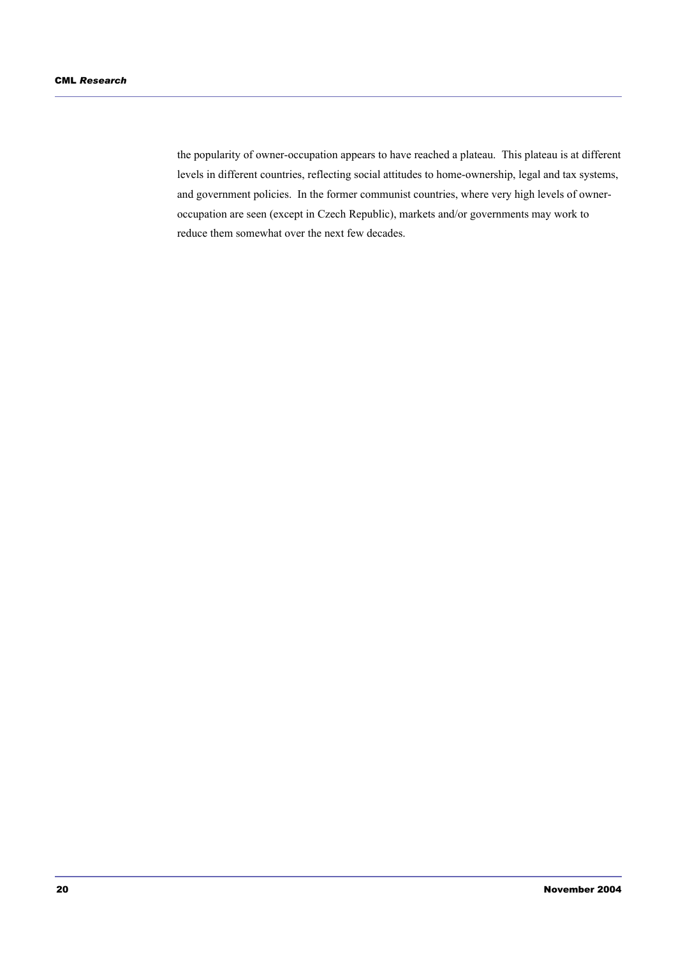the popularity of owner-occupation appears to have reached a plateau. This plateau is at different levels in different countries, reflecting social attitudes to home-ownership, legal and tax systems, and government policies. In the former communist countries, where very high levels of owneroccupation are seen (except in Czech Republic), markets and/or governments may work to reduce them somewhat over the next few decades.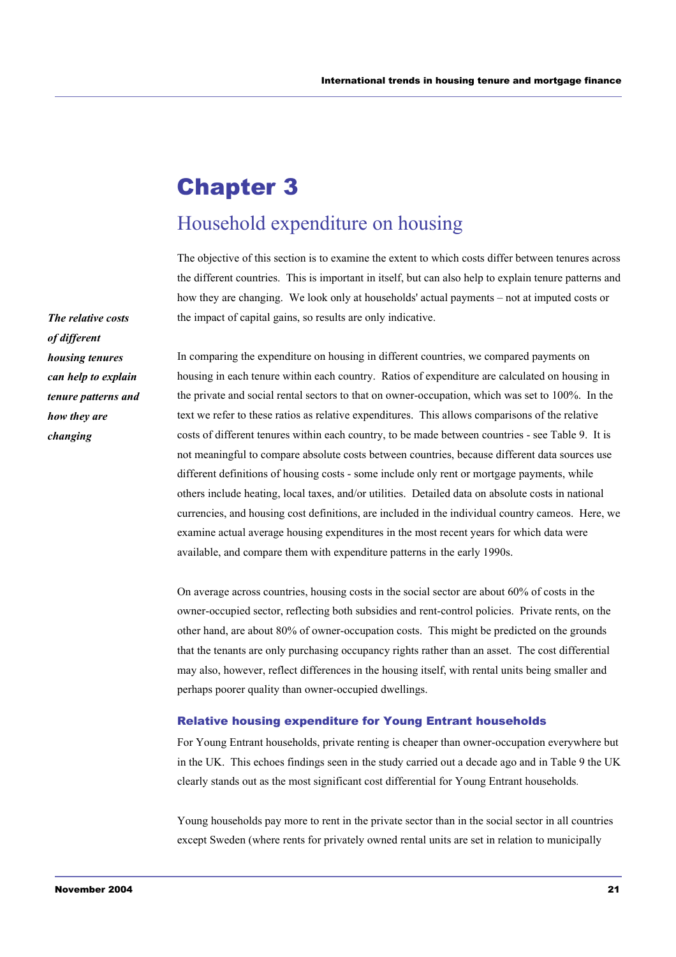# Chapter 3

### Household expenditure on housing

The objective of this section is to examine the extent to which costs differ between tenures across the different countries. This is important in itself, but can also help to explain tenure patterns and how they are changing. We look only at households' actual payments – not at imputed costs or the impact of capital gains, so results are only indicative.

*The relative costs of different housing tenures can help to explain tenure patterns and how they are changing* 

In comparing the expenditure on housing in different countries, we compared payments on housing in each tenure within each country. Ratios of expenditure are calculated on housing in the private and social rental sectors to that on owner-occupation, which was set to 100%. In the text we refer to these ratios as relative expenditures. This allows comparisons of the relative costs of different tenures within each country, to be made between countries - see Table 9. It is not meaningful to compare absolute costs between countries, because different data sources use different definitions of housing costs - some include only rent or mortgage payments, while others include heating, local taxes, and/or utilities. Detailed data on absolute costs in national currencies, and housing cost definitions, are included in the individual country cameos. Here, we examine actual average housing expenditures in the most recent years for which data were available, and compare them with expenditure patterns in the early 1990s.

On average across countries, housing costs in the social sector are about 60% of costs in the owner-occupied sector, reflecting both subsidies and rent-control policies. Private rents, on the other hand, are about 80% of owner-occupation costs. This might be predicted on the grounds that the tenants are only purchasing occupancy rights rather than an asset. The cost differential may also, however, reflect differences in the housing itself, with rental units being smaller and perhaps poorer quality than owner-occupied dwellings.

#### Relative housing expenditure for Young Entrant households

For Young Entrant households, private renting is cheaper than owner-occupation everywhere but in the UK. This echoes findings seen in the study carried out a decade ago and in Table 9 the UK clearly stands out as the most significant cost differential for Young Entrant households*.* 

Young households pay more to rent in the private sector than in the social sector in all countries except Sweden (where rents for privately owned rental units are set in relation to municipally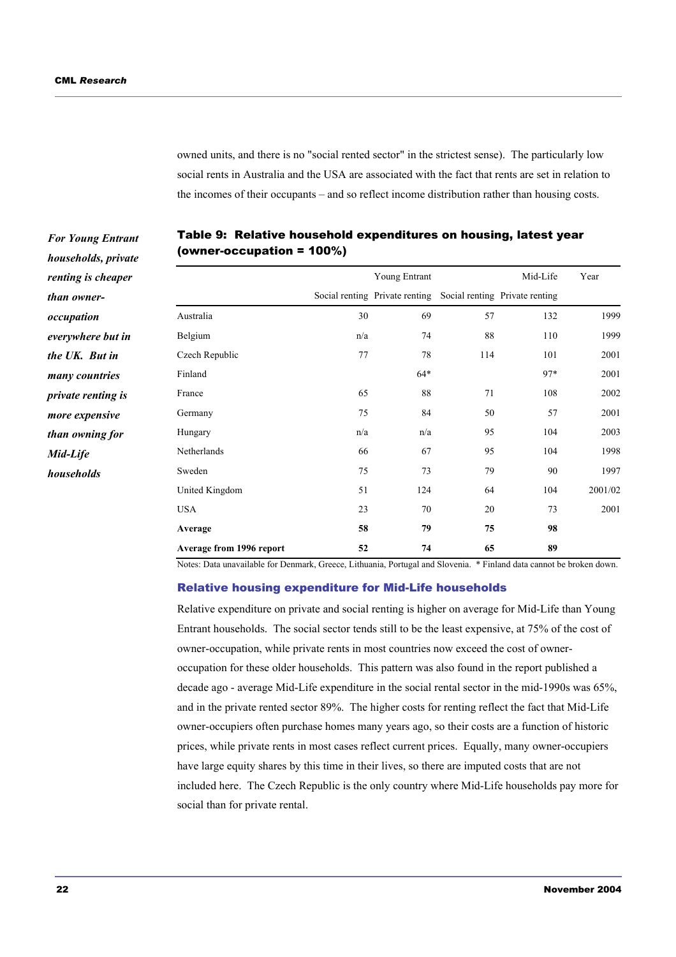owned units, and there is no "social rented sector" in the strictest sense). The particularly low social rents in Australia and the USA are associated with the fact that rents are set in relation to the incomes of their occupants  $-$  and so reflect income distribution rather than housing costs.

*For Young Entrant households, private renting is cheaper than owneroccupation everywhere but in the UK. But in many countries private renting is more expensive than owning for Mid-Life households* 

|                                 |     | Young Entrant                                                 |     | Year |         |
|---------------------------------|-----|---------------------------------------------------------------|-----|------|---------|
|                                 |     | Social renting Private renting Social renting Private renting |     |      |         |
| Australia                       | 30  | 69                                                            | 57  | 132  | 1999    |
| Belgium                         | n/a | 74                                                            | 88  | 110  | 1999    |
| Czech Republic                  | 77  | 78                                                            | 114 | 101  | 2001    |
| Finland                         |     | $64*$                                                         |     | 97*  | 2001    |
| France                          | 65  | 88                                                            | 71  | 108  | 2002    |
| Germany                         | 75  | 84                                                            | 50  | 57   | 2001    |
| Hungary                         | n/a | n/a                                                           | 95  | 104  | 2003    |
| Netherlands                     | 66  | 67                                                            | 95  | 104  | 1998    |
| Sweden                          | 75  | 73                                                            | 79  | 90   | 1997    |
| United Kingdom                  | 51  | 124                                                           | 64  | 104  | 2001/02 |
| <b>USA</b>                      | 23  | 70                                                            | 20  | 73   | 2001    |
| Average                         | 58  | 79                                                            | 75  | 98   |         |
| <b>Average from 1996 report</b> | 52  | 74                                                            | 65  | 89   |         |

#### Table 9: Relative household expenditures on housing, latest year (owner-occupation = 100%)

Notes: Data unavailable for Denmark, Greece, Lithuania, Portugal and Slovenia. \* Finland data cannot be broken down.

#### Relative housing expenditure for Mid-Life households

Relative expenditure on private and social renting is higher on average for Mid-Life than Young Entrant households. The social sector tends still to be the least expensive, at 75% of the cost of owner-occupation, while private rents in most countries now exceed the cost of owneroccupation for these older households. This pattern was also found in the report published a decade ago - average Mid-Life expenditure in the social rental sector in the mid-1990s was 65%, and in the private rented sector 89%. The higher costs for renting reflect the fact that Mid-Life owner-occupiers often purchase homes many years ago, so their costs are a function of historic prices, while private rents in most cases reflect current prices. Equally, many owner-occupiers have large equity shares by this time in their lives, so there are imputed costs that are not included here. The Czech Republic is the only country where Mid-Life households pay more for social than for private rental.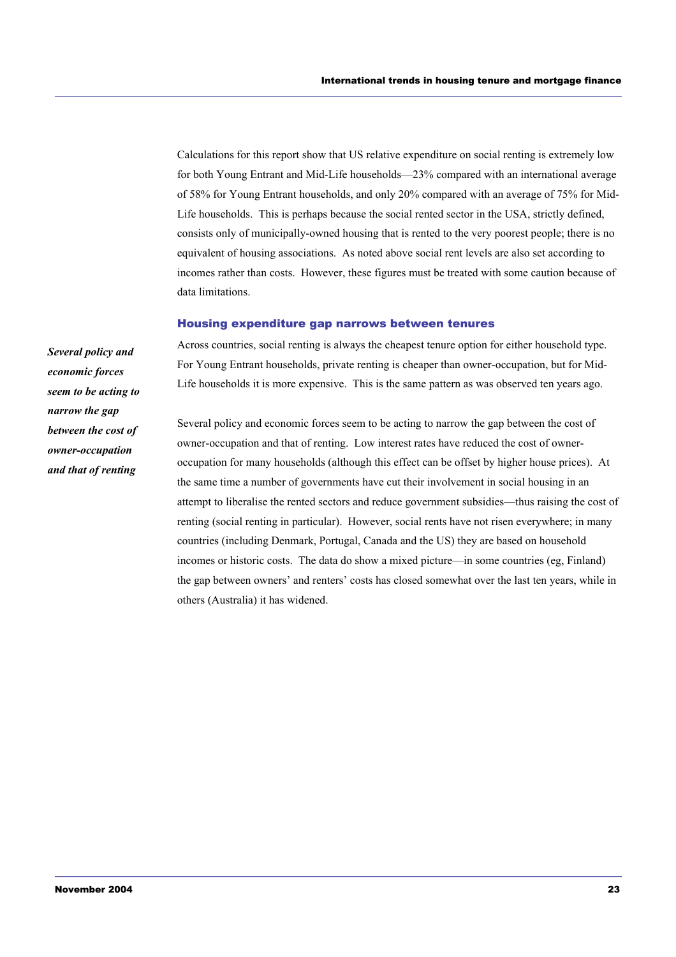Calculations for this report show that US relative expenditure on social renting is extremely low for both Young Entrant and Mid-Life households— $23%$  compared with an international average of 58% for Young Entrant households, and only 20% compared with an average of 75% for Mid-Life households. This is perhaps because the social rented sector in the USA, strictly defined, consists only of municipally-owned housing that is rented to the very poorest people; there is no equivalent of housing associations. As noted above social rent levels are also set according to incomes rather than costs. However, these figures must be treated with some caution because of data limitations.

#### Housing expenditure gap narrows between tenures

Across countries, social renting is always the cheapest tenure option for either household type. For Young Entrant households, private renting is cheaper than owner-occupation, but for Mid-Life households it is more expensive. This is the same pattern as was observed ten years ago.

Several policy and economic forces seem to be acting to narrow the gap between the cost of owner-occupation and that of renting. Low interest rates have reduced the cost of owneroccupation for many households (although this effect can be offset by higher house prices). At the same time a number of governments have cut their involvement in social housing in an attempt to liberalise the rented sectors and reduce government subsidies—thus raising the cost of renting (social renting in particular). However, social rents have not risen everywhere; in many countries (including Denmark, Portugal, Canada and the US) they are based on household incomes or historic costs. The data do show a mixed picture—in some countries (eg, Finland) the gap between owners' and renters' costs has closed somewhat over the last ten years, while in others (Australia) it has widened.

*Several policy and economic forces seem to be acting to narrow the gap between the cost of owner-occupation and that of renting*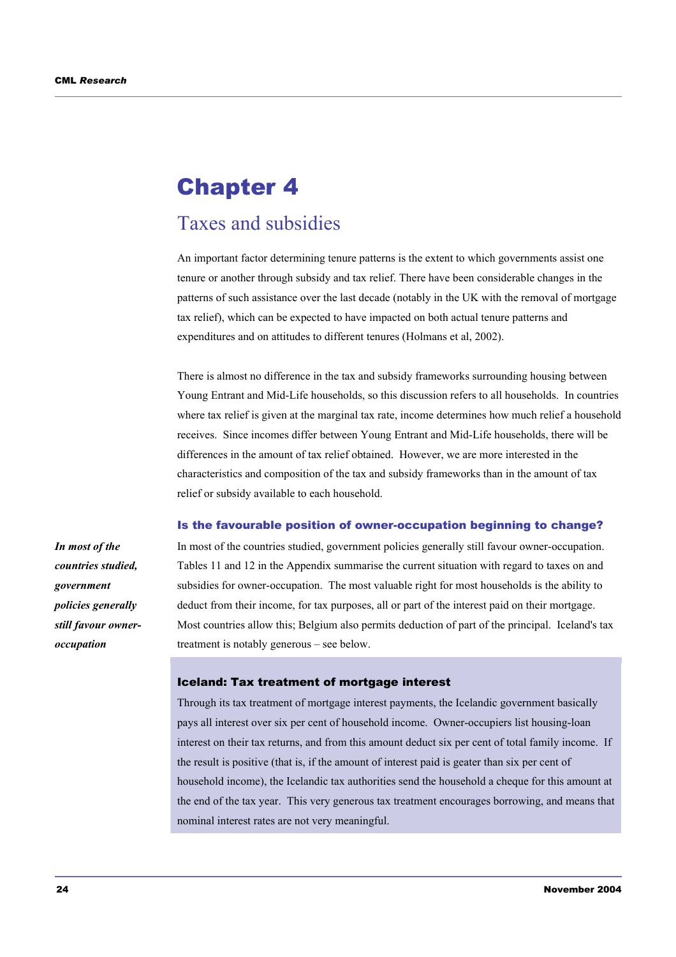### Chapter 4

### Taxes and subsidies

An important factor determining tenure patterns is the extent to which governments assist one tenure or another through subsidy and tax relief. There have been considerable changes in the patterns of such assistance over the last decade (notably in the UK with the removal of mortgage tax relief), which can be expected to have impacted on both actual tenure patterns and expenditures and on attitudes to different tenures (Holmans et al, 2002).

There is almost no difference in the tax and subsidy frameworks surrounding housing between Young Entrant and Mid-Life households, so this discussion refers to all households. In countries where tax relief is given at the marginal tax rate, income determines how much relief a household receives. Since incomes differ between Young Entrant and Mid-Life households, there will be differences in the amount of tax relief obtained. However, we are more interested in the characteristics and composition of the tax and subsidy frameworks than in the amount of tax relief or subsidy available to each household.

#### Is the favourable position of owner-occupation beginning to change?

*In most of the countries studied, government policies generally still favour owneroccupation* 

In most of the countries studied, government policies generally still favour owner-occupation. Tables 11 and 12 in the Appendix summarise the current situation with regard to taxes on and subsidies for owner-occupation. The most valuable right for most households is the ability to deduct from their income, for tax purposes, all or part of the interest paid on their mortgage. Most countries allow this; Belgium also permits deduction of part of the principal. Iceland's tax treatment is notably generous – see below.

#### Iceland: Tax treatment of mortgage interest

Through its tax treatment of mortgage interest payments, the Icelandic government basically pays all interest over six per cent of household income. Owner-occupiers list housing-loan interest on their tax returns, and from this amount deduct six per cent of total family income. If the result is positive (that is, if the amount of interest paid is geater than six per cent of household income), the Icelandic tax authorities send the household a cheque for this amount at the end of the tax year. This very generous tax treatment encourages borrowing, and means that nominal interest rates are not very meaningful.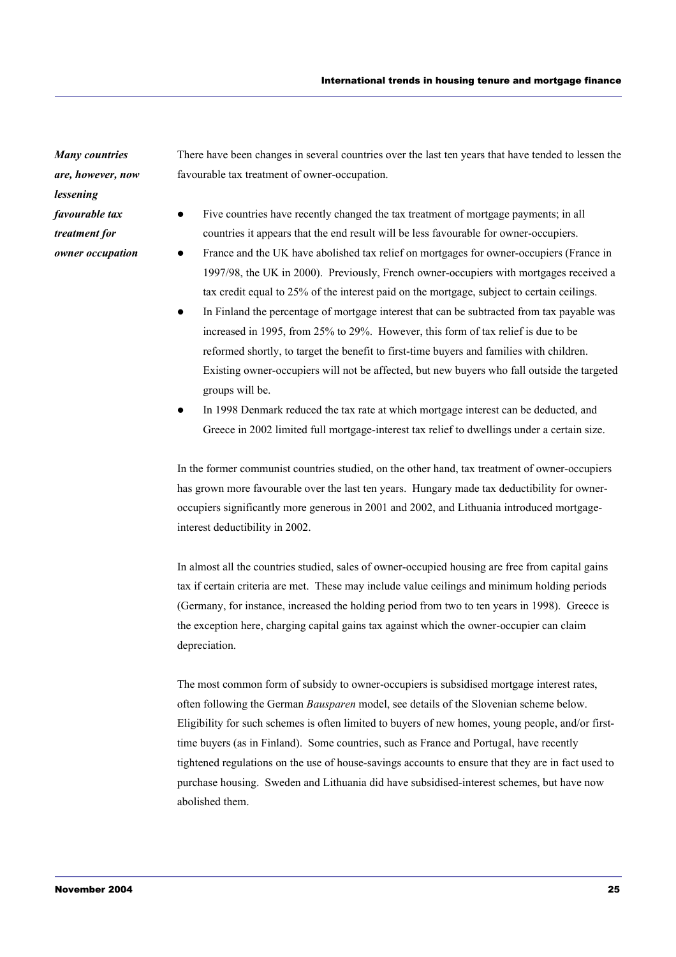*Many countries are, however, now lessening favourable tax treatment for owner occupation* 

There have been changes in several countries over the last ten years that have tended to lessen the favourable tax treatment of owner-occupation.

- ! Five countries have recently changed the tax treatment of mortgage payments; in all countries it appears that the end result will be less favourable for owner-occupiers.
- ! France and the UK have abolished tax relief on mortgages for owner-occupiers (France in 1997/98, the UK in 2000). Previously, French owner-occupiers with mortgages received a tax credit equal to 25% of the interest paid on the mortgage, subject to certain ceilings.
- ! In Finland the percentage of mortgage interest that can be subtracted from tax payable was increased in 1995, from 25% to 29%. However, this form of tax relief is due to be reformed shortly, to target the benefit to first-time buyers and families with children. Existing owner-occupiers will not be affected, but new buyers who fall outside the targeted groups will be.
- In 1998 Denmark reduced the tax rate at which mortgage interest can be deducted, and Greece in 2002 limited full mortgage-interest tax relief to dwellings under a certain size.

In the former communist countries studied, on the other hand, tax treatment of owner-occupiers has grown more favourable over the last ten years. Hungary made tax deductibility for owneroccupiers significantly more generous in 2001 and 2002, and Lithuania introduced mortgageinterest deductibility in 2002.

In almost all the countries studied, sales of owner-occupied housing are free from capital gains tax if certain criteria are met. These may include value ceilings and minimum holding periods (Germany, for instance, increased the holding period from two to ten years in 1998). Greece is the exception here, charging capital gains tax against which the owner-occupier can claim depreciation.

The most common form of subsidy to owner-occupiers is subsidised mortgage interest rates, often following the German *Bausparen* model, see details of the Slovenian scheme below. Eligibility for such schemes is often limited to buyers of new homes, young people, and/or firsttime buyers (as in Finland). Some countries, such as France and Portugal, have recently tightened regulations on the use of house-savings accounts to ensure that they are in fact used to purchase housing. Sweden and Lithuania did have subsidised-interest schemes, but have now abolished them.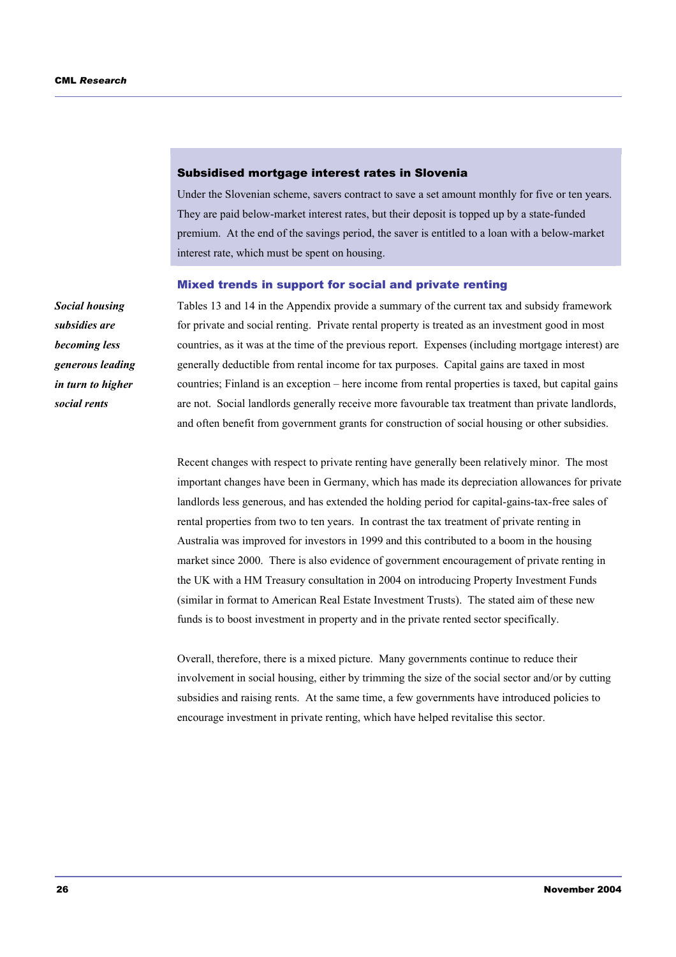#### Subsidised mortgage interest rates in Slovenia

Under the Slovenian scheme, savers contract to save a set amount monthly for five or ten years. They are paid below-market interest rates, but their deposit is topped up by a state-funded premium. At the end of the savings period, the saver is entitled to a loan with a below-market interest rate, which must be spent on housing.

#### Mixed trends in support for social and private renting

*Social housing subsidies are becoming less generous leading in turn to higher social rents* 

Tables 13 and 14 in the Appendix provide a summary of the current tax and subsidy framework for private and social renting. Private rental property is treated as an investment good in most countries, as it was at the time of the previous report. Expenses (including mortgage interest) are generally deductible from rental income for tax purposes. Capital gains are taxed in most countries; Finland is an exception – here income from rental properties is taxed, but capital gains are not. Social landlords generally receive more favourable tax treatment than private landlords, and often benefit from government grants for construction of social housing or other subsidies.

Recent changes with respect to private renting have generally been relatively minor. The most important changes have been in Germany, which has made its depreciation allowances for private landlords less generous, and has extended the holding period for capital-gains-tax-free sales of rental properties from two to ten years. In contrast the tax treatment of private renting in Australia was improved for investors in 1999 and this contributed to a boom in the housing market since 2000. There is also evidence of government encouragement of private renting in the UK with a HM Treasury consultation in 2004 on introducing Property Investment Funds (similar in format to American Real Estate Investment Trusts). The stated aim of these new funds is to boost investment in property and in the private rented sector specifically.

Overall, therefore, there is a mixed picture. Many governments continue to reduce their involvement in social housing, either by trimming the size of the social sector and/or by cutting subsidies and raising rents. At the same time, a few governments have introduced policies to encourage investment in private renting, which have helped revitalise this sector.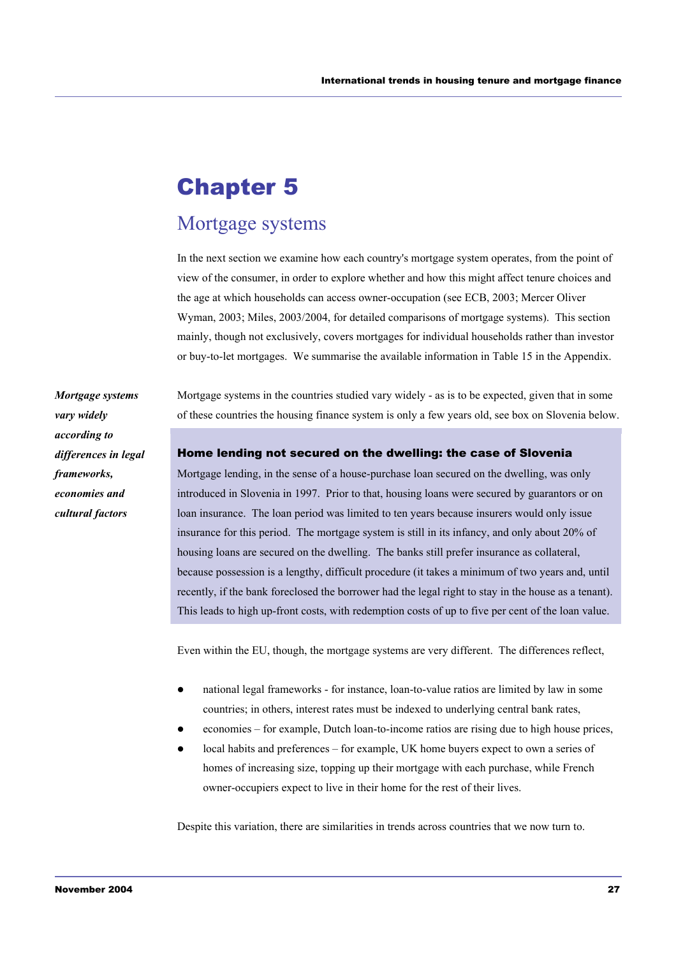# Chapter 5

### Mortgage systems

In the next section we examine how each country's mortgage system operates, from the point of view of the consumer, in order to explore whether and how this might affect tenure choices and the age at which households can access owner-occupation (see ECB, 2003; Mercer Oliver Wyman, 2003; Miles, 2003/2004, for detailed comparisons of mortgage systems). This section mainly, though not exclusively, covers mortgages for individual households rather than investor or buy-to-let mortgages. We summarise the available information in Table 15 in the Appendix.

*Mortgage systems vary widely according to differences in legal frameworks, economies and cultural factors* 

Mortgage systems in the countries studied vary widely - as is to be expected, given that in some of these countries the housing finance system is only a few years old, see box on Slovenia below.

#### Home lending not secured on the dwelling: the case of Slovenia

Mortgage lending, in the sense of a house-purchase loan secured on the dwelling, was only introduced in Slovenia in 1997. Prior to that, housing loans were secured by guarantors or on loan insurance. The loan period was limited to ten years because insurers would only issue insurance for this period. The mortgage system is still in its infancy, and only about 20% of housing loans are secured on the dwelling. The banks still prefer insurance as collateral, because possession is a lengthy, difficult procedure (it takes a minimum of two years and, until recently, if the bank foreclosed the borrower had the legal right to stay in the house as a tenant). This leads to high up-front costs, with redemption costs of up to five per cent of the loan value.

Even within the EU, though, the mortgage systems are very different. The differences reflect,

- ! national legal frameworks for instance, loan-to-value ratios are limited by law in some countries; in others, interest rates must be indexed to underlying central bank rates,
- economies for example, Dutch loan-to-income ratios are rising due to high house prices,
- local habits and preferences for example, UK home buyers expect to own a series of homes of increasing size, topping up their mortgage with each purchase, while French owner-occupiers expect to live in their home for the rest of their lives.

Despite this variation, there are similarities in trends across countries that we now turn to.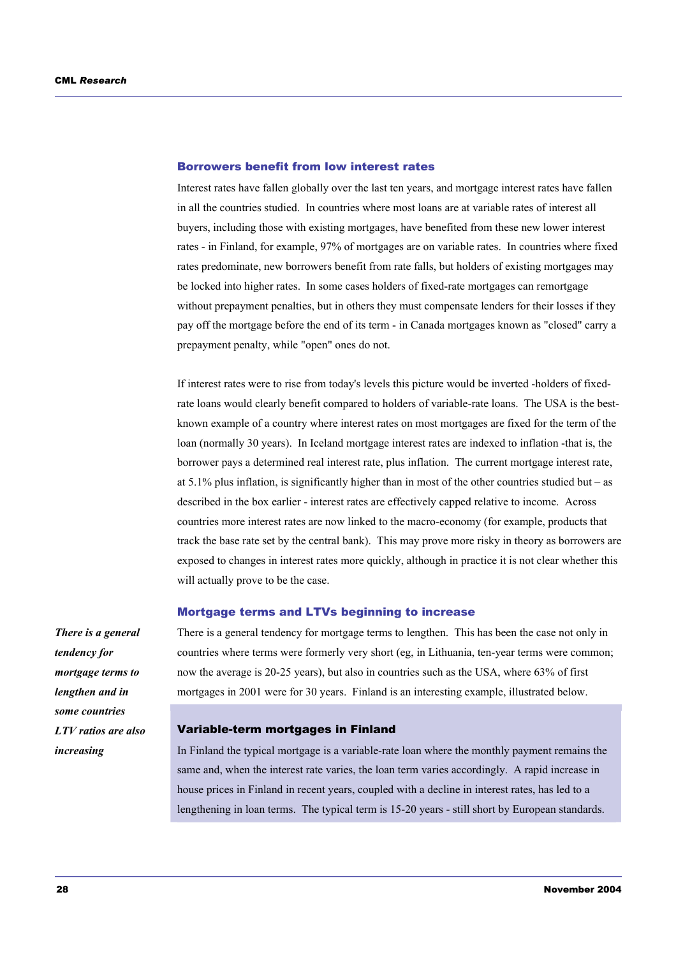#### Borrowers benefit from low interest rates

Interest rates have fallen globally over the last ten years, and mortgage interest rates have fallen in all the countries studied. In countries where most loans are at variable rates of interest all buyers, including those with existing mortgages, have benefited from these new lower interest rates - in Finland, for example, 97% of mortgages are on variable rates. In countries where fixed rates predominate, new borrowers benefit from rate falls, but holders of existing mortgages may be locked into higher rates. In some cases holders of fixed-rate mortgages can remortgage without prepayment penalties, but in others they must compensate lenders for their losses if they pay off the mortgage before the end of its term - in Canada mortgages known as "closed" carry a prepayment penalty, while "open" ones do not.

If interest rates were to rise from today's levels this picture would be inverted -holders of fixedrate loans would clearly benefit compared to holders of variable-rate loans. The USA is the bestknown example of a country where interest rates on most mortgages are fixed for the term of the loan (normally 30 years). In Iceland mortgage interest rates are indexed to inflation -that is, the borrower pays a determined real interest rate, plus inflation. The current mortgage interest rate, at 5.1% plus inflation, is significantly higher than in most of the other countries studied but – as described in the box earlier - interest rates are effectively capped relative to income. Across countries more interest rates are now linked to the macro-economy (for example, products that track the base rate set by the central bank). This may prove more risky in theory as borrowers are exposed to changes in interest rates more quickly, although in practice it is not clear whether this will actually prove to be the case.

#### Mortgage terms and LTVs beginning to increase

*There is a general tendency for mortgage terms to lengthen and in some countries LTV ratios are also increasing* 

There is a general tendency for mortgage terms to lengthen. This has been the case not only in countries where terms were formerly very short (eg, in Lithuania, ten-year terms were common; now the average is 20-25 years), but also in countries such as the USA, where 63% of first mortgages in 2001 were for 30 years. Finland is an interesting example, illustrated below.

#### Variable-term mortgages in Finland

In Finland the typical mortgage is a variable-rate loan where the monthly payment remains the same and, when the interest rate varies, the loan term varies accordingly. A rapid increase in house prices in Finland in recent years, coupled with a decline in interest rates, has led to a lengthening in loan terms. The typical term is 15-20 years - still short by European standards.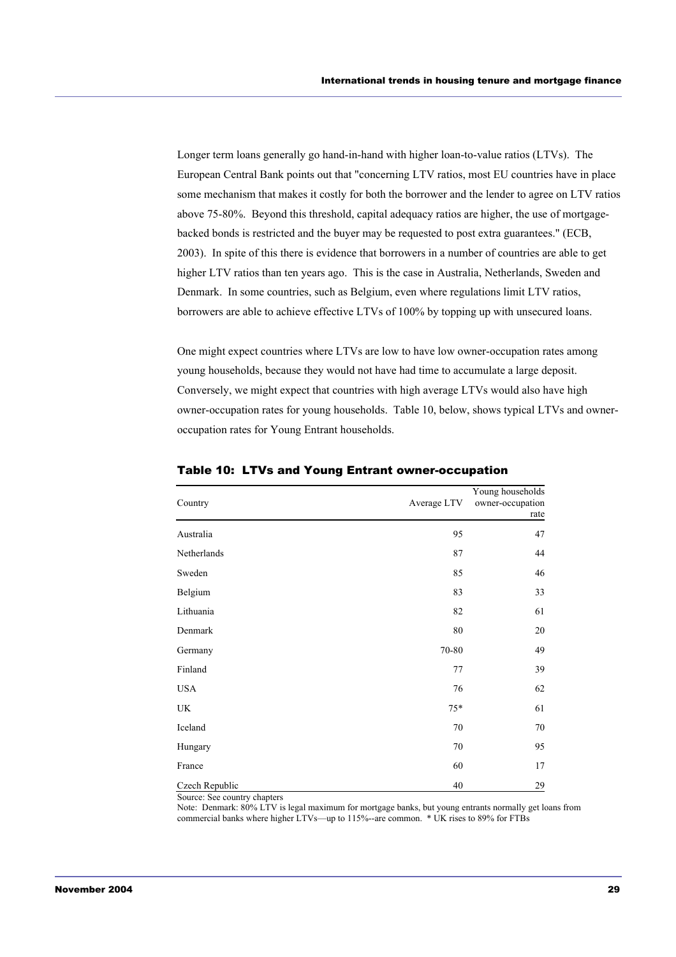Longer term loans generally go hand-in-hand with higher loan-to-value ratios (LTVs). The European Central Bank points out that "concerning LTV ratios, most EU countries have in place some mechanism that makes it costly for both the borrower and the lender to agree on LTV ratios above 75-80%. Beyond this threshold, capital adequacy ratios are higher, the use of mortgagebacked bonds is restricted and the buyer may be requested to post extra guarantees." (ECB, 2003). In spite of this there is evidence that borrowers in a number of countries are able to get higher LTV ratios than ten years ago. This is the case in Australia, Netherlands, Sweden and Denmark. In some countries, such as Belgium, even where regulations limit LTV ratios, borrowers are able to achieve effective LTVs of 100% by topping up with unsecured loans.

One might expect countries where LTVs are low to have low owner-occupation rates among young households, because they would not have had time to accumulate a large deposit. Conversely, we might expect that countries with high average LTVs would also have high owner-occupation rates for young households. Table 10, below, shows typical LTVs and owneroccupation rates for Young Entrant households.

| Country        | Average LTV | Young households<br>owner-occupation<br>rate |
|----------------|-------------|----------------------------------------------|
| Australia      | 95          | 47                                           |
| Netherlands    | 87          | 44                                           |
| Sweden         | 85          | 46                                           |
| Belgium        | 83          | 33                                           |
| Lithuania      | 82          | 61                                           |
| Denmark        | 80          | $20\,$                                       |
| Germany        | 70-80       | 49                                           |
| Finland        | 77          | 39                                           |
| <b>USA</b>     | 76          | 62                                           |
| UK             | $75*$       | 61                                           |
| Iceland        | 70          | $70\,$                                       |
| Hungary        | 70          | 95                                           |
| France         | 60          | 17                                           |
| Czech Republic | 40          | 29                                           |

#### Table 10: LTVs and Young Entrant owner-occupation

Source: See country chapters

Note: Denmark: 80% LTV is legal maximum for mortgage banks, but young entrants normally get loans from commercial banks where higher  $LTVs$ —up to  $115%$ -are common. \* UK rises to 89% for FTBs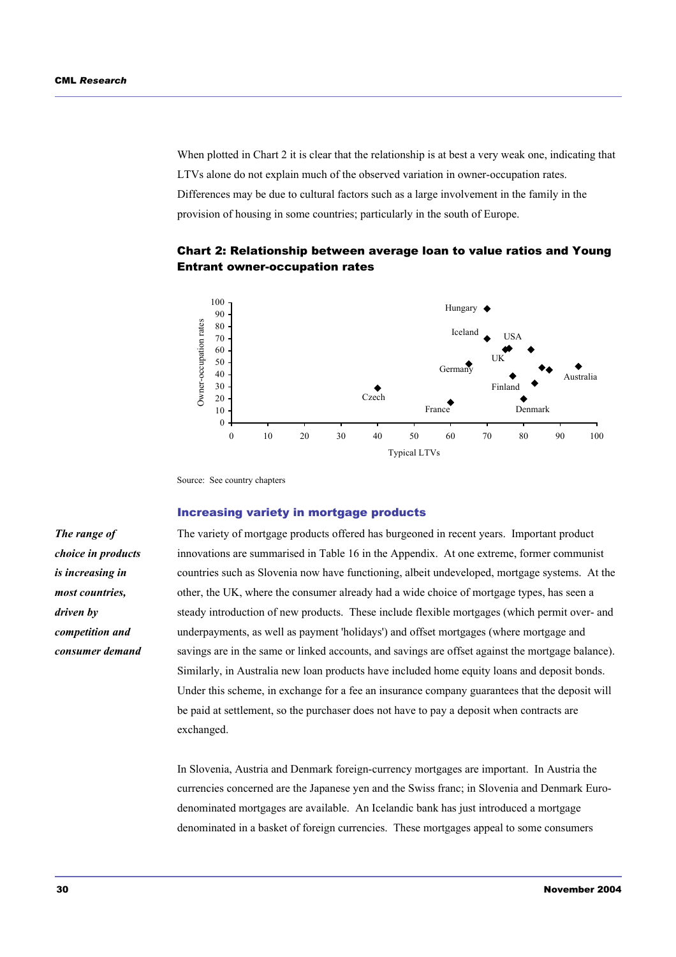When plotted in Chart 2 it is clear that the relationship is at best a very weak one, indicating that LTVs alone do not explain much of the observed variation in owner-occupation rates. Differences may be due to cultural factors such as a large involvement in the family in the provision of housing in some countries; particularly in the south of Europe.

#### Chart 2: Relationship between average loan to value ratios and Young Entrant owner-occupation rates



Source: See country chapters

#### Increasing variety in mortgage products

*The range of choice in products is increasing in most countries, driven by competition and consumer demand* 

The variety of mortgage products offered has burgeoned in recent years. Important product innovations are summarised in Table 16 in the Appendix. At one extreme, former communist countries such as Slovenia now have functioning, albeit undeveloped, mortgage systems. At the other, the UK, where the consumer already had a wide choice of mortgage types, has seen a steady introduction of new products. These include flexible mortgages (which permit over- and underpayments, as well as payment 'holidays') and offset mortgages (where mortgage and savings are in the same or linked accounts, and savings are offset against the mortgage balance). Similarly, in Australia new loan products have included home equity loans and deposit bonds. Under this scheme, in exchange for a fee an insurance company guarantees that the deposit will be paid at settlement, so the purchaser does not have to pay a deposit when contracts are exchanged.

In Slovenia, Austria and Denmark foreign-currency mortgages are important. In Austria the currencies concerned are the Japanese yen and the Swiss franc; in Slovenia and Denmark Eurodenominated mortgages are available. An Icelandic bank has just introduced a mortgage denominated in a basket of foreign currencies. These mortgages appeal to some consumers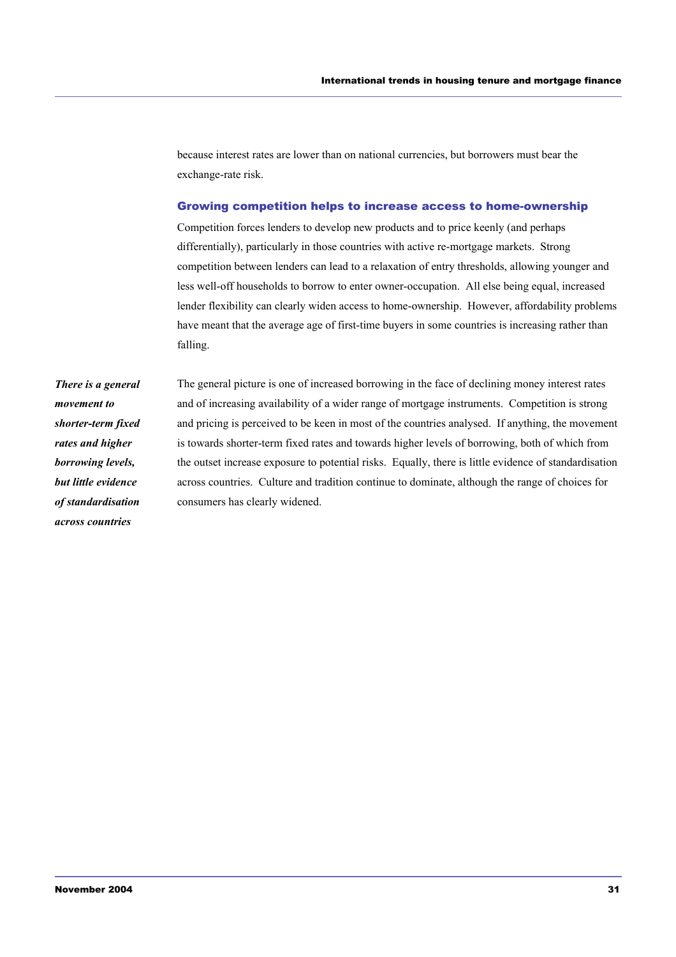because interest rates are lower than on national currencies, but borrowers must bear the exchange-rate risk.

#### Growing competition helps to increase access to home-ownership

Competition forces lenders to develop new products and to price keenly (and perhaps differentially), particularly in those countries with active re-mortgage markets. Strong competition between lenders can lead to a relaxation of entry thresholds, allowing younger and less well-off households to borrow to enter owner-occupation. All else being equal, increased lender flexibility can clearly widen access to home-ownership. However, affordability problems have meant that the average age of first-time buyers in some countries is increasing rather than falling.

*There is a general movement to shorter-term fixed rates and higher borrowing levels, but little evidence of standardisation across countries* 

The general picture is one of increased borrowing in the face of declining money interest rates and of increasing availability of a wider range of mortgage instruments. Competition is strong and pricing is perceived to be keen in most of the countries analysed. If anything, the movement is towards shorter-term fixed rates and towards higher levels of borrowing, both of which from the outset increase exposure to potential risks. Equally, there is little evidence of standardisation across countries. Culture and tradition continue to dominate, although the range of choices for consumers has clearly widened.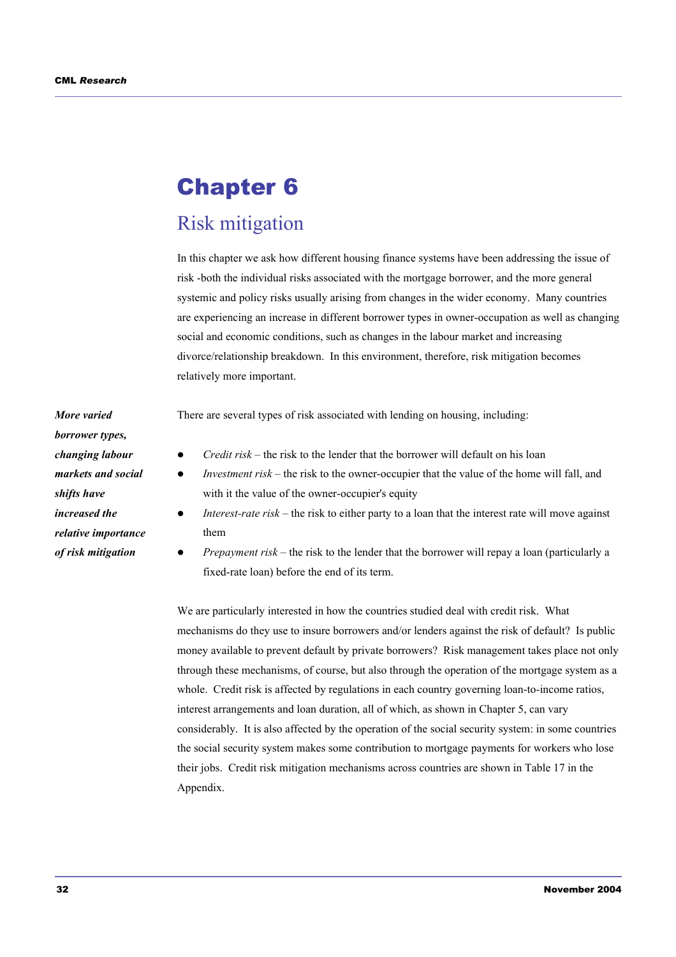### Chapter 6

### Risk mitigation

In this chapter we ask how different housing finance systems have been addressing the issue of risk -both the individual risks associated with the mortgage borrower, and the more general systemic and policy risks usually arising from changes in the wider economy. Many countries are experiencing an increase in different borrower types in owner-occupation as well as changing social and economic conditions, such as changes in the labour market and increasing divorce/relationship breakdown. In this environment, therefore, risk mitigation becomes relatively more important.

There are several types of risk associated with lending on housing, including:

- *Credit risk* the risk to the lender that the borrower will default on his loan
- *Investment risk* the risk to the owner-occupier that the value of the home will fall, and with it the value of the owner-occupier's equity
- *Interest-rate risk* the risk to either party to a loan that the interest rate will move against them
- *Prepayment risk* the risk to the lender that the borrower will repay a loan (particularly a fixed-rate loan) before the end of its term.

We are particularly interested in how the countries studied deal with credit risk. What mechanisms do they use to insure borrowers and/or lenders against the risk of default? Is public money available to prevent default by private borrowers? Risk management takes place not only through these mechanisms, of course, but also through the operation of the mortgage system as a whole. Credit risk is affected by regulations in each country governing loan-to-income ratios, interest arrangements and loan duration, all of which, as shown in Chapter 5, can vary considerably. It is also affected by the operation of the social security system: in some countries the social security system makes some contribution to mortgage payments for workers who lose their jobs. Credit risk mitigation mechanisms across countries are shown in Table 17 in the Appendix.

*More varied borrower types, changing labour markets and social shifts have increased the relative importance of risk mitigation*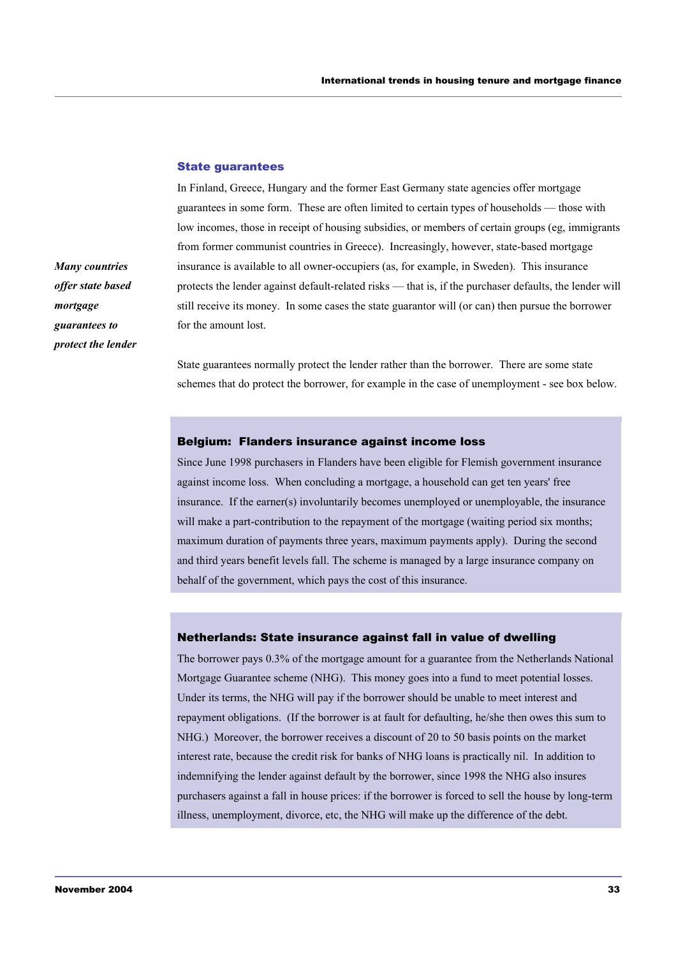#### State guarantees

In Finland, Greece, Hungary and the former East Germany state agencies offer mortgage guarantees in some form. These are often limited to certain types of households — those with low incomes, those in receipt of housing subsidies, or members of certain groups (eg, immigrants from former communist countries in Greece). Increasingly, however, state-based mortgage insurance is available to all owner-occupiers (as, for example, in Sweden). This insurance protects the lender against default-related risks — that is, if the purchaser defaults, the lender will still receive its money. In some cases the state guarantor will (or can) then pursue the borrower for the amount lost.

State guarantees normally protect the lender rather than the borrower. There are some state schemes that do protect the borrower, for example in the case of unemployment - see box below.

#### Belgium: Flanders insurance against income loss

Since June 1998 purchasers in Flanders have been eligible for Flemish government insurance against income loss. When concluding a mortgage, a household can get ten years' free insurance. If the earner(s) involuntarily becomes unemployed or unemployable, the insurance will make a part-contribution to the repayment of the mortgage (waiting period six months; maximum duration of payments three years, maximum payments apply). During the second and third years benefit levels fall. The scheme is managed by a large insurance company on behalf of the government, which pays the cost of this insurance.

#### Netherlands: State insurance against fall in value of dwelling

The borrower pays 0.3% of the mortgage amount for a guarantee from the Netherlands National Mortgage Guarantee scheme (NHG). This money goes into a fund to meet potential losses. Under its terms, the NHG will pay if the borrower should be unable to meet interest and repayment obligations. (If the borrower is at fault for defaulting, he/she then owes this sum to NHG.) Moreover, the borrower receives a discount of 20 to 50 basis points on the market interest rate, because the credit risk for banks of NHG loans is practically nil. In addition to indemnifying the lender against default by the borrower, since 1998 the NHG also insures purchasers against a fall in house prices: if the borrower is forced to sell the house by long-term illness, unemployment, divorce, etc, the NHG will make up the difference of the debt.

*Many countries offer state based mortgage guarantees to protect the lender*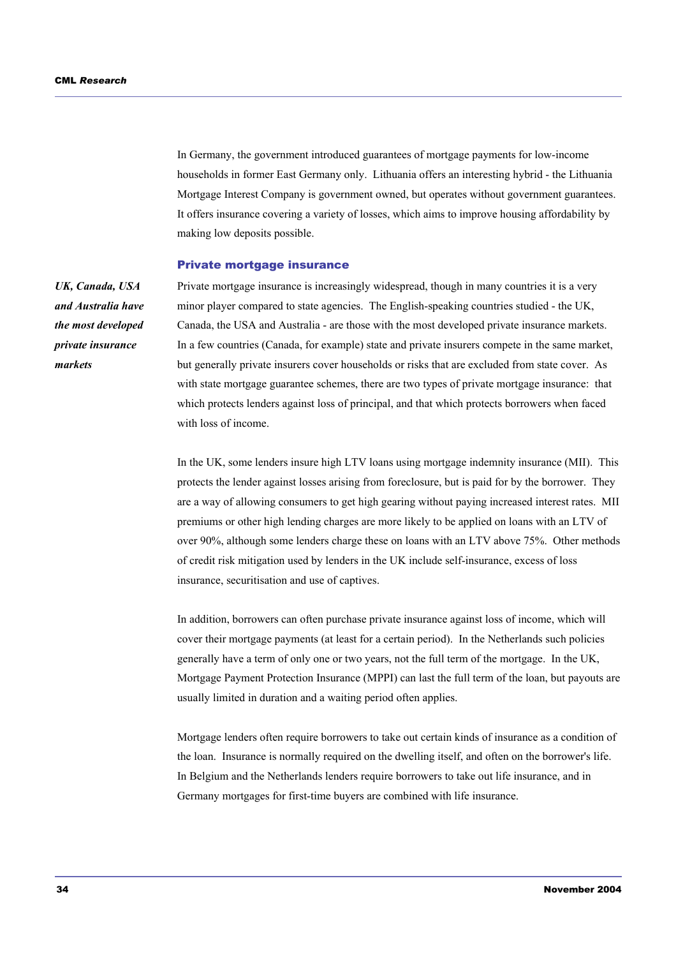In Germany, the government introduced guarantees of mortgage payments for low-income households in former East Germany only. Lithuania offers an interesting hybrid - the Lithuania Mortgage Interest Company is government owned, but operates without government guarantees. It offers insurance covering a variety of losses, which aims to improve housing affordability by making low deposits possible.

#### Private mortgage insurance

*UK, Canada, USA and Australia have the most developed private insurance markets* 

Private mortgage insurance is increasingly widespread, though in many countries it is a very minor player compared to state agencies. The English-speaking countries studied - the UK, Canada, the USA and Australia - are those with the most developed private insurance markets. In a few countries (Canada, for example) state and private insurers compete in the same market, but generally private insurers cover households or risks that are excluded from state cover. As with state mortgage guarantee schemes, there are two types of private mortgage insurance: that which protects lenders against loss of principal, and that which protects borrowers when faced with loss of income.

In the UK, some lenders insure high LTV loans using mortgage indemnity insurance (MII). This protects the lender against losses arising from foreclosure, but is paid for by the borrower. They are a way of allowing consumers to get high gearing without paying increased interest rates. MII premiums or other high lending charges are more likely to be applied on loans with an LTV of over 90%, although some lenders charge these on loans with an LTV above 75%. Other methods of credit risk mitigation used by lenders in the UK include self-insurance, excess of loss insurance, securitisation and use of captives.

In addition, borrowers can often purchase private insurance against loss of income, which will cover their mortgage payments (at least for a certain period). In the Netherlands such policies generally have a term of only one or two years, not the full term of the mortgage. In the UK, Mortgage Payment Protection Insurance (MPPI) can last the full term of the loan, but payouts are usually limited in duration and a waiting period often applies.

Mortgage lenders often require borrowers to take out certain kinds of insurance as a condition of the loan. Insurance is normally required on the dwelling itself, and often on the borrower's life. In Belgium and the Netherlands lenders require borrowers to take out life insurance, and in Germany mortgages for first-time buyers are combined with life insurance.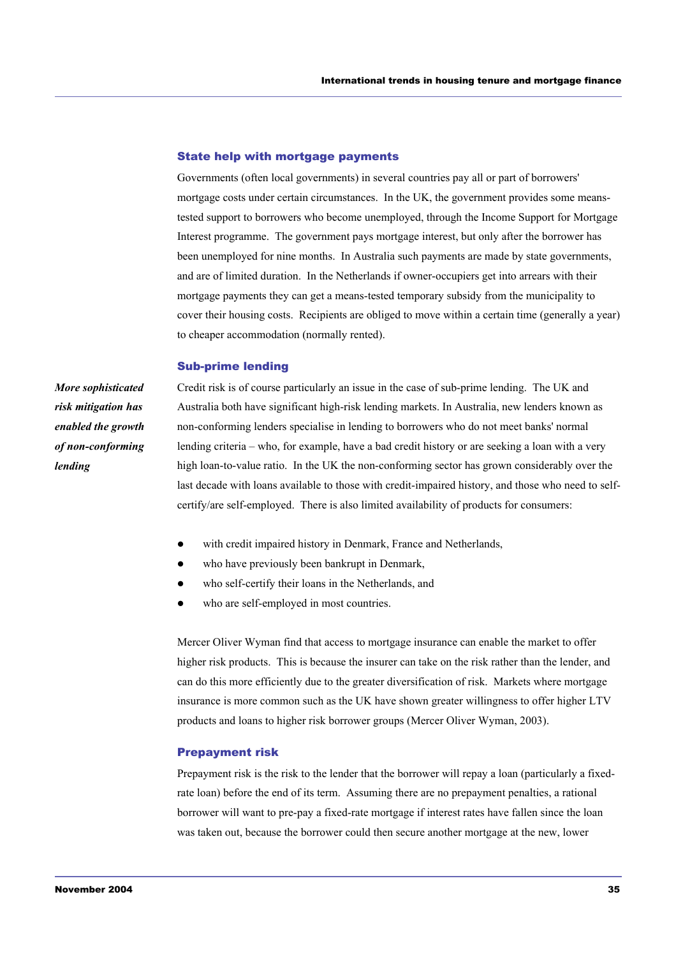#### State help with mortgage payments

Governments (often local governments) in several countries pay all or part of borrowers' mortgage costs under certain circumstances. In the UK, the government provides some meanstested support to borrowers who become unemployed, through the Income Support for Mortgage Interest programme. The government pays mortgage interest, but only after the borrower has been unemployed for nine months. In Australia such payments are made by state governments, and are of limited duration. In the Netherlands if owner-occupiers get into arrears with their mortgage payments they can get a means-tested temporary subsidy from the municipality to cover their housing costs. Recipients are obliged to move within a certain time (generally a year) to cheaper accommodation (normally rented).

#### Sub-prime lending

*More sophisticated risk mitigation has enabled the growth of non-conforming lending* 

Credit risk is of course particularly an issue in the case of sub-prime lending. The UK and Australia both have significant high-risk lending markets. In Australia, new lenders known as non-conforming lenders specialise in lending to borrowers who do not meet banks' normal lending criteria  $-\omega$  who, for example, have a bad credit history or are seeking a loan with a very high loan-to-value ratio. In the UK the non-conforming sector has grown considerably over the last decade with loans available to those with credit-impaired history, and those who need to selfcertify/are self-employed. There is also limited availability of products for consumers:

- with credit impaired history in Denmark, France and Netherlands,
- who have previously been bankrupt in Denmark,
- who self-certify their loans in the Netherlands, and
- who are self-employed in most countries.

Mercer Oliver Wyman find that access to mortgage insurance can enable the market to offer higher risk products. This is because the insurer can take on the risk rather than the lender, and can do this more efficiently due to the greater diversification of risk. Markets where mortgage insurance is more common such as the UK have shown greater willingness to offer higher LTV products and loans to higher risk borrower groups (Mercer Oliver Wyman, 2003).

#### Prepayment risk

Prepayment risk is the risk to the lender that the borrower will repay a loan (particularly a fixedrate loan) before the end of its term. Assuming there are no prepayment penalties, a rational borrower will want to pre-pay a fixed-rate mortgage if interest rates have fallen since the loan was taken out, because the borrower could then secure another mortgage at the new, lower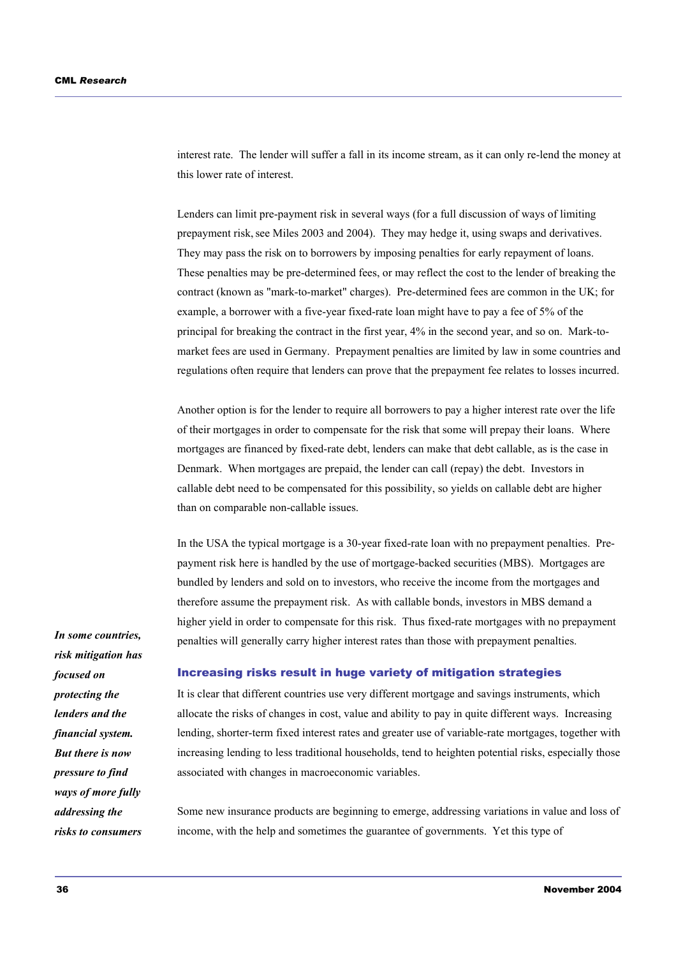interest rate. The lender will suffer a fall in its income stream, as it can only re-lend the money at this lower rate of interest.

Lenders can limit pre-payment risk in several ways (for a full discussion of ways of limiting prepayment risk,see Miles 2003 and 2004). They may hedge it, using swaps and derivatives. They may pass the risk on to borrowers by imposing penalties for early repayment of loans. These penalties may be pre-determined fees, or may reflect the cost to the lender of breaking the contract (known as "mark-to-market" charges). Pre-determined fees are common in the UK; for example, a borrower with a five-year fixed-rate loan might have to pay a fee of 5% of the principal for breaking the contract in the first year, 4% in the second year, and so on. Mark-tomarket fees are used in Germany. Prepayment penalties are limited by law in some countries and regulations often require that lenders can prove that the prepayment fee relates to losses incurred.

Another option is for the lender to require all borrowers to pay a higher interest rate over the life of their mortgages in order to compensate for the risk that some will prepay their loans. Where mortgages are financed by fixed-rate debt, lenders can make that debt callable, as is the case in Denmark. When mortgages are prepaid, the lender can call (repay) the debt. Investors in callable debt need to be compensated for this possibility, so yields on callable debt are higher than on comparable non-callable issues.

In the USA the typical mortgage is a 30-year fixed-rate loan with no prepayment penalties. Prepayment risk here is handled by the use of mortgage-backed securities (MBS). Mortgages are bundled by lenders and sold on to investors, who receive the income from the mortgages and therefore assume the prepayment risk. As with callable bonds, investors in MBS demand a higher yield in order to compensate for this risk. Thus fixed-rate mortgages with no prepayment penalties will generally carry higher interest rates than those with prepayment penalties.

#### Increasing risks result in huge variety of mitigation strategies

It is clear that different countries use very different mortgage and savings instruments, which allocate the risks of changes in cost, value and ability to pay in quite different ways. Increasing lending, shorter-term fixed interest rates and greater use of variable-rate mortgages, together with increasing lending to less traditional households, tend to heighten potential risks, especially those associated with changes in macroeconomic variables.

Some new insurance products are beginning to emerge, addressing variations in value and loss of income, with the help and sometimes the guarantee of governments. Yet this type of

*In some countries, risk mitigation has focused on protecting the lenders and the financial system. But there is now pressure to find ways of more fully addressing the risks to consumers*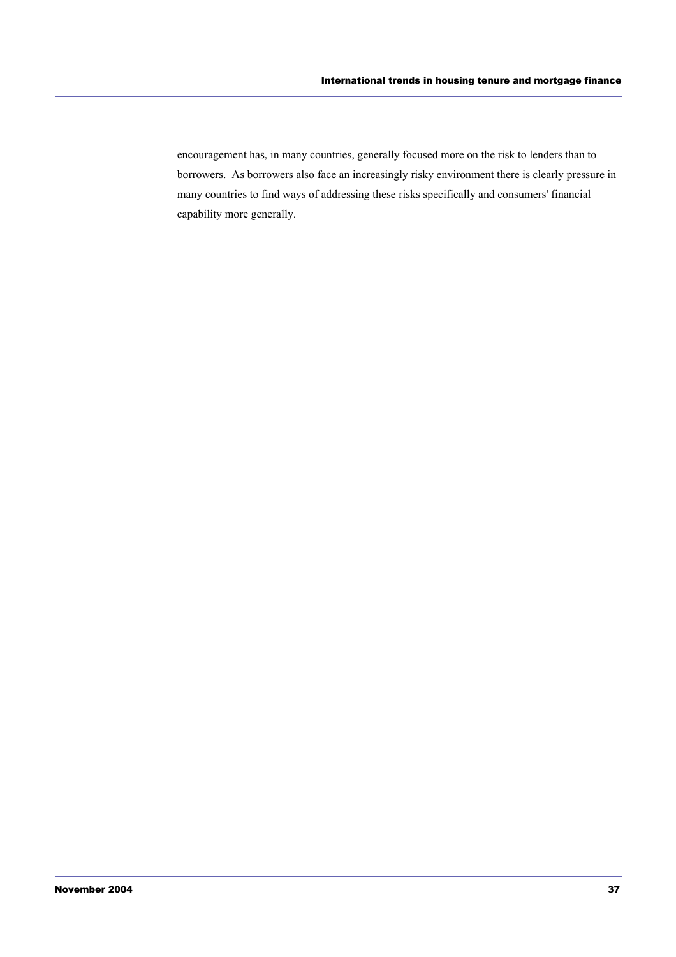encouragement has, in many countries, generally focused more on the risk to lenders than to borrowers. As borrowers also face an increasingly risky environment there is clearly pressure in many countries to find ways of addressing these risks specifically and consumers' financial capability more generally.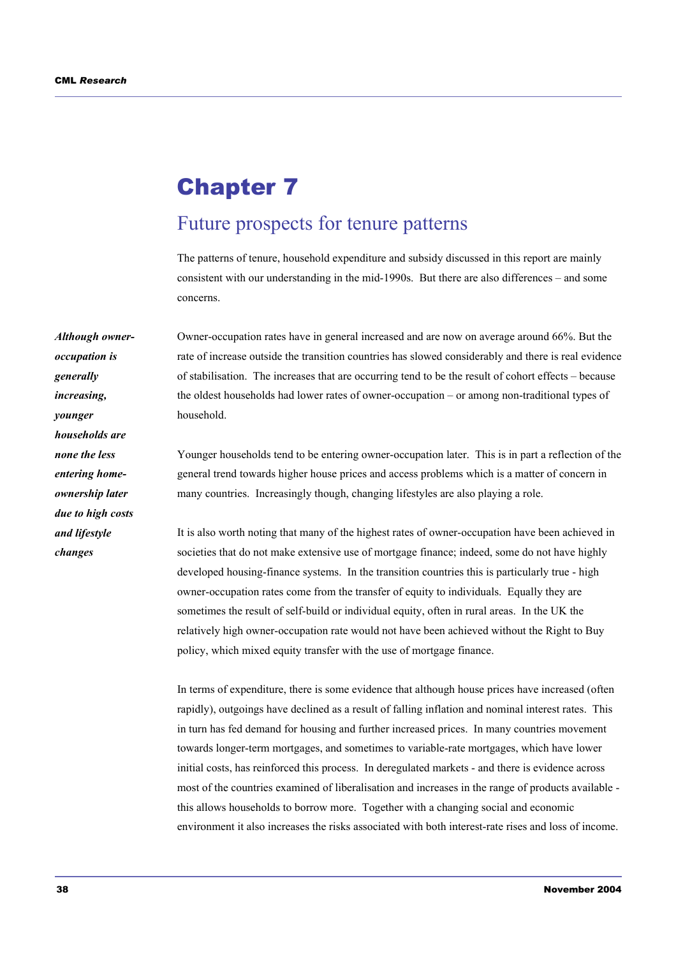# Chapter 7

## Future prospects for tenure patterns

The patterns of tenure, household expenditure and subsidy discussed in this report are mainly consistent with our understanding in the mid-1990s. But there are also differences – and some concerns.

Owner-occupation rates have in general increased and are now on average around 66%. But the rate of increase outside the transition countries has slowed considerably and there is real evidence of stabilisation. The increases that are occurring tend to be the result of cohort effects – because the oldest households had lower rates of owner-occupation – or among non-traditional types of household.

Younger households tend to be entering owner-occupation later. This is in part a reflection of the general trend towards higher house prices and access problems which is a matter of concern in many countries. Increasingly though, changing lifestyles are also playing a role.

It is also worth noting that many of the highest rates of owner-occupation have been achieved in societies that do not make extensive use of mortgage finance; indeed, some do not have highly developed housing-finance systems. In the transition countries this is particularly true - high owner-occupation rates come from the transfer of equity to individuals. Equally they are sometimes the result of self-build or individual equity, often in rural areas. In the UK the relatively high owner-occupation rate would not have been achieved without the Right to Buy policy, which mixed equity transfer with the use of mortgage finance.

In terms of expenditure, there is some evidence that although house prices have increased (often rapidly), outgoings have declined as a result of falling inflation and nominal interest rates. This in turn has fed demand for housing and further increased prices. In many countries movement towards longer-term mortgages, and sometimes to variable-rate mortgages, which have lower initial costs, has reinforced this process. In deregulated markets - and there is evidence across most of the countries examined of liberalisation and increases in the range of products available this allows households to borrow more. Together with a changing social and economic environment it also increases the risks associated with both interest-rate rises and loss of income.

*Although owneroccupation is generally increasing, younger households are none the less entering homeownership later due to high costs and lifestyle changes*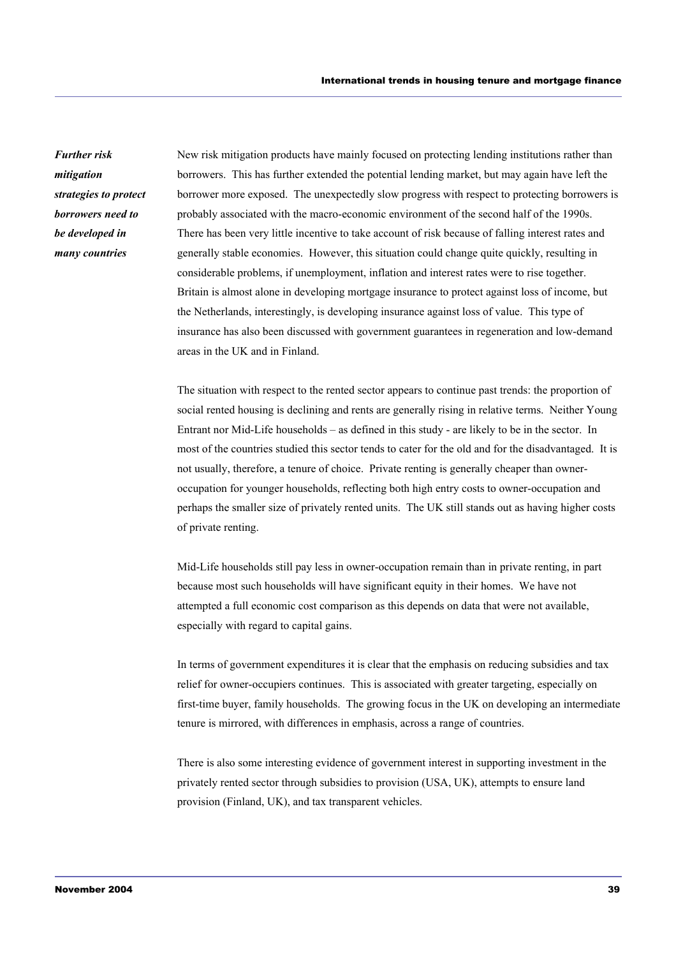*Further risk mitigation strategies to protect borrowers need to be developed in many countries* 

New risk mitigation products have mainly focused on protecting lending institutions rather than borrowers. This has further extended the potential lending market, but may again have left the borrower more exposed. The unexpectedly slow progress with respect to protecting borrowers is probably associated with the macro-economic environment of the second half of the 1990s. There has been very little incentive to take account of risk because of falling interest rates and generally stable economies. However, this situation could change quite quickly, resulting in considerable problems, if unemployment, inflation and interest rates were to rise together. Britain is almost alone in developing mortgage insurance to protect against loss of income, but the Netherlands, interestingly, is developing insurance against loss of value. This type of insurance has also been discussed with government guarantees in regeneration and low-demand areas in the UK and in Finland.

The situation with respect to the rented sector appears to continue past trends: the proportion of social rented housing is declining and rents are generally rising in relative terms. Neither Young Entrant nor Mid-Life households  $-$  as defined in this study  $-$  are likely to be in the sector. In most of the countries studied this sector tends to cater for the old and for the disadvantaged. It is not usually, therefore, a tenure of choice. Private renting is generally cheaper than owneroccupation for younger households, reflecting both high entry costs to owner-occupation and perhaps the smaller size of privately rented units. The UK still stands out as having higher costs of private renting.

Mid-Life households still pay less in owner-occupation remain than in private renting, in part because most such households will have significant equity in their homes. We have not attempted a full economic cost comparison as this depends on data that were not available, especially with regard to capital gains.

In terms of government expenditures it is clear that the emphasis on reducing subsidies and tax relief for owner-occupiers continues. This is associated with greater targeting, especially on first-time buyer, family households. The growing focus in the UK on developing an intermediate tenure is mirrored, with differences in emphasis, across a range of countries.

There is also some interesting evidence of government interest in supporting investment in the privately rented sector through subsidies to provision (USA, UK), attempts to ensure land provision (Finland, UK), and tax transparent vehicles.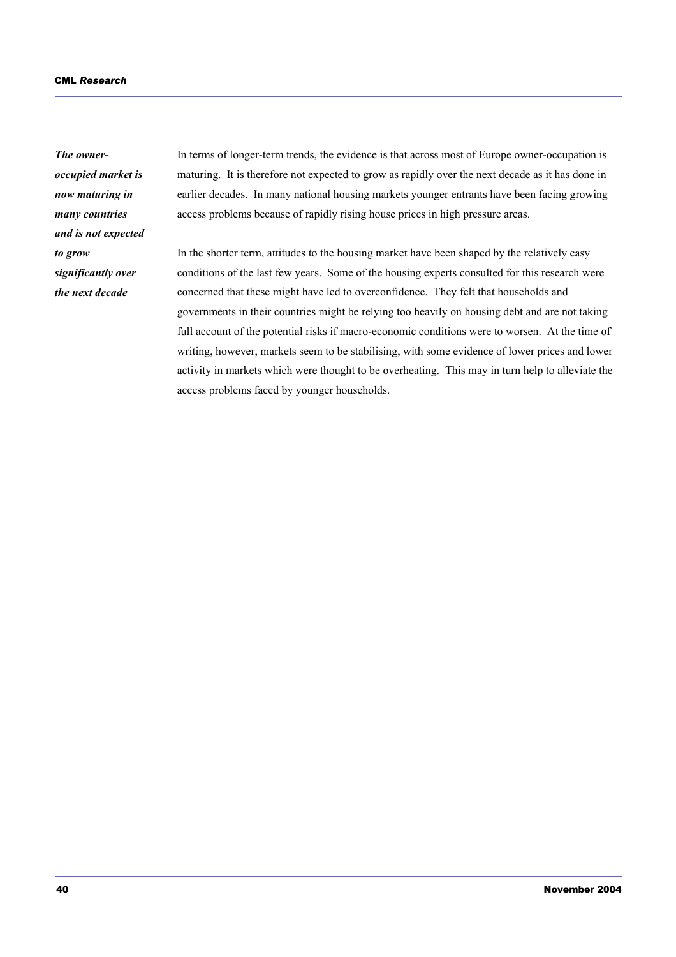*The owneroccupied market is now maturing in many countries and is not expected to grow significantly over the next decade* 

In terms of longer-term trends, the evidence is that across most of Europe owner-occupation is maturing. It is therefore not expected to grow as rapidly over the next decade as it has done in earlier decades. In many national housing markets younger entrants have been facing growing access problems because of rapidly rising house prices in high pressure areas.

In the shorter term, attitudes to the housing market have been shaped by the relatively easy conditions of the last few years. Some of the housing experts consulted for this research were concerned that these might have led to overconfidence. They felt that households and governments in their countries might be relying too heavily on housing debt and are not taking full account of the potential risks if macro-economic conditions were to worsen. At the time of writing, however, markets seem to be stabilising, with some evidence of lower prices and lower activity in markets which were thought to be overheating. This may in turn help to alleviate the access problems faced by younger households.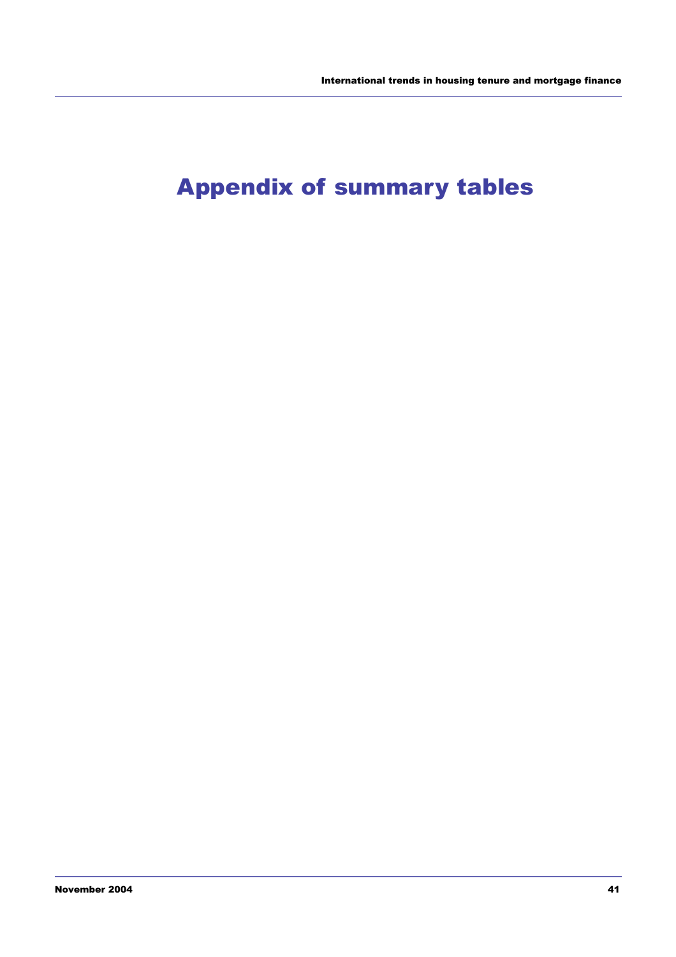# Appendix of summary tables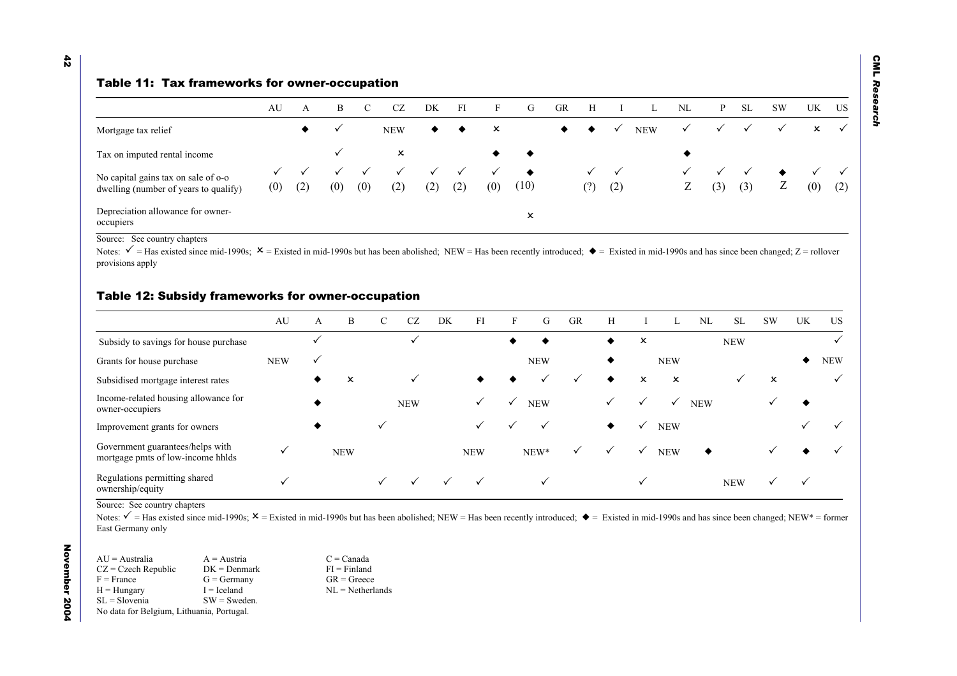| Table 11: Tax frameworks for owner-occupation                                |     |     |     |     |            |           |           |     |      |           |           |                     |            |    |     |           |           |                           |     |
|------------------------------------------------------------------------------|-----|-----|-----|-----|------------|-----------|-----------|-----|------|-----------|-----------|---------------------|------------|----|-----|-----------|-----------|---------------------------|-----|
|                                                                              | AU  | А   | B.  |     | CZ.        | DK        | FI        | н.  | G    | <b>GR</b> | H         |                     |            | NL | P   | <b>SL</b> | <b>SW</b> | UK                        | US  |
| Mortgage tax relief                                                          |     |     |     |     | <b>NEW</b> | $\bullet$ | $\bullet$ | ×   |      | $\bullet$ | $\bullet$ |                     | <b>NEW</b> |    |     |           |           | $\boldsymbol{\mathsf{x}}$ |     |
| Tax on imputed rental income                                                 |     |     |     |     | ×          |           |           |     |      |           |           |                     |            |    |     |           |           |                           |     |
| No capital gains tax on sale of 0-0<br>dwelling (number of years to qualify) | (0) | (2) | (0) | (0) | (2)        | (2)       | (2)       | (0) | (10) |           | (?)       | $\checkmark$<br>(2) |            | Ζ  | (3) | (3)       | Ζ         | (0)                       | (2) |
| Depreciation allowance for owner-<br>occupiers                               |     |     |     |     |            |           |           |     | ×    |           |           |                     |            |    |     |           |           |                           |     |

Source: See country chapters

Notes:  $\checkmark$  = Has existed since mid-1990s;  $\checkmark$  = Existed in mid-1990s but has been abolished; NEW = Has been recently introduced;  $\checkmark$  = Existed in mid-1990s and has since been changed; Z = rollover provisions apply

#### Table 12: Subsidy frameworks for owner-occupation

|                                                                       | AU         | A | B          |              | CZ           | DK | FI           | н.           | G            | <b>GR</b> | Н |             |                           | NL         | <b>SL</b>  | SW | UK | US         |
|-----------------------------------------------------------------------|------------|---|------------|--------------|--------------|----|--------------|--------------|--------------|-----------|---|-------------|---------------------------|------------|------------|----|----|------------|
| Subsidy to savings for house purchase                                 |            |   |            |              |              |    |              |              |              |           |   | ×           |                           |            | <b>NEW</b> |    |    |            |
| Grants for house purchase                                             | <b>NEW</b> | ✓ |            |              |              |    |              |              | <b>NEW</b>   |           |   |             | <b>NEW</b>                |            |            |    |    | <b>NEW</b> |
| Subsidised mortgage interest rates                                    |            |   | ×          |              | $\checkmark$ |    |              |              |              |           |   | ×           | $\boldsymbol{\mathsf{x}}$ |            |            | x  |    |            |
| Income-related housing allowance for<br>owner-occupiers               |            |   |            |              | <b>NEW</b>   |    | ✓            | $\checkmark$ | <b>NEW</b>   |           |   | $\sqrt{}$   | $\check{ }$               | <b>NEW</b> |            |    |    |            |
| Improvement grants for owners                                         |            |   |            | $\checkmark$ |              |    |              |              | ✓            |           |   | $\check{ }$ | <b>NEW</b>                |            |            |    |    |            |
| Government guarantees/helps with<br>mortgage pmts of low-income hhlds |            |   | <b>NEW</b> |              |              |    | <b>NEW</b>   |              | $NEW^*$      | ✓         |   | ✓           | <b>NEW</b>                |            |            |    |    |            |
| Regulations permitting shared<br>ownership/equity                     |            |   |            |              |              |    | $\checkmark$ |              | $\checkmark$ |           |   | $\check{ }$ |                           |            | <b>NEW</b> |    |    |            |

Source: See country chapters

Notes:  $\checkmark$  = Has existed since mid-1990s;  $\checkmark$  = Existed in mid-1990s but has been abolished; NEW = Has been recently introduced;  $\hat{\checkmark}$  = Existed in mid-1990s and has since been changed; NEW\* = former East Germany only

| $AU =$ Australia                          | $A =$ Austria   | $C = Canada$       |  |  |  |  |  |  |
|-------------------------------------------|-----------------|--------------------|--|--|--|--|--|--|
| $CZ = Czech Republic$                     | $DK = Denmark$  | $FI = Finland$     |  |  |  |  |  |  |
| $F =$ France                              | $G = Germany$   | $GR = Greece$      |  |  |  |  |  |  |
| $H = Hungarv$                             | $I = I$ celand  | $NL = Netherlands$ |  |  |  |  |  |  |
| $SL =$ Slovenia                           | $SW = Sweden$ . |                    |  |  |  |  |  |  |
| No data for Belgium, Lithuania, Portugal. |                 |                    |  |  |  |  |  |  |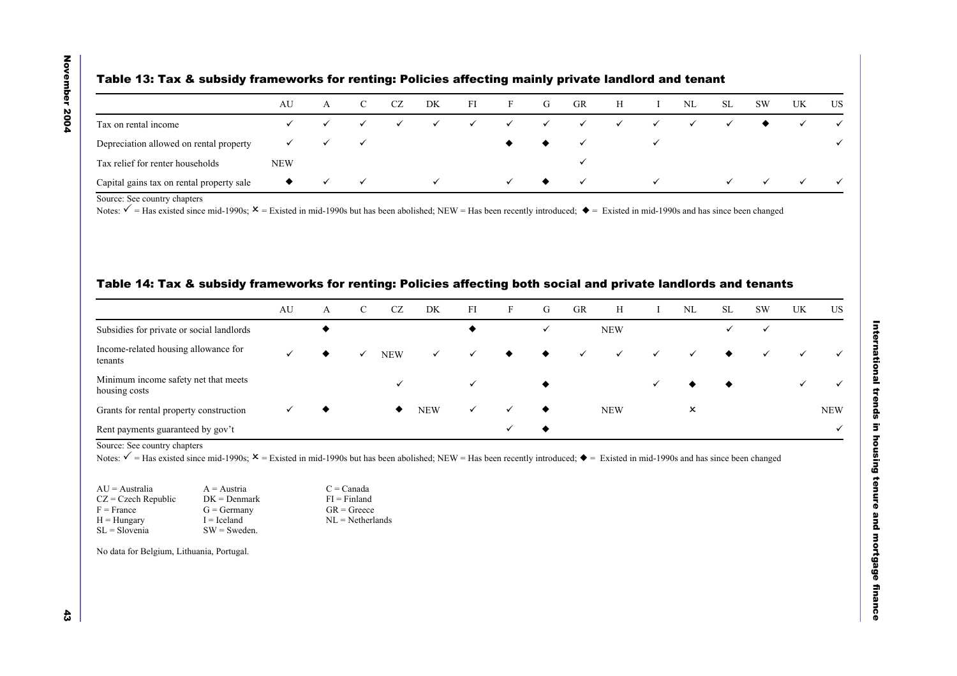#### Table 13: Tax & subsidy frameworks for renting: Policies affecting mainly private landlord and tenant

|                                           | AU         |  | CZ | DK | - FI         | $\overline{a}$ | G            | GR           | Н            |              | NL           | <b>SL</b> | SW | UK | US |
|-------------------------------------------|------------|--|----|----|--------------|----------------|--------------|--------------|--------------|--------------|--------------|-----------|----|----|----|
| Tax on rental income                      |            |  |    |    | $\checkmark$ | $\checkmark$   | $\checkmark$ | $\checkmark$ | $\checkmark$ | $\checkmark$ | $\checkmark$ |           |    |    |    |
| Depreciation allowed on rental property   |            |  |    |    |              |                |              |              |              |              |              |           |    |    |    |
| Tax relief for renter households          | <b>NEW</b> |  |    |    |              |                |              |              |              |              |              |           |    |    |    |
| Capital gains tax on rental property sale |            |  |    |    |              | $\checkmark$   |              | $\checkmark$ |              |              |              | $\cdot$   |    |    |    |

Source: See country chapters

Notes:  $\checkmark$  = Has existed since mid-1990s;  $\checkmark$  = Existed in mid-1990s but has been abolished; NEW = Has been recently introduced;  $\hat{\checkmark}$  = Existed in mid-1990s and has since been changed

|                                                       | AU | А | CZ         | DK           | FI | н. | G         | GR | Н          | NL | SL | <b>SW</b>               | UK | US         |
|-------------------------------------------------------|----|---|------------|--------------|----|----|-----------|----|------------|----|----|-------------------------|----|------------|
| Subsidies for private or social landlords             |    |   |            |              |    |    | ✓         |    | <b>NEW</b> |    |    | $\overline{\mathbf{v}}$ |    |            |
| Income-related housing allowance for<br>tenants       |    |   | <b>NEW</b> | $\checkmark$ |    |    | $\bullet$ | ✔  |            |    |    |                         |    |            |
| Minimum income safety net that meets<br>housing costs |    |   |            |              | ✓  |    |           |    |            |    |    |                         |    |            |
| Grants for rental property construction               |    |   |            | <b>NEW</b>   |    |    |           |    | <b>NEW</b> | ×  |    |                         |    | <b>NEW</b> |
| Rent payments guaranteed by gov't                     |    |   |            |              |    |    |           |    |            |    |    |                         |    |            |

#### Table 14: Tax & subsidy frameworks for renting: Policies affecting both social and private landlords and tenants

Source: See country chapters

Notes:  $\checkmark$  = Has existed since mid-1990s;  $\checkmark$  = Existed in mid-1990s but has been abolished; NEW = Has been recently introduced;  $\hat{\bullet}$  = Existed in mid-1990s and has since been changed

| $AU =$ Australia      | $A =$ Austria   | $C = Canada$       |
|-----------------------|-----------------|--------------------|
| $CZ = Czech Republic$ | $DK = Denmark$  | $FI = Finland$     |
| $F =$ France          | $G = Germany$   | $GR =$ Greece      |
| $H = Hungarv$         | $I = I$ celand  | $NL = Netherlands$ |
| $SL =$ Slovenia       | $SW = Sweden$ . |                    |

No data for Belgium, Lithuania, Portugal.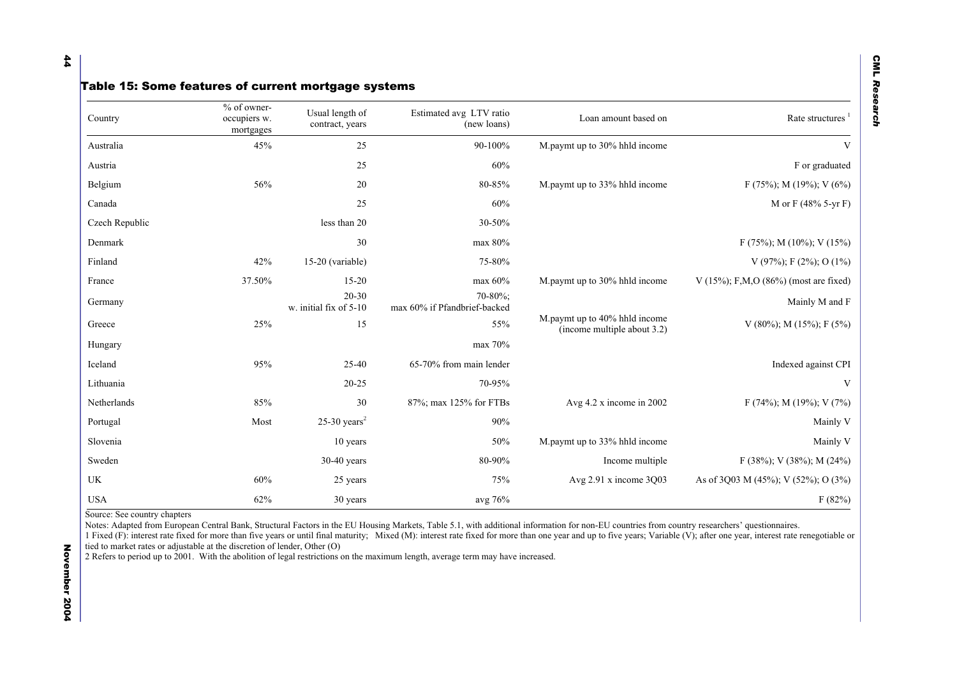| Country        | % of owner-<br>occupiers w.<br>mortgages | Usual length of<br>contract, years  | Estimated avg LTV ratio<br>(new loans)  | Loan amount based on                                         | Rate structures                       |
|----------------|------------------------------------------|-------------------------------------|-----------------------------------------|--------------------------------------------------------------|---------------------------------------|
| Australia      | 45%                                      | 25                                  | 90-100%                                 | M.paymt up to 30% hhld income                                | V                                     |
| Austria        |                                          | 25                                  | 60%                                     |                                                              | F or graduated                        |
| Belgium        | 56%                                      | 20                                  | 80-85%                                  | M.paymt up to 33% hhld income                                | F (75%); M (19%); V (6%)              |
| Canada         |                                          | 25                                  | 60%                                     |                                                              | M or F (48% 5-yr F)                   |
| Czech Republic |                                          | less than 20                        | 30-50%                                  |                                                              |                                       |
| Denmark        |                                          | 30                                  | max 80%                                 |                                                              | F (75%); M (10%); V (15%)             |
| Finland        | 42%                                      | 15-20 (variable)                    | 75-80%                                  |                                                              | V (97%); F (2%); O (1%)               |
| France         | 37.50%                                   | $15 - 20$                           | max 60%                                 | M.paymt up to 30% hhld income                                | V (15%); F,M,O (86%) (most are fixed) |
| Germany        |                                          | $20 - 30$<br>w. initial fix of 5-10 | 70-80%;<br>max 60% if Pfandbrief-backed |                                                              | Mainly M and F                        |
| Greece         | 25%                                      | 15                                  | 55%                                     | M.paymt up to 40% hhld income<br>(income multiple about 3.2) | V (80%); M (15%); F (5%)              |
| Hungary        |                                          |                                     | max 70%                                 |                                                              |                                       |
| Iceland        | 95%                                      | 25-40                               | 65-70% from main lender                 |                                                              | Indexed against CPI                   |
| Lithuania      |                                          | $20 - 25$                           | 70-95%                                  |                                                              | V                                     |
| Netherlands    | 85%                                      | 30                                  | 87%; max 125% for FTBs                  | Avg 4.2 x income in 2002                                     | F (74%); M (19%); V (7%)              |
| Portugal       | Most                                     | $25-30$ years <sup>2</sup>          | 90%                                     |                                                              | Mainly V                              |
| Slovenia       |                                          | 10 years                            | 50%                                     | M.paymt up to 33% hhld income                                | Mainly V                              |
| Sweden         |                                          | $30-40$ years                       | 80-90%                                  | Income multiple                                              | F (38%); V (38%); M (24%)             |
| <b>UK</b>      | 60%                                      | 25 years                            | 75%                                     | Avg $2.91$ x income $3Q03$                                   | As of 3Q03 M (45%); V (52%); O (3%)   |
| <b>USA</b>     | 62%                                      | 30 years                            | avg 76%                                 |                                                              | F(82%)                                |

**CML Research** 

Source: See country chapters

Notes: Adapted from European Central Bank, Structural Factors in the EU Housing Markets, Table 5.1, with additional information for non-EU countries from country researchers' questionnaires.

1 Fixed (F): interest rate fixed for more than five years or until final maturity; Mixed (M): interest rate fixed for more than one year and up to five years; Variable (V); after one year, interest rate renegotiable or tied to market rates or adjustable at the discretion of lender, Other (O)

2 Refers to period up to 2001. With the abolition of legal restrictions on the maximum length, average term may have increased.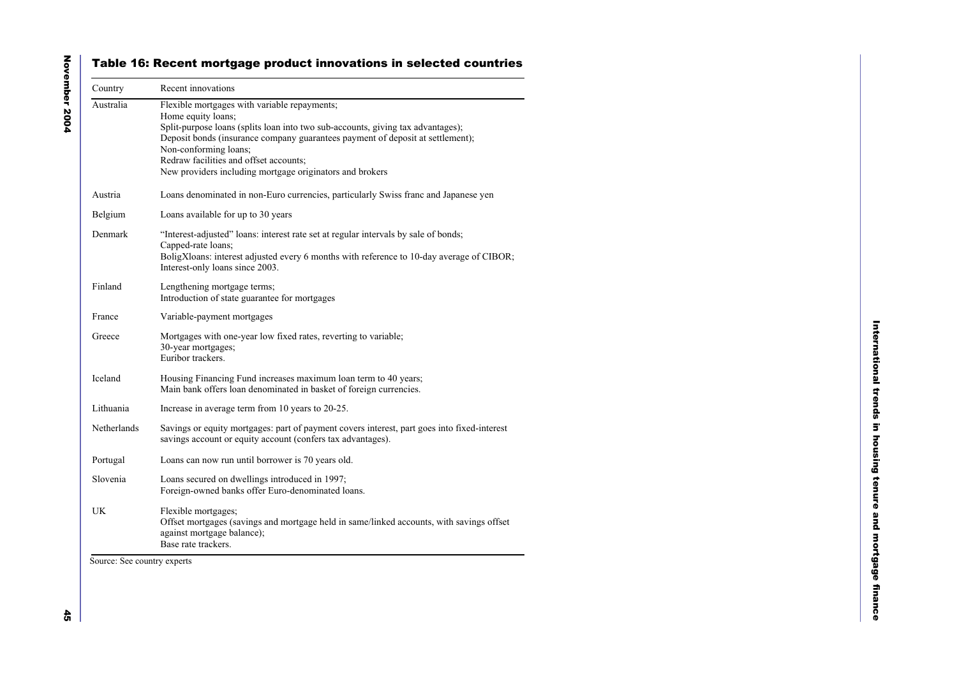### Table 16: Recent mortgage product innovations in selected countries

| Country     | Recent innovations                                                                                                                                                                                                                                                                                                                                                     |
|-------------|------------------------------------------------------------------------------------------------------------------------------------------------------------------------------------------------------------------------------------------------------------------------------------------------------------------------------------------------------------------------|
| Australia   | Flexible mortgages with variable repayments;<br>Home equity loans;<br>Split-purpose loans (splits loan into two sub-accounts, giving tax advantages);<br>Deposit bonds (insurance company guarantees payment of deposit at settlement);<br>Non-conforming loans;<br>Redraw facilities and offset accounts;<br>New providers including mortgage originators and brokers |
| Austria     | Loans denominated in non-Euro currencies, particularly Swiss franc and Japanese yen                                                                                                                                                                                                                                                                                    |
| Belgium     | Loans available for up to 30 years                                                                                                                                                                                                                                                                                                                                     |
| Denmark     | "Interest-adjusted" loans: interest rate set at regular intervals by sale of bonds;<br>Capped-rate loans;<br>BoligXloans: interest adjusted every 6 months with reference to 10-day average of CIBOR;<br>Interest-only loans since 2003.                                                                                                                               |
| Finland     | Lengthening mortgage terms;<br>Introduction of state guarantee for mortgages                                                                                                                                                                                                                                                                                           |
| France      | Variable-payment mortgages                                                                                                                                                                                                                                                                                                                                             |
| Greece      | Mortgages with one-year low fixed rates, reverting to variable;<br>30-year mortgages;<br>Euribor trackers.                                                                                                                                                                                                                                                             |
| Iceland     | Housing Financing Fund increases maximum loan term to 40 years;<br>Main bank offers loan denominated in basket of foreign currencies.                                                                                                                                                                                                                                  |
| Lithuania   | Increase in average term from 10 years to 20-25.                                                                                                                                                                                                                                                                                                                       |
| Netherlands | Savings or equity mortgages: part of payment covers interest, part goes into fixed-interest<br>savings account or equity account (confers tax advantages).                                                                                                                                                                                                             |
| Portugal    | Loans can now run until borrower is 70 years old.                                                                                                                                                                                                                                                                                                                      |
| Slovenia    | Loans secured on dwellings introduced in 1997;<br>Foreign-owned banks offer Euro-denominated loans.                                                                                                                                                                                                                                                                    |
| <b>UK</b>   | Flexible mortgages;<br>Offset mortgages (savings and mortgage held in same/linked accounts, with savings offset<br>against mortgage balance);<br>Base rate trackers.                                                                                                                                                                                                   |

Source: See country experts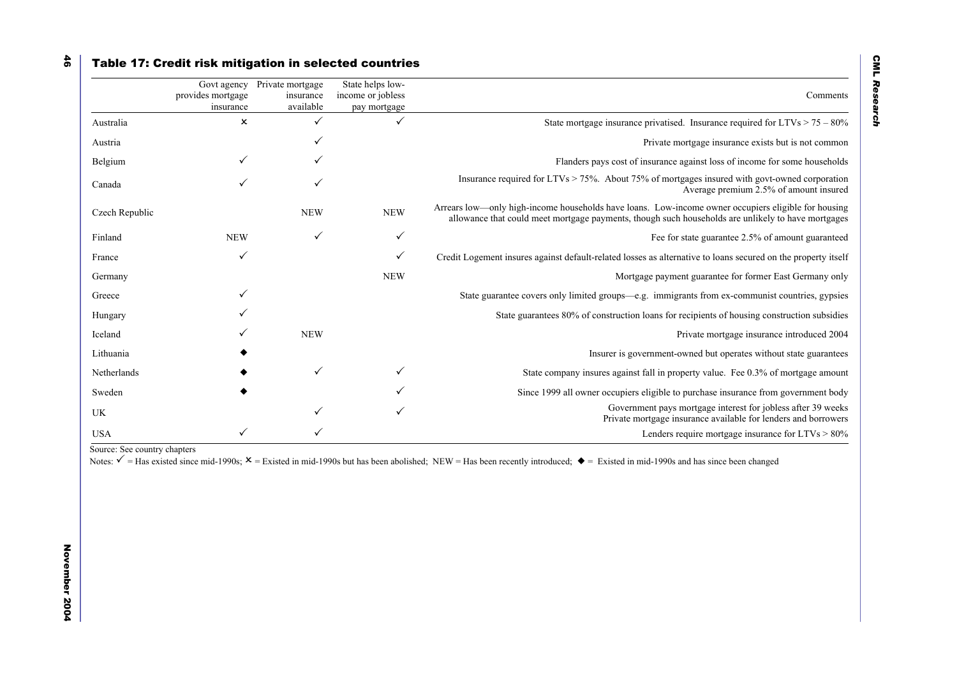### $\frac{4}{6}$

|                | Govt agency<br>provides mortgage<br>insurance | Private mortgage<br>insurance<br>available | State helps low-<br>income or jobless<br>pay mortgage | Comments                                                                                                                                                                                                  |
|----------------|-----------------------------------------------|--------------------------------------------|-------------------------------------------------------|-----------------------------------------------------------------------------------------------------------------------------------------------------------------------------------------------------------|
| Australia      | $\pmb{\times}$                                |                                            |                                                       | State mortgage insurance privatised. Insurance required for $LTVs > 75 - 80\%$                                                                                                                            |
| Austria        |                                               |                                            |                                                       | Private mortgage insurance exists but is not common                                                                                                                                                       |
| Belgium        |                                               |                                            |                                                       | Flanders pays cost of insurance against loss of income for some households                                                                                                                                |
| Canada         |                                               |                                            |                                                       | Insurance required for LTVs $> 75\%$ . About 75% of mortgages insured with govt-owned corporation<br>Average premium 2.5% of amount insured                                                               |
| Czech Republic |                                               | <b>NEW</b>                                 | <b>NEW</b>                                            | Arrears low-only high-income households have loans. Low-income owner occupiers eligible for housing<br>allowance that could meet mortgage payments, though such households are unlikely to have mortgages |
| Finland        | <b>NEW</b>                                    | $\checkmark$                               | ✓                                                     | Fee for state guarantee 2.5% of amount guaranteed                                                                                                                                                         |
| France         | $\checkmark$                                  |                                            | ✓                                                     | Credit Logement insures against default-related losses as alternative to loans secured on the property itself                                                                                             |
| Germany        |                                               |                                            | <b>NEW</b>                                            | Mortgage payment guarantee for former East Germany only                                                                                                                                                   |
| Greece         |                                               |                                            |                                                       | State guarantee covers only limited groups—e.g. immigrants from ex-communist countries, gypsies                                                                                                           |
| Hungary        |                                               |                                            |                                                       | State guarantees 80% of construction loans for recipients of housing construction subsidies                                                                                                               |
| Iceland        |                                               | <b>NEW</b>                                 |                                                       | Private mortgage insurance introduced 2004                                                                                                                                                                |
| Lithuania      |                                               |                                            |                                                       | Insurer is government-owned but operates without state guarantees                                                                                                                                         |
| Netherlands    |                                               | $\checkmark$                               |                                                       | State company insures against fall in property value. Fee 0.3% of mortgage amount                                                                                                                         |
| Sweden         |                                               |                                            |                                                       | Since 1999 all owner occupiers eligible to purchase insurance from government body                                                                                                                        |
| UK             |                                               |                                            |                                                       | Government pays mortgage interest for jobless after 39 weeks<br>Private mortgage insurance available for lenders and borrowers                                                                            |
| <b>USA</b>     |                                               |                                            |                                                       | Lenders require mortgage insurance for LTVs > 80%                                                                                                                                                         |

Source: See country chapters

Notes:  $\checkmark$  = Has existed since mid-1990s;  $\checkmark$  = Existed in mid-1990s but has been abolished; NEW = Has been recently introduced;  $\checkmark$  = Existed in mid-1990s and has since been changed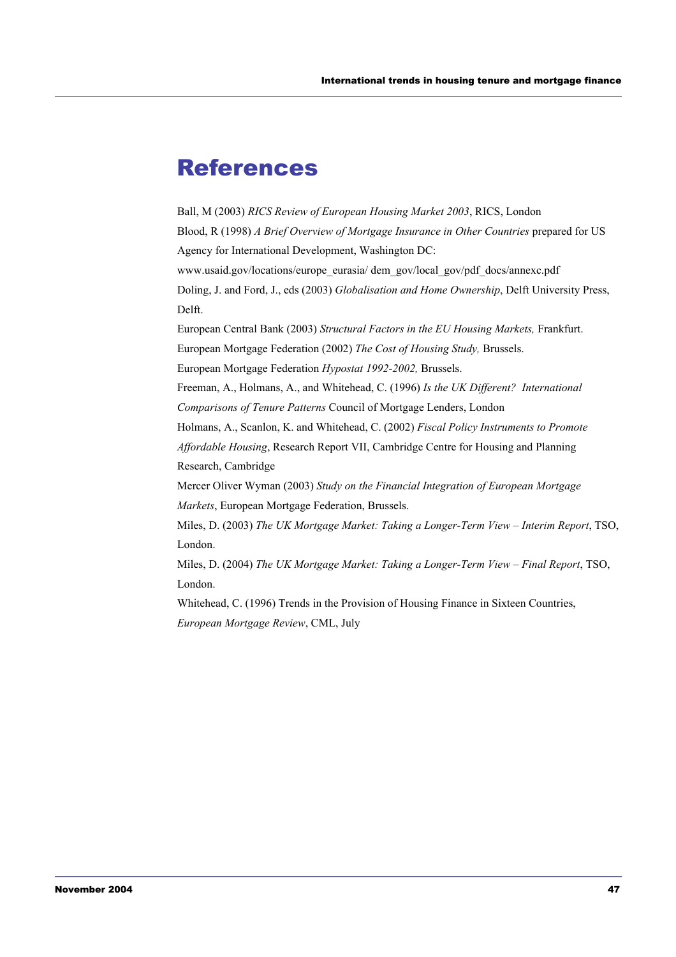# References

Ball, M (2003) *RICS Review of European Housing Market 2003*, RICS, London Blood, R (1998) *A Brief Overview of Mortgage Insurance in Other Countries* prepared for US Agency for International Development, Washington DC: www.usaid.gov/locations/europe\_eurasia/ dem\_gov/local\_gov/pdf\_docs/annexc.pdf Doling, J. and Ford, J., eds (2003) *Globalisation and Home Ownership*, Delft University Press, Delft. European Central Bank (2003) *Structural Factors in the EU Housing Markets,* Frankfurt. European Mortgage Federation (2002) *The Cost of Housing Study,* Brussels. European Mortgage Federation *Hypostat 1992-2002,* Brussels. Freeman, A., Holmans, A., and Whitehead, C. (1996) *Is the UK Different? International Comparisons of Tenure Patterns* Council of Mortgage Lenders, London Holmans, A., Scanlon, K. and Whitehead, C. (2002) *Fiscal Policy Instruments to Promote Affordable Housing*, Research Report VII, Cambridge Centre for Housing and Planning Research, Cambridge Mercer Oliver Wyman (2003) *Study on the Financial Integration of European Mortgage Markets*, European Mortgage Federation, Brussels. Miles, D. (2003) *The UK Mortgage Market: Taking a Longer-Term View – Interim Report*, TSO, London. Miles, D. (2004) *The UK Mortgage Market: Taking a Longer-Term View - Final Report*, TSO, London. Whitehead, C. (1996) Trends in the Provision of Housing Finance in Sixteen Countries,

*European Mortgage Review*, CML, July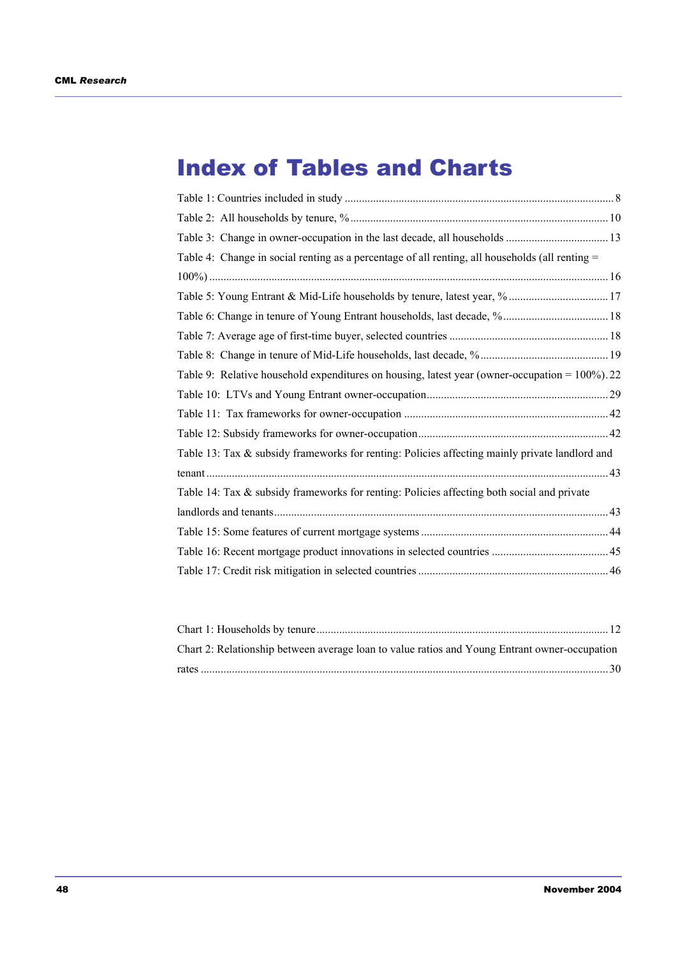# Index of Tables and Charts

| Table 3: Change in owner-occupation in the last decade, all households  13                         |  |
|----------------------------------------------------------------------------------------------------|--|
| Table 4: Change in social renting as a percentage of all renting, all households (all renting =    |  |
|                                                                                                    |  |
|                                                                                                    |  |
|                                                                                                    |  |
|                                                                                                    |  |
|                                                                                                    |  |
| Table 9: Relative household expenditures on housing, latest year (owner-occupation = $100\%$ ). 22 |  |
|                                                                                                    |  |
|                                                                                                    |  |
|                                                                                                    |  |
| Table 13: Tax & subsidy frameworks for renting: Policies affecting mainly private landlord and     |  |
|                                                                                                    |  |
| Table 14: Tax & subsidy frameworks for renting: Policies affecting both social and private         |  |
|                                                                                                    |  |
|                                                                                                    |  |
|                                                                                                    |  |
|                                                                                                    |  |
|                                                                                                    |  |

| Chart 2: Relationship between average loan to value ratios and Young Entrant owner-occupation |  |
|-----------------------------------------------------------------------------------------------|--|
|                                                                                               |  |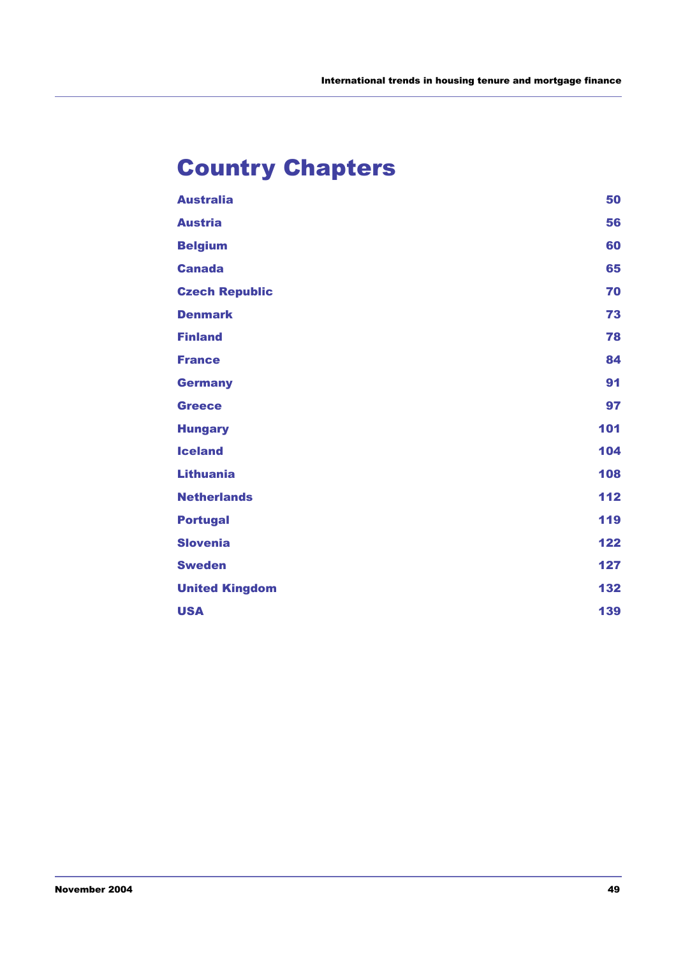# Country Chapters

| <b>Australia</b>      | 50  |
|-----------------------|-----|
| <b>Austria</b>        | 56  |
| <b>Belgium</b>        | 60  |
| <b>Canada</b>         | 65  |
| <b>Czech Republic</b> | 70  |
| <b>Denmark</b>        | 73  |
| <b>Finland</b>        | 78  |
| <b>France</b>         | 84  |
| <b>Germany</b>        | 91  |
| <b>Greece</b>         | 97  |
| <b>Hungary</b>        | 101 |
| <b>Iceland</b>        | 104 |
| <b>Lithuania</b>      | 108 |
| <b>Netherlands</b>    | 112 |
| <b>Portugal</b>       | 119 |
| <b>Slovenia</b>       | 122 |
| <b>Sweden</b>         | 127 |
| <b>United Kingdom</b> | 132 |
| <b>USA</b>            | 139 |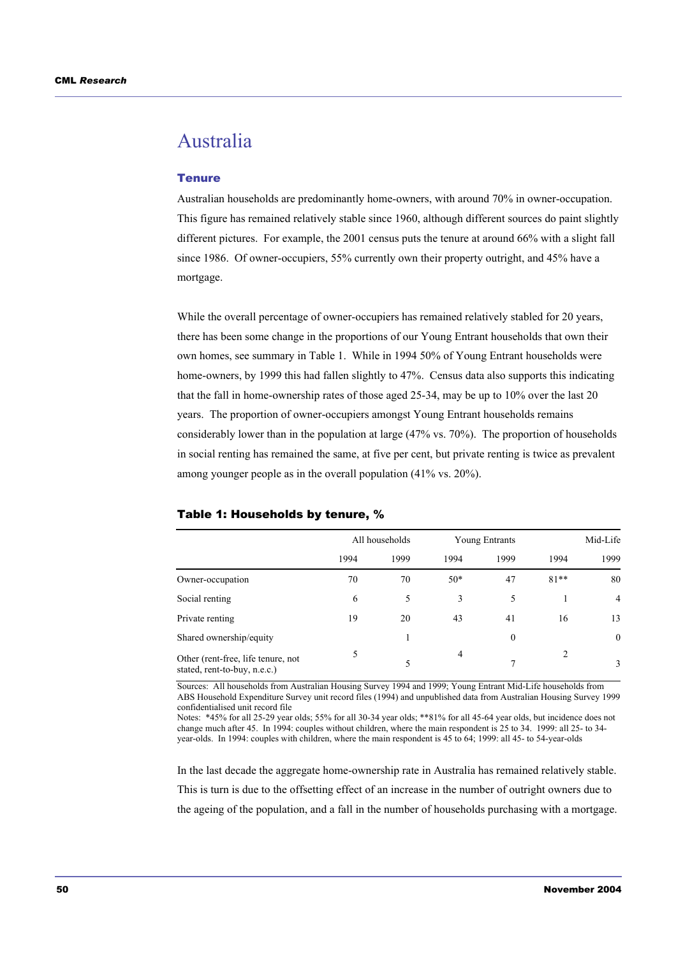## Australia

#### **Tenure**

Australian households are predominantly home-owners, with around 70% in owner-occupation. This figure has remained relatively stable since 1960, although different sources do paint slightly different pictures. For example, the 2001 census puts the tenure at around 66% with a slight fall since 1986. Of owner-occupiers, 55% currently own their property outright, and 45% have a mortgage.

While the overall percentage of owner-occupiers has remained relatively stabled for 20 years, there has been some change in the proportions of our Young Entrant households that own their own homes, see summary in Table 1. While in 1994 50% of Young Entrant households were home-owners, by 1999 this had fallen slightly to 47%. Census data also supports this indicating that the fall in home-ownership rates of those aged 25-34, may be up to 10% over the last 20 years. The proportion of owner-occupiers amongst Young Entrant households remains considerably lower than in the population at large (47% vs. 70%). The proportion of households in social renting has remained the same, at five per cent, but private renting is twice as prevalent among younger people as in the overall population (41% vs. 20%).

|                                                                    |      | All households |       | Young Entrants |        | Mid-Life       |
|--------------------------------------------------------------------|------|----------------|-------|----------------|--------|----------------|
|                                                                    | 1994 | 1999           | 1994  | 1999           | 1994   | 1999           |
| Owner-occupation                                                   | 70   | 70             | $50*$ | 47             | $81**$ | 80             |
| Social renting                                                     | 6    | 5              | 3     | 5              |        | $\overline{4}$ |
| Private renting                                                    | 19   | 20             | 43    | 41             | 16     | 13             |
| Shared ownership/equity                                            |      |                |       | $\theta$       |        | $\mathbf{0}$   |
| Other (rent-free, life tenure, not<br>stated, rent-to-buy, n.e.c.) | 5    | 5              | 4     | 7              | 2      | 3              |

#### Table 1: Households by tenure, %

Sources: All households from Australian Housing Survey 1994 and 1999; Young Entrant Mid-Life households from ABS Household Expenditure Survey unit record files (1994) and unpublished data from Australian Housing Survey 1999 confidentialised unit record file

Notes: \*45% for all 25-29 year olds; 55% for all 30-34 year olds; \*\*81% for all 45-64 year olds, but incidence does not change much after 45. In 1994: couples without children, where the main respondent is 25 to 34. 1999: all 25- to 34 year-olds. In 1994: couples with children, where the main respondent is 45 to 64; 1999: all 45- to 54-year-olds

In the last decade the aggregate home-ownership rate in Australia has remained relatively stable. This is turn is due to the offsetting effect of an increase in the number of outright owners due to the ageing of the population, and a fall in the number of households purchasing with a mortgage.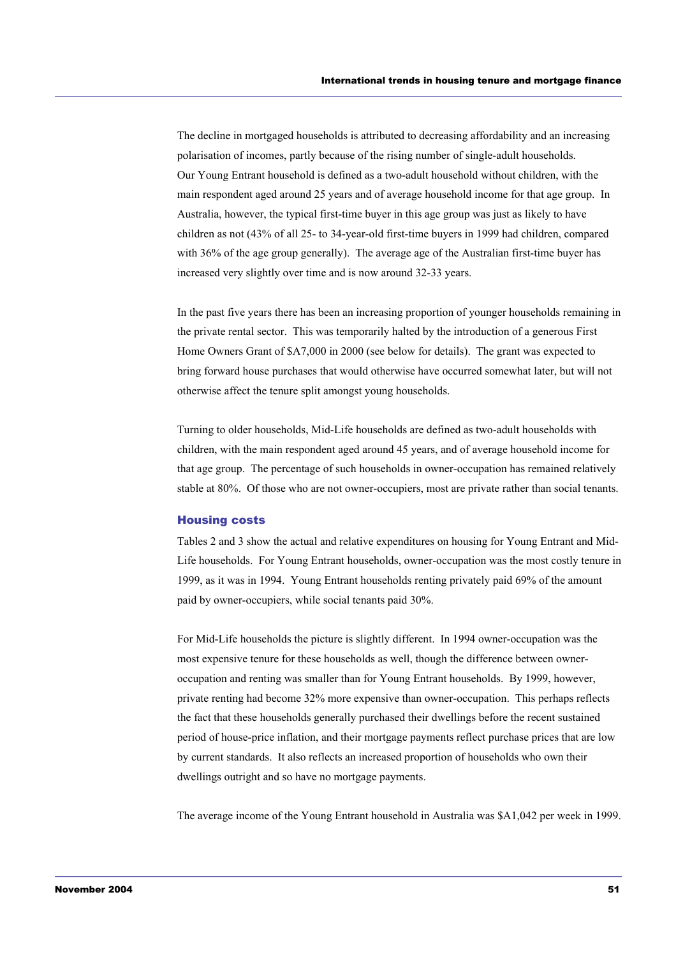The decline in mortgaged households is attributed to decreasing affordability and an increasing polarisation of incomes, partly because of the rising number of single-adult households. Our Young Entrant household is defined as a two-adult household without children, with the main respondent aged around 25 years and of average household income for that age group. In Australia, however, the typical first-time buyer in this age group was just as likely to have children as not (43% of all 25- to 34-year-old first-time buyers in 1999 had children, compared with 36% of the age group generally). The average age of the Australian first-time buyer has increased very slightly over time and is now around 32-33 years.

In the past five years there has been an increasing proportion of younger households remaining in the private rental sector. This was temporarily halted by the introduction of a generous First Home Owners Grant of \$A7,000 in 2000 (see below for details). The grant was expected to bring forward house purchases that would otherwise have occurred somewhat later, but will not otherwise affect the tenure split amongst young households.

Turning to older households, Mid-Life households are defined as two-adult households with children, with the main respondent aged around 45 years, and of average household income for that age group. The percentage of such households in owner-occupation has remained relatively stable at 80%. Of those who are not owner-occupiers, most are private rather than social tenants.

#### Housing costs

Tables 2 and 3 show the actual and relative expenditures on housing for Young Entrant and Mid-Life households. For Young Entrant households, owner-occupation was the most costly tenure in 1999, as it was in 1994. Young Entrant households renting privately paid 69% of the amount paid by owner-occupiers, while social tenants paid 30%.

For Mid-Life households the picture is slightly different. In 1994 owner-occupation was the most expensive tenure for these households as well, though the difference between owneroccupation and renting was smaller than for Young Entrant households. By 1999, however, private renting had become 32% more expensive than owner-occupation. This perhaps reflects the fact that these households generally purchased their dwellings before the recent sustained period of house-price inflation, and their mortgage payments reflect purchase prices that are low by current standards. It also reflects an increased proportion of households who own their dwellings outright and so have no mortgage payments.

The average income of the Young Entrant household in Australia was \$A1,042 per week in 1999.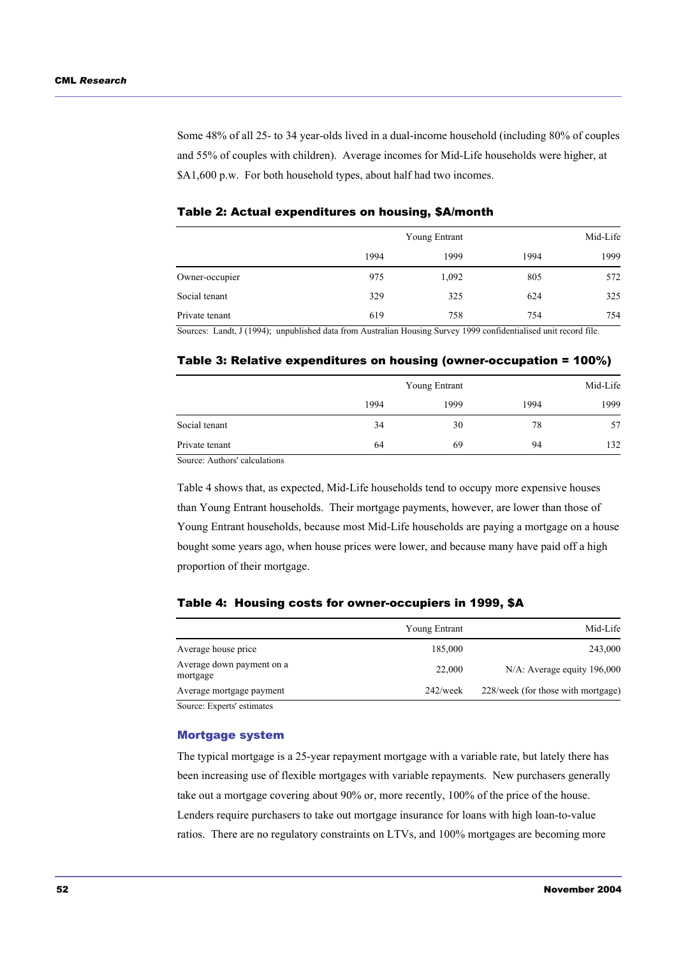Some 48% of all 25- to 34 year-olds lived in a dual-income household (including 80% of couples and 55% of couples with children). Average incomes for Mid-Life households were higher, at \$A1,600 p.w. For both household types, about half had two incomes.

|  | Table 2: Actual expenditures on housing, \$A/month |  |  |
|--|----------------------------------------------------|--|--|
|--|----------------------------------------------------|--|--|

|                | Young Entrant |       |      | Mid-Life |
|----------------|---------------|-------|------|----------|
|                | 1994          | 1999  | 1994 | 1999     |
| Owner-occupier | 975           | 1,092 | 805  | 572      |
| Social tenant  | 329           | 325   | 624  | 325      |
| Private tenant | 619           | 758   | 754  | 754      |

Sources: Landt, J (1994); unpublished data from Australian Housing Survey 1999 confidentialised unit record file.

#### Table 3: Relative expenditures on housing (owner-occupation = 100%)

|                | Young Entrant |      |      | Mid-Life |  |
|----------------|---------------|------|------|----------|--|
|                | 1994          | 1999 | 1994 | 1999     |  |
| Social tenant  | 34            | 30   | 78   | 57       |  |
| Private tenant | 64            | 69   | 94   | 132      |  |

Source: Authors' calculations

Table 4 shows that, as expected, Mid-Life households tend to occupy more expensive houses than Young Entrant households. Their mortgage payments, however, are lower than those of Young Entrant households, because most Mid-Life households are paying a mortgage on a house bought some years ago, when house prices were lower, and because many have paid off a high proportion of their mortgage.

#### Table 4: Housing costs for owner-occupiers in 1999, \$A

|                                       | Young Entrant | Mid-Life                           |
|---------------------------------------|---------------|------------------------------------|
| Average house price                   | 185,000       | 243,000                            |
| Average down payment on a<br>mortgage | 22,000        | $N/A$ : Average equity 196,000     |
| Average mortgage payment              | $242$ /week   | 228/week (for those with mortgage) |
| Course Experte of imagine             |               |                                    |

Source: Experts' estimates

#### Mortgage system

The typical mortgage is a 25-year repayment mortgage with a variable rate, but lately there has been increasing use of flexible mortgages with variable repayments. New purchasers generally take out a mortgage covering about 90% or, more recently, 100% of the price of the house. Lenders require purchasers to take out mortgage insurance for loans with high loan-to-value ratios. There are no regulatory constraints on LTVs, and 100% mortgages are becoming more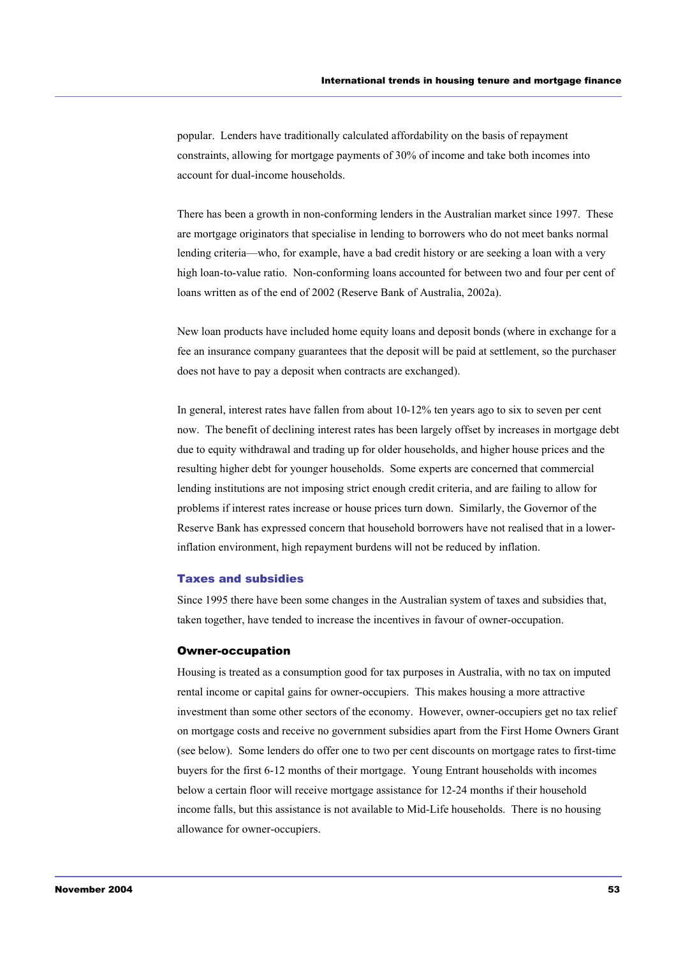popular. Lenders have traditionally calculated affordability on the basis of repayment constraints, allowing for mortgage payments of 30% of income and take both incomes into account for dual-income households.

There has been a growth in non-conforming lenders in the Australian market since 1997. These are mortgage originators that specialise in lending to borrowers who do not meet banks normal lending criteria—who, for example, have a bad credit history or are seeking a loan with a very high loan-to-value ratio. Non-conforming loans accounted for between two and four per cent of loans written as of the end of 2002 (Reserve Bank of Australia, 2002a).

New loan products have included home equity loans and deposit bonds (where in exchange for a fee an insurance company guarantees that the deposit will be paid at settlement, so the purchaser does not have to pay a deposit when contracts are exchanged).

In general, interest rates have fallen from about 10-12% ten years ago to six to seven per cent now. The benefit of declining interest rates has been largely offset by increases in mortgage debt due to equity withdrawal and trading up for older households, and higher house prices and the resulting higher debt for younger households. Some experts are concerned that commercial lending institutions are not imposing strict enough credit criteria, and are failing to allow for problems if interest rates increase or house prices turn down. Similarly, the Governor of the Reserve Bank has expressed concern that household borrowers have not realised that in a lowerinflation environment, high repayment burdens will not be reduced by inflation.

#### Taxes and subsidies

Since 1995 there have been some changes in the Australian system of taxes and subsidies that, taken together, have tended to increase the incentives in favour of owner-occupation.

#### Owner-occupation

Housing is treated as a consumption good for tax purposes in Australia, with no tax on imputed rental income or capital gains for owner-occupiers. This makes housing a more attractive investment than some other sectors of the economy. However, owner-occupiers get no tax relief on mortgage costs and receive no government subsidies apart from the First Home Owners Grant (see below). Some lenders do offer one to two per cent discounts on mortgage rates to first-time buyers for the first 6-12 months of their mortgage. Young Entrant households with incomes below a certain floor will receive mortgage assistance for 12-24 months if their household income falls, but this assistance is not available to Mid-Life households. There is no housing allowance for owner-occupiers.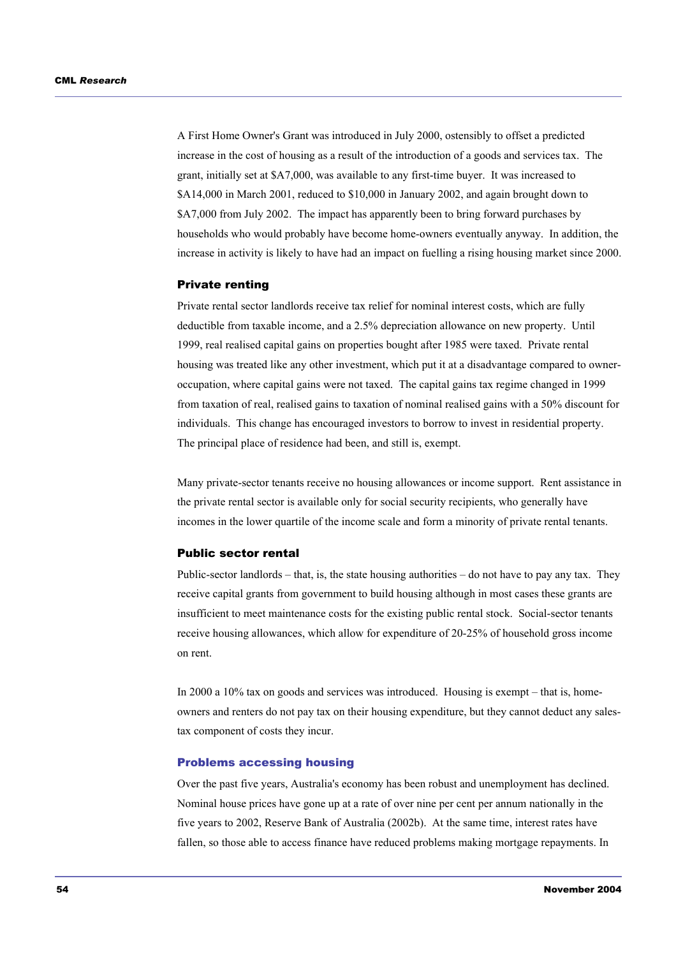A First Home Owner's Grant was introduced in July 2000, ostensibly to offset a predicted increase in the cost of housing as a result of the introduction of a goods and services tax. The grant, initially set at \$A7,000, was available to any first-time buyer. It was increased to \$A14,000 in March 2001, reduced to \$10,000 in January 2002, and again brought down to \$A7,000 from July 2002. The impact has apparently been to bring forward purchases by households who would probably have become home-owners eventually anyway. In addition, the increase in activity is likely to have had an impact on fuelling a rising housing market since 2000.

#### Private renting

Private rental sector landlords receive tax relief for nominal interest costs, which are fully deductible from taxable income, and a 2.5% depreciation allowance on new property. Until 1999, real realised capital gains on properties bought after 1985 were taxed. Private rental housing was treated like any other investment, which put it at a disadvantage compared to owneroccupation, where capital gains were not taxed. The capital gains tax regime changed in 1999 from taxation of real, realised gains to taxation of nominal realised gains with a 50% discount for individuals. This change has encouraged investors to borrow to invest in residential property. The principal place of residence had been, and still is, exempt.

Many private-sector tenants receive no housing allowances or income support. Rent assistance in the private rental sector is available only for social security recipients, who generally have incomes in the lower quartile of the income scale and form a minority of private rental tenants.

#### Public sector rental

Public-sector landlords  $-$  that, is, the state housing authorities  $-$  do not have to pay any tax. They receive capital grants from government to build housing although in most cases these grants are insufficient to meet maintenance costs for the existing public rental stock. Social-sector tenants receive housing allowances, which allow for expenditure of 20-25% of household gross income on rent.

In 2000 a  $10\%$  tax on goods and services was introduced. Housing is exempt – that is, homeowners and renters do not pay tax on their housing expenditure, but they cannot deduct any salestax component of costs they incur.

#### Problems accessing housing

Over the past five years, Australia's economy has been robust and unemployment has declined. Nominal house prices have gone up at a rate of over nine per cent per annum nationally in the five years to 2002, Reserve Bank of Australia (2002b). At the same time, interest rates have fallen, so those able to access finance have reduced problems making mortgage repayments. In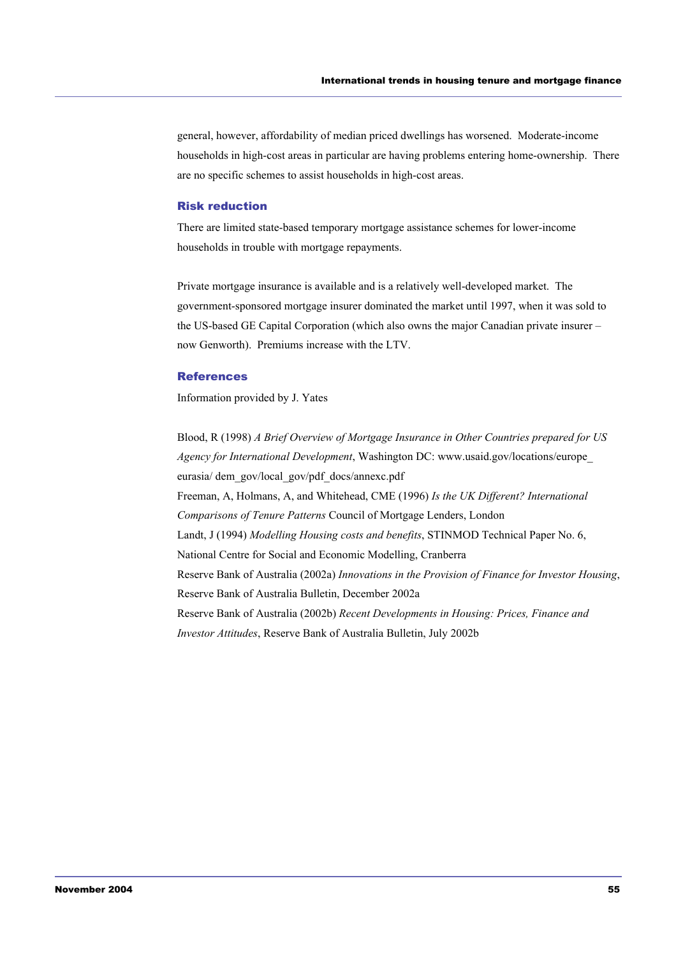general, however, affordability of median priced dwellings has worsened. Moderate-income households in high-cost areas in particular are having problems entering home-ownership. There are no specific schemes to assist households in high-cost areas.

#### Risk reduction

There are limited state-based temporary mortgage assistance schemes for lower-income households in trouble with mortgage repayments.

Private mortgage insurance is available and is a relatively well-developed market. The government-sponsored mortgage insurer dominated the market until 1997, when it was sold to the US-based GE Capital Corporation (which also owns the major Canadian private insurer  $$ now Genworth). Premiums increase with the LTV.

#### **References**

Information provided by J. Yates

Blood, R (1998) *A Brief Overview of Mortgage Insurance in Other Countries prepared for US Agency for International Development*, Washington DC: www.usaid.gov/locations/europe\_ eurasia/ dem\_gov/local\_gov/pdf\_docs/annexc.pdf Freeman, A, Holmans, A, and Whitehead, CME (1996) *Is the UK Different? International Comparisons of Tenure Patterns* Council of Mortgage Lenders, London Landt, J (1994) *Modelling Housing costs and benefits*, STINMOD Technical Paper No. 6, National Centre for Social and Economic Modelling, Cranberra Reserve Bank of Australia (2002a) *Innovations in the Provision of Finance for Investor Housing*, Reserve Bank of Australia Bulletin, December 2002a Reserve Bank of Australia (2002b) *Recent Developments in Housing: Prices, Finance and Investor Attitudes*, Reserve Bank of Australia Bulletin, July 2002b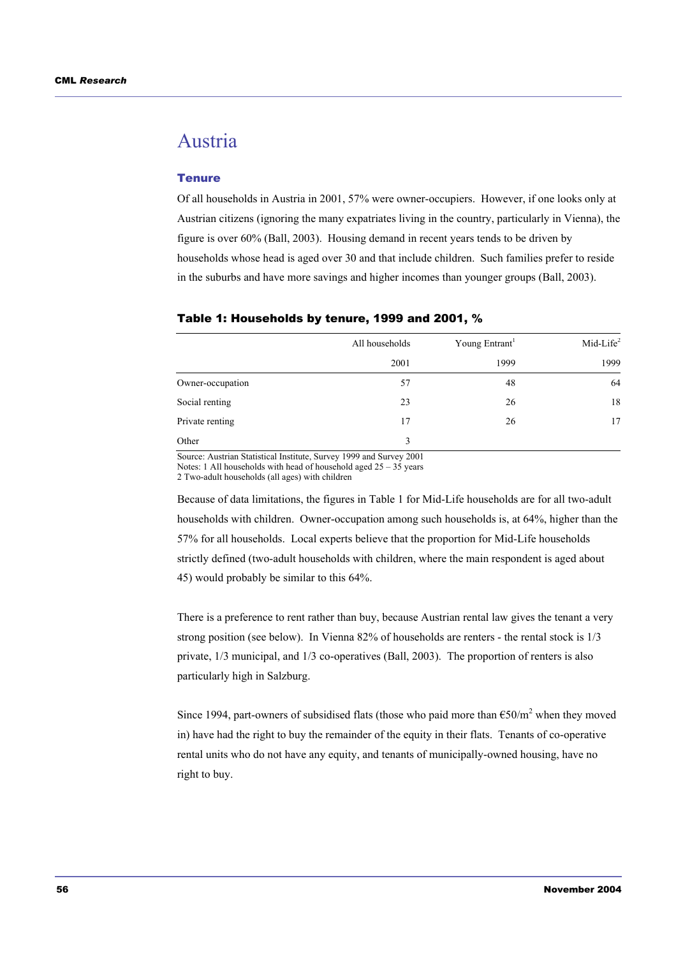### Austria

#### **Tenure**

Of all households in Austria in 2001, 57% were owner-occupiers. However, if one looks only at Austrian citizens (ignoring the many expatriates living in the country, particularly in Vienna), the figure is over 60% (Ball, 2003). Housing demand in recent years tends to be driven by households whose head is aged over 30 and that include children. Such families prefer to reside in the suburbs and have more savings and higher incomes than younger groups (Ball, 2003).

|                  | All households | Young Entrant | Mid-Life <sup>2</sup> |
|------------------|----------------|---------------|-----------------------|
|                  | 2001           | 1999          | 1999                  |
| Owner-occupation | 57             | 48            | 64                    |
| Social renting   | 23             | 26            | 18                    |
| Private renting  | 17             | 26            | 17                    |
| Other            | 3              |               |                       |

#### Table 1: Households by tenure, 1999 and 2001, %

Source: Austrian Statistical Institute, Survey 1999 and Survey 2001 Notes: 1 All households with head of household aged  $25 - 35$  years

2 Two-adult households (all ages) with children

Because of data limitations, the figures in Table 1 for Mid-Life households are for all two-adult households with children. Owner-occupation among such households is, at 64%, higher than the 57% for all households. Local experts believe that the proportion for Mid-Life households strictly defined (two-adult households with children, where the main respondent is aged about 45) would probably be similar to this 64%.

There is a preference to rent rather than buy, because Austrian rental law gives the tenant a very strong position (see below). In Vienna 82% of households are renters - the rental stock is 1/3 private, 1/3 municipal, and 1/3 co-operatives (Ball, 2003). The proportion of renters is also particularly high in Salzburg.

Since 1994, part-owners of subsidised flats (those who paid more than  $\epsilon$ 50/m<sup>2</sup> when they moved in) have had the right to buy the remainder of the equity in their flats. Tenants of co-operative rental units who do not have any equity, and tenants of municipally-owned housing, have no right to buy.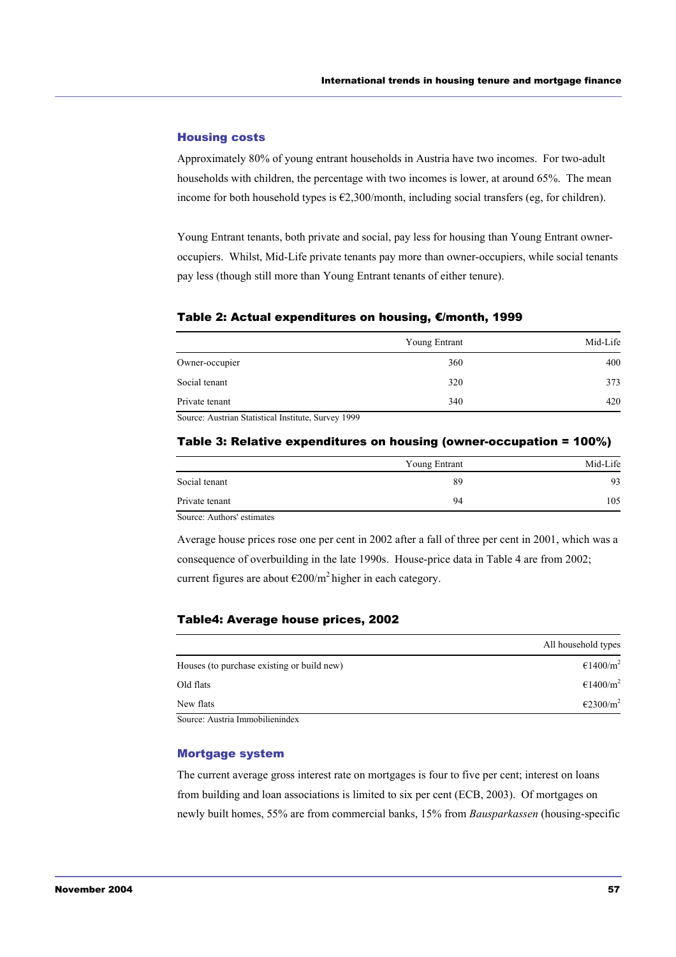#### Housing costs

Approximately 80% of young entrant households in Austria have two incomes. For two-adult households with children, the percentage with two incomes is lower, at around 65%. The mean income for both household types is  $\epsilon$ 2,300/month, including social transfers (eg, for children).

Young Entrant tenants, both private and social, pay less for housing than Young Entrant owneroccupiers. Whilst, Mid-Life private tenants pay more than owner-occupiers, while social tenants pay less (though still more than Young Entrant tenants of either tenure).

#### Table 2: Actual expenditures on housing, €/month, 1999

|                | Young Entrant | Mid-Life |
|----------------|---------------|----------|
| Owner-occupier | 360           | 400      |
| Social tenant  | 320           | 373      |
| Private tenant | 340           | 420      |
|                | .             |          |

Source: Austrian Statistical Institute, Survey 1999

|                | Young Entrant | Mid-Life |
|----------------|---------------|----------|
| Social tenant  | 89            | 93       |
| Private tenant | 94            | 105      |

### Table 3: Relative expenditures on housing (owner-occupation = 100%)

Source: Authors' estimates

Average house prices rose one per cent in 2002 after a fall of three per cent in 2001, which was a consequence of overbuilding in the late 1990s. House-price data in Table 4 are from 2002; current figures are about  $\epsilon$ 200/m<sup>2</sup> higher in each category.

#### Table4: Average house prices, 2002

|                                            | All household types            |
|--------------------------------------------|--------------------------------|
| Houses (to purchase existing or build new) | $\epsilon$ 1400/m <sup>2</sup> |
| Old flats                                  | $\epsilon$ 1400/m <sup>2</sup> |
| New flats                                  | $\epsilon$ 2300/m <sup>2</sup> |
| Course Austria Immabilianindor             |                                |

Source: Austria Immobilienindex

#### Mortgage system

The current average gross interest rate on mortgages is four to five per cent; interest on loans from building and loan associations is limited to six per cent (ECB, 2003). Of mortgages on newly built homes, 55% are from commercial banks, 15% from *Bausparkassen* (housing-specific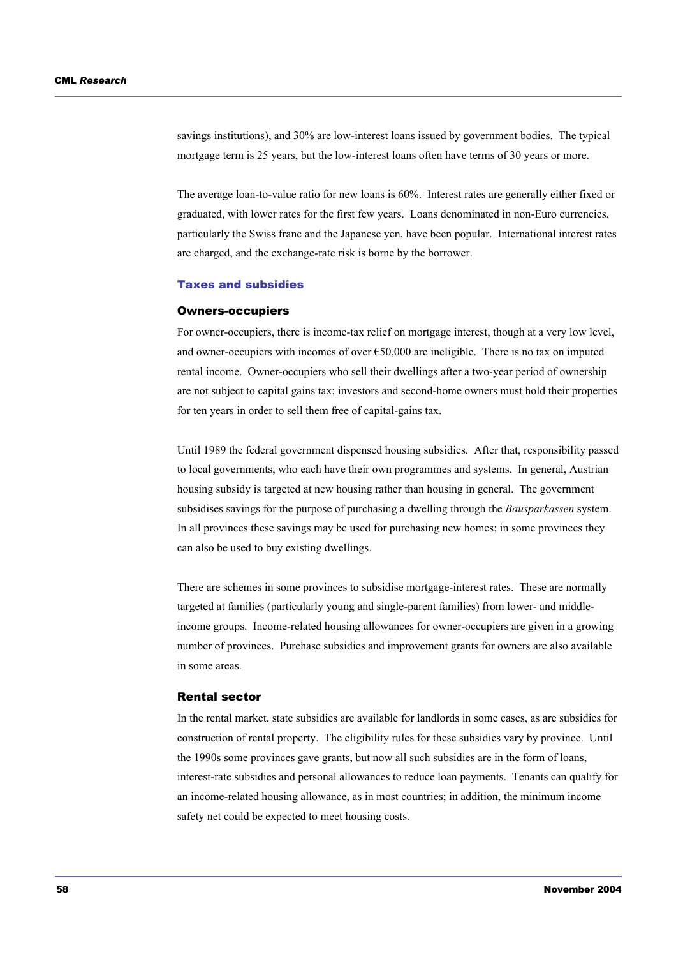savings institutions), and 30% are low-interest loans issued by government bodies. The typical mortgage term is 25 years, but the low-interest loans often have terms of 30 years or more.

The average loan-to-value ratio for new loans is 60%. Interest rates are generally either fixed or graduated, with lower rates for the first few years. Loans denominated in non-Euro currencies, particularly the Swiss franc and the Japanese yen, have been popular. International interest rates are charged, and the exchange-rate risk is borne by the borrower.

#### Taxes and subsidies

#### Owners-occupiers

For owner-occupiers, there is income-tax relief on mortgage interest, though at a very low level, and owner-occupiers with incomes of over  $\epsilon$ 50,000 are ineligible. There is no tax on imputed rental income. Owner-occupiers who sell their dwellings after a two-year period of ownership are not subject to capital gains tax; investors and second-home owners must hold their properties for ten years in order to sell them free of capital-gains tax.

Until 1989 the federal government dispensed housing subsidies. After that, responsibility passed to local governments, who each have their own programmes and systems. In general, Austrian housing subsidy is targeted at new housing rather than housing in general. The government subsidises savings for the purpose of purchasing a dwelling through the *Bausparkassen* system. In all provinces these savings may be used for purchasing new homes; in some provinces they can also be used to buy existing dwellings.

There are schemes in some provinces to subsidise mortgage-interest rates. These are normally targeted at families (particularly young and single-parent families) from lower- and middleincome groups. Income-related housing allowances for owner-occupiers are given in a growing number of provinces. Purchase subsidies and improvement grants for owners are also available in some areas.

#### Rental sector

In the rental market, state subsidies are available for landlords in some cases, as are subsidies for construction of rental property. The eligibility rules for these subsidies vary by province. Until the 1990s some provinces gave grants, but now all such subsidies are in the form of loans, interest-rate subsidies and personal allowances to reduce loan payments. Tenants can qualify for an income-related housing allowance, as in most countries; in addition, the minimum income safety net could be expected to meet housing costs.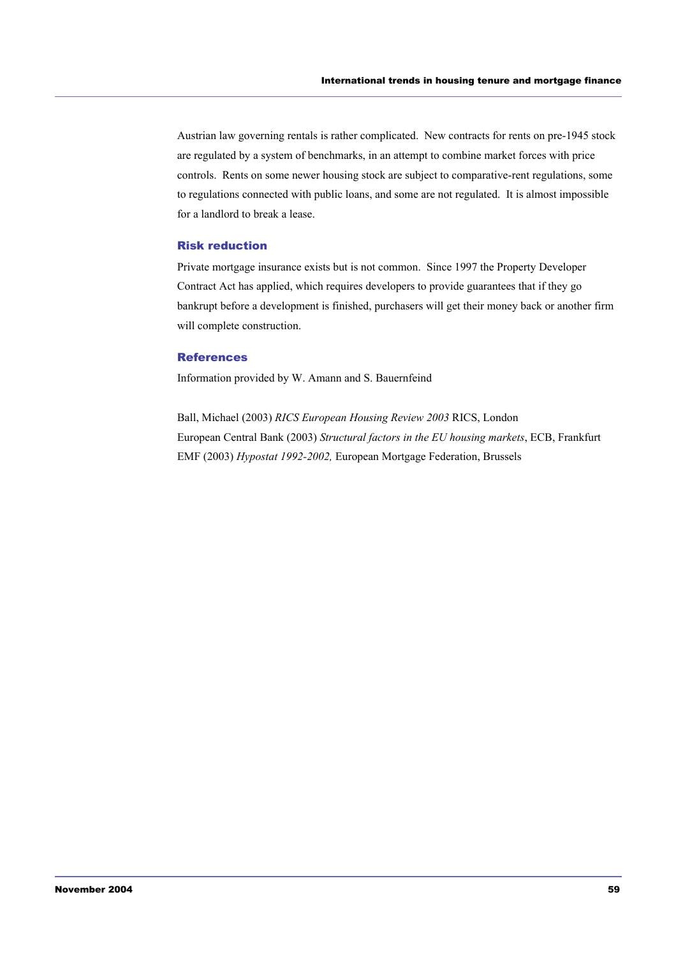Austrian law governing rentals is rather complicated. New contracts for rents on pre-1945 stock are regulated by a system of benchmarks, in an attempt to combine market forces with price controls. Rents on some newer housing stock are subject to comparative-rent regulations, some to regulations connected with public loans, and some are not regulated. It is almost impossible for a landlord to break a lease.

#### Risk reduction

Private mortgage insurance exists but is not common. Since 1997 the Property Developer Contract Act has applied, which requires developers to provide guarantees that if they go bankrupt before a development is finished, purchasers will get their money back or another firm will complete construction.

#### References

Information provided by W. Amann and S. Bauernfeind

Ball, Michael (2003) *RICS European Housing Review 2003* RICS, London European Central Bank (2003) *Structural factors in the EU housing markets*, ECB, Frankfurt EMF (2003) *Hypostat 1992-2002,* European Mortgage Federation, Brussels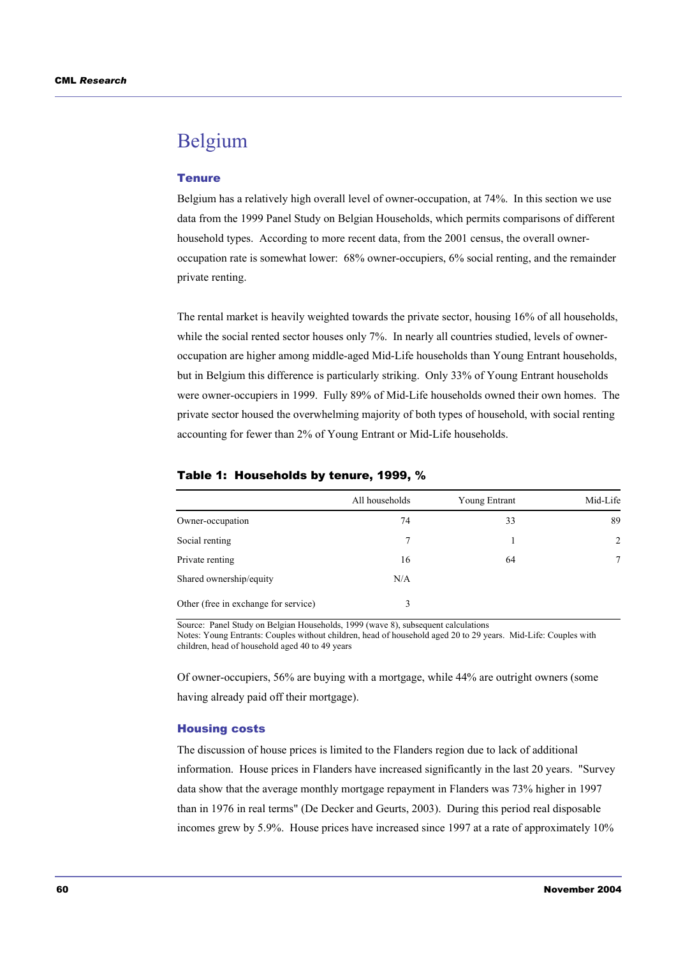## Belgium

#### **Tenure**

Belgium has a relatively high overall level of owner-occupation, at 74%. In this section we use data from the 1999 Panel Study on Belgian Households, which permits comparisons of different household types. According to more recent data, from the 2001 census, the overall owneroccupation rate is somewhat lower: 68% owner-occupiers, 6% social renting, and the remainder private renting.

The rental market is heavily weighted towards the private sector, housing 16% of all households, while the social rented sector houses only 7%. In nearly all countries studied, levels of owneroccupation are higher among middle-aged Mid-Life households than Young Entrant households, but in Belgium this difference is particularly striking. Only 33% of Young Entrant households were owner-occupiers in 1999. Fully 89% of Mid-Life households owned their own homes. The private sector housed the overwhelming majority of both types of household, with social renting accounting for fewer than 2% of Young Entrant or Mid-Life households.

|                                      | All households | Young Entrant | Mid-Life       |
|--------------------------------------|----------------|---------------|----------------|
| Owner-occupation                     | 74             | 33            | 89             |
| Social renting                       |                |               | $\overline{c}$ |
| Private renting                      | 16             | 64            | 7              |
| Shared ownership/equity              | N/A            |               |                |
| Other (free in exchange for service) |                |               |                |

#### Table 1: Households by tenure, 1999, %

Source: Panel Study on Belgian Households, 1999 (wave 8), subsequent calculations Notes: Young Entrants: Couples without children, head of household aged 20 to 29 years. Mid-Life: Couples with children, head of household aged 40 to 49 years

Of owner-occupiers, 56% are buying with a mortgage, while 44% are outright owners (some having already paid off their mortgage).

#### Housing costs

The discussion of house prices is limited to the Flanders region due to lack of additional information. House prices in Flanders have increased significantly in the last 20 years. "Survey data show that the average monthly mortgage repayment in Flanders was 73% higher in 1997 than in 1976 in real terms" (De Decker and Geurts, 2003). During this period real disposable incomes grew by 5.9%. House prices have increased since 1997 at a rate of approximately 10%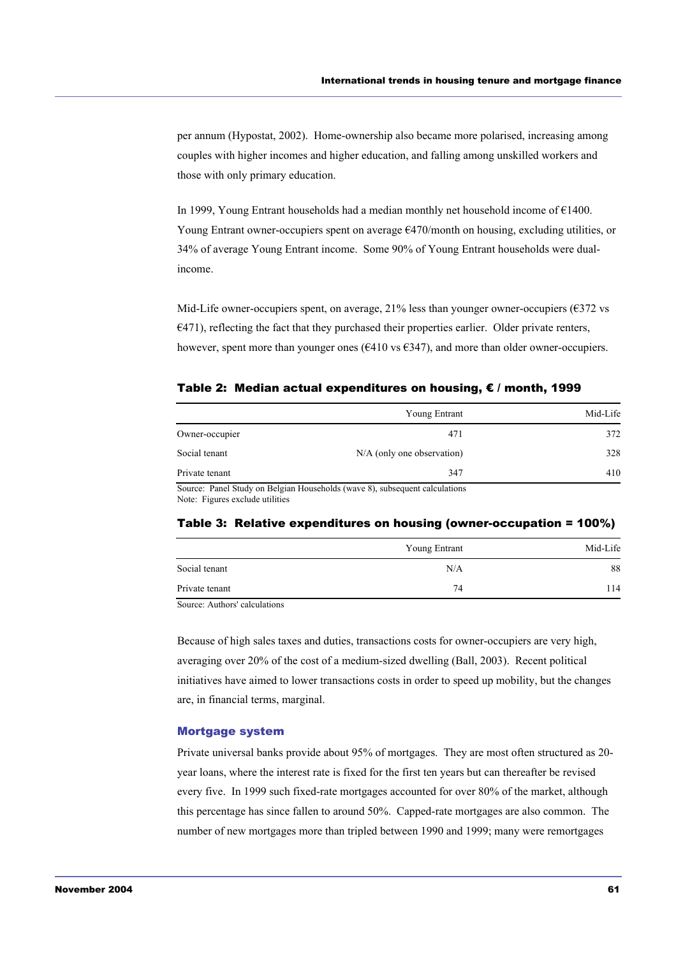per annum (Hypostat, 2002). Home-ownership also became more polarised, increasing among couples with higher incomes and higher education, and falling among unskilled workers and those with only primary education.

In 1999, Young Entrant households had a median monthly net household income of  $E$ 1400. Young Entrant owner-occupiers spent on average  $E$ 470/month on housing, excluding utilities, or 34% of average Young Entrant income. Some 90% of Young Entrant households were dualincome.

Mid-Life owner-occupiers spent, on average,  $21\%$  less than younger owner-occupiers ( $\epsilon$ 372 vs  $f(471)$ , reflecting the fact that they purchased their properties earlier. Older private renters, however, spent more than younger ones ( $\epsilon$ 410 vs  $\epsilon$ 347), and more than older owner-occupiers.

#### Table 2: Median actual expenditures on housing,  $\epsilon$  / month, 1999

|                | Young Entrant                                                               | Mid-Life |
|----------------|-----------------------------------------------------------------------------|----------|
| Owner-occupier | 471                                                                         | 372      |
| Social tenant  | $N/A$ (only one observation)                                                | 328      |
| Private tenant | 347                                                                         | 410      |
|                | Source: Panel Study on Belgian Households (wave 8), subsequent calculations |          |

Note: Figures exclude utilities

#### Table 3: Relative expenditures on housing (owner-occupation = 100%)

|                | Young Entrant | Mid-Life |
|----------------|---------------|----------|
| Social tenant  | N/A           | 88       |
| Private tenant | 74            | 114      |
|                |               |          |

Source: Authors' calculations

Because of high sales taxes and duties, transactions costs for owner-occupiers are very high, averaging over 20% of the cost of a medium-sized dwelling (Ball, 2003). Recent political initiatives have aimed to lower transactions costs in order to speed up mobility, but the changes are, in financial terms, marginal.

#### Mortgage system

Private universal banks provide about 95% of mortgages. They are most often structured as 20 year loans, where the interest rate is fixed for the first ten years but can thereafter be revised every five. In 1999 such fixed-rate mortgages accounted for over 80% of the market, although this percentage has since fallen to around 50%. Capped-rate mortgages are also common. The number of new mortgages more than tripled between 1990 and 1999; many were remortgages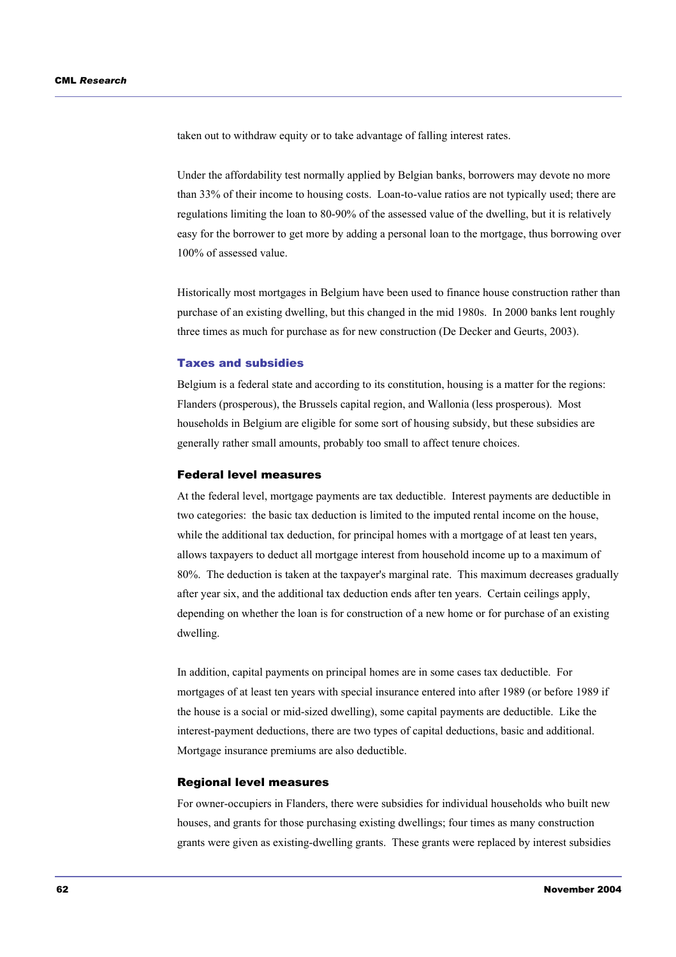taken out to withdraw equity or to take advantage of falling interest rates.

Under the affordability test normally applied by Belgian banks, borrowers may devote no more than 33% of their income to housing costs. Loan-to-value ratios are not typically used; there are regulations limiting the loan to 80-90% of the assessed value of the dwelling, but it is relatively easy for the borrower to get more by adding a personal loan to the mortgage, thus borrowing over 100% of assessed value.

Historically most mortgages in Belgium have been used to finance house construction rather than purchase of an existing dwelling, but this changed in the mid 1980s. In 2000 banks lent roughly three times as much for purchase as for new construction (De Decker and Geurts, 2003).

#### Taxes and subsidies

Belgium is a federal state and according to its constitution, housing is a matter for the regions: Flanders (prosperous), the Brussels capital region, and Wallonia (less prosperous). Most households in Belgium are eligible for some sort of housing subsidy, but these subsidies are generally rather small amounts, probably too small to affect tenure choices.

#### Federal level measures

At the federal level, mortgage payments are tax deductible. Interest payments are deductible in two categories: the basic tax deduction is limited to the imputed rental income on the house, while the additional tax deduction, for principal homes with a mortgage of at least ten years, allows taxpayers to deduct all mortgage interest from household income up to a maximum of 80%. The deduction is taken at the taxpayer's marginal rate. This maximum decreases gradually after year six, and the additional tax deduction ends after ten years. Certain ceilings apply, depending on whether the loan is for construction of a new home or for purchase of an existing dwelling.

In addition, capital payments on principal homes are in some cases tax deductible. For mortgages of at least ten years with special insurance entered into after 1989 (or before 1989 if the house is a social or mid-sized dwelling), some capital payments are deductible. Like the interest-payment deductions, there are two types of capital deductions, basic and additional. Mortgage insurance premiums are also deductible.

#### Regional level measures

For owner-occupiers in Flanders, there were subsidies for individual households who built new houses, and grants for those purchasing existing dwellings; four times as many construction grants were given as existing-dwelling grants. These grants were replaced by interest subsidies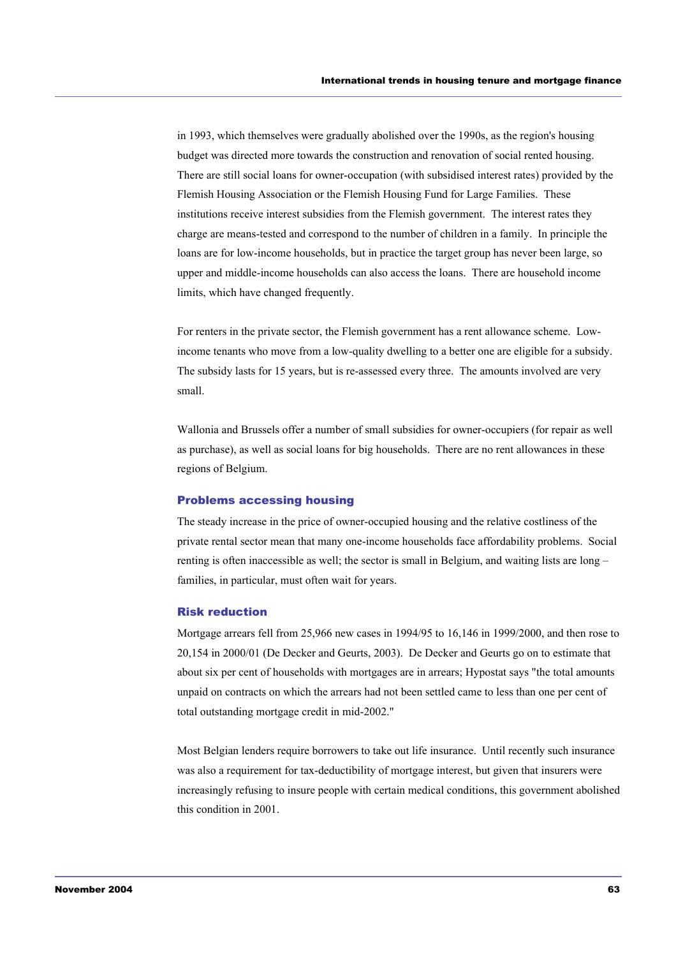in 1993, which themselves were gradually abolished over the 1990s, as the region's housing budget was directed more towards the construction and renovation of social rented housing. There are still social loans for owner-occupation (with subsidised interest rates) provided by the Flemish Housing Association or the Flemish Housing Fund for Large Families. These institutions receive interest subsidies from the Flemish government. The interest rates they charge are means-tested and correspond to the number of children in a family. In principle the loans are for low-income households, but in practice the target group has never been large, so upper and middle-income households can also access the loans. There are household income limits, which have changed frequently.

For renters in the private sector, the Flemish government has a rent allowance scheme. Lowincome tenants who move from a low-quality dwelling to a better one are eligible for a subsidy. The subsidy lasts for 15 years, but is re-assessed every three. The amounts involved are very small.

Wallonia and Brussels offer a number of small subsidies for owner-occupiers (for repair as well as purchase), as well as social loans for big households. There are no rent allowances in these regions of Belgium.

#### Problems accessing housing

The steady increase in the price of owner-occupied housing and the relative costliness of the private rental sector mean that many one-income households face affordability problems. Social renting is often inaccessible as well; the sector is small in Belgium, and waiting lists are  $\log$ families, in particular, must often wait for years.

#### Risk reduction

Mortgage arrears fell from 25,966 new cases in 1994/95 to 16,146 in 1999/2000, and then rose to 20,154 in 2000/01 (De Decker and Geurts, 2003). De Decker and Geurts go on to estimate that about six per cent of households with mortgages are in arrears; Hypostat says "the total amounts unpaid on contracts on which the arrears had not been settled came to less than one per cent of total outstanding mortgage credit in mid-2002."

Most Belgian lenders require borrowers to take out life insurance. Until recently such insurance was also a requirement for tax-deductibility of mortgage interest, but given that insurers were increasingly refusing to insure people with certain medical conditions, this government abolished this condition in 2001.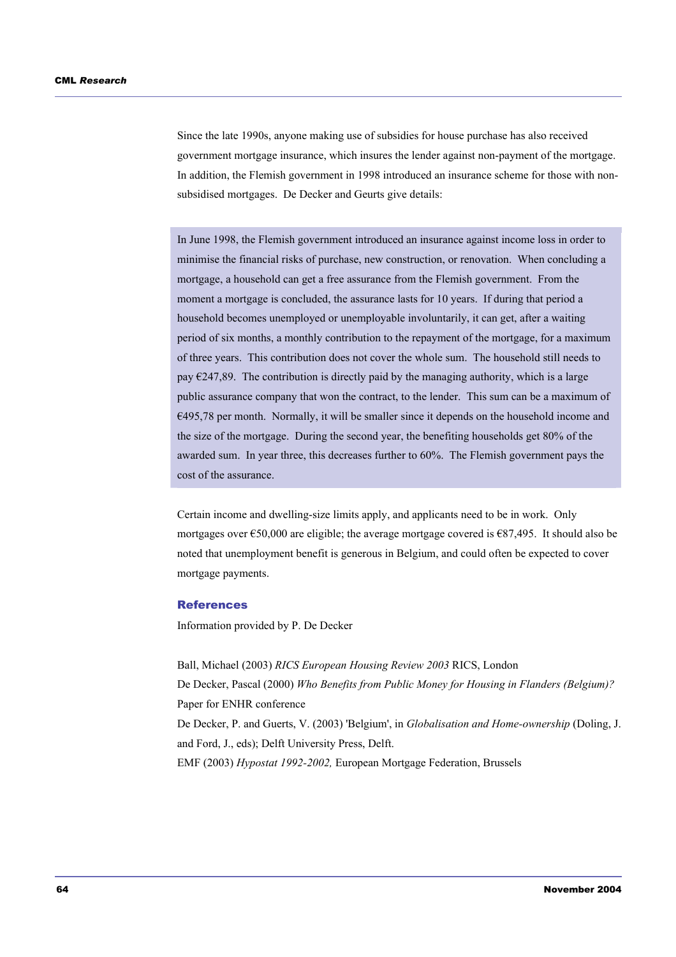Since the late 1990s, anyone making use of subsidies for house purchase has also received government mortgage insurance, which insures the lender against non-payment of the mortgage. In addition, the Flemish government in 1998 introduced an insurance scheme for those with nonsubsidised mortgages. De Decker and Geurts give details:

In June 1998, the Flemish government introduced an insurance against income loss in order to minimise the financial risks of purchase, new construction, or renovation. When concluding a mortgage, a household can get a free assurance from the Flemish government. From the moment a mortgage is concluded, the assurance lasts for 10 years. If during that period a household becomes unemployed or unemployable involuntarily, it can get, after a waiting period of six months, a monthly contribution to the repayment of the mortgage, for a maximum of three years. This contribution does not cover the whole sum. The household still needs to pay  $E247,89$ . The contribution is directly paid by the managing authority, which is a large public assurance company that won the contract, to the lender. This sum can be a maximum of  $E$ 495,78 per month. Normally, it will be smaller since it depends on the household income and the size of the mortgage. During the second year, the benefiting households get 80% of the awarded sum. In year three, this decreases further to 60%. The Flemish government pays the cost of the assurance.

Certain income and dwelling-size limits apply, and applicants need to be in work. Only mortgages over  $\epsilon$ 50,000 are eligible; the average mortgage covered is  $\epsilon$ 87,495. It should also be noted that unemployment benefit is generous in Belgium, and could often be expected to cover mortgage payments.

#### References

Information provided by P. De Decker

Ball, Michael (2003) *RICS European Housing Review 2003* RICS, London De Decker, Pascal (2000) *Who Benefits from Public Money for Housing in Flanders (Belgium)?* Paper for ENHR conference De Decker, P. and Guerts, V. (2003) 'Belgium', in *Globalisation and Home-ownership* (Doling, J. and Ford, J., eds); Delft University Press, Delft. EMF (2003) *Hypostat 1992-2002,* European Mortgage Federation, Brussels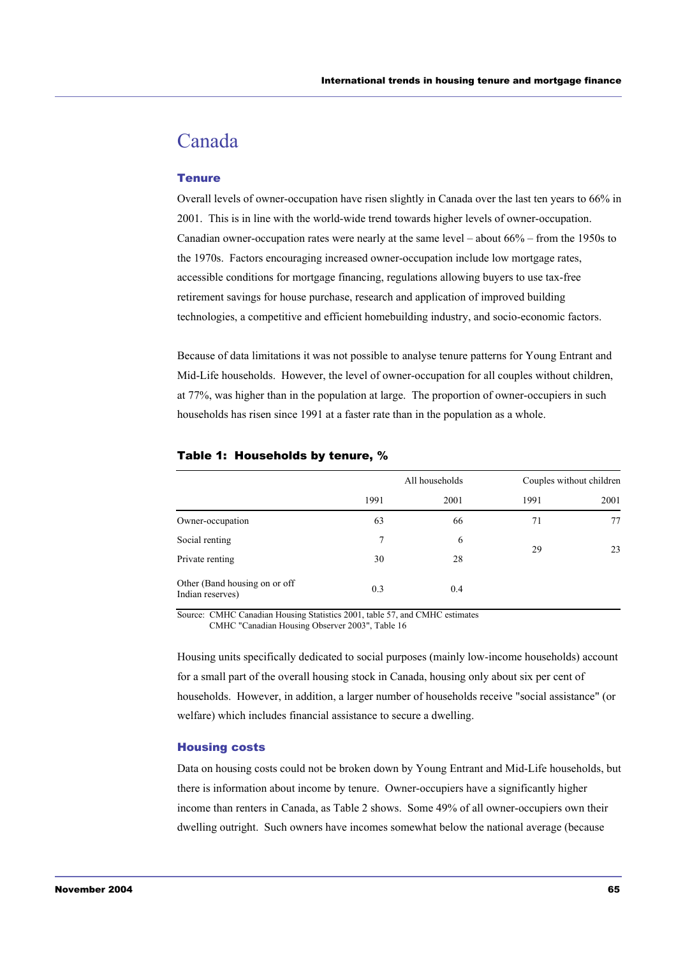## Canada

#### **Tenure**

Overall levels of owner-occupation have risen slightly in Canada over the last ten years to 66% in 2001. This is in line with the world-wide trend towards higher levels of owner-occupation. Canadian owner-occupation rates were nearly at the same level  $-$  about  $66\%$   $-$  from the 1950s to the 1970s. Factors encouraging increased owner-occupation include low mortgage rates, accessible conditions for mortgage financing, regulations allowing buyers to use tax-free retirement savings for house purchase, research and application of improved building technologies, a competitive and efficient homebuilding industry, and socio-economic factors.

Because of data limitations it was not possible to analyse tenure patterns for Young Entrant and Mid-Life households. However, the level of owner-occupation for all couples without children, at 77%, was higher than in the population at large. The proportion of owner-occupiers in such households has risen since 1991 at a faster rate than in the population as a whole.

|                                                   | All households |      | Couples without children |      |
|---------------------------------------------------|----------------|------|--------------------------|------|
|                                                   | 1991           | 2001 | 1991                     | 2001 |
| Owner-occupation                                  | 63             | 66   | 71                       | 77   |
| Social renting                                    | 7              | 6    | 29                       | 23   |
| Private renting                                   | 30             | 28   |                          |      |
| Other (Band housing on or off<br>Indian reserves) | 0.3            | 0.4  |                          |      |

#### Table 1: Households by tenure, %

Source: CMHC Canadian Housing Statistics 2001, table 57, and CMHC estimates CMHC "Canadian Housing Observer 2003", Table 16

Housing units specifically dedicated to social purposes (mainly low-income households) account for a small part of the overall housing stock in Canada, housing only about six per cent of households. However, in addition, a larger number of households receive "social assistance" (or welfare) which includes financial assistance to secure a dwelling.

#### Housing costs

Data on housing costs could not be broken down by Young Entrant and Mid-Life households, but there is information about income by tenure. Owner-occupiers have a significantly higher income than renters in Canada, as Table 2 shows. Some 49% of all owner-occupiers own their dwelling outright. Such owners have incomes somewhat below the national average (because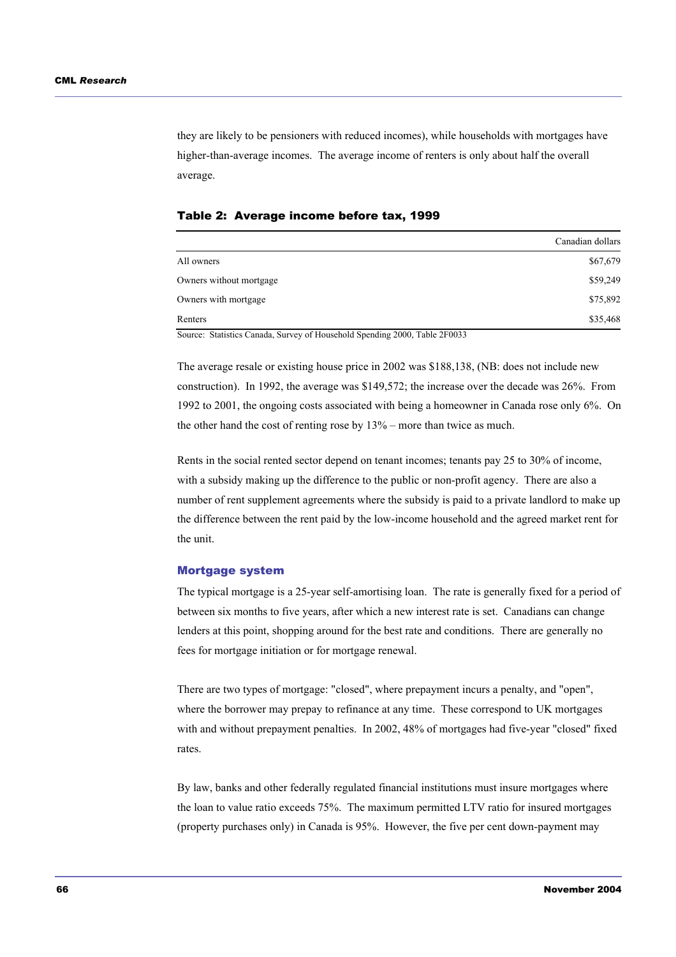they are likely to be pensioners with reduced incomes), while households with mortgages have higher-than-average incomes. The average income of renters is only about half the overall average.

|                         | Canadian dollars |
|-------------------------|------------------|
| All owners              | \$67,679         |
| Owners without mortgage | \$59,249         |
| Owners with mortgage    | \$75,892         |
| Renters                 | \$35,468         |

#### Table 2: Average income before tax, 1999

Source: Statistics Canada, Survey of Household Spending 2000, Table 2F0033

The average resale or existing house price in 2002 was \$188,138, (NB: does not include new construction). In 1992, the average was \$149,572; the increase over the decade was 26%. From 1992 to 2001, the ongoing costs associated with being a homeowner in Canada rose only 6%. On the other hand the cost of renting rose by  $13\%$  – more than twice as much.

Rents in the social rented sector depend on tenant incomes; tenants pay 25 to 30% of income, with a subsidy making up the difference to the public or non-profit agency. There are also a number of rent supplement agreements where the subsidy is paid to a private landlord to make up the difference between the rent paid by the low-income household and the agreed market rent for the unit.

#### Mortgage system

The typical mortgage is a 25-year self-amortising loan. The rate is generally fixed for a period of between six months to five years, after which a new interest rate is set. Canadians can change lenders at this point, shopping around for the best rate and conditions. There are generally no fees for mortgage initiation or for mortgage renewal.

There are two types of mortgage: "closed", where prepayment incurs a penalty, and "open", where the borrower may prepay to refinance at any time. These correspond to UK mortgages with and without prepayment penalties. In 2002, 48% of mortgages had five-year "closed" fixed rates.

By law, banks and other federally regulated financial institutions must insure mortgages where the loan to value ratio exceeds 75%. The maximum permitted LTV ratio for insured mortgages (property purchases only) in Canada is 95%. However, the five per cent down-payment may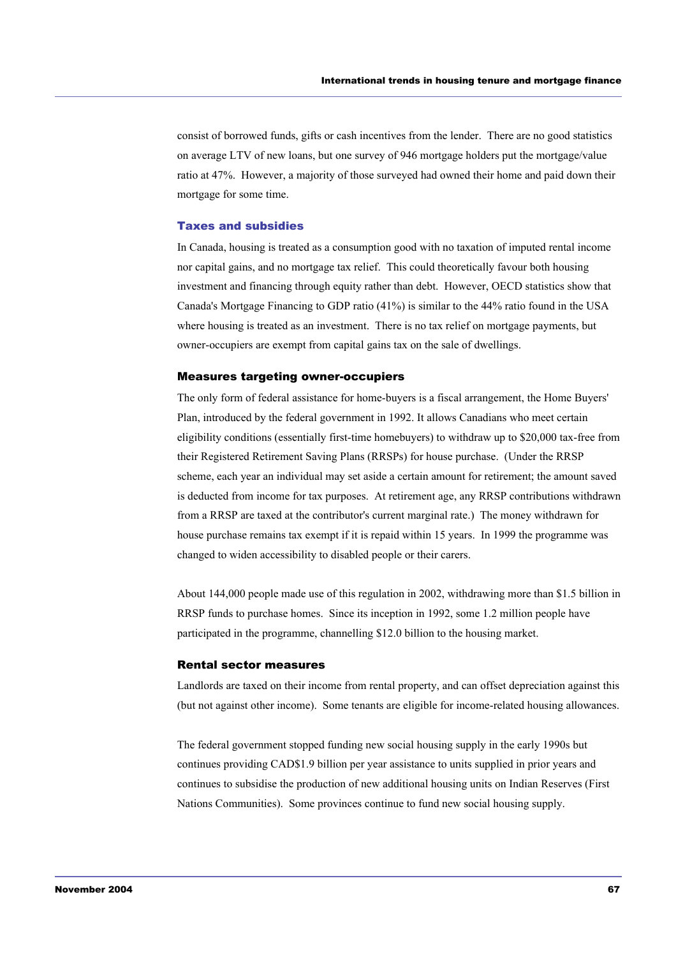consist of borrowed funds, gifts or cash incentives from the lender. There are no good statistics on average LTV of new loans, but one survey of 946 mortgage holders put the mortgage/value ratio at 47%. However, a majority of those surveyed had owned their home and paid down their mortgage for some time.

#### Taxes and subsidies

In Canada, housing is treated as a consumption good with no taxation of imputed rental income nor capital gains, and no mortgage tax relief. This could theoretically favour both housing investment and financing through equity rather than debt. However, OECD statistics show that Canada's Mortgage Financing to GDP ratio (41%) is similar to the 44% ratio found in the USA where housing is treated as an investment. There is no tax relief on mortgage payments, but owner-occupiers are exempt from capital gains tax on the sale of dwellings.

#### Measures targeting owner-occupiers

The only form of federal assistance for home-buyers is a fiscal arrangement, the Home Buyers' Plan, introduced by the federal government in 1992. It allows Canadians who meet certain eligibility conditions (essentially first-time homebuyers) to withdraw up to \$20,000 tax-free from their Registered Retirement Saving Plans (RRSPs) for house purchase. (Under the RRSP scheme, each year an individual may set aside a certain amount for retirement; the amount saved is deducted from income for tax purposes. At retirement age, any RRSP contributions withdrawn from a RRSP are taxed at the contributor's current marginal rate.) The money withdrawn for house purchase remains tax exempt if it is repaid within 15 years. In 1999 the programme was changed to widen accessibility to disabled people or their carers.

About 144,000 people made use of this regulation in 2002, withdrawing more than \$1.5 billion in RRSP funds to purchase homes. Since its inception in 1992, some 1.2 million people have participated in the programme, channelling \$12.0 billion to the housing market.

#### Rental sector measures

Landlords are taxed on their income from rental property, and can offset depreciation against this (but not against other income). Some tenants are eligible for income-related housing allowances.

The federal government stopped funding new social housing supply in the early 1990s but continues providing CAD\$1.9 billion per year assistance to units supplied in prior years and continues to subsidise the production of new additional housing units on Indian Reserves (First Nations Communities). Some provinces continue to fund new social housing supply.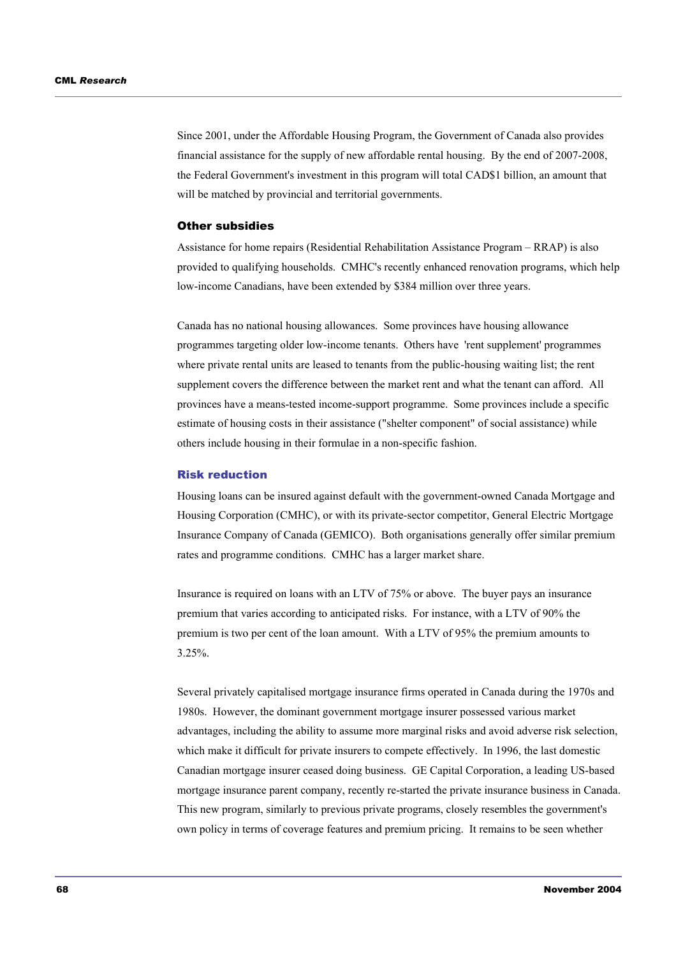Since 2001, under the Affordable Housing Program, the Government of Canada also provides financial assistance for the supply of new affordable rental housing. By the end of 2007-2008, the Federal Government's investment in this program will total CAD\$1 billion, an amount that will be matched by provincial and territorial governments.

#### Other subsidies

Assistance for home repairs (Residential Rehabilitation Assistance Program – RRAP) is also provided to qualifying households. CMHC's recently enhanced renovation programs, which help low-income Canadians, have been extended by \$384 million over three years.

Canada has no national housing allowances. Some provinces have housing allowance programmes targeting older low-income tenants. Others have 'rent supplement' programmes where private rental units are leased to tenants from the public-housing waiting list; the rent supplement covers the difference between the market rent and what the tenant can afford. All provinces have a means-tested income-support programme. Some provinces include a specific estimate of housing costs in their assistance ("shelter component" of social assistance) while others include housing in their formulae in a non-specific fashion.

#### Risk reduction

Housing loans can be insured against default with the government-owned Canada Mortgage and Housing Corporation (CMHC), or with its private-sector competitor, General Electric Mortgage Insurance Company of Canada (GEMICO). Both organisations generally offer similar premium rates and programme conditions. CMHC has a larger market share.

Insurance is required on loans with an LTV of 75% or above. The buyer pays an insurance premium that varies according to anticipated risks. For instance, with a LTV of 90% the premium is two per cent of the loan amount. With a LTV of 95% the premium amounts to 3.25%.

Several privately capitalised mortgage insurance firms operated in Canada during the 1970s and 1980s. However, the dominant government mortgage insurer possessed various market advantages, including the ability to assume more marginal risks and avoid adverse risk selection, which make it difficult for private insurers to compete effectively. In 1996, the last domestic Canadian mortgage insurer ceased doing business. GE Capital Corporation, a leading US-based mortgage insurance parent company, recently re-started the private insurance business in Canada. This new program, similarly to previous private programs, closely resembles the government's own policy in terms of coverage features and premium pricing. It remains to be seen whether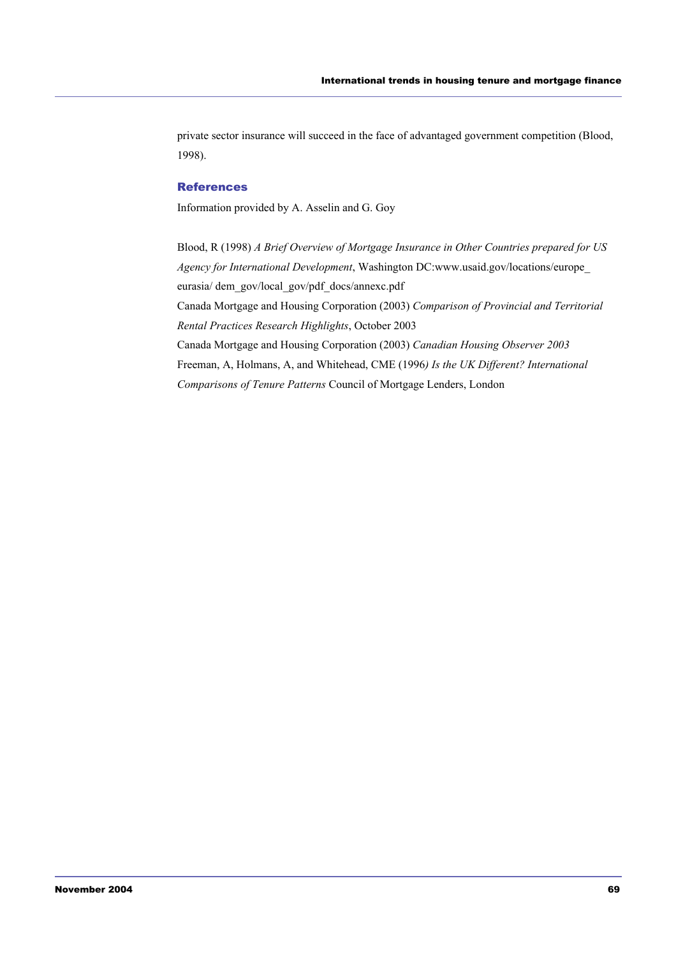private sector insurance will succeed in the face of advantaged government competition (Blood, 1998).

#### References

Information provided by A. Asselin and G. Goy

Blood, R (1998) *A Brief Overview of Mortgage Insurance in Other Countries prepared for US Agency for International Development*, Washington DC:www.usaid.gov/locations/europe\_ eurasia/ dem\_gov/local\_gov/pdf\_docs/annexc.pdf Canada Mortgage and Housing Corporation (2003) *Comparison of Provincial and Territorial Rental Practices Research Highlights*, October 2003 Canada Mortgage and Housing Corporation (2003) *Canadian Housing Observer 2003* Freeman, A, Holmans, A, and Whitehead, CME (1996*) Is the UK Different? International Comparisons of Tenure Patterns* Council of Mortgage Lenders, London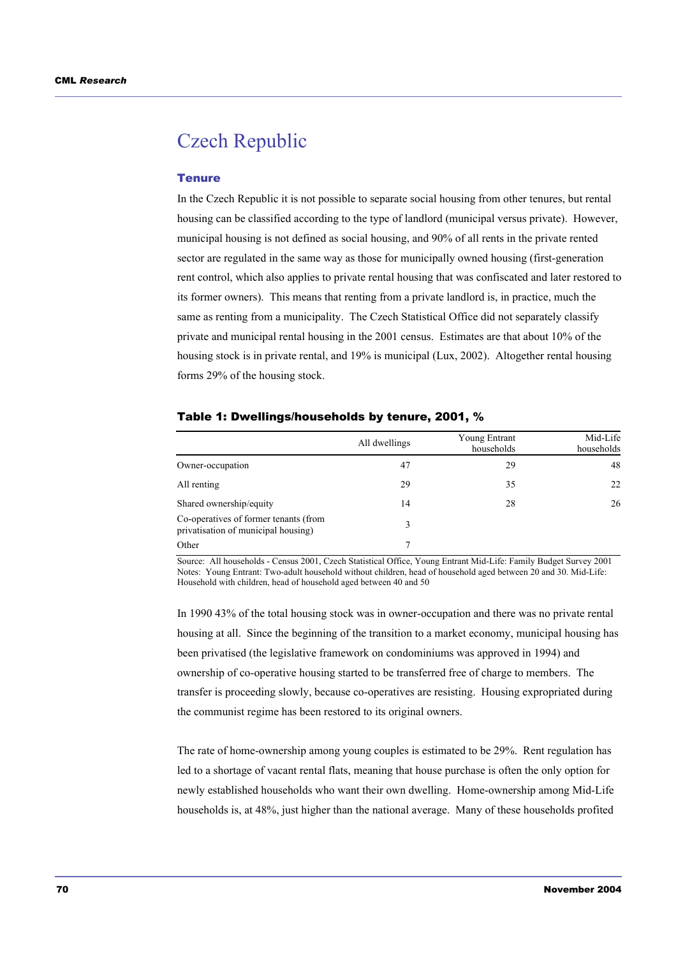# Czech Republic

#### **Tenure**

In the Czech Republic it is not possible to separate social housing from other tenures, but rental housing can be classified according to the type of landlord (municipal versus private). However, municipal housing is not defined as social housing, and 90% of all rents in the private rented sector are regulated in the same way as those for municipally owned housing (first-generation rent control, which also applies to private rental housing that was confiscated and later restored to its former owners). This means that renting from a private landlord is, in practice, much the same as renting from a municipality. The Czech Statistical Office did not separately classify private and municipal rental housing in the 2001 census. Estimates are that about 10% of the housing stock is in private rental, and 19% is municipal (Lux, 2002). Altogether rental housing forms 29% of the housing stock.

#### Table 1: Dwellings/households by tenure, 2001, %

|                                                                              | All dwellings | Young Entrant<br>households | Mid-Life<br>households |
|------------------------------------------------------------------------------|---------------|-----------------------------|------------------------|
| Owner-occupation                                                             | 47            | 29                          | 48                     |
| All renting                                                                  | 29            | 35                          | 22                     |
| Shared ownership/equity                                                      | 14            | 28                          | 26                     |
| Co-operatives of former tenants (from<br>privatisation of municipal housing) |               |                             |                        |
| Other                                                                        |               |                             |                        |

Source: All households - Census 2001, Czech Statistical Office, Young Entrant Mid-Life: Family Budget Survey 2001 Notes: Young Entrant: Two-adult household without children, head of household aged between 20 and 30. Mid-Life: Household with children, head of household aged between 40 and 50

In 1990 43% of the total housing stock was in owner-occupation and there was no private rental housing at all. Since the beginning of the transition to a market economy, municipal housing has been privatised (the legislative framework on condominiums was approved in 1994) and ownership of co-operative housing started to be transferred free of charge to members. The transfer is proceeding slowly, because co-operatives are resisting. Housing expropriated during the communist regime has been restored to its original owners.

The rate of home-ownership among young couples is estimated to be 29%. Rent regulation has led to a shortage of vacant rental flats, meaning that house purchase is often the only option for newly established households who want their own dwelling. Home-ownership among Mid-Life households is, at 48%, just higher than the national average. Many of these households profited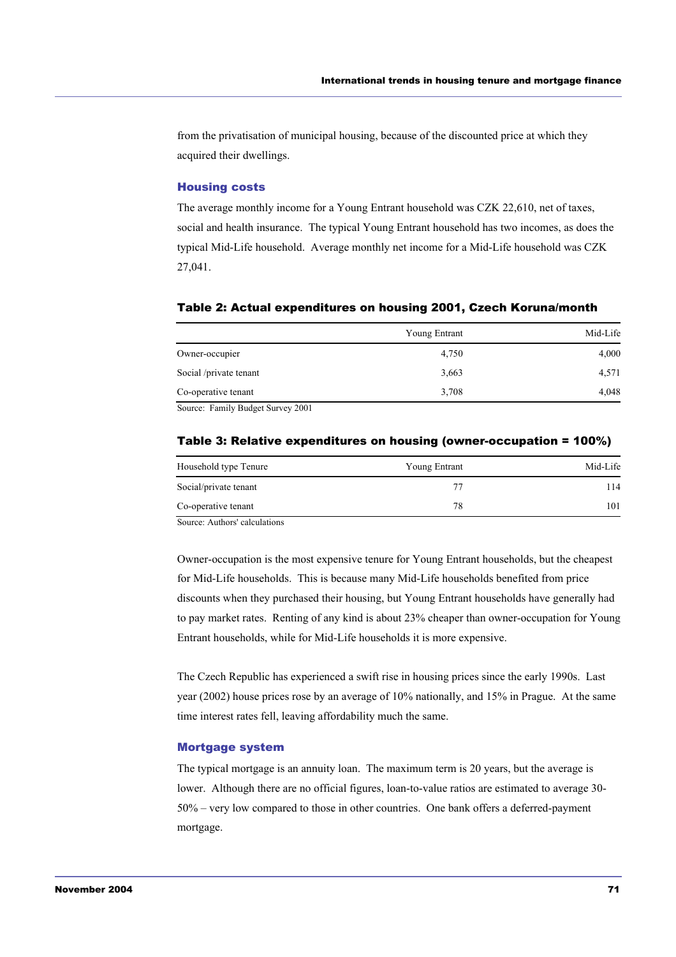from the privatisation of municipal housing, because of the discounted price at which they acquired their dwellings.

#### Housing costs

The average monthly income for a Young Entrant household was CZK 22,610, net of taxes, social and health insurance. The typical Young Entrant household has two incomes, as does the typical Mid-Life household. Average monthly net income for a Mid-Life household was CZK 27,041.

|                                   | Young Entrant | Mid-Life |
|-----------------------------------|---------------|----------|
| Owner-occupier                    | 4.750         | 4,000    |
| Social /private tenant            | 3,663         | 4,571    |
| Co-operative tenant               | 3,708         | 4,048    |
| Source: Fomily Dudget Survey 2001 |               |          |

## Table 2: Actual expenditures on housing 2001, Czech Koruna/month

Source: Family Budget Survey 2001

| Household type Tenure | Young Entrant | Mid-Life |
|-----------------------|---------------|----------|
| Social/private tenant |               | 114      |
| Co-operative tenant   | 78            | 101      |

## Table 3: Relative expenditures on housing (owner-occupation = 100%)

Source: Authors' calculations

Owner-occupation is the most expensive tenure for Young Entrant households, but the cheapest for Mid-Life households. This is because many Mid-Life households benefited from price discounts when they purchased their housing, but Young Entrant households have generally had to pay market rates. Renting of any kind is about 23% cheaper than owner-occupation for Young Entrant households, while for Mid-Life households it is more expensive.

The Czech Republic has experienced a swift rise in housing prices since the early 1990s. Last year (2002) house prices rose by an average of 10% nationally, and 15% in Prague.At the same time interest rates fell, leaving affordability much the same.

## Mortgage system

The typical mortgage is an annuity loan. The maximum term is 20 years, but the average is lower. Although there are no official figures, loan-to-value ratios are estimated to average 30-  $50\%$  – very low compared to those in other countries. One bank offers a deferred-payment mortgage.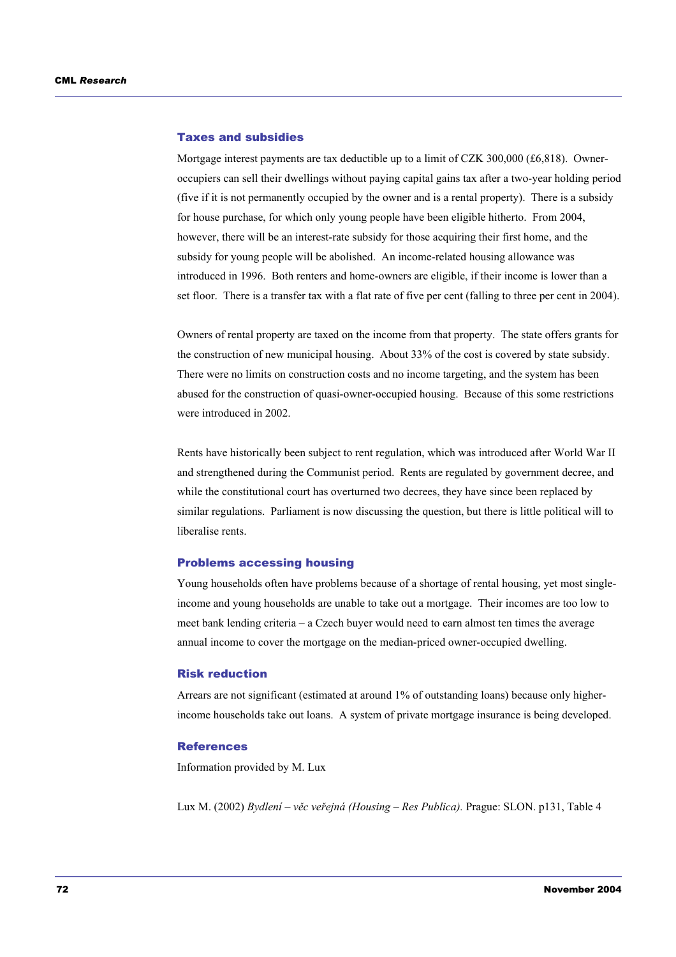#### Taxes and subsidies

Mortgage interest payments are tax deductible up to a limit of CZK 300,000 (£6,818). Owneroccupiers can sell their dwellings without paying capital gains tax after a two-year holding period (five if it is not permanently occupied by the owner and is a rental property). There is a subsidy for house purchase, for which only young people have been eligible hitherto. From 2004, however, there will be an interest-rate subsidy for those acquiring their first home, and the subsidy for young people will be abolished. An income-related housing allowance was introduced in 1996. Both renters and home-owners are eligible, if their income is lower than a set floor. There is a transfer tax with a flat rate of five per cent (falling to three per cent in 2004).

Owners of rental property are taxed on the income from that property. The state offers grants for the construction of new municipal housing. About 33% of the cost is covered by state subsidy. There were no limits on construction costs and no income targeting, and the system has been abused for the construction of quasi-owner-occupied housing. Because of this some restrictions were introduced in 2002.

Rents have historically been subject to rent regulation, which was introduced after World War II and strengthened during the Communist period. Rents are regulated by government decree, and while the constitutional court has overturned two decrees, they have since been replaced by similar regulations. Parliament is now discussing the question, but there is little political will to liberalise rents.

#### Problems accessing housing

Young households often have problems because of a shortage of rental housing, yet most singleincome and young households are unable to take out a mortgage. Their incomes are too low to meet bank lending criteria  $-$  a Czech buyer would need to earn almost ten times the average annual income to cover the mortgage on the median-priced owner-occupied dwelling.

#### Risk reduction

Arrears are not significant (estimated at around 1% of outstanding loans) because only higherincome households take out loans. A system of private mortgage insurance is being developed.

#### **References**

Information provided by M. Lux

Lux M. (2002) *Bydlení – věc veřejná (Housing – Res Publica).* Prague: SLON. p131, Table 4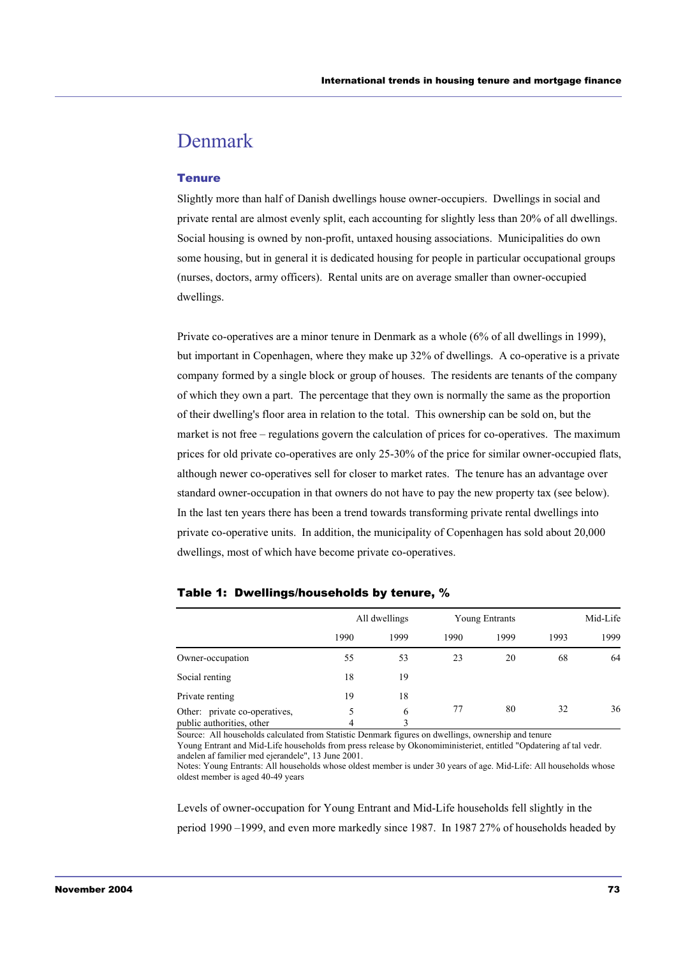# Denmark

#### **Tenure**

Slightly more than half of Danish dwellings house owner-occupiers. Dwellings in social and private rental are almost evenly split, each accounting for slightly less than 20% of all dwellings. Social housing is owned by non-profit, untaxed housing associations. Municipalities do own some housing, but in general it is dedicated housing for people in particular occupational groups (nurses, doctors, army officers). Rental units are on average smaller than owner-occupied dwellings.

Private co-operatives are a minor tenure in Denmark as a whole (6% of all dwellings in 1999), but important in Copenhagen, where they make up 32% of dwellings. A co-operative is a private company formed by a single block or group of houses. The residents are tenants of the company of which they own a part. The percentage that they own is normally the same as the proportion of their dwelling's floor area in relation to the total. This ownership can be sold on, but the market is not free – regulations govern the calculation of prices for co-operatives. The maximum prices for old private co-operatives are only 25-30% of the price for similar owner-occupied flats, although newer co-operatives sell for closer to market rates. The tenure has an advantage over standard owner-occupation in that owners do not have to pay the new property tax (see below). In the last ten years there has been a trend towards transforming private rental dwellings into private co-operative units. In addition, the municipality of Copenhagen has sold about 20,000 dwellings, most of which have become private co-operatives.

|                                  |      | All dwellings |      | <b>Young Entrants</b> |      | Mid-Life |
|----------------------------------|------|---------------|------|-----------------------|------|----------|
|                                  | 1990 | 1999          | 1990 | 1999                  | 1993 | 1999     |
| Owner-occupation                 | 55   | 53            | 23   | 20                    | 68   | 64       |
| Social renting                   | 18   | 19            |      |                       |      |          |
| Private renting                  | 19   | 18            |      |                       |      |          |
| Other:<br>private co-operatives, |      | 6             | 77   | 80                    | 32   | 36       |
| public authorities, other        | 4    | 3             |      |                       |      |          |

Table 1: Dwellings/households by tenure, %

Source: All households calculated from Statistic Denmark figures on dwellings, ownership and tenure Young Entrant and Mid-Life households from press release by Okonomiministeriet, entitled "Opdatering af tal vedr.

andelen af familier med ejerandele", 13 June 2001.

Notes: Young Entrants: All households whose oldest member is under 30 years of age. Mid-Life: All households whose oldest member is aged 40-49 years

Levels of owner-occupation for Young Entrant and Mid-Life households fell slightly in the period 1990 –1999, and even more markedly since 1987. In 1987 27% of households headed by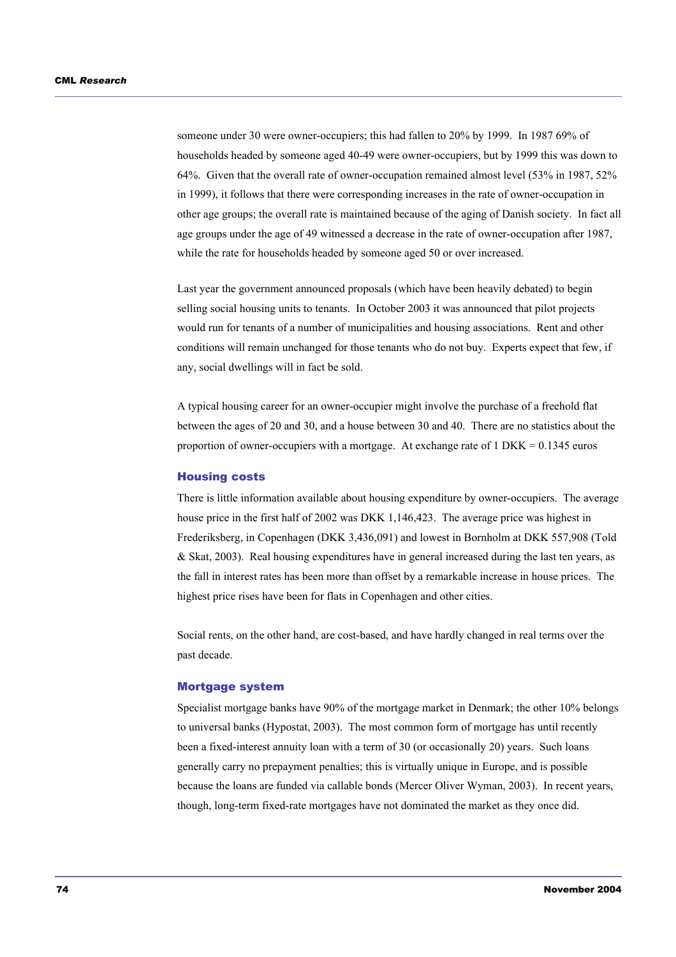someone under 30 were owner-occupiers; this had fallen to 20% by 1999. In 1987 69% of households headed by someone aged 40-49 were owner-occupiers, but by 1999 this was down to 64%. Given that the overall rate of owner-occupation remained almost level (53% in 1987, 52% in 1999), it follows that there were corresponding increases in the rate of owner-occupation in other age groups; the overall rate is maintained because of the aging of Danish society. In fact all age groups under the age of 49 witnessed a decrease in the rate of owner-occupation after 1987, while the rate for households headed by someone aged 50 or over increased.

Last year the government announced proposals (which have been heavily debated) to begin selling social housing units to tenants. In October 2003 it was announced that pilot projects would run for tenants of a number of municipalities and housing associations. Rent and other conditions will remain unchanged for those tenants who do not buy. Experts expect that few, if any, social dwellings will in fact be sold.

A typical housing career for an owner-occupier might involve the purchase of a freehold flat between the ages of 20 and 30, and a house between 30 and 40. There are no statistics about the proportion of owner-occupiers with a mortgage. At exchange rate of  $1\text{ DKK} = 0.1345\text{ euros}$ 

#### Housing costs

There is little information available about housing expenditure by owner-occupiers. The average house price in the first half of 2002 was DKK 1,146,423. The average price was highest in Frederiksberg, in Copenhagen (DKK 3,436,091) and lowest in Bornholm at DKK 557,908 (Told & Skat, 2003). Real housing expenditures have in general increased during the last ten years, as the fall in interest rates has been more than offset by a remarkable increase in house prices. The highest price rises have been for flats in Copenhagen and other cities.

Social rents, on the other hand, are cost-based, and have hardly changed in real terms over the past decade.

#### Mortgage system

Specialist mortgage banks have 90% of the mortgage market in Denmark; the other 10% belongs to universal banks (Hypostat, 2003). The most common form of mortgage has until recently been a fixed-interest annuity loan with a term of 30 (or occasionally 20) years. Such loans generally carry no prepayment penalties; this is virtually unique in Europe, and is possible because the loans are funded via callable bonds (Mercer Oliver Wyman, 2003). In recent years, though, long-term fixed-rate mortgages have not dominated the market as they once did.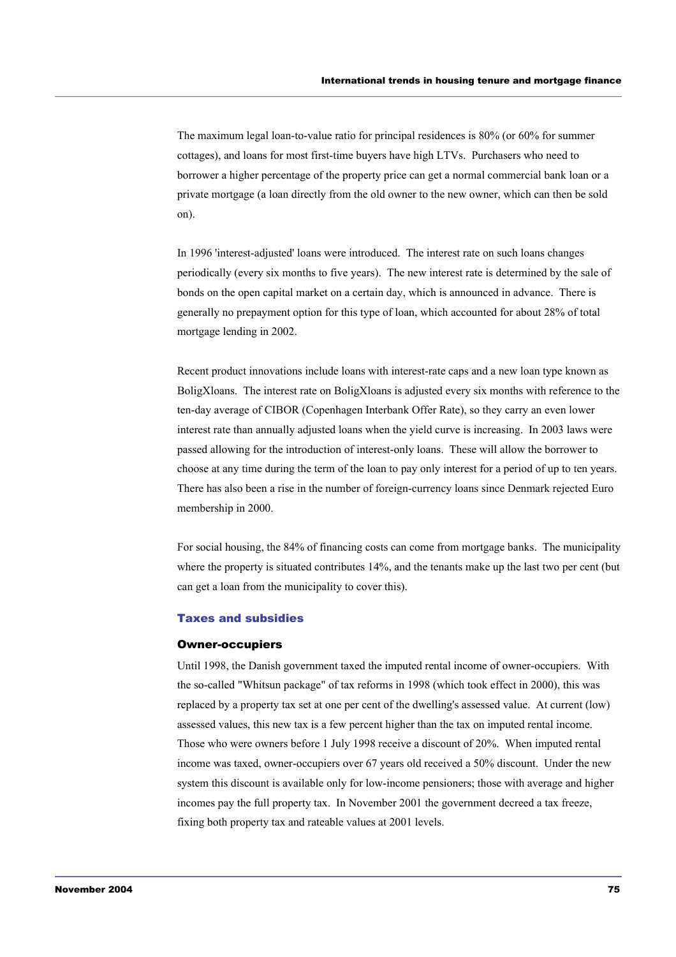The maximum legal loan-to-value ratio for principal residences is 80% (or 60% for summer cottages), and loans for most first-time buyers have high LTVs. Purchasers who need to borrower a higher percentage of the property price can get a normal commercial bank loan or a private mortgage (a loan directly from the old owner to the new owner, which can then be sold on).

In 1996 'interest-adjusted' loans were introduced. The interest rate on such loans changes periodically (every six months to five years). The new interest rate is determined by the sale of bonds on the open capital market on a certain day, which is announced in advance. There is generally no prepayment option for this type of loan, which accounted for about 28% of total mortgage lending in 2002.

Recent product innovations include loans with interest-rate caps and a new loan type known as BoligXloans. The interest rate on BoligXloans is adjusted every six months with reference to the ten-day average of CIBOR (Copenhagen Interbank Offer Rate), so they carry an even lower interest rate than annually adjusted loans when the yield curve is increasing. In 2003 laws were passed allowing for the introduction of interest-only loans. These will allow the borrower to choose at any time during the term of the loan to pay only interest for a period of up to ten years. There has also been a rise in the number of foreign-currency loans since Denmark rejected Euro membership in 2000.

For social housing, the 84% of financing costs can come from mortgage banks. The municipality where the property is situated contributes 14%, and the tenants make up the last two per cent (but can get a loan from the municipality to cover this).

#### Taxes and subsidies

#### Owner-occupiers

Until 1998, the Danish government taxed the imputed rental income of owner-occupiers. With the so-called "Whitsun package" of tax reforms in 1998 (which took effect in 2000), this was replaced by a property tax set at one per cent of the dwelling's assessed value. At current (low) assessed values, this new tax is a few percent higher than the tax on imputed rental income. Those who were owners before 1 July 1998 receive a discount of 20%. When imputed rental income was taxed, owner-occupiers over 67 years old received a 50% discount. Under the new system this discount is available only for low-income pensioners; those with average and higher incomes pay the full property tax. In November 2001 the government decreed a tax freeze, fixing both property tax and rateable values at 2001 levels.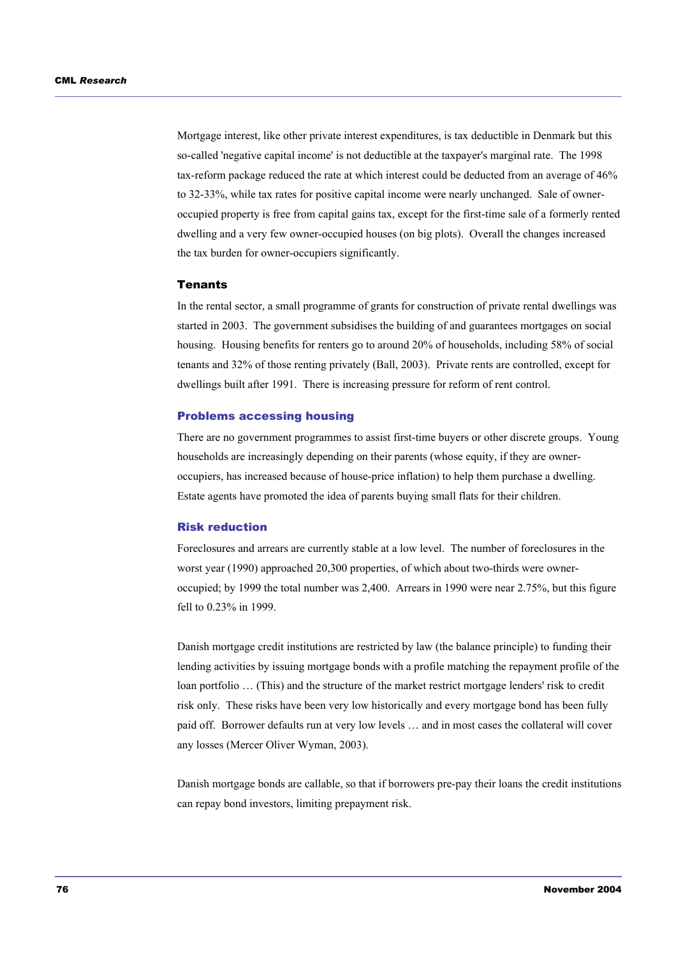Mortgage interest, like other private interest expenditures, is tax deductible in Denmark but this so-called 'negative capital income' is not deductible at the taxpayer's marginal rate. The 1998 tax-reform package reduced the rate at which interest could be deducted from an average of 46% to 32-33%, while tax rates for positive capital income were nearly unchanged. Sale of owneroccupied property is free from capital gains tax, except for the first-time sale of a formerly rented dwelling and a very few owner-occupied houses (on big plots). Overall the changes increased the tax burden for owner-occupiers significantly.

## **Tenants**

In the rental sector, a small programme of grants for construction of private rental dwellings was started in 2003. The government subsidises the building of and guarantees mortgages on social housing. Housing benefits for renters go to around 20% of households, including 58% of social tenants and 32% of those renting privately (Ball, 2003). Private rents are controlled, except for dwellings built after 1991. There is increasing pressure for reform of rent control.

#### Problems accessing housing

There are no government programmes to assist first-time buyers or other discrete groups. Young households are increasingly depending on their parents (whose equity, if they are owneroccupiers, has increased because of house-price inflation) to help them purchase a dwelling. Estate agents have promoted the idea of parents buying small flats for their children.

## Risk reduction

Foreclosures and arrears are currently stable at a low level. The number of foreclosures in the worst year (1990) approached 20,300 properties, of which about two-thirds were owneroccupied; by 1999 the total number was 2,400. Arrears in 1990 were near 2.75%, but this figure fell to 0.23% in 1999.

Danish mortgage credit institutions are restricted by law (the balance principle) to funding their lending activities by issuing mortgage bonds with a profile matching the repayment profile of the loan portfolio ... (This) and the structure of the market restrict mortgage lenders' risk to credit risk only. These risks have been very low historically and every mortgage bond has been fully paid off. Borrower defaults run at very low levels  $\dots$  and in most cases the collateral will cover any losses (Mercer Oliver Wyman, 2003).

Danish mortgage bonds are callable, so that if borrowers pre-pay their loans the credit institutions can repay bond investors, limiting prepayment risk.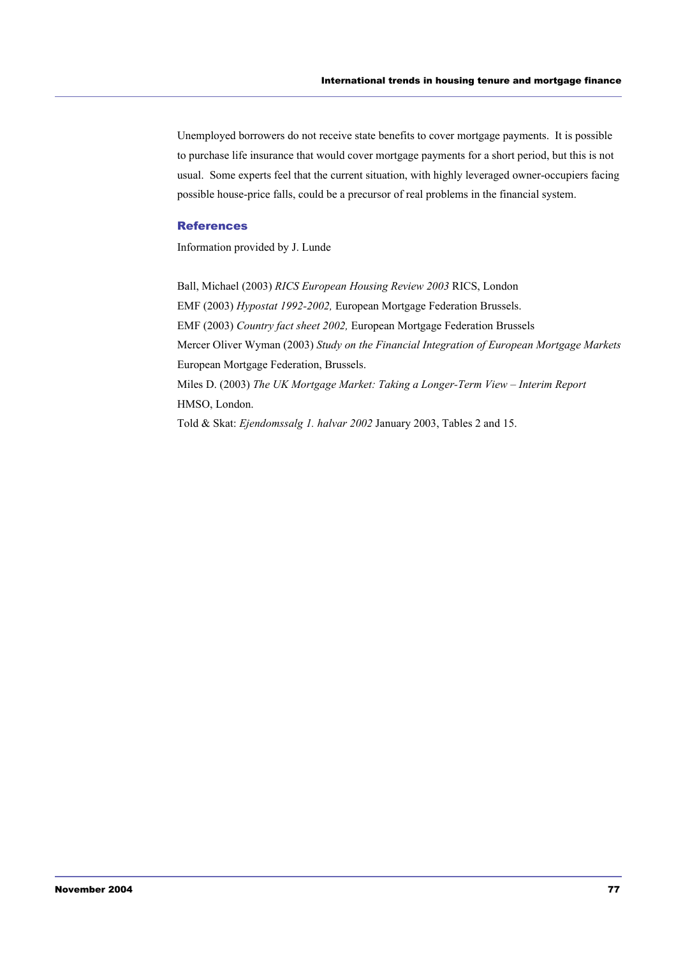Unemployed borrowers do not receive state benefits to cover mortgage payments. It is possible to purchase life insurance that would cover mortgage payments for a short period, but this is not usual. Some experts feel that the current situation, with highly leveraged owner-occupiers facing possible house-price falls, could be a precursor of real problems in the financial system.

## **References**

Information provided by J. Lunde

Ball, Michael (2003) *RICS European Housing Review 2003* RICS, London EMF (2003) *Hypostat 1992-2002,* European Mortgage Federation Brussels. EMF (2003) *Country fact sheet 2002,* European Mortgage Federation Brussels Mercer Oliver Wyman (2003) *Study on the Financial Integration of European Mortgage Markets* European Mortgage Federation, Brussels. Miles D. (2003) *The UK Mortgage Market: Taking a Longer-Term View - Interim Report* HMSO, London.

Told & Skat: *Ejendomssalg 1. halvar 2002* January 2003, Tables 2 and 15.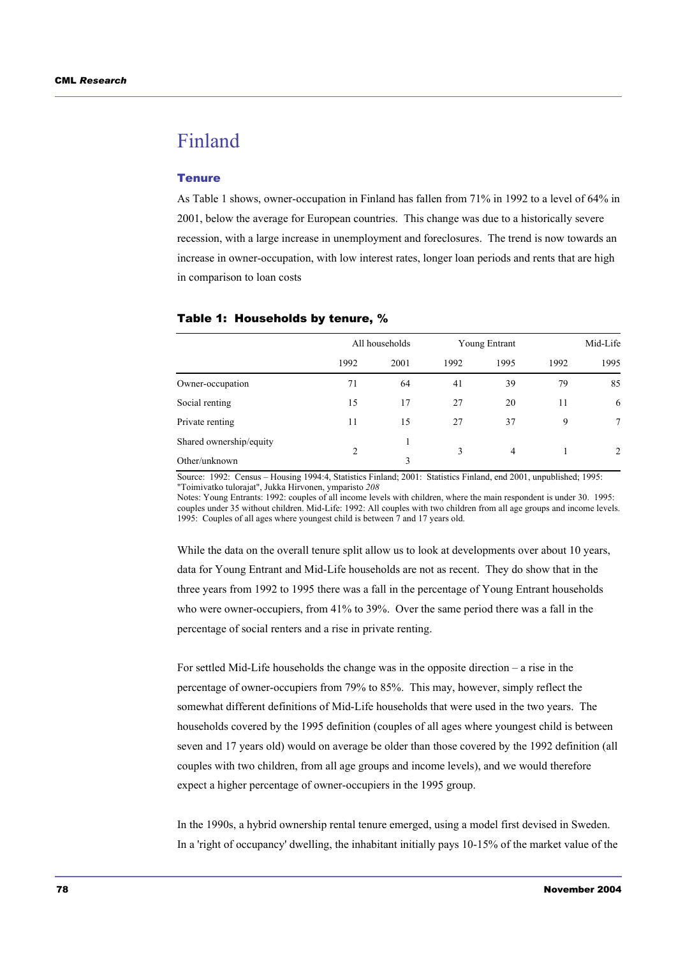# Finland

#### **Tenure**

As Table 1 shows, owner-occupation in Finland has fallen from 71% in 1992 to a level of 64% in 2001, below the average for European countries. This change was due to a historically severe recession, with a large increase in unemployment and foreclosures. The trend is now towards an increase in owner-occupation, with low interest rates, longer loan periods and rents that are high in comparison to loan costs

|                         |      | All households |      | Young Entrant |      | Mid-Life |
|-------------------------|------|----------------|------|---------------|------|----------|
|                         | 1992 | 2001           | 1992 | 1995          | 1992 | 1995     |
| Owner-occupation        | 71   | 64             | 41   | 39            | 79   | 85       |
| Social renting          | 15   | 17             | 27   | 20            | 11   | 6        |
| Private renting         | 11   | 15             | 27   | 37            | 9    | 7        |
| Shared ownership/equity |      |                |      |               |      |          |
| Other/unknown           | 2    | 3              | 3    | 4             |      | 2        |

## Table 1: Households by tenure, %

Source: 1992: Census - Housing 1994:4, Statistics Finland; 2001: Statistics Finland, end 2001, unpublished; 1995: "Toimivatko tulorajat", Jukka Hirvonen, ymparisto *208* 

Notes: Young Entrants: 1992: couples of all income levels with children, where the main respondent is under 30. 1995: couples under 35 without children. Mid-Life: 1992: All couples with two children from all age groups and income levels. 1995: Couples of all ages where youngest child is between 7 and 17 years old.

While the data on the overall tenure split allow us to look at developments over about 10 years, data for Young Entrant and Mid-Life households are not as recent. They do show that in the three years from 1992 to 1995 there was a fall in the percentage of Young Entrant households who were owner-occupiers, from 41% to 39%. Over the same period there was a fall in the percentage of social renters and a rise in private renting.

For settled Mid-Life households the change was in the opposite direction  $-$  a rise in the percentage of owner-occupiers from 79% to 85%. This may, however, simply reflect the somewhat different definitions of Mid-Life households that were used in the two years. The households covered by the 1995 definition (couples of all ages where youngest child is between seven and 17 years old) would on average be older than those covered by the 1992 definition (all couples with two children, from all age groups and income levels), and we would therefore expect a higher percentage of owner-occupiers in the 1995 group.

In the 1990s, a hybrid ownership rental tenure emerged, using a model first devised in Sweden. In a 'right of occupancy' dwelling, the inhabitant initially pays 10-15% of the market value of the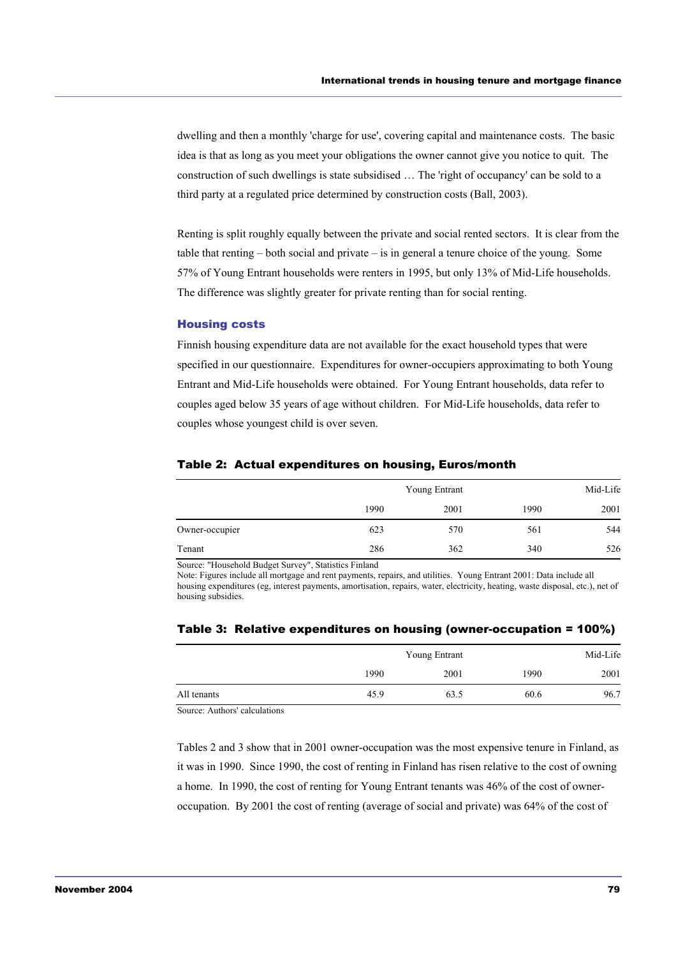dwelling and then a monthly 'charge for use', covering capital and maintenance costs. The basic idea is that as long as you meet your obligations the owner cannot give you notice to quit. The construction of such dwellings is state subsidised  $\ldots$ . The 'right of occupancy' can be sold to a third party at a regulated price determined by construction costs (Ball, 2003).

Renting is split roughly equally between the private and social rented sectors. It is clear from the table that renting  $-$  both social and private  $-$  is in general a tenure choice of the young. Some 57% of Young Entrant households were renters in 1995, but only 13% of Mid-Life households. The difference was slightly greater for private renting than for social renting.

#### Housing costs

Finnish housing expenditure data are not available for the exact household types that were specified in our questionnaire. Expenditures for owner-occupiers approximating to both Young Entrant and Mid-Life households were obtained. For Young Entrant households, data refer to couples aged below 35 years of age without children. For Mid-Life households, data refer to couples whose youngest child is over seven.

## Table 2: Actual expenditures on housing, Euros/month

|                |      | Young Entrant |      |      |
|----------------|------|---------------|------|------|
|                | 1990 | 2001          | 1990 | 2001 |
| Owner-occupier | 623  | 570           | 561  | 544  |
| Tenant         | 286  | 362           | 340  | 526  |

Source: "Household Budget Survey", Statistics Finland

Note: Figures include all mortgage and rent payments, repairs, and utilities. Young Entrant 2001: Data include all housing expenditures (eg, interest payments, amortisation, repairs, water, electricity, heating, waste disposal, etc.), net of housing subsidies.

|  |  | Table 3: Relative expenditures on housing (owner-occupation = 100%) |  |
|--|--|---------------------------------------------------------------------|--|
|  |  |                                                                     |  |

|             | Young Entrant |      |      | Mid-Life |  |
|-------------|---------------|------|------|----------|--|
|             | 1990          | 2001 | 1990 | 2001     |  |
| All tenants | 45.9          | 63.5 | 60.6 | 96.7     |  |

Source: Authors' calculations

Tables 2 and 3 show that in 2001 owner-occupation was the most expensive tenure in Finland, as it was in 1990. Since 1990, the cost of renting in Finland has risen relative to the cost of owning a home. In 1990, the cost of renting for Young Entrant tenants was 46% of the cost of owneroccupation. By 2001 the cost of renting (average of social and private) was 64% of the cost of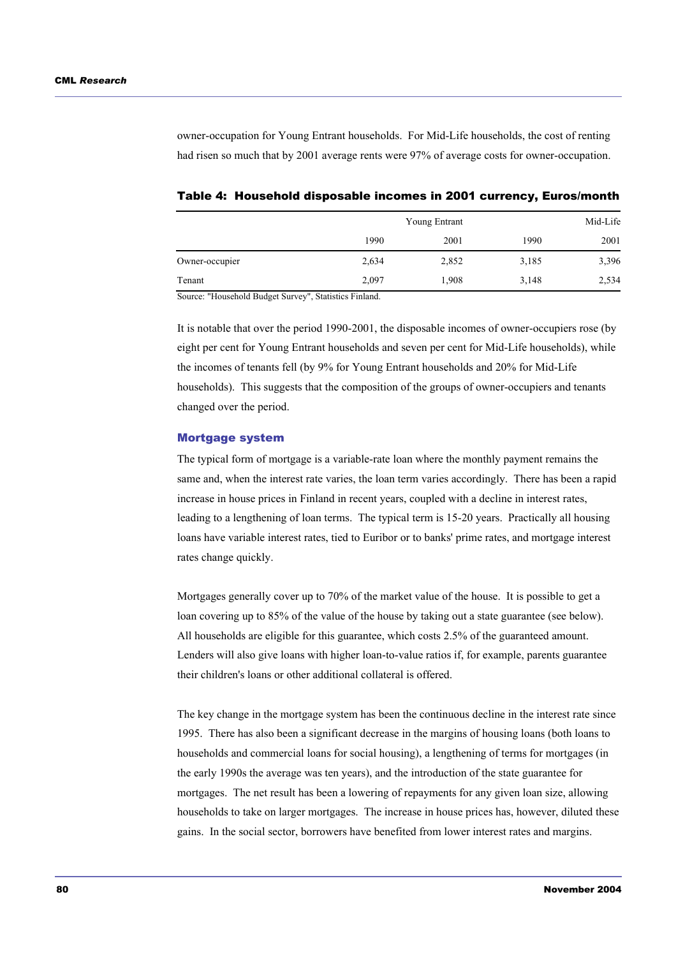owner-occupation for Young Entrant households. For Mid-Life households, the cost of renting had risen so much that by 2001 average rents were 97% of average costs for owner-occupation.

|                | Young Entrant |       |       | Mid-Life |
|----------------|---------------|-------|-------|----------|
|                | 1990          | 2001  | 1990  | 2001     |
| Owner-occupier | 2,634         | 2,852 | 3,185 | 3,396    |
| Tenant         | 2,097         | 1,908 | 3,148 | 2,534    |

Table 4: Household disposable incomes in 2001 currency, Euros/month

Source: "Household Budget Survey", Statistics Finland.

It is notable that over the period 1990-2001, the disposable incomes of owner-occupiers rose (by eight per cent for Young Entrant households and seven per cent for Mid-Life households), while the incomes of tenants fell (by 9% for Young Entrant households and 20% for Mid-Life households). This suggests that the composition of the groups of owner-occupiers and tenants changed over the period.

#### Mortgage system

The typical form of mortgage is a variable-rate loan where the monthly payment remains the same and, when the interest rate varies, the loan term varies accordingly. There has been a rapid increase in house prices in Finland in recent years, coupled with a decline in interest rates, leading to a lengthening of loan terms. The typical term is 15-20 years. Practically all housing loans have variable interest rates, tied to Euribor or to banks' prime rates, and mortgage interest rates change quickly.

Mortgages generally cover up to 70% of the market value of the house. It is possible to get a loan covering up to 85% of the value of the house by taking out a state guarantee (see below). All households are eligible for this guarantee, which costs 2.5% of the guaranteed amount. Lenders will also give loans with higher loan-to-value ratios if, for example, parents guarantee their children's loans or other additional collateral is offered.

The key change in the mortgage system has been the continuous decline in the interest rate since 1995. There has also been a significant decrease in the margins of housing loans (both loans to households and commercial loans for social housing), a lengthening of terms for mortgages (in the early 1990s the average was ten years), and the introduction of the state guarantee for mortgages. The net result has been a lowering of repayments for any given loan size, allowing households to take on larger mortgages. The increase in house prices has, however, diluted these gains. In the social sector, borrowers have benefited from lower interest rates and margins.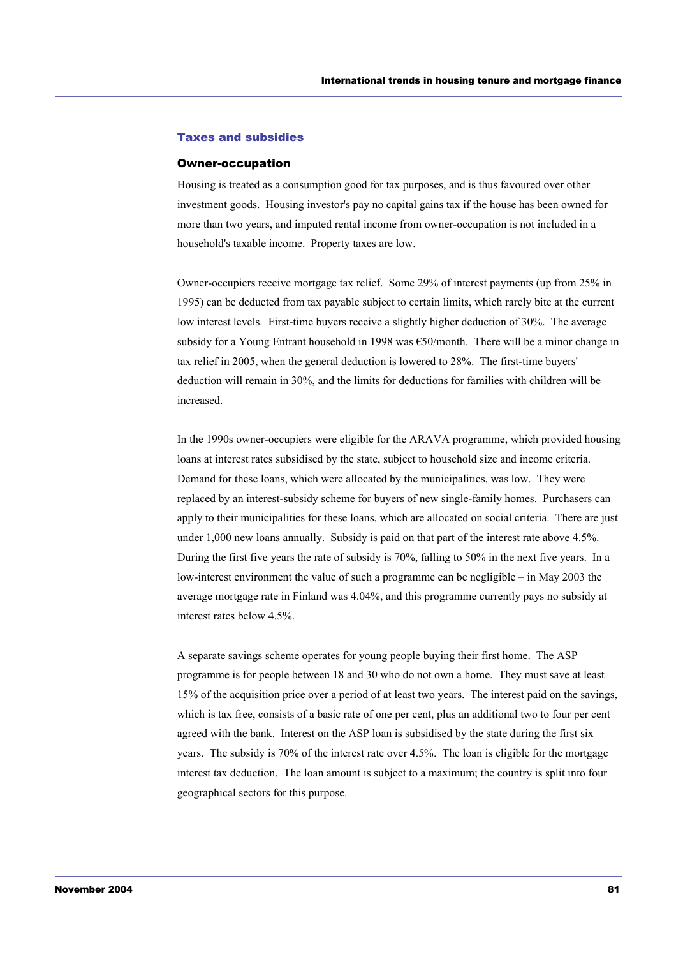#### Taxes and subsidies

#### Owner-occupation

Housing is treated as a consumption good for tax purposes, and is thus favoured over other investment goods. Housing investor's pay no capital gains tax if the house has been owned for more than two years, and imputed rental income from owner-occupation is not included in a household's taxable income. Property taxes are low.

Owner-occupiers receive mortgage tax relief. Some 29% of interest payments (up from 25% in 1995) can be deducted from tax payable subject to certain limits, which rarely bite at the current low interest levels. First-time buyers receive a slightly higher deduction of 30%. The average subsidy for a Young Entrant household in 1998 was  $\epsilon$ 50/month. There will be a minor change in tax relief in 2005, when the general deduction is lowered to 28%. The first-time buyers' deduction will remain in 30%, and the limits for deductions for families with children will be increased.

In the 1990s owner-occupiers were eligible for the ARAVA programme, which provided housing loans at interest rates subsidised by the state, subject to household size and income criteria. Demand for these loans, which were allocated by the municipalities, was low. They were replaced by an interest-subsidy scheme for buyers of new single-family homes. Purchasers can apply to their municipalities for these loans, which are allocated on social criteria. There are just under 1,000 new loans annually. Subsidy is paid on that part of the interest rate above 4.5%. During the first five years the rate of subsidy is 70%, falling to 50% in the next five years. In a low-interest environment the value of such a programme can be negligible  $-$  in May 2003 the average mortgage rate in Finland was 4.04%, and this programme currently pays no subsidy at interest rates below 4.5%.

A separate savings scheme operates for young people buying their first home. The ASP programme is for people between 18 and 30 who do not own a home. They must save at least 15% of the acquisition price over a period of at least two years. The interest paid on the savings, which is tax free, consists of a basic rate of one per cent, plus an additional two to four per cent agreed with the bank. Interest on the ASP loan is subsidised by the state during the first six years. The subsidy is 70% of the interest rate over 4.5%. The loan is eligible for the mortgage interest tax deduction. The loan amount is subject to a maximum; the country is split into four geographical sectors for this purpose.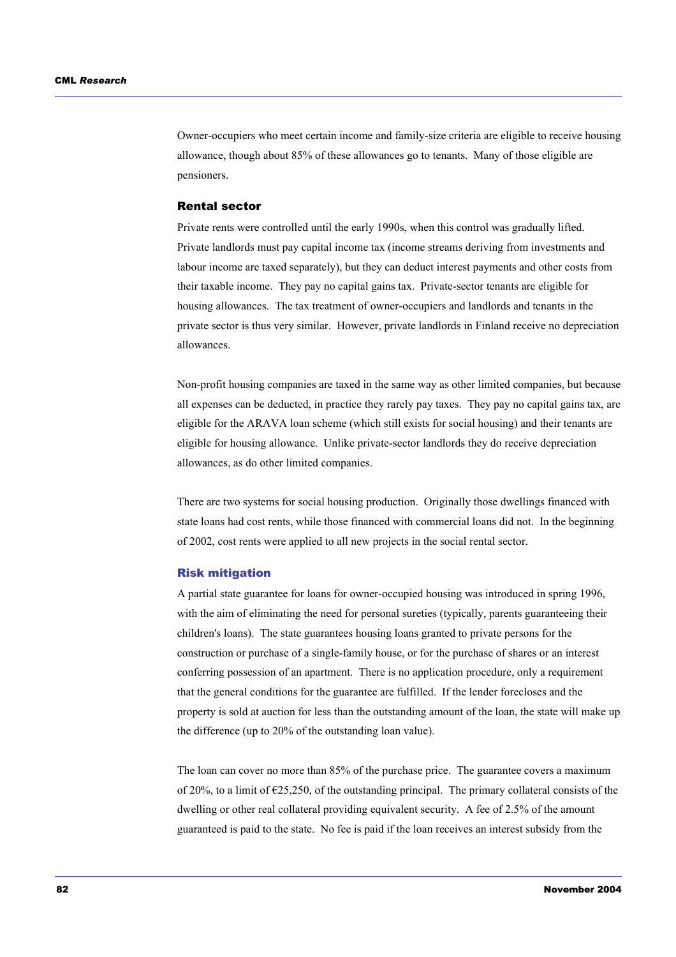Owner-occupiers who meet certain income and family-size criteria are eligible to receive housing allowance, though about 85% of these allowances go to tenants. Many of those eligible are pensioners.

## Rental sector

Private rents were controlled until the early 1990s, when this control was gradually lifted. Private landlords must pay capital income tax (income streams deriving from investments and labour income are taxed separately), but they can deduct interest payments and other costs from their taxable income. They pay no capital gains tax. Private-sector tenants are eligible for housing allowances. The tax treatment of owner-occupiers and landlords and tenants in the private sector is thus very similar. However, private landlords in Finland receive no depreciation allowances.

Non-profit housing companies are taxed in the same way as other limited companies, but because all expenses can be deducted, in practice they rarely pay taxes. They pay no capital gains tax, are eligible for the ARAVA loan scheme (which still exists for social housing) and their tenants are eligible for housing allowance. Unlike private-sector landlords they do receive depreciation allowances, as do other limited companies.

There are two systems for social housing production. Originally those dwellings financed with state loans had cost rents, while those financed with commercial loans did not. In the beginning of 2002, cost rents were applied to all new projects in the social rental sector.

#### Risk mitigation

A partial state guarantee for loans for owner-occupied housing was introduced in spring 1996, with the aim of eliminating the need for personal sureties (typically, parents guaranteeing their children's loans). The state guarantees housing loans granted to private persons for the construction or purchase of a single-family house, or for the purchase of shares or an interest conferring possession of an apartment. There is no application procedure, only a requirement that the general conditions for the guarantee are fulfilled. If the lender forecloses and the property is sold at auction for less than the outstanding amount of the loan, the state will make up the difference (up to 20% of the outstanding loan value).

The loan can cover no more than 85% of the purchase price. The guarantee covers a maximum of 20%, to a limit of  $\epsilon$ 25,250, of the outstanding principal. The primary collateral consists of the dwelling or other real collateral providing equivalent security. A fee of 2.5% of the amount guaranteed is paid to the state. No fee is paid if the loan receives an interest subsidy from the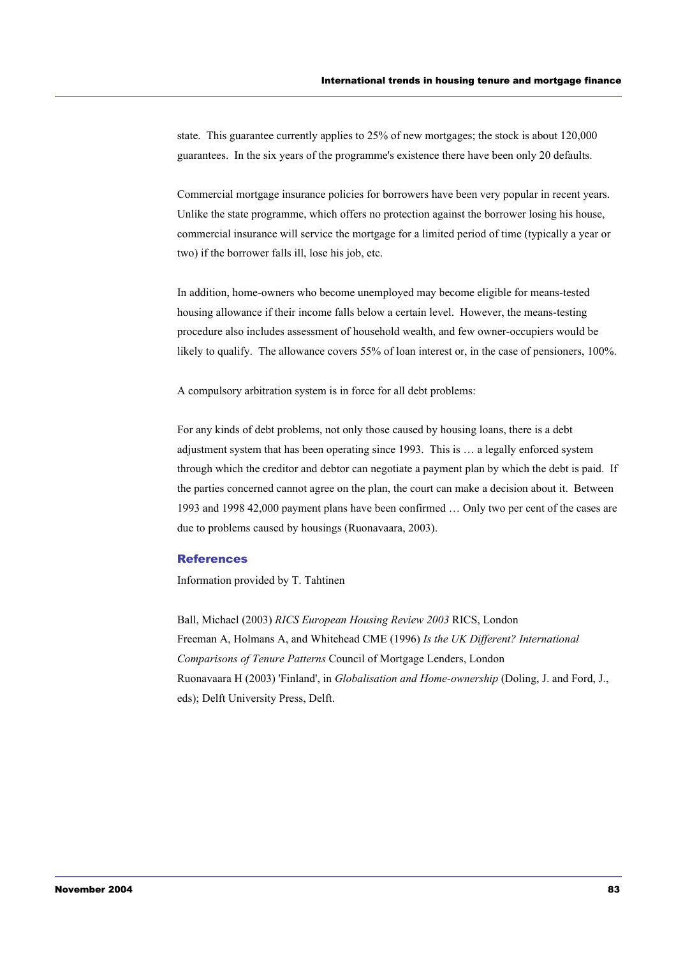state. This guarantee currently applies to 25% of new mortgages; the stock is about 120,000 guarantees. In the six years of the programme's existence there have been only 20 defaults.

Commercial mortgage insurance policies for borrowers have been very popular in recent years. Unlike the state programme, which offers no protection against the borrower losing his house, commercial insurance will service the mortgage for a limited period of time (typically a year or two) if the borrower falls ill, lose his job, etc.

In addition, home-owners who become unemployed may become eligible for means-tested housing allowance if their income falls below a certain level. However, the means-testing procedure also includes assessment of household wealth, and few owner-occupiers would be likely to qualify. The allowance covers 55% of loan interest or, in the case of pensioners, 100%.

A compulsory arbitration system is in force for all debt problems:

For any kinds of debt problems, not only those caused by housing loans, there is a debt adjustment system that has been operating since  $1993$ . This is  $\dots$  a legally enforced system through which the creditor and debtor can negotiate a payment plan by which the debt is paid. If the parties concerned cannot agree on the plan, the court can make a decision about it. Between 1993 and 1998 42,000 payment plans have been confirmed ... Only two per cent of the cases are due to problems caused by housings (Ruonavaara, 2003).

### References

Information provided by T. Tahtinen

Ball, Michael (2003) *RICS European Housing Review 2003* RICS, London Freeman A, Holmans A, and Whitehead CME (1996) *Is the UK Different? International Comparisons of Tenure Patterns* Council of Mortgage Lenders, London Ruonavaara H (2003) 'Finland', in *Globalisation and Home-ownership* (Doling, J. and Ford, J., eds); Delft University Press, Delft.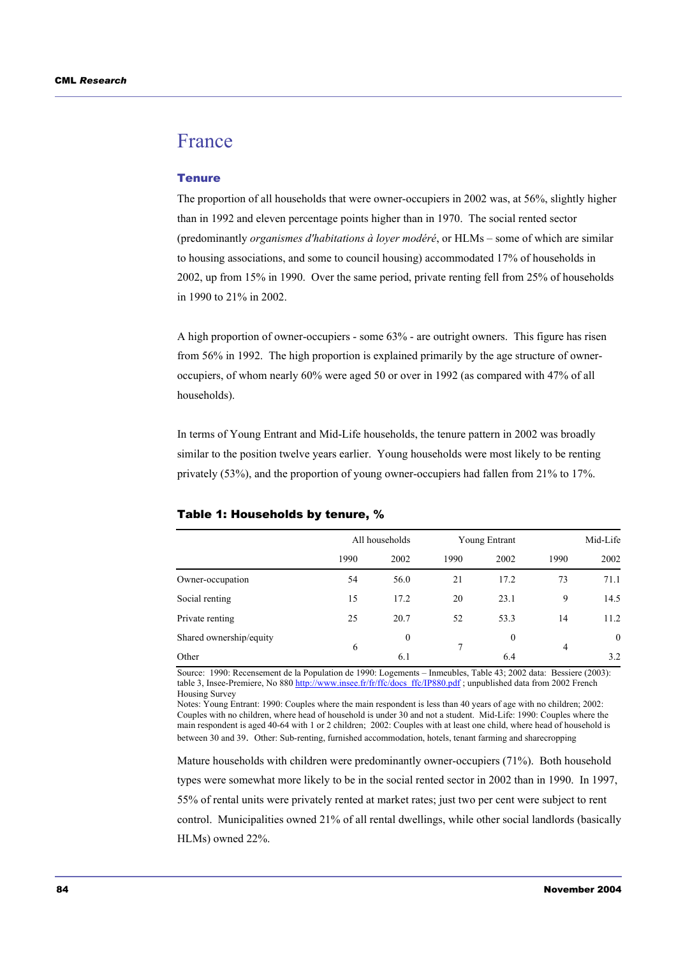## France

#### **Tenure**

The proportion of all households that were owner-occupiers in 2002 was, at 56%, slightly higher than in 1992 and eleven percentage points higher than in 1970. The social rented sector (predominantly *organismes d'habitations à loyer modéré*, or HLMs – some of which are similar to housing associations, and some to council housing) accommodated 17% of households in 2002, up from 15% in 1990. Over the same period, private renting fell from 25% of households in 1990 to 21% in 2002.

A high proportion of owner-occupiers - some 63% - are outright owners. This figure has risen from 56% in 1992. The high proportion is explained primarily by the age structure of owneroccupiers, of whom nearly 60% were aged 50 or over in 1992 (as compared with 47% of all households).

In terms of Young Entrant and Mid-Life households, the tenure pattern in 2002 was broadly similar to the position twelve years earlier. Young households were most likely to be renting privately (53%), and the proportion of young owner-occupiers had fallen from 21% to 17%.

|                         |      | All households |      | Young Entrant |                | Mid-Life       |
|-------------------------|------|----------------|------|---------------|----------------|----------------|
|                         | 1990 | 2002           | 1990 | 2002          | 1990           | 2002           |
| Owner-occupation        | 54   | 56.0           | 21   | 17.2          | 73             | 71.1           |
| Social renting          | 15   | 17.2           | 20   | 23.1          | 9              | 14.5           |
| Private renting         | 25   | 20.7           | 52   | 53.3          | 14             | 11.2           |
| Shared ownership/equity | 6    | $\Omega$       | 7    | $\theta$      | $\overline{4}$ | $\overline{0}$ |
| Other                   |      | 6.1            |      | 6.4           |                | 3.2            |

## Table 1: Households by tenure, %

Source: 1990: Recensement de la Population de 1990: Logements – Inmeubles, Table 43; 2002 data: Bessiere (2003): table 3. Insee-Premiere, No 880 http://www.insee.fr/fr/ffc/docs\_ffc/IP880.pdf ; unpublished data from 2002 French Housing Survey

Notes: Young Entrant: 1990: Couples where the main respondent is less than 40 years of age with no children; 2002: Couples with no children, where head of household is under 30 and not a student. Mid-Life: 1990: Couples where the main respondent is aged 40-64 with 1 or 2 children; 2002: Couples with at least one child, where head of household is between 30 and 39. Other: Sub-renting, furnished accommodation, hotels, tenant farming and sharecropping

Mature households with children were predominantly owner-occupiers (71%). Both household types were somewhat more likely to be in the social rented sector in 2002 than in 1990. In 1997, 55% of rental units were privately rented at market rates; just two per cent were subject to rent control. Municipalities owned 21% of all rental dwellings, while other social landlords (basically HLMs) owned 22%.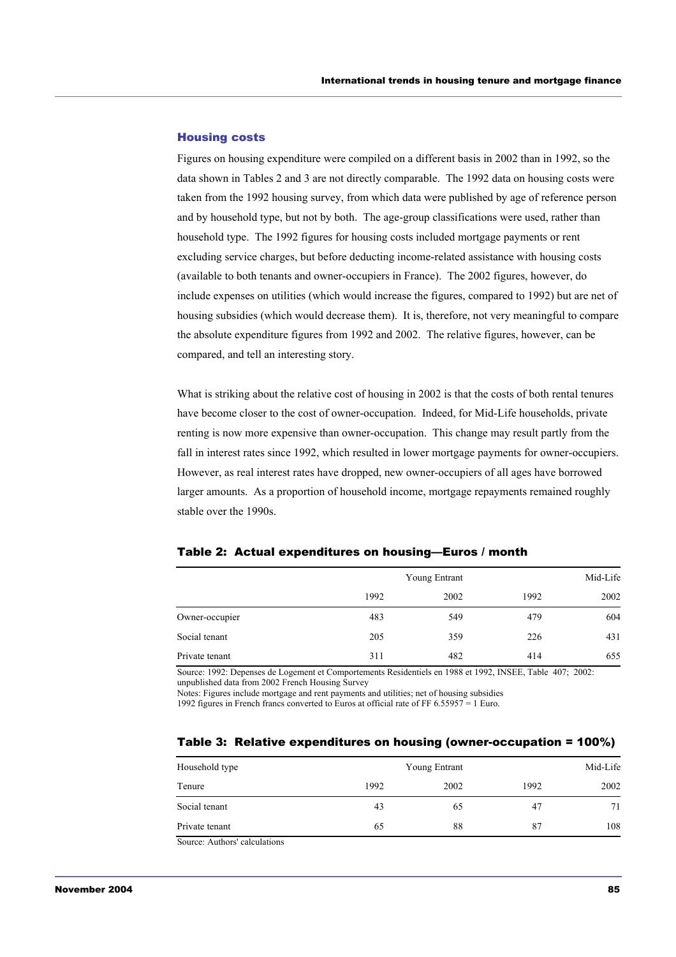#### Housing costs

Figures on housing expenditure were compiled on a different basis in 2002 than in 1992, so the data shown in Tables 2 and 3 are not directly comparable. The 1992 data on housing costs were taken from the 1992 housing survey, from which data were published by age of reference person and by household type, but not by both. The age-group classifications were used, rather than household type. The 1992 figures for housing costs included mortgage payments or rent excluding service charges, but before deducting income-related assistance with housing costs (available to both tenants and owner-occupiers in France). The 2002 figures, however, do include expenses on utilities (which would increase the figures, compared to 1992) but are net of housing subsidies (which would decrease them). It is, therefore, not very meaningful to compare the absolute expenditure figures from 1992 and 2002. The relative figures, however, can be compared, and tell an interesting story.

What is striking about the relative cost of housing in 2002 is that the costs of both rental tenures have become closer to the cost of owner-occupation. Indeed, for Mid-Life households, private renting is now more expensive than owner-occupation. This change may result partly from the fall in interest rates since 1992, which resulted in lower mortgage payments for owner-occupiers. However, as real interest rates have dropped, new owner-occupiers of all ages have borrowed larger amounts. As a proportion of household income, mortgage repayments remained roughly stable over the 1990s.

|                |      | Young Entrant |      |      |
|----------------|------|---------------|------|------|
|                | 1992 | 2002          | 1992 | 2002 |
| Owner-occupier | 483  | 549           | 479  | 604  |
| Social tenant  | 205  | 359           | 226  | 431  |
| Private tenant | 311  | 482           | 414  | 655  |

#### Table 2: Actual expenditures on housing-Euros / month

Source: 1992: Depenses de Logement et Comportements Residentiels en 1988 et 1992, INSEE, Table 407; 2002: unpublished data from 2002 French Housing Survey

Notes: Figures include mortgage and rent payments and utilities; net of housing subsidies

1992 figures in French francs converted to Euros at official rate of FF 6.55957 = 1 Euro.

#### Table 3: Relative expenditures on housing (owner-occupation = 100%)

| Household type |      | Mid-Life |      |      |
|----------------|------|----------|------|------|
| Tenure         | 1992 | 2002     | 1992 | 2002 |
| Social tenant  | 43   | 65       | 47   | 71   |
| Private tenant | 65   | 88       | 87   | 108  |

Source: Authors' calculations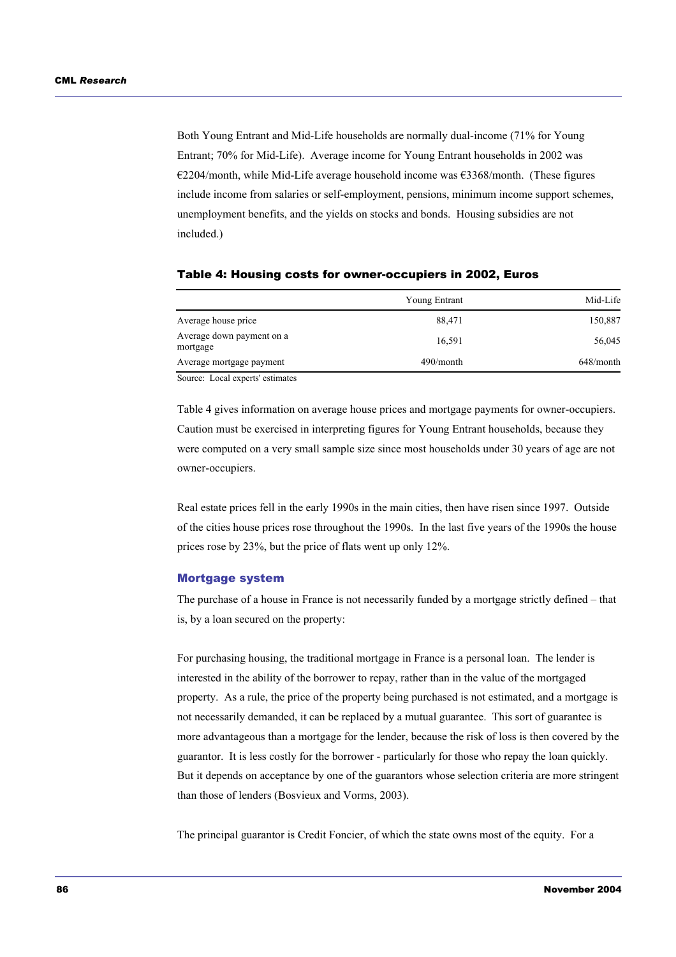Both Young Entrant and Mid-Life households are normally dual-income (71% for Young Entrant; 70% for Mid-Life). Average income for Young Entrant households in 2002 was  $E$ 2204/month, while Mid-Life average household income was  $E$ 3368/month. (These figures include income from salaries or self-employment, pensions, minimum income support schemes, unemployment benefits, and the yields on stocks and bonds. Housing subsidies are not included.)

|                                       | Young Entrant | Mid-Life  |
|---------------------------------------|---------------|-----------|
| Average house price                   | 88,471        | 150,887   |
| Average down payment on a<br>mortgage | 16,591        | 56,045    |
| Average mortgage payment              | $490/m$ onth  | 648/month |
|                                       |               |           |

## Table 4: Housing costs for owner-occupiers in 2002, Euros

Source: Local experts' estimates

Table 4 gives information on average house prices and mortgage payments for owner-occupiers. Caution must be exercised in interpreting figures for Young Entrant households, because they were computed on a very small sample size since most households under 30 years of age are not owner-occupiers.

Real estate prices fell in the early 1990s in the main cities, then have risen since 1997. Outside of the cities house prices rose throughout the 1990s. In the last five years of the 1990s the house prices rose by 23%, but the price of flats went up only 12%.

### Mortgage system

The purchase of a house in France is not necessarily funded by a mortgage strictly defined – that is, by a loan secured on the property:

For purchasing housing, the traditional mortgage in France is a personal loan. The lender is interested in the ability of the borrower to repay, rather than in the value of the mortgaged property. As a rule, the price of the property being purchased is not estimated, and a mortgage is not necessarily demanded, it can be replaced by a mutual guarantee. This sort of guarantee is more advantageous than a mortgage for the lender, because the risk of loss is then covered by the guarantor. It is less costly for the borrower - particularly for those who repay the loan quickly. But it depends on acceptance by one of the guarantors whose selection criteria are more stringent than those of lenders (Bosvieux and Vorms, 2003).

The principal guarantor is Credit Foncier, of which the state owns most of the equity. For a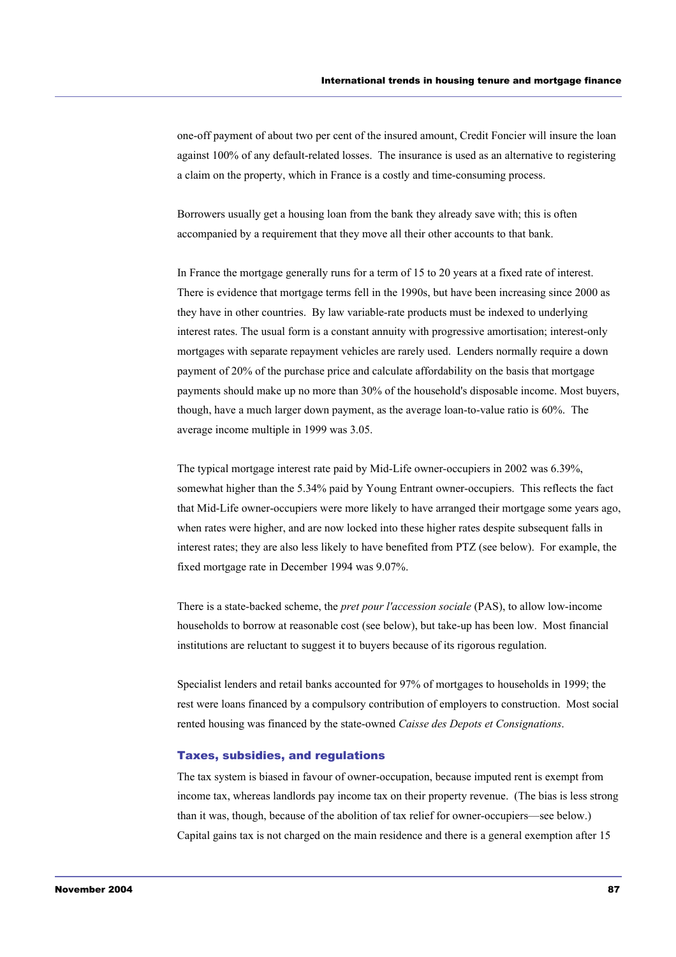one-off payment of about two per cent of the insured amount, Credit Foncier will insure the loan against 100% of any default-related losses. The insurance is used as an alternative to registering a claim on the property, which in France is a costly and time-consuming process.

Borrowers usually get a housing loan from the bank they already save with; this is often accompanied by a requirement that they move all their other accounts to that bank.

In France the mortgage generally runs for a term of 15 to 20 years at a fixed rate of interest. There is evidence that mortgage terms fell in the 1990s, but have been increasing since 2000 as they have in other countries. By law variable-rate products must be indexed to underlying interest rates. The usual form is a constant annuity with progressive amortisation; interest-only mortgages with separate repayment vehicles are rarely used. Lenders normally require a down payment of 20% of the purchase price and calculate affordability on the basis that mortgage payments should make up no more than 30% of the household's disposable income. Most buyers, though, have a much larger down payment, as the average loan-to-value ratio is 60%. The average income multiple in 1999 was 3.05.

The typical mortgage interest rate paid by Mid-Life owner-occupiers in 2002 was 6.39%, somewhat higher than the 5.34% paid by Young Entrant owner-occupiers. This reflects the fact that Mid-Life owner-occupiers were more likely to have arranged their mortgage some years ago, when rates were higher, and are now locked into these higher rates despite subsequent falls in interest rates; they are also less likely to have benefited from PTZ (see below). For example, the fixed mortgage rate in December 1994 was 9.07%.

There is a state-backed scheme, the *pret pour l'accession sociale* (PAS), to allow low-income households to borrow at reasonable cost (see below), but take-up has been low. Most financial institutions are reluctant to suggest it to buyers because of its rigorous regulation.

Specialist lenders and retail banks accounted for 97% of mortgages to households in 1999; the rest were loans financed by a compulsory contribution of employers to construction. Most social rented housing was financed by the state-owned *Caisse des Depots et Consignations*.

#### Taxes, subsidies, and regulations

The tax system is biased in favour of owner-occupation, because imputed rent is exempt from income tax, whereas landlords pay income tax on their property revenue. (The bias is less strong than it was, though, because of the abolition of tax relief for owner-occupiers—see below.) Capital gains tax is not charged on the main residence and there is a general exemption after 15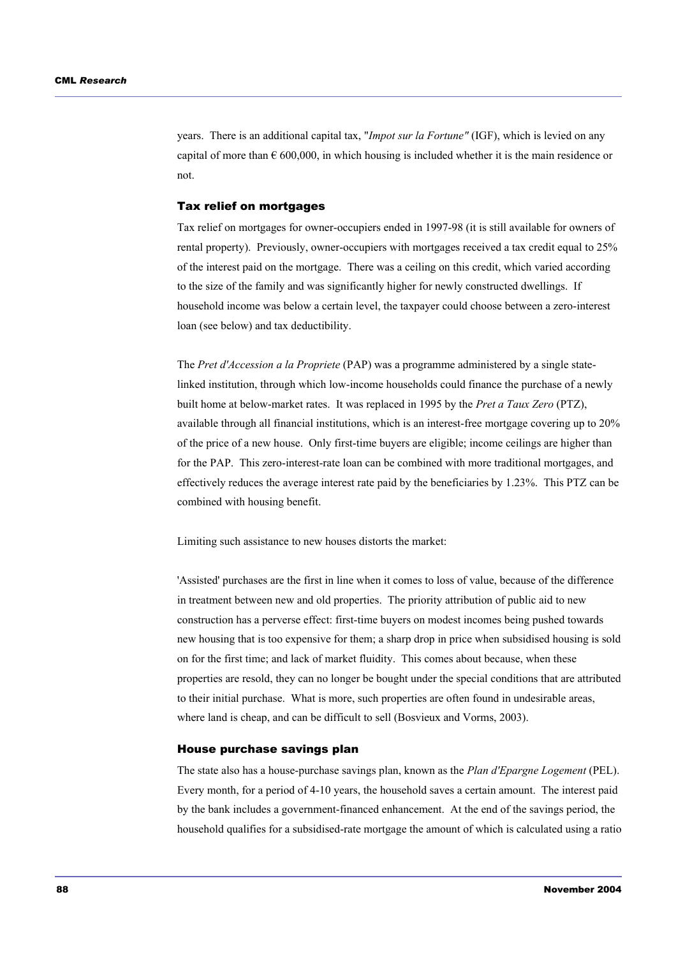years. There is an additional capital tax, "*Impot sur la Fortune"* (IGF), which is levied on any capital of more than  $\epsilon$  600,000, in which housing is included whether it is the main residence or not.

## Tax relief on mortgages

Tax relief on mortgages for owner-occupiers ended in 1997-98 (it is still available for owners of rental property). Previously, owner-occupiers with mortgages received a tax credit equal to 25% of the interest paid on the mortgage. There was a ceiling on this credit, which varied according to the size of the family and was significantly higher for newly constructed dwellings. If household income was below a certain level, the taxpayer could choose between a zero-interest loan (see below) and tax deductibility.

The *Pret d'Accession a la Propriete* (PAP) was a programme administered by a single statelinked institution, through which low-income households could finance the purchase of a newly built home at below-market rates. It was replaced in 1995 by the *Pret a Taux Zero* (PTZ), available through all financial institutions, which is an interest-free mortgage covering up to 20% of the price of a new house. Only first-time buyers are eligible; income ceilings are higher than for the PAP. This zero-interest-rate loan can be combined with more traditional mortgages, and effectively reduces the average interest rate paid by the beneficiaries by 1.23%. This PTZ can be combined with housing benefit.

Limiting such assistance to new houses distorts the market:

'Assisted' purchases are the first in line when it comes to loss of value, because of the difference in treatment between new and old properties. The priority attribution of public aid to new construction has a perverse effect: first-time buyers on modest incomes being pushed towards new housing that is too expensive for them; a sharp drop in price when subsidised housing is sold on for the first time; and lack of market fluidity. This comes about because, when these properties are resold, they can no longer be bought under the special conditions that are attributed to their initial purchase. What is more, such properties are often found in undesirable areas, where land is cheap, and can be difficult to sell (Bosvieux and Vorms, 2003).

#### House purchase savings plan

The state also has a house-purchase savings plan, known as the *Plan d'Epargne Logement* (PEL). Every month, for a period of 4-10 years, the household saves a certain amount. The interest paid by the bank includes a government-financed enhancement. At the end of the savings period, the household qualifies for a subsidised-rate mortgage the amount of which is calculated using a ratio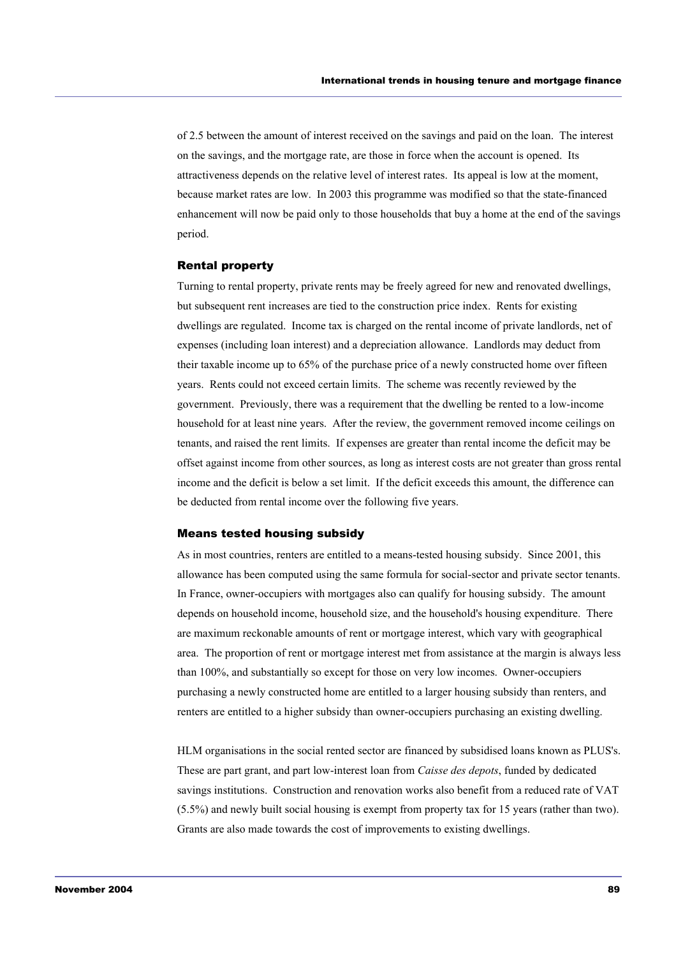of 2.5 between the amount of interest received on the savings and paid on the loan. The interest on the savings, and the mortgage rate, are those in force when the account is opened. Its attractiveness depends on the relative level of interest rates. Its appeal is low at the moment, because market rates are low. In 2003 this programme was modified so that the state-financed enhancement will now be paid only to those households that buy a home at the end of the savings period.

#### Rental property

Turning to rental property, private rents may be freely agreed for new and renovated dwellings, but subsequent rent increases are tied to the construction price index. Rents for existing dwellings are regulated. Income tax is charged on the rental income of private landlords, net of expenses (including loan interest) and a depreciation allowance. Landlords may deduct from their taxable income up to 65% of the purchase price of a newly constructed home over fifteen years. Rents could not exceed certain limits. The scheme was recently reviewed by the government. Previously, there was a requirement that the dwelling be rented to a low-income household for at least nine years. After the review, the government removed income ceilings on tenants, and raised the rent limits. If expenses are greater than rental income the deficit may be offset against income from other sources, as long as interest costs are not greater than gross rental income and the deficit is below a set limit. If the deficit exceeds this amount, the difference can be deducted from rental income over the following five years.

#### Means tested housing subsidy

As in most countries, renters are entitled to a means-tested housing subsidy. Since 2001, this allowance has been computed using the same formula for social-sector and private sector tenants. In France, owner-occupiers with mortgages also can qualify for housing subsidy. The amount depends on household income, household size, and the household's housing expenditure. There are maximum reckonable amounts of rent or mortgage interest, which vary with geographical area. The proportion of rent or mortgage interest met from assistance at the margin is always less than 100%, and substantially so except for those on very low incomes. Owner-occupiers purchasing a newly constructed home are entitled to a larger housing subsidy than renters, and renters are entitled to a higher subsidy than owner-occupiers purchasing an existing dwelling.

HLM organisations in the social rented sector are financed by subsidised loans known as PLUS's. These are part grant, and part low-interest loan from *Caisse des depots*, funded by dedicated savings institutions. Construction and renovation works also benefit from a reduced rate of VAT (5.5%) and newly built social housing is exempt from property tax for 15 years (rather than two). Grants are also made towards the cost of improvements to existing dwellings.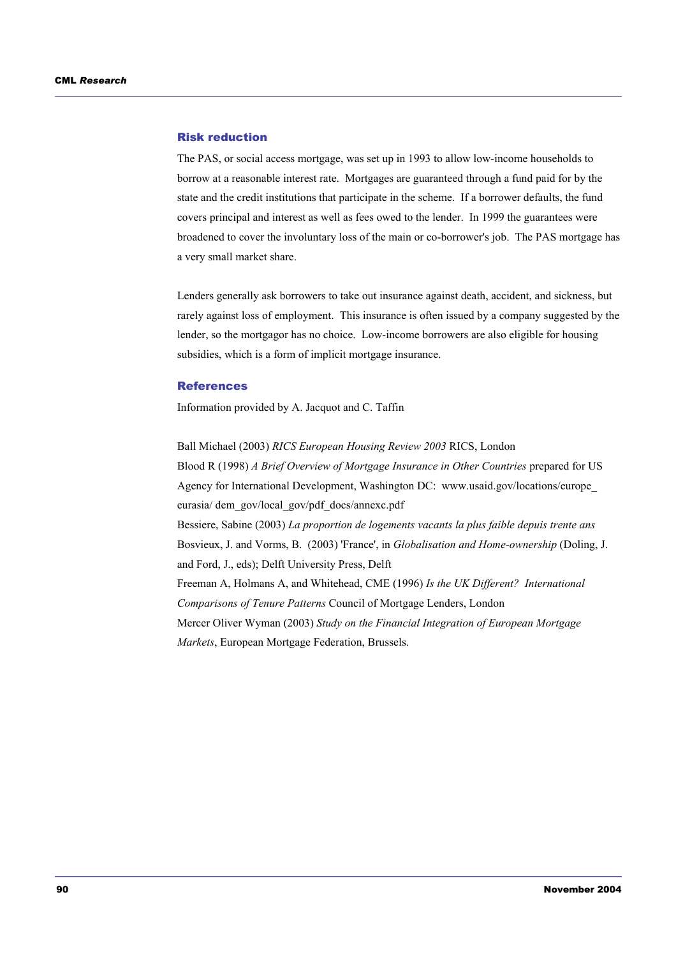#### Risk reduction

The PAS, or social access mortgage, was set up in 1993 to allow low-income households to borrow at a reasonable interest rate. Mortgages are guaranteed through a fund paid for by the state and the credit institutions that participate in the scheme. If a borrower defaults, the fund covers principal and interest as well as fees owed to the lender. In 1999 the guarantees were broadened to cover the involuntary loss of the main or co-borrower's job. The PAS mortgage has a very small market share.

Lenders generally ask borrowers to take out insurance against death, accident, and sickness, but rarely against loss of employment. This insurance is often issued by a company suggested by the lender, so the mortgagor has no choice. Low-income borrowers are also eligible for housing subsidies, which is a form of implicit mortgage insurance.

## **References**

Information provided by A. Jacquot and C. Taffin

Ball Michael (2003) *RICS European Housing Review 2003* RICS, London Blood R (1998) *A Brief Overview of Mortgage Insurance in Other Countries* prepared for US Agency for International Development, Washington DC: www.usaid.gov/locations/europe\_ eurasia/ dem\_gov/local\_gov/pdf\_docs/annexc.pdf Bessiere, Sabine (2003) *La proportion de logements vacants la plus faible depuis trente ans* Bosvieux, J. and Vorms, B. (2003) 'France', in *Globalisation and Home-ownership* (Doling, J. and Ford, J., eds); Delft University Press, Delft Freeman A, Holmans A, and Whitehead, CME (1996) *Is the UK Different? International Comparisons of Tenure Patterns* Council of Mortgage Lenders, London Mercer Oliver Wyman (2003) *Study on the Financial Integration of European Mortgage Markets*, European Mortgage Federation, Brussels.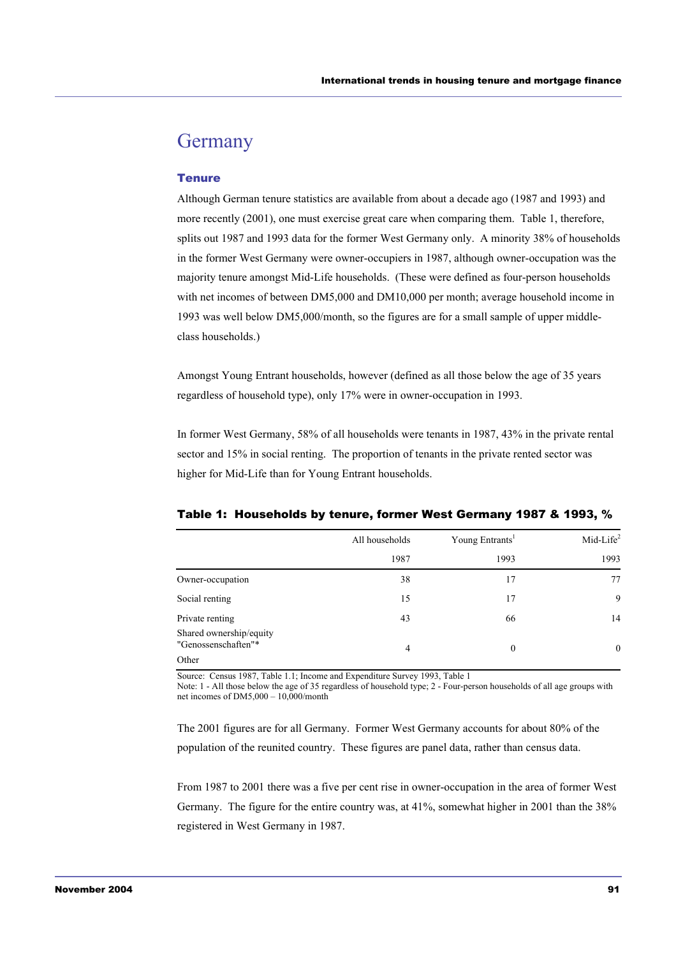## **Germany**

## **Tenure**

Although German tenure statistics are available from about a decade ago (1987 and 1993) and more recently (2001), one must exercise great care when comparing them. Table 1, therefore, splits out 1987 and 1993 data for the former West Germany only. A minority 38% of households in the former West Germany were owner-occupiers in 1987, although owner-occupation was the majority tenure amongst Mid-Life households. (These were defined as four-person households with net incomes of between DM5,000 and DM10,000 per month; average household income in 1993 was well below DM5,000/month, so the figures are for a small sample of upper middleclass households.)

Amongst Young Entrant households, however (defined as all those below the age of 35 years regardless of household type), only 17% were in owner-occupation in 1993.

In former West Germany, 58% of all households were tenants in 1987, 43% in the private rental sector and 15% in social renting. The proportion of tenants in the private rented sector was higher for Mid-Life than for Young Entrant households.

|                                                | All households | Young Entrants <sup>1</sup> | $Mid-Life2$ |  |
|------------------------------------------------|----------------|-----------------------------|-------------|--|
|                                                | 1987           | 1993                        | 1993        |  |
| Owner-occupation                               | 38             | 17                          | 77          |  |
| Social renting                                 | 15             | 17                          | 9           |  |
| Private renting                                | 43             | 66                          | 14          |  |
| Shared ownership/equity<br>"Genossenschaften"* | 4              | $\theta$                    | $\theta$    |  |
| Other                                          |                |                             |             |  |

## Table 1: Households by tenure, former West Germany 1987 & 1993, %

Source: Census 1987, Table 1.1; Income and Expenditure Survey 1993, Table 1

Note: 1 - All those below the age of 35 regardless of household type; 2 - Four-person households of all age groups with net incomes of  $DM5,000 - 10,000/$ month

The 2001 figures are for all Germany. Former West Germany accounts for about 80% of the population of the reunited country. These figures are panel data, rather than census data.

From 1987 to 2001 there was a five per cent rise in owner-occupation in the area of former West Germany. The figure for the entire country was, at 41%, somewhat higher in 2001 than the 38% registered in West Germany in 1987.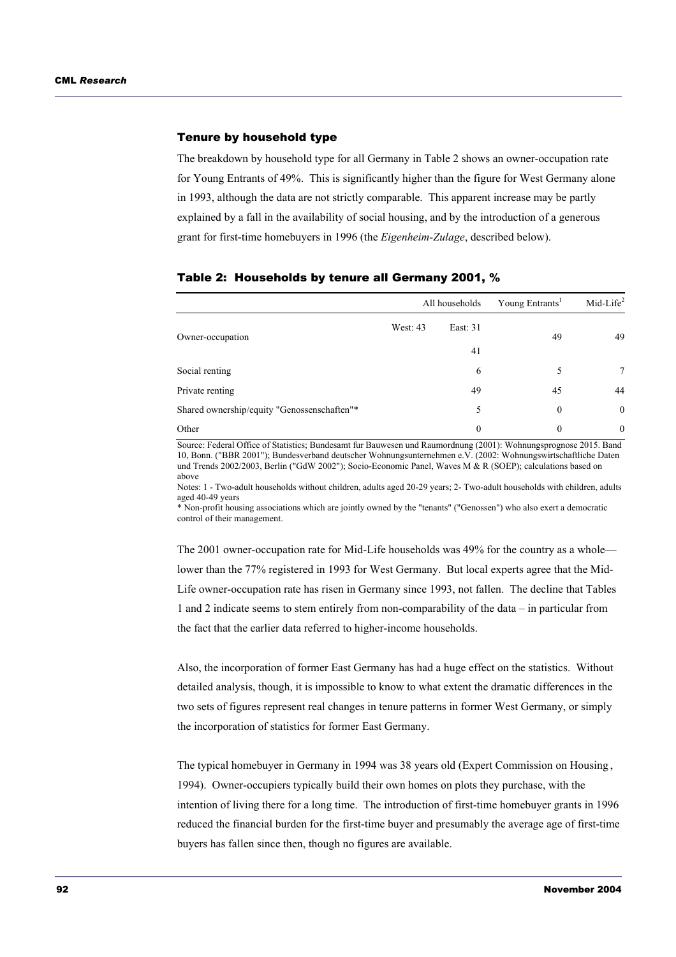#### Tenure by household type

The breakdown by household type for all Germany in Table 2 shows an owner-occupation rate for Young Entrants of 49%. This is significantly higher than the figure for West Germany alone in 1993, although the data are not strictly comparable. This apparent increase may be partly explained by a fall in the availability of social housing, and by the introduction of a generous grant for first-time homebuyers in 1996 (the *Eigenheim-Zulage*, described below).

|                                             |                 | All households | Young Entrants <sup>1</sup> | Mid-Life <sup>2</sup> |
|---------------------------------------------|-----------------|----------------|-----------------------------|-----------------------|
| Owner-occupation                            | <b>West: 43</b> | East: 31       | 49                          | 49                    |
|                                             |                 | 41             |                             |                       |
| Social renting                              |                 | 6              | 5                           | 7                     |
| Private renting                             |                 | 49             | 45                          | 44                    |
| Shared ownership/equity "Genossenschaften"* |                 | 5              | $\Omega$                    | $\theta$              |
| Other                                       |                 | $\theta$       | 0                           | $\theta$              |

## Table 2: Households by tenure all Germany 2001, %

Source: Federal Office of Statistics; Bundesamt fur Bauwesen und Raumordnung (2001): Wohnungsprognose 2015. Band 10, Bonn. ("BBR 2001"); Bundesverband deutscher Wohnungsunternehmen e.V. (2002: Wohnungswirtschaftliche Daten und Trends 2002/2003, Berlin ("GdW 2002"); Socio-Economic Panel, Waves M & R (SOEP); calculations based on above

Notes: 1 - Two-adult households without children, adults aged 20-29 years; 2- Two-adult households with children, adults aged 40-49 years

\* Non-profit housing associations which are jointly owned by the "tenants" ("Genossen") who also exert a democratic control of their management.

The 2001 owner-occupation rate for Mid-Life households was 49% for the country as a whole lower than the 77% registered in 1993 for West Germany. But local experts agree that the Mid-Life owner-occupation rate has risen in Germany since 1993, not fallen. The decline that Tables 1 and 2 indicate seems to stem entirely from non-comparability of the data  $\overline{\phantom{a}}$  in particular from the fact that the earlier data referred to higher-income households.

Also, the incorporation of former East Germany has had a huge effect on the statistics. Without detailed analysis, though, it is impossible to know to what extent the dramatic differences in the two sets of figures represent real changes in tenure patterns in former West Germany, or simply the incorporation of statistics for former East Germany.

The typical homebuyer in Germany in 1994 was 38 years old (Expert Commission on Housing , 1994). Owner-occupiers typically build their own homes on plots they purchase, with the intention of living there for a long time. The introduction of first-time homebuyer grants in 1996 reduced the financial burden for the first-time buyer and presumably the average age of first-time buyers has fallen since then, though no figures are available.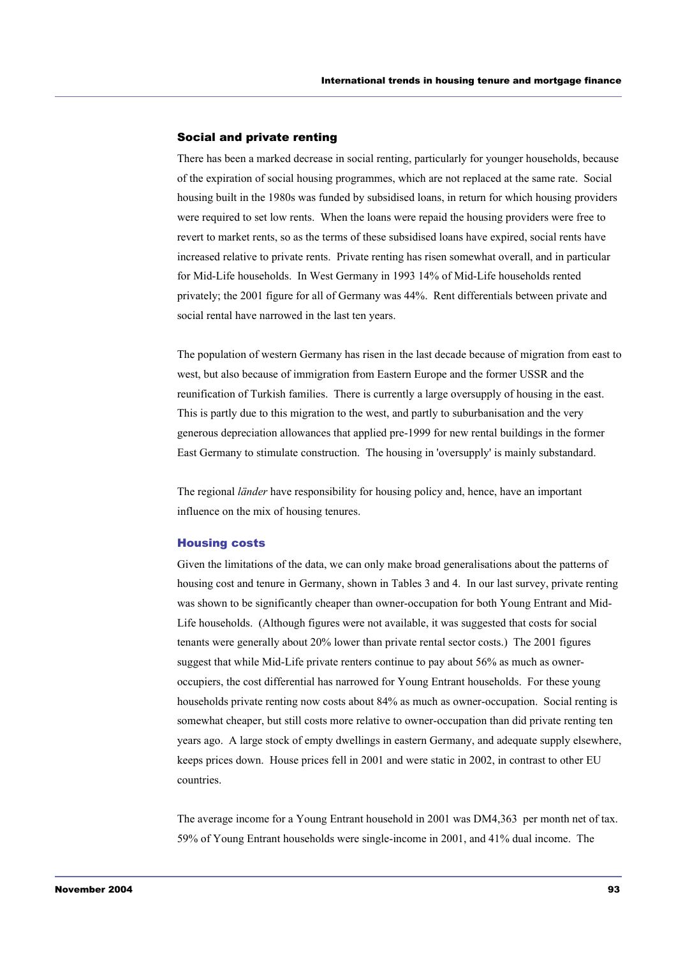#### Social and private renting

There has been a marked decrease in social renting, particularly for younger households, because of the expiration of social housing programmes, which are not replaced at the same rate. Social housing built in the 1980s was funded by subsidised loans, in return for which housing providers were required to set low rents. When the loans were repaid the housing providers were free to revert to market rents, so as the terms of these subsidised loans have expired, social rents have increased relative to private rents. Private renting has risen somewhat overall, and in particular for Mid-Life households. In West Germany in 1993 14% of Mid-Life households rented privately; the 2001 figure for all of Germany was 44%. Rent differentials between private and social rental have narrowed in the last ten years.

The population of western Germany has risen in the last decade because of migration from east to west, but also because of immigration from Eastern Europe and the former USSR and the reunification of Turkish families. There is currently a large oversupply of housing in the east. This is partly due to this migration to the west, and partly to suburbanisation and the very generous depreciation allowances that applied pre-1999 for new rental buildings in the former East Germany to stimulate construction. The housing in 'oversupply' is mainly substandard.

The regional *länder* have responsibility for housing policy and, hence, have an important influence on the mix of housing tenures.

#### Housing costs

Given the limitations of the data, we can only make broad generalisations about the patterns of housing cost and tenure in Germany, shown in Tables 3 and 4. In our last survey, private renting was shown to be significantly cheaper than owner-occupation for both Young Entrant and Mid-Life households. (Although figures were not available, it was suggested that costs for social tenants were generally about 20% lower than private rental sector costs.) The 2001 figures suggest that while Mid-Life private renters continue to pay about 56% as much as owneroccupiers, the cost differential has narrowed for Young Entrant households. For these young households private renting now costs about 84% as much as owner-occupation. Social renting is somewhat cheaper, but still costs more relative to owner-occupation than did private renting ten years ago. A large stock of empty dwellings in eastern Germany, and adequate supply elsewhere, keeps prices down. House prices fell in 2001 and were static in 2002, in contrast to other EU countries.

The average income for a Young Entrant household in 2001 was DM4,363 per month net of tax. 59% of Young Entrant households were single-income in 2001, and 41% dual income. The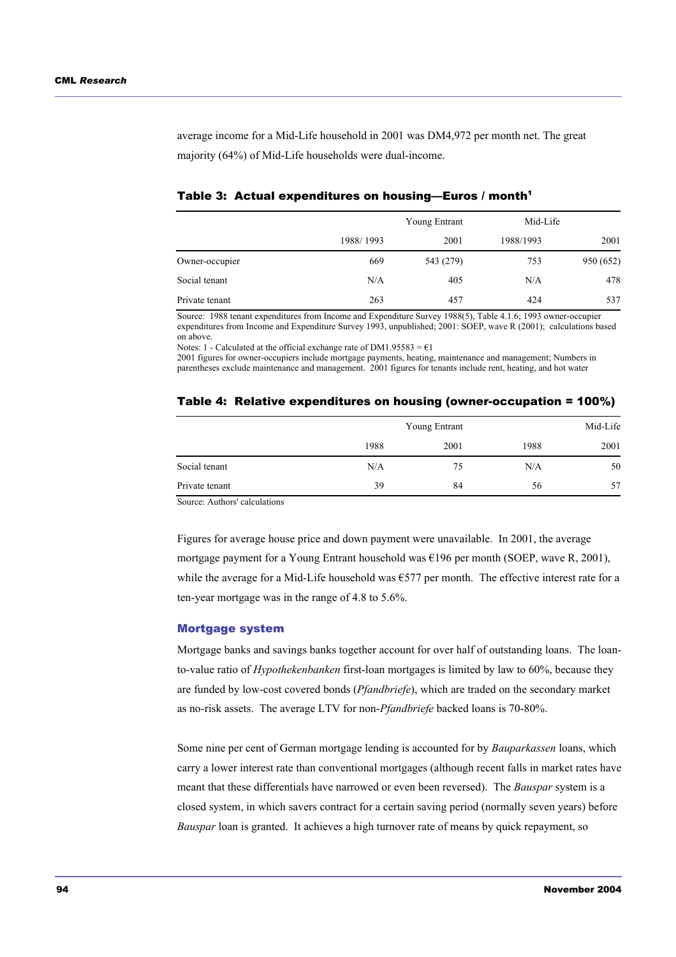average income for a Mid-Life household in 2001 was DM4,972 per month net. The great majority (64%) of Mid-Life households were dual-income.

|                |           | Young Entrant |           | Mid-Life  |
|----------------|-----------|---------------|-----------|-----------|
|                | 1988/1993 | 2001          | 1988/1993 | 2001      |
| Owner-occupier | 669       | 543 (279)     | 753       | 950 (652) |
| Social tenant  | N/A       | 405           | N/A       | 478       |
| Private tenant | 263       | 457           | 424       | 537       |

## Table 3: Actual expenditures on housing–Euros / month<sup>1</sup>

Source: 1988 tenant expenditures from Income and Expenditure Survey 1988(5), Table 4.1.6; 1993 owner-occupier expenditures from Income and Expenditure Survey 1993, unpublished; 2001: SOEP, wave R (2001); calculations based on above.

Notes: 1 - Calculated at the official exchange rate of DM1.95583 =  $E1$ 

2001 figures for owner-occupiers include mortgage payments, heating, maintenance and management; Numbers in parentheses exclude maintenance and management. 2001 figures for tenants include rent, heating, and hot water

#### Table 4: Relative expenditures on housing (owner-occupation = 100%)

|                |      | Young Entrant |      |      |
|----------------|------|---------------|------|------|
|                | 1988 | 2001          | 1988 | 2001 |
| Social tenant  | N/A  | 75            | N/A  | 50   |
| Private tenant | 39   | 84            | 56   | 57   |

Source: Authors' calculations

Figures for average house price and down payment were unavailable. In 2001, the average mortgage payment for a Young Entrant household was  $\epsilon$ 196 per month (SOEP, wave R, 2001). while the average for a Mid-Life household was  $E$ 577 per month. The effective interest rate for a ten-year mortgage was in the range of 4.8 to 5.6%.

#### Mortgage system

Mortgage banks and savings banks together account for over half of outstanding loans. The loanto-value ratio of *Hypothekenbanken* first-loan mortgages is limited by law to 60%, because they are funded by low-cost covered bonds (*Pfandbriefe*), which are traded on the secondary market as no-risk assets. The average LTV for non-*Pfandbriefe* backed loans is 70-80%.

Some nine per cent of German mortgage lending is accounted for by *Bauparkassen* loans, which carry a lower interest rate than conventional mortgages (although recent falls in market rates have meant that these differentials have narrowed or even been reversed). The *Bauspar* system is a closed system, in which savers contract for a certain saving period (normally seven years) before *Bauspar* loan is granted. It achieves a high turnover rate of means by quick repayment, so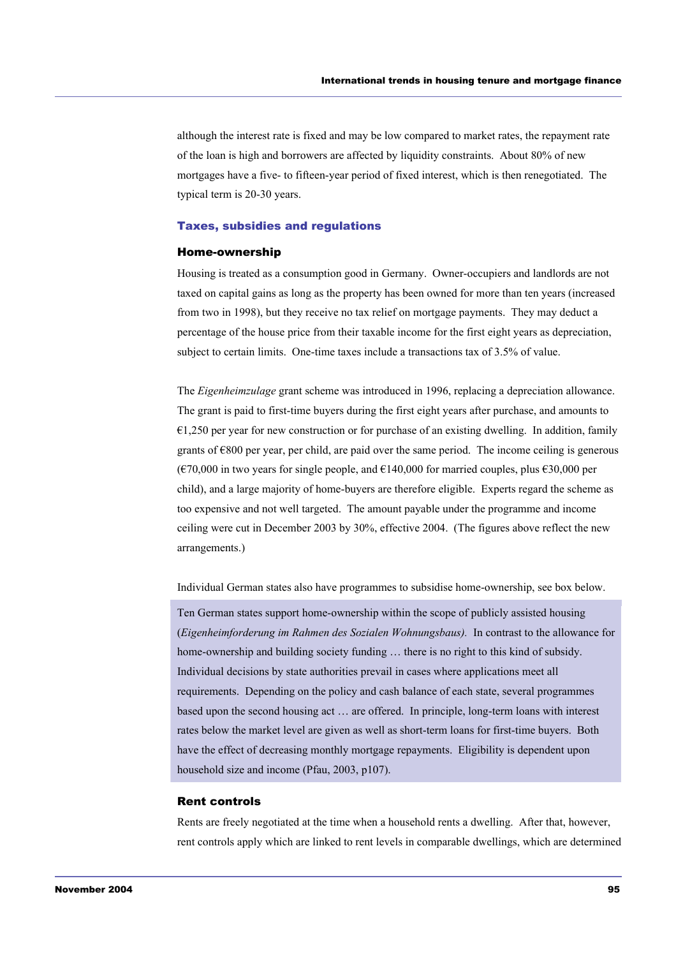although the interest rate is fixed and may be low compared to market rates, the repayment rate of the loan is high and borrowers are affected by liquidity constraints. About 80% of new mortgages have a five- to fifteen-year period of fixed interest, which is then renegotiated. The typical term is 20-30 years.

#### Taxes, subsidies and regulations

#### Home-ownership

Housing is treated as a consumption good in Germany. Owner-occupiers and landlords are not taxed on capital gains as long as the property has been owned for more than ten years (increased from two in 1998), but they receive no tax relief on mortgage payments. They may deduct a percentage of the house price from their taxable income for the first eight years as depreciation, subject to certain limits. One-time taxes include a transactions tax of 3.5% of value.

The *Eigenheimzulage* grant scheme was introduced in 1996, replacing a depreciation allowance. The grant is paid to first-time buyers during the first eight years after purchase, and amounts to  $\epsilon$ 1,250 per year for new construction or for purchase of an existing dwelling. In addition, family grants of  $\epsilon$ 800 per year, per child, are paid over the same period. The income ceiling is generous  $(\text{\textsterling}70,000$  in two years for single people, and  $\text{\textsterling}140,000$  for married couples, plus  $\text{\textsterling}30,000$  per child), and a large majority of home-buyers are therefore eligible. Experts regard the scheme as too expensive and not well targeted. The amount payable under the programme and income ceiling were cut in December 2003 by 30%, effective 2004. (The figures above reflect the new arrangements.)

Individual German states also have programmes to subsidise home-ownership, see box below.

Ten German states support home-ownership within the scope of publicly assisted housing (*Eigenheimforderung im Rahmen des Sozialen Wohnungsbaus).* In contrast to the allowance for home-ownership and building society funding ... there is no right to this kind of subsidy. Individual decisions by state authorities prevail in cases where applications meet all requirements. Depending on the policy and cash balance of each state, several programmes based upon the second housing act ... are offered. In principle, long-term loans with interest rates below the market level are given as well as short-term loans for first-time buyers. Both have the effect of decreasing monthly mortgage repayments. Eligibility is dependent upon household size and income (Pfau, 2003, p107).

## Rent controls

Rents are freely negotiated at the time when a household rents a dwelling. After that, however, rent controls apply which are linked to rent levels in comparable dwellings, which are determined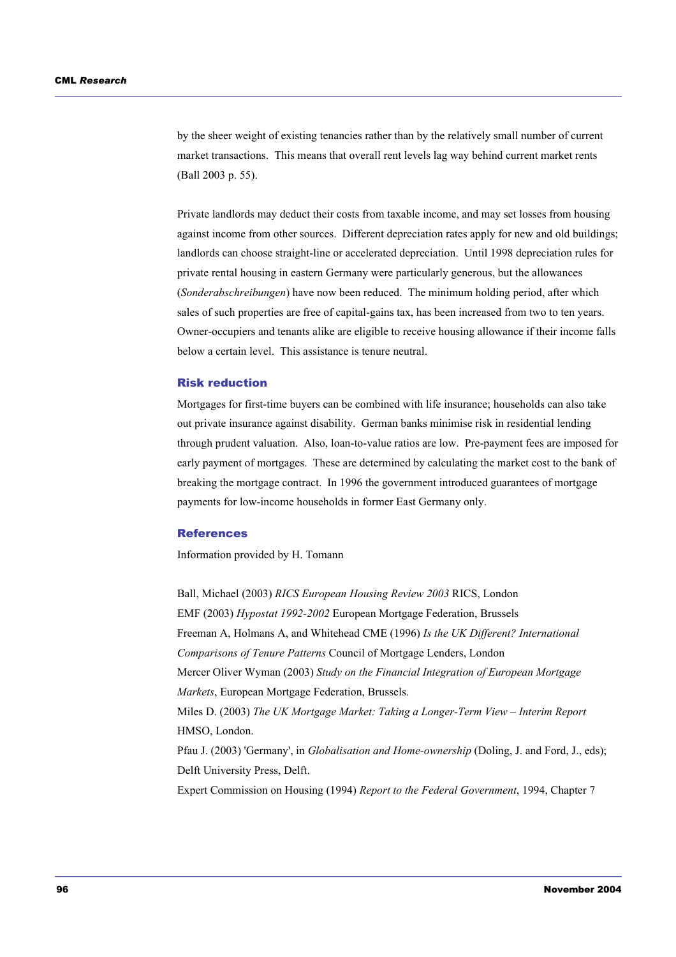by the sheer weight of existing tenancies rather than by the relatively small number of current market transactions. This means that overall rent levels lag way behind current market rents (Ball 2003 p. 55).

Private landlords may deduct their costs from taxable income, and may set losses from housing against income from other sources. Different depreciation rates apply for new and old buildings; landlords can choose straight-line or accelerated depreciation. Until 1998 depreciation rules for private rental housing in eastern Germany were particularly generous, but the allowances (*Sonderabschreibungen*) have now been reduced. The minimum holding period, after which sales of such properties are free of capital-gains tax, has been increased from two to ten years. Owner-occupiers and tenants alike are eligible to receive housing allowance if their income falls below a certain level. This assistance is tenure neutral.

## Risk reduction

Mortgages for first-time buyers can be combined with life insurance; households can also take out private insurance against disability. German banks minimise risk in residential lending through prudent valuation. Also, loan-to-value ratios are low. Pre-payment fees are imposed for early payment of mortgages. These are determined by calculating the market cost to the bank of breaking the mortgage contract. In 1996 the government introduced guarantees of mortgage payments for low-income households in former East Germany only.

#### References

Information provided by H. Tomann

Ball, Michael (2003) *RICS European Housing Review 2003* RICS, London EMF (2003) *Hypostat 1992-2002* European Mortgage Federation, Brussels Freeman A, Holmans A, and Whitehead CME (1996) *Is the UK Different? International Comparisons of Tenure Patterns* Council of Mortgage Lenders, London Mercer Oliver Wyman (2003) *Study on the Financial Integration of European Mortgage Markets*, European Mortgage Federation, Brussels. Miles D. (2003) *The UK Mortgage Market: Taking a Longer-Term View – Interim Report* HMSO, London. Pfau J. (2003) 'Germany', in *Globalisation and Home-ownership* (Doling, J. and Ford, J., eds); Delft University Press, Delft. Expert Commission on Housing (1994) *Report to the Federal Government*, 1994, Chapter 7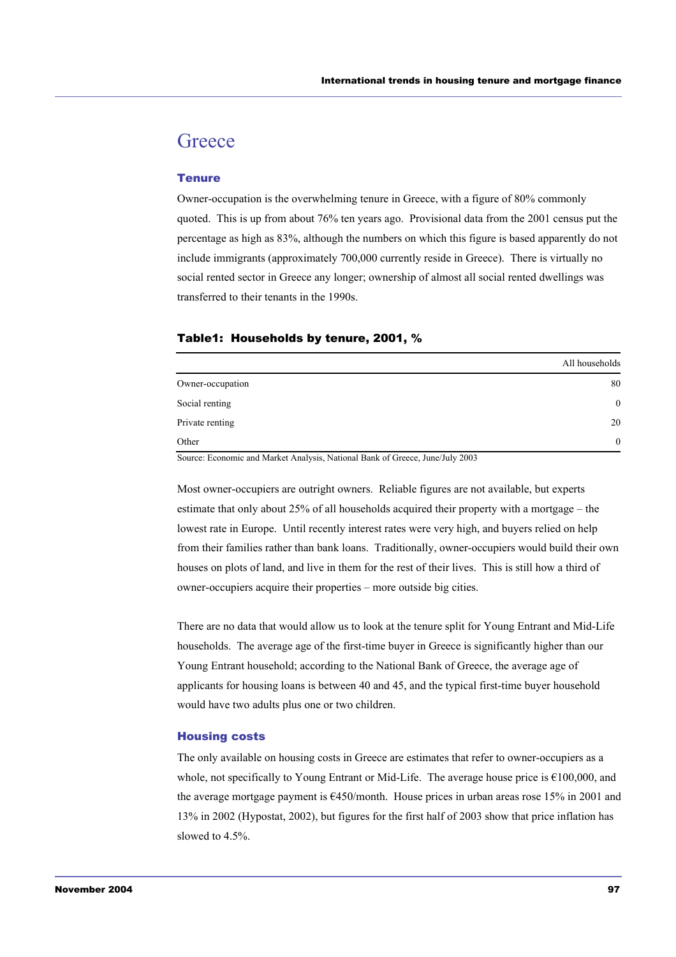## **Greece**

#### **Tenure**

Owner-occupation is the overwhelming tenure in Greece, with a figure of 80% commonly quoted. This is up from about 76% ten years ago. Provisional data from the 2001 census put the percentage as high as 83%, although the numbers on which this figure is based apparently do not include immigrants (approximately 700,000 currently reside in Greece). There is virtually no social rented sector in Greece any longer; ownership of almost all social rented dwellings was transferred to their tenants in the 1990s.

#### Table1: Households by tenure, 2001, %

|                  | All households |
|------------------|----------------|
| Owner-occupation | 80             |
| Social renting   | $\theta$       |
| Private renting  | 20             |
| Other            | $\theta$       |

Source: Economic and Market Analysis, National Bank of Greece, June/July 2003

Most owner-occupiers are outright owners. Reliable figures are not available, but experts estimate that only about  $25\%$  of all households acquired their property with a mortgage – the lowest rate in Europe. Until recently interest rates were very high, and buyers relied on help from their families rather than bank loans. Traditionally, owner-occupiers would build their own houses on plots of land, and live in them for the rest of their lives. This is still how a third of owner-occupiers acquire their properties – more outside big cities.

There are no data that would allow us to look at the tenure split for Young Entrant and Mid-Life households. The average age of the first-time buyer in Greece is significantly higher than our Young Entrant household; according to the National Bank of Greece, the average age of applicants for housing loans is between 40 and 45, and the typical first-time buyer household would have two adults plus one or two children.

#### Housing costs

The only available on housing costs in Greece are estimates that refer to owner-occupiers as a whole, not specifically to Young Entrant or Mid-Life. The average house price is  $€100,000$ , and the average mortgage payment is  $E450$ /month. House prices in urban areas rose 15% in 2001 and 13% in 2002 (Hypostat, 2002), but figures for the first half of 2003 show that price inflation has slowed to 4.5%.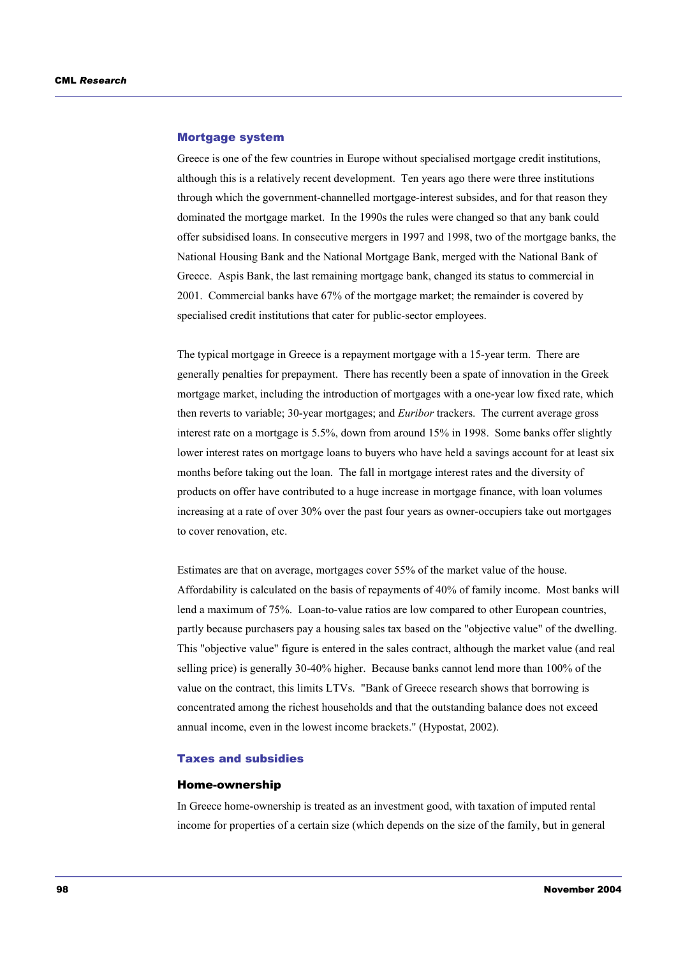#### Mortgage system

Greece is one of the few countries in Europe without specialised mortgage credit institutions. although this is a relatively recent development. Ten years ago there were three institutions through which the government-channelled mortgage-interest subsides, and for that reason they dominated the mortgage market. In the 1990s the rules were changed so that any bank could offer subsidised loans. In consecutive mergers in 1997 and 1998, two of the mortgage banks, the National Housing Bank and the National Mortgage Bank, merged with the National Bank of Greece. Aspis Bank, the last remaining mortgage bank, changed its status to commercial in 2001. Commercial banks have 67% of the mortgage market; the remainder is covered by specialised credit institutions that cater for public-sector employees.

The typical mortgage in Greece is a repayment mortgage with a 15-year term. There are generally penalties for prepayment. There has recently been a spate of innovation in the Greek mortgage market, including the introduction of mortgages with a one-year low fixed rate, which then reverts to variable; 30-year mortgages; and *Euribor* trackers. The current average gross interest rate on a mortgage is 5.5%, down from around 15% in 1998. Some banks offer slightly lower interest rates on mortgage loans to buyers who have held a savings account for at least six months before taking out the loan. The fall in mortgage interest rates and the diversity of products on offer have contributed to a huge increase in mortgage finance, with loan volumes increasing at a rate of over 30% over the past four years as owner-occupiers take out mortgages to cover renovation, etc.

Estimates are that on average, mortgages cover 55% of the market value of the house. Affordability is calculated on the basis of repayments of 40% of family income. Most banks will lend a maximum of 75%. Loan-to-value ratios are low compared to other European countries, partly because purchasers pay a housing sales tax based on the "objective value" of the dwelling. This "objective value" figure is entered in the sales contract, although the market value (and real selling price) is generally 30-40% higher. Because banks cannot lend more than 100% of the value on the contract, this limits LTVs. "Bank of Greece research shows that borrowing is concentrated among the richest households and that the outstanding balance does not exceed annual income, even in the lowest income brackets." (Hypostat, 2002).

#### Taxes and subsidies

#### Home-ownership

In Greece home-ownership is treated as an investment good, with taxation of imputed rental income for properties of a certain size (which depends on the size of the family, but in general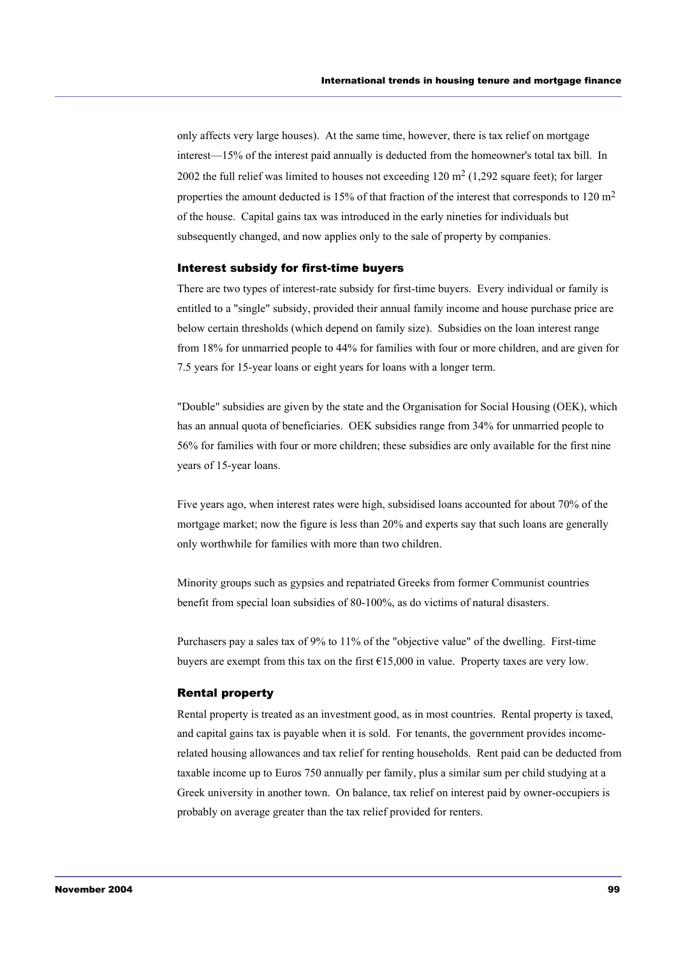only affects very large houses). At the same time, however, there is tax relief on mortgage interest—15% of the interest paid annually is deducted from the homeowner's total tax bill. In 2002 the full relief was limited to houses not exceeding  $120 \text{ m}^2$  (1,292 square feet); for larger properties the amount deducted is  $15\%$  of that fraction of the interest that corresponds to  $120 \text{ m}^2$ of the house. Capital gains tax was introduced in the early nineties for individuals but subsequently changed, and now applies only to the sale of property by companies.

#### Interest subsidy for first-time buyers

There are two types of interest-rate subsidy for first-time buyers. Every individual or family is entitled to a "single" subsidy, provided their annual family income and house purchase price are below certain thresholds (which depend on family size). Subsidies on the loan interest range from 18% for unmarried people to 44% for families with four or more children, and are given for 7.5 years for 15-year loans or eight years for loans with a longer term.

"Double" subsidies are given by the state and the Organisation for Social Housing (OEK), which has an annual quota of beneficiaries. OEK subsidies range from 34% for unmarried people to 56% for families with four or more children; these subsidies are only available for the first nine years of 15-year loans.

Five years ago, when interest rates were high, subsidised loans accounted for about 70% of the mortgage market; now the figure is less than 20% and experts say that such loans are generally only worthwhile for families with more than two children.

Minority groups such as gypsies and repatriated Greeks from former Communist countries benefit from special loan subsidies of 80-100%, as do victims of natural disasters.

Purchasers pay a sales tax of 9% to 11% of the "objective value" of the dwelling. First-time buyers are exempt from this tax on the first  $E15,000$  in value. Property taxes are very low.

## Rental property

Rental property is treated as an investment good, as in most countries. Rental property is taxed, and capital gains tax is payable when it is sold. For tenants, the government provides incomerelated housing allowances and tax relief for renting households. Rent paid can be deducted from taxable income up to Euros 750 annually per family, plus a similar sum per child studying at a Greek university in another town. On balance, tax relief on interest paid by owner-occupiers is probably on average greater than the tax relief provided for renters.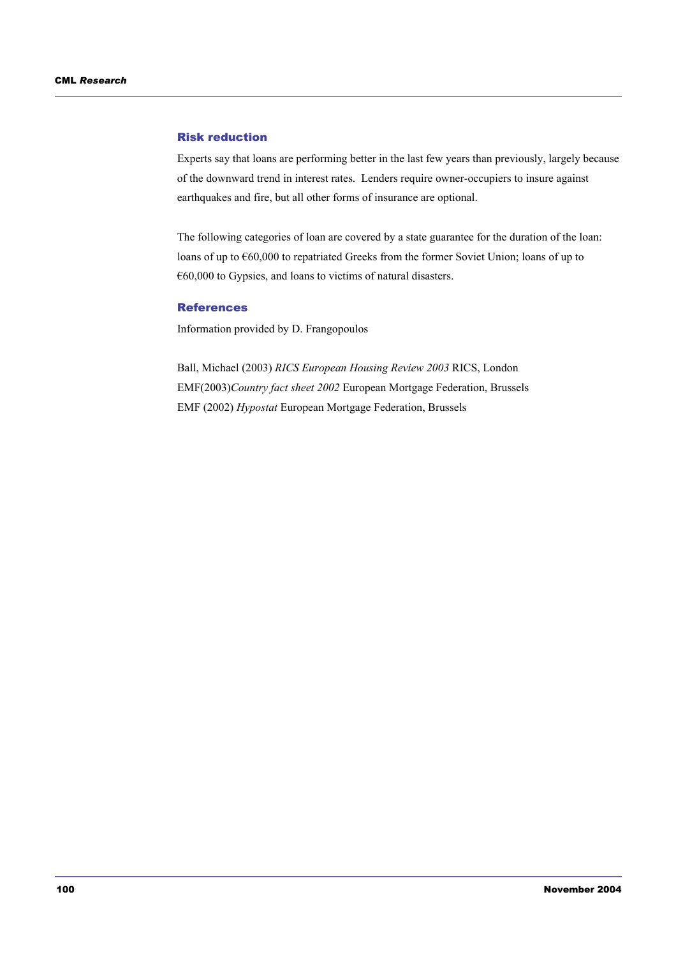## Risk reduction

Experts say that loans are performing better in the last few years than previously, largely because of the downward trend in interest rates. Lenders require owner-occupiers to insure against earthquakes and fire, but all other forms of insurance are optional.

The following categories of loan are covered by a state guarantee for the duration of the loan: loans of up to  $\epsilon$ 60,000 to repatriated Greeks from the former Soviet Union; loans of up to  $€60,000$  to Gypsies, and loans to victims of natural disasters.

## References

Information provided by D. Frangopoulos

Ball, Michael (2003) *RICS European Housing Review 2003* RICS, London EMF(2003)*Country fact sheet 2002* European Mortgage Federation, Brussels EMF (2002) *Hypostat* European Mortgage Federation, Brussels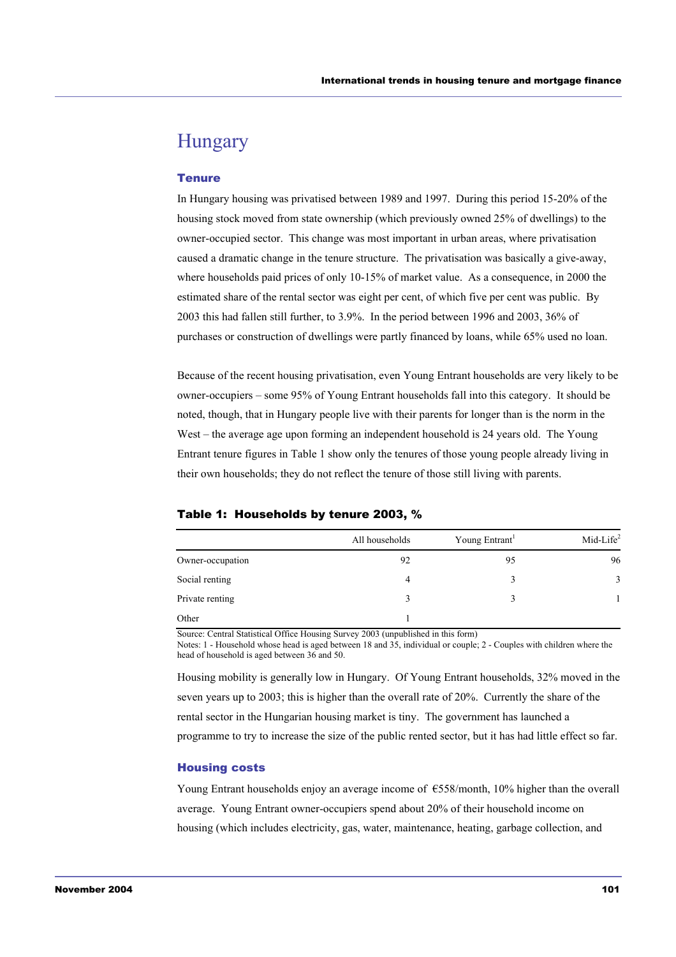## Hungary

#### **Tenure**

In Hungary housing was privatised between 1989 and 1997. During this period 15-20% of the housing stock moved from state ownership (which previously owned 25% of dwellings) to the owner-occupied sector. This change was most important in urban areas, where privatisation caused a dramatic change in the tenure structure. The privatisation was basically a give-away, where households paid prices of only 10-15% of market value. As a consequence, in 2000 the estimated share of the rental sector was eight per cent, of which five per cent was public. By 2003 this had fallen still further, to 3.9%. In the period between 1996 and 2003, 36% of purchases or construction of dwellings were partly financed by loans, while 65% used no loan.

Because of the recent housing privatisation, even Young Entrant households are very likely to be owner-occupiers – some 95% of Young Entrant households fall into this category. It should be noted, though, that in Hungary people live with their parents for longer than is the norm in the West – the average age upon forming an independent household is 24 years old. The Young Entrant tenure figures in Table 1 show only the tenures of those young people already living in their own households; they do not reflect the tenure of those still living with parents.

|                  | All households | Young Entrant | $Mid-Life2$ |
|------------------|----------------|---------------|-------------|
| Owner-occupation | 92             | 95            | 96          |
| Social renting   |                |               | 3           |
| Private renting  |                |               |             |
| Other            |                |               |             |

Table 1: Households by tenure 2003, %

Source: Central Statistical Office Housing Survey 2003 (unpublished in this form) Notes: 1 - Household whose head is aged between 18 and 35, individual or couple; 2 - Couples with children where the head of household is aged between 36 and 50.

Housing mobility is generally low in Hungary. Of Young Entrant households, 32% moved in the seven years up to 2003; this is higher than the overall rate of 20%. Currently the share of the rental sector in the Hungarian housing market is tiny. The government has launched a programme to try to increase the size of the public rented sector, but it has had little effect so far.

#### Housing costs

Young Entrant households enjoy an average income of  $\epsilon$ 558/month, 10% higher than the overall average. Young Entrant owner-occupiers spend about 20% of their household income on housing (which includes electricity, gas, water, maintenance, heating, garbage collection, and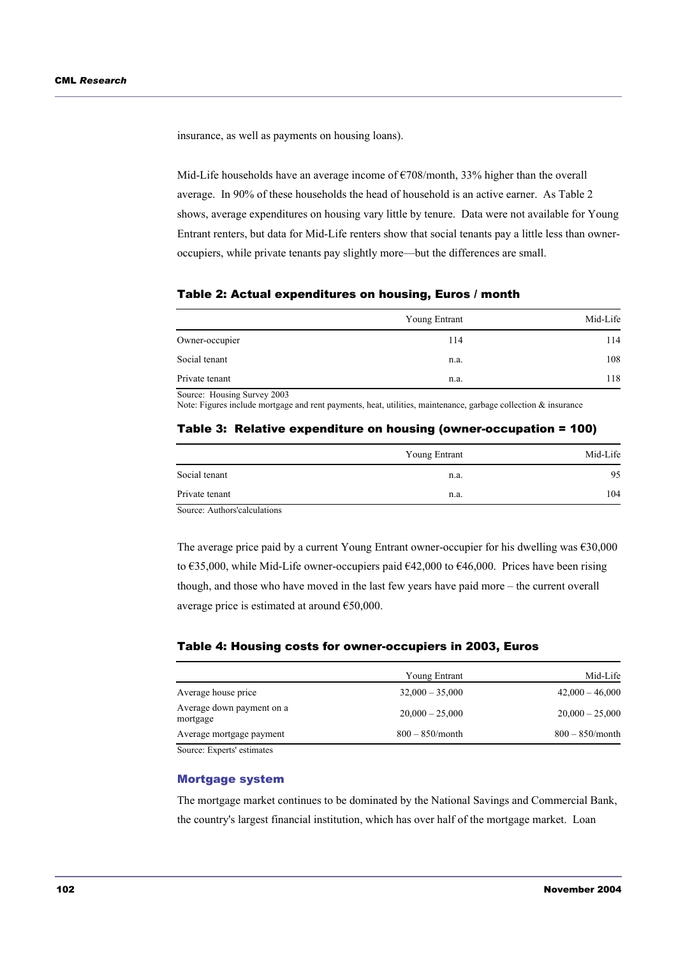insurance, as well as payments on housing loans).

Mid-Life households have an average income of  $\epsilon$ 708/month, 33% higher than the overall average. In 90% of these households the head of household is an active earner. As Table 2 shows, average expenditures on housing vary little by tenure. Data were not available for Young Entrant renters, but data for Mid-Life renters show that social tenants pay a little less than owneroccupiers, while private tenants pay slightly more—but the differences are small.

## Table 2: Actual expenditures on housing, Euros / month

|                             | Young Entrant | Mid-Life |
|-----------------------------|---------------|----------|
| Owner-occupier              | 114           | 114      |
| Social tenant               | n.a.          | 108      |
| Private tenant              | n.a.          | 118      |
| Source: Housing Survey 2003 |               |          |

Note: Figures include mortgage and rent payments, heat, utilities, maintenance, garbage collection & insurance

|  |  | Table 3: Relative expenditure on housing (owner-occupation = 100) |  |  |  |  |  |
|--|--|-------------------------------------------------------------------|--|--|--|--|--|
|--|--|-------------------------------------------------------------------|--|--|--|--|--|

|                                                                                                                                                                                                                                                                                                                                                                                                                                    | Young Entrant | Mid-Life |
|------------------------------------------------------------------------------------------------------------------------------------------------------------------------------------------------------------------------------------------------------------------------------------------------------------------------------------------------------------------------------------------------------------------------------------|---------------|----------|
| Social tenant                                                                                                                                                                                                                                                                                                                                                                                                                      | n.a.          | 95       |
| Private tenant                                                                                                                                                                                                                                                                                                                                                                                                                     | n.a.          | 104      |
| $\sim$<br>$\mathbf{A} = \mathbf{A} \mathbf{A} + \mathbf{A} \mathbf{A} + \mathbf{A} \mathbf{A} + \mathbf{A} \mathbf{A} + \mathbf{A} \mathbf{A} + \mathbf{A} \mathbf{A} + \mathbf{A} \mathbf{A} + \mathbf{A} \mathbf{A} + \mathbf{A} \mathbf{A} + \mathbf{A} \mathbf{A} + \mathbf{A} \mathbf{A} + \mathbf{A} \mathbf{A} + \mathbf{A} \mathbf{A} + \mathbf{A} \mathbf{A} + \mathbf{A} \mathbf{A} + \mathbf{A} \mathbf{A} + \mathbf{A$ |               |          |

Source: Authors'calculations

The average price paid by a current Young Entrant owner-occupier for his dwelling was  $\epsilon$ 30,000 to  $\epsilon$ 35,000, while Mid-Life owner-occupiers paid  $\epsilon$ 42,000 to  $\epsilon$ 46,000. Prices have been rising though, and those who have moved in the last few years have paid more – the current overall average price is estimated at around  $€50,000$ .

## Table 4: Housing costs for owner-occupiers in 2003, Euros

|                                       | Young Entrant      | Mid-Life           |
|---------------------------------------|--------------------|--------------------|
| Average house price                   | $32,000 - 35,000$  | $42,000 - 46,000$  |
| Average down payment on a<br>mortgage | $20,000 - 25,000$  | $20,000 - 25,000$  |
| Average mortgage payment              | $800 - 850$ /month | $800 - 850$ /month |

Source: Experts' estimates

#### Mortgage system

The mortgage market continues to be dominated by the National Savings and Commercial Bank, the country's largest financial institution, which has over half of the mortgage market. Loan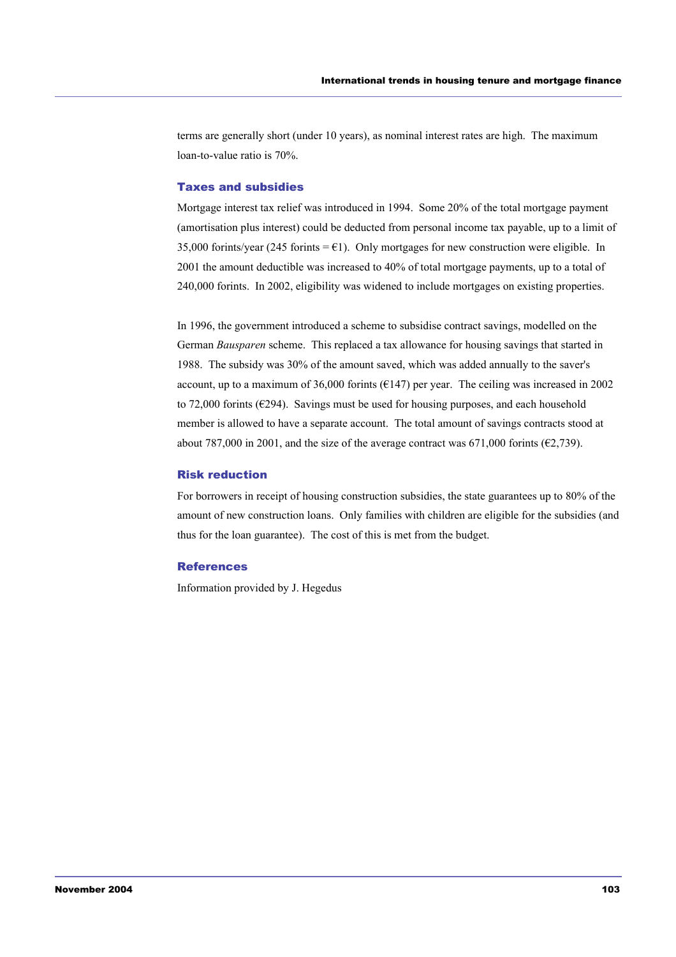terms are generally short (under 10 years), as nominal interest rates are high. The maximum loan-to-value ratio is 70%.

## Taxes and subsidies

Mortgage interest tax relief was introduced in 1994. Some 20% of the total mortgage payment (amortisation plus interest) could be deducted from personal income tax payable, up to a limit of 35,000 for ints/year (245 for ints =  $E$ 1). Only mortgages for new construction were eligible. In 2001 the amount deductible was increased to 40% of total mortgage payments, up to a total of 240,000 forints. In 2002, eligibility was widened to include mortgages on existing properties.

In 1996, the government introduced a scheme to subsidise contract savings, modelled on the German *Bausparen* scheme. This replaced a tax allowance for housing savings that started in 1988. The subsidy was 30% of the amount saved, which was added annually to the saver's account, up to a maximum of 36,000 forints ( $E$ 147) per year. The ceiling was increased in 2002 to 72,000 forints ( $E$ 294). Savings must be used for housing purposes, and each household member is allowed to have a separate account. The total amount of savings contracts stood at about 787,000 in 2001, and the size of the average contract was 671,000 forints ( $\epsilon$ 2,739).

#### Risk reduction

For borrowers in receipt of housing construction subsidies, the state guarantees up to 80% of the amount of new construction loans. Only families with children are eligible for the subsidies (and thus for the loan guarantee). The cost of this is met from the budget.

## **References**

Information provided by J. Hegedus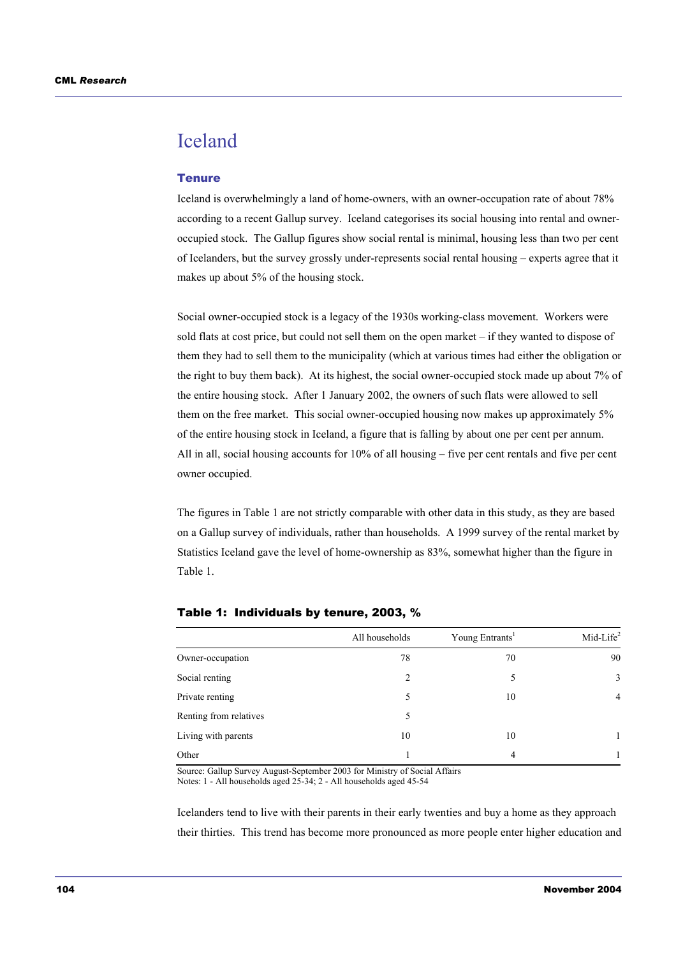# Iceland

#### **Tenure**

Iceland is overwhelmingly a land of home-owners, with an owner-occupation rate of about 78% according to a recent Gallup survey. Iceland categorises its social housing into rental and owneroccupied stock. The Gallup figures show social rental is minimal, housing less than two per cent of Icelanders, but the survey grossly under-represents social rental housing – experts agree that it makes up about 5% of the housing stock.

Social owner-occupied stock is a legacy of the 1930s working-class movement. Workers were sold flats at cost price, but could not sell them on the open market  $-$  if they wanted to dispose of them they had to sell them to the municipality (which at various times had either the obligation or the right to buy them back). At its highest, the social owner-occupied stock made up about 7% of the entire housing stock. After 1 January 2002, the owners of such flats were allowed to sell them on the free market. This social owner-occupied housing now makes up approximately 5% of the entire housing stock in Iceland, a figure that is falling by about one per cent per annum. All in all, social housing accounts for  $10\%$  of all housing – five per cent rentals and five per cent owner occupied.

The figures in Table 1 are not strictly comparable with other data in this study, as they are based on a Gallup survey of individuals, rather than households. A 1999 survey of the rental market by Statistics Iceland gave the level of home-ownership as 83%, somewhat higher than the figure in Table 1.

|                        | All households | Young Entrants <sup>1</sup> | Mid-Life <sup>2</sup> |
|------------------------|----------------|-----------------------------|-----------------------|
| Owner-occupation       | 78             | 70                          | 90                    |
| Social renting         | 2              | 5                           | 3                     |
| Private renting        | 5              | 10                          | $\overline{4}$        |
| Renting from relatives | 5              |                             |                       |
| Living with parents    | 10             | 10                          |                       |
| Other                  |                | $\overline{4}$              |                       |

#### Table 1: Individuals by tenure, 2003, %

Source: Gallup Survey August-September 2003 for Ministry of Social Affairs

Notes: 1 - All households aged 25-34; 2 - All households aged 45-54

Icelanders tend to live with their parents in their early twenties and buy a home as they approach their thirties. This trend has become more pronounced as more people enter higher education and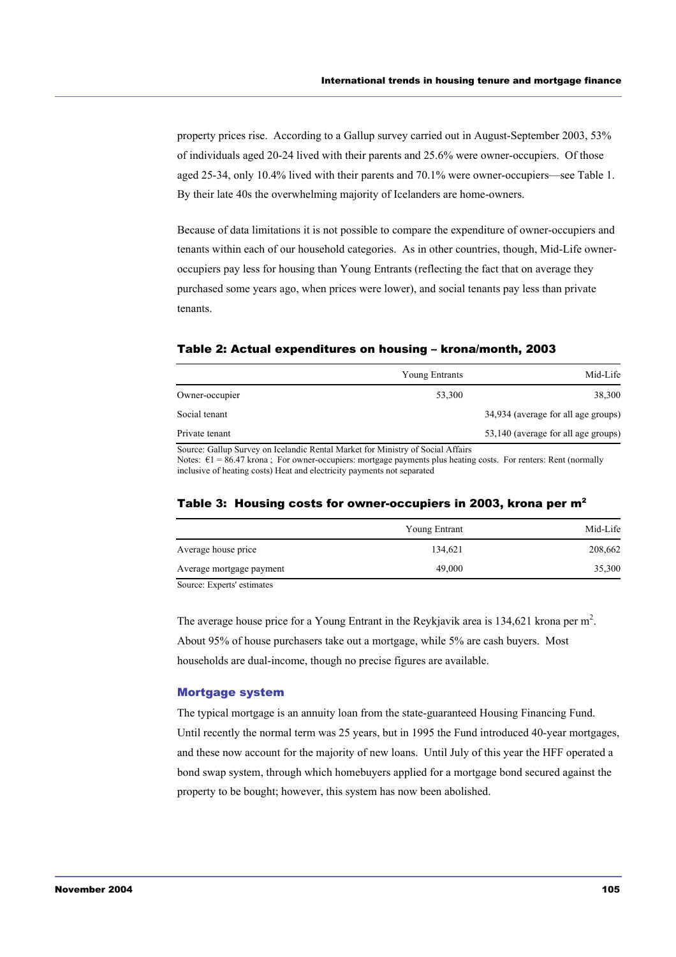property prices rise. According to a Gallup survey carried out in August-September 2003, 53% of individuals aged 20-24 lived with their parents and 25.6% were owner-occupiers. Of those aged  $25-34$ , only  $10.4\%$  lived with their parents and  $70.1\%$  were owner-occupiers—see Table 1. By their late 40s the overwhelming majority of Icelanders are home-owners.

Because of data limitations it is not possible to compare the expenditure of owner-occupiers and tenants within each of our household categories. As in other countries, though, Mid-Life owneroccupiers pay less for housing than Young Entrants (reflecting the fact that on average they purchased some years ago, when prices were lower), and social tenants pay less than private tenants.

#### Table 2: Actual expenditures on housing - krona/month, 2003

|                                                                                 | Young Entrants | Mid-Life                            |
|---------------------------------------------------------------------------------|----------------|-------------------------------------|
| Owner-occupier                                                                  | 53.300         | 38,300                              |
| Social tenant                                                                   |                | 34,934 (average for all age groups) |
| Private tenant                                                                  |                | 53,140 (average for all age groups) |
| Source: Gallup Survey on Icelandic Rental Market for Ministry of Social Affairs |                |                                     |

Notes:  $\epsilon$ 1 = 86.47 krona ; For owner-occupiers: mortgage payments plus heating costs. For renters: Rent (normally inclusive of heating costs) Heat and electricity payments not separated

#### Table 3: Housing costs for owner-occupiers in 2003, krona per m<sup>2</sup>

|                          | Young Entrant | Mid-Life |
|--------------------------|---------------|----------|
| Average house price      | 134.621       | 208,662  |
| Average mortgage payment | 49,000        | 35,300   |

Source: Experts' estimates

The average house price for a Young Entrant in the Reykjavik area is 134,621 krona per  $m^2$ . About 95% of house purchasers take out a mortgage, while 5% are cash buyers. Most households are dual-income, though no precise figures are available.

## Mortgage system

The typical mortgage is an annuity loan from the state-guaranteed Housing Financing Fund. Until recently the normal term was 25 years, but in 1995 the Fund introduced 40-year mortgages, and these now account for the majority of new loans. Until July of this year the HFF operated a bond swap system, through which homebuyers applied for a mortgage bond secured against the property to be bought; however, this system has now been abolished.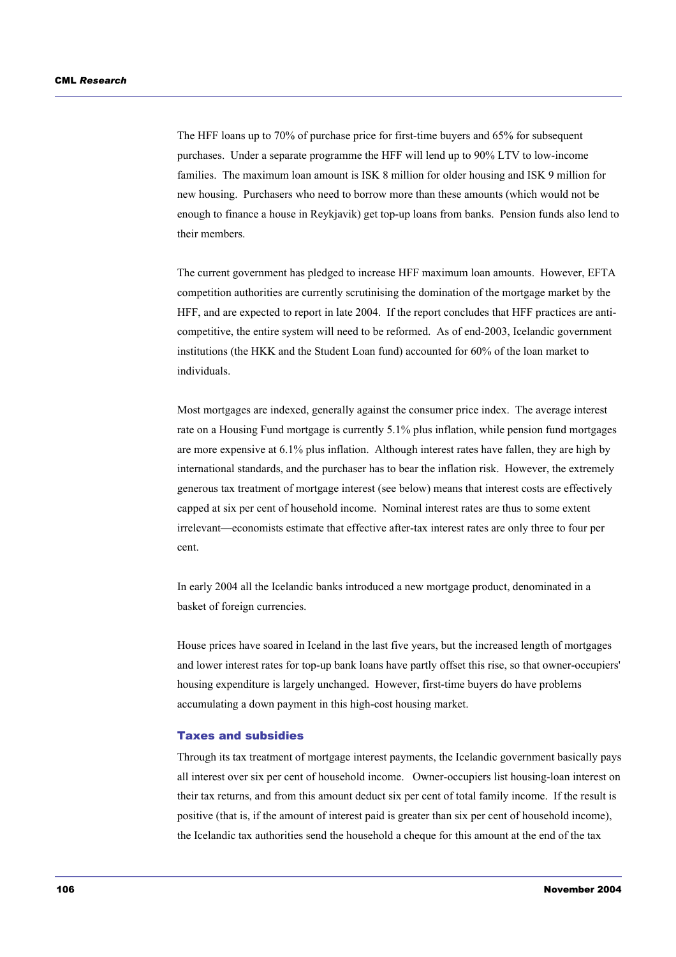The HFF loans up to 70% of purchase price for first-time buyers and 65% for subsequent purchases. Under a separate programme the HFF will lend up to 90% LTV to low-income families. The maximum loan amount is ISK 8 million for older housing and ISK 9 million for new housing. Purchasers who need to borrow more than these amounts (which would not be enough to finance a house in Reykjavik) get top-up loans from banks. Pension funds also lend to their members.

The current government has pledged to increase HFF maximum loan amounts. However, EFTA competition authorities are currently scrutinising the domination of the mortgage market by the HFF, and are expected to report in late 2004. If the report concludes that HFF practices are anticompetitive, the entire system will need to be reformed. As of end-2003, Icelandic government institutions (the HKK and the Student Loan fund) accounted for 60% of the loan market to individuals.

Most mortgages are indexed, generally against the consumer price index. The average interest rate on a Housing Fund mortgage is currently 5.1% plus inflation, while pension fund mortgages are more expensive at 6.1% plus inflation. Although interest rates have fallen, they are high by international standards, and the purchaser has to bear the inflation risk. However, the extremely generous tax treatment of mortgage interest (see below) means that interest costs are effectively capped at six per cent of household income. Nominal interest rates are thus to some extent irrelevant—economists estimate that effective after-tax interest rates are only three to four per cent.

In early 2004 all the Icelandic banks introduced a new mortgage product, denominated in a basket of foreign currencies.

House prices have soared in Iceland in the last five years, but the increased length of mortgages and lower interest rates for top-up bank loans have partly offset this rise, so that owner-occupiers' housing expenditure is largely unchanged. However, first-time buyers do have problems accumulating a down payment in this high-cost housing market.

#### Taxes and subsidies

Through its tax treatment of mortgage interest payments, the Icelandic government basically pays all interest over six per cent of household income. Owner-occupiers list housing-loan interest on their tax returns, and from this amount deduct six per cent of total family income. If the result is positive (that is, if the amount of interest paid is greater than six per cent of household income), the Icelandic tax authorities send the household a cheque for this amount at the end of the tax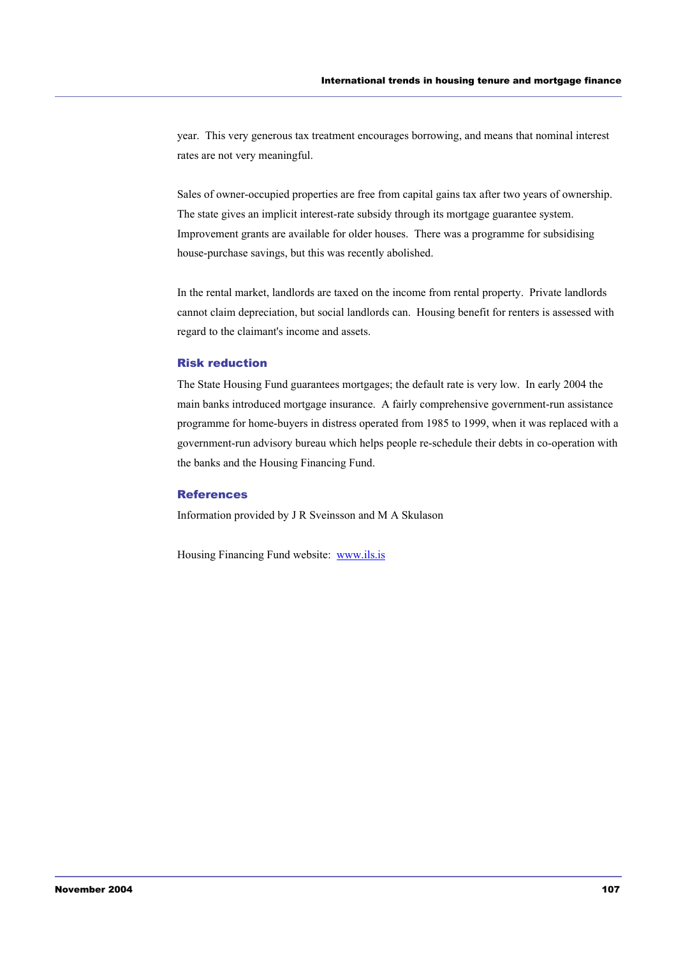year. This very generous tax treatment encourages borrowing, and means that nominal interest rates are not very meaningful.

Sales of owner-occupied properties are free from capital gains tax after two years of ownership. The state gives an implicit interest-rate subsidy through its mortgage guarantee system. Improvement grants are available for older houses. There was a programme for subsidising house-purchase savings, but this was recently abolished.

In the rental market, landlords are taxed on the income from rental property. Private landlords cannot claim depreciation, but social landlords can. Housing benefit for renters is assessed with regard to the claimant's income and assets.

# Risk reduction

The State Housing Fund guarantees mortgages; the default rate is very low. In early 2004 the main banks introduced mortgage insurance. A fairly comprehensive government-run assistance programme for home-buyers in distress operated from 1985 to 1999, when it was replaced with a government-run advisory bureau which helps people re-schedule their debts in co-operation with the banks and the Housing Financing Fund.

# References

Information provided by J R Sveinsson and M A Skulason

Housing Financing Fund website: www.ils.is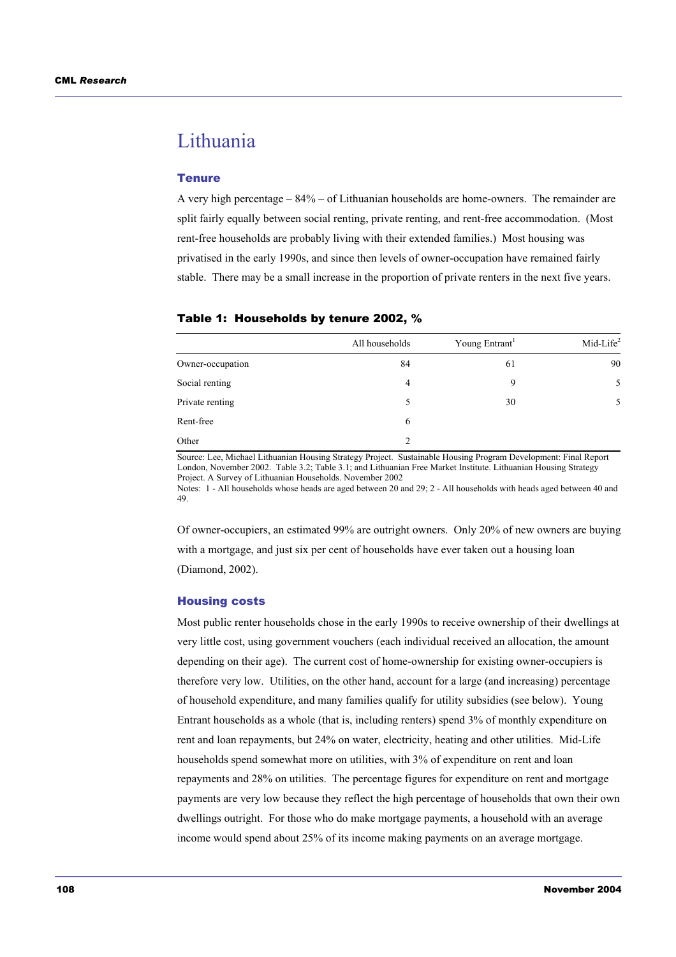# Lithuania

#### **Tenure**

A very high percentage  $-84\% -$  of Lithuanian households are home-owners. The remainder are split fairly equally between social renting, private renting, and rent-free accommodation. (Most rent-free households are probably living with their extended families.) Most housing was privatised in the early 1990s, and since then levels of owner-occupation have remained fairly stable. There may be a small increase in the proportion of private renters in the next five years.

|                  | All households | Young Entrant <sup>1</sup> | Mid-Life <sup>2</sup> |
|------------------|----------------|----------------------------|-----------------------|
| Owner-occupation | 84             | 61                         | 90                    |
| Social renting   | 4              | 9                          | 5                     |
| Private renting  | 5              | 30                         | 5                     |
| Rent-free        | 6              |                            |                       |
| Other            | 2              |                            |                       |

# Table 1: Households by tenure 2002, %

Source: Lee, Michael Lithuanian Housing Strategy Project. Sustainable Housing Program Development: Final Report London, November 2002. Table 3.2; Table 3.1; and Lithuanian Free Market Institute. Lithuanian Housing Strategy Project. A Survey of Lithuanian Households. November 2002

Notes: 1 - All households whose heads are aged between 20 and 29; 2 - All households with heads aged between 40 and 49.

Of owner-occupiers, an estimated 99% are outright owners. Only 20% of new owners are buying with a mortgage, and just six per cent of households have ever taken out a housing loan (Diamond, 2002).

### Housing costs

Most public renter households chose in the early 1990s to receive ownership of their dwellings at very little cost, using government vouchers (each individual received an allocation, the amount depending on their age). The current cost of home-ownership for existing owner-occupiers is therefore very low. Utilities, on the other hand, account for a large (and increasing) percentage of household expenditure, and many families qualify for utility subsidies (see below). Young Entrant households as a whole (that is, including renters) spend 3% of monthly expenditure on rent and loan repayments, but 24% on water, electricity, heating and other utilities. Mid-Life households spend somewhat more on utilities, with 3% of expenditure on rent and loan repayments and 28% on utilities. The percentage figures for expenditure on rent and mortgage payments are very low because they reflect the high percentage of households that own their own dwellings outright. For those who do make mortgage payments, a household with an average income would spend about 25% of its income making payments on an average mortgage.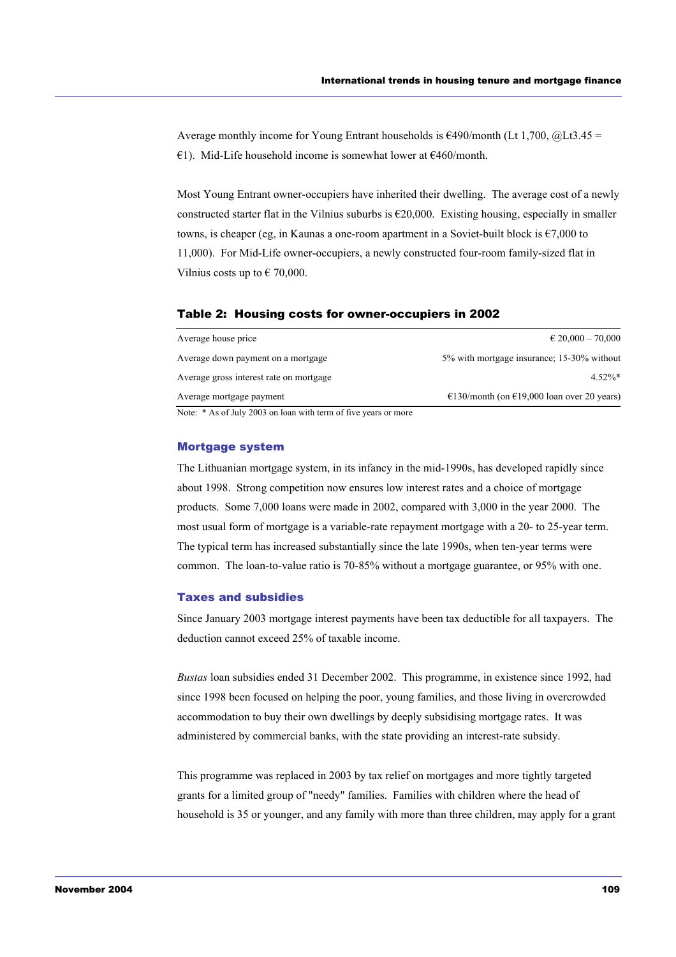Average monthly income for Young Entrant households is  $\epsilon$ 490/month (Lt 1,700,  $\omega$ Lt3.45 =  $€1$ ). Mid-Life household income is somewhat lower at  $€460/$ month.

Most Young Entrant owner-occupiers have inherited their dwelling. The average cost of a newly constructed starter flat in the Vilnius suburbs is  $\epsilon$ 20,000. Existing housing, especially in smaller towns, is cheaper (eg, in Kaunas a one-room apartment in a Soviet-built block is  $\epsilon$ 7,000 to 11,000). For Mid-Life owner-occupiers, a newly constructed four-room family-sized flat in Vilnius costs up to  $\epsilon$  70,000.

## Table 2: Housing costs for owner-occupiers in 2002

| Average house price                                                                                  | $\epsilon$ 20,000 - 70,000                                     |
|------------------------------------------------------------------------------------------------------|----------------------------------------------------------------|
| Average down payment on a mortgage                                                                   | 5% with mortgage insurance; 15-30% without                     |
| Average gross interest rate on mortgage                                                              | $4.52\%*$                                                      |
| Average mortgage payment                                                                             | $\epsilon$ 130/month (on $\epsilon$ 19,000 loan over 20 years) |
| $N_{i+1}$ , * $i = 0$ $N_{i+1}$ , $2002$ on $1$ on $m_i$ , $i = 0$ $n_i$ , $n_i$ and $n_i$ and $n_i$ |                                                                |

Note: \* As of July 2003 on loan with term of five years or more

### Mortgage system

The Lithuanian mortgage system, in its infancy in the mid-1990s, has developed rapidly since about 1998. Strong competition now ensures low interest rates and a choice of mortgage products. Some 7,000 loans were made in 2002, compared with 3,000 in the year 2000. The most usual form of mortgage is a variable-rate repayment mortgage with a 20- to 25-year term. The typical term has increased substantially since the late 1990s, when ten-year terms were common. The loan-to-value ratio is 70-85% without a mortgage guarantee, or 95% with one.

### Taxes and subsidies

Since January 2003 mortgage interest payments have been tax deductible for all taxpayers. The deduction cannot exceed 25% of taxable income.

*Bustas* loan subsidies ended 31 December 2002. This programme, in existence since 1992, had since 1998 been focused on helping the poor, young families, and those living in overcrowded accommodation to buy their own dwellings by deeply subsidising mortgage rates. It was administered by commercial banks, with the state providing an interest-rate subsidy.

This programme was replaced in 2003 by tax relief on mortgages and more tightly targeted grants for a limited group of "needy" families. Families with children where the head of household is 35 or younger, and any family with more than three children, may apply for a grant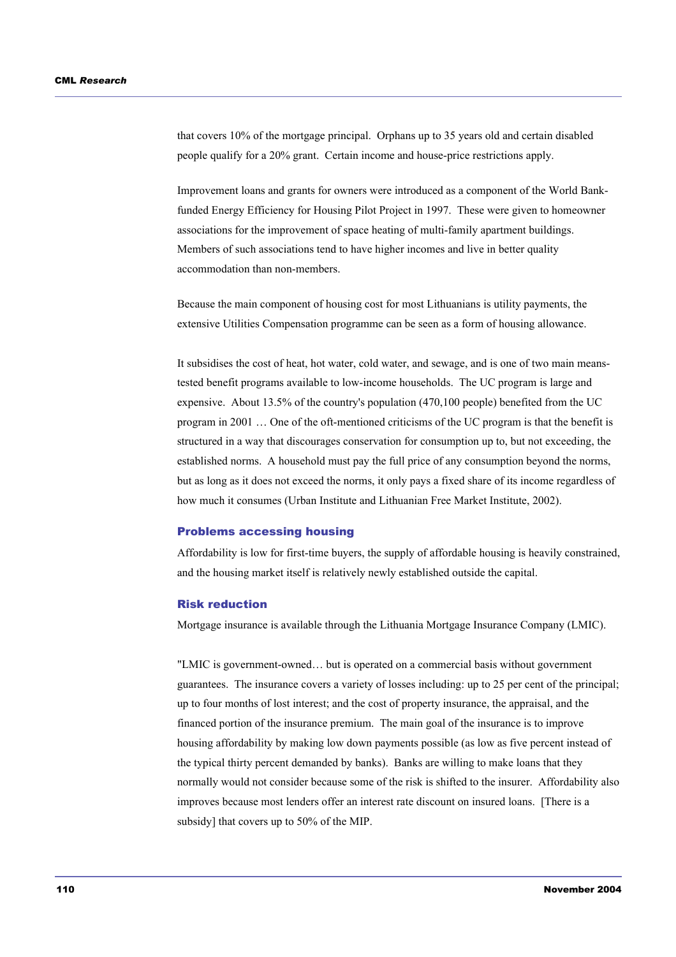that covers 10% of the mortgage principal. Orphans up to 35 years old and certain disabled people qualify for a 20% grant. Certain income and house-price restrictions apply.

Improvement loans and grants for owners were introduced as a component of the World Bankfunded Energy Efficiency for Housing Pilot Project in 1997. These were given to homeowner associations for the improvement of space heating of multi-family apartment buildings. Members of such associations tend to have higher incomes and live in better quality accommodation than non-members.

Because the main component of housing cost for most Lithuanians is utility payments, the extensive Utilities Compensation programme can be seen as a form of housing allowance.

It subsidises the cost of heat, hot water, cold water, and sewage, and is one of two main meanstested benefit programs available to low-income households. The UC program is large and expensive. About 13.5% of the country's population (470,100 people) benefited from the UC program in 2001 ... One of the oft-mentioned criticisms of the UC program is that the benefit is structured in a way that discourages conservation for consumption up to, but not exceeding, the established norms. A household must pay the full price of any consumption beyond the norms, but as long as it does not exceed the norms, it only pays a fixed share of its income regardless of how much it consumes (Urban Institute and Lithuanian Free Market Institute, 2002).

#### Problems accessing housing

Affordability is low for first-time buyers, the supply of affordable housing is heavily constrained, and the housing market itself is relatively newly established outside the capital.

#### Risk reduction

Mortgage insurance is available through the Lithuania Mortgage Insurance Company (LMIC).

"LMIC is government-owned... but is operated on a commercial basis without government guarantees. The insurance covers a variety of losses including: up to 25 per cent of the principal; up to four months of lost interest; and the cost of property insurance, the appraisal, and the financed portion of the insurance premium. The main goal of the insurance is to improve housing affordability by making low down payments possible (as low as five percent instead of the typical thirty percent demanded by banks). Banks are willing to make loans that they normally would not consider because some of the risk is shifted to the insurer. Affordability also improves because most lenders offer an interest rate discount on insured loans. [There is a subsidy] that covers up to 50% of the MIP.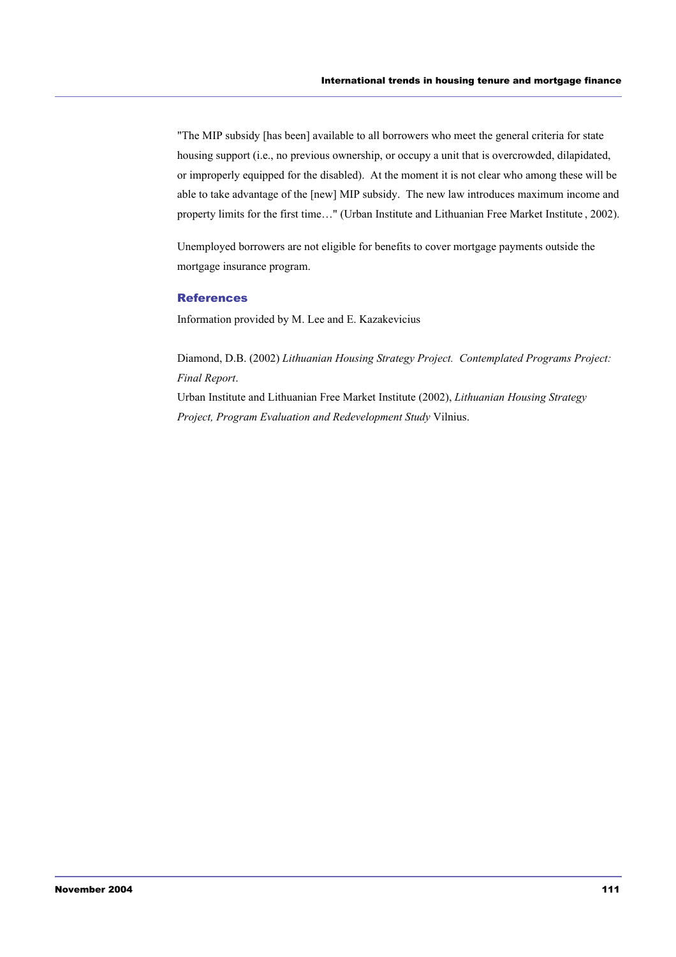"The MIP subsidy [has been] available to all borrowers who meet the general criteria for state housing support (i.e., no previous ownership, or occupy a unit that is overcrowded, dilapidated, or improperly equipped for the disabled). At the moment it is not clear who among these will be able to take advantage of the [new] MIP subsidy. The new law introduces maximum income and property limits for the first time..." (Urban Institute and Lithuanian Free Market Institute, 2002).

Unemployed borrowers are not eligible for benefits to cover mortgage payments outside the mortgage insurance program.

# References

Information provided by M. Lee and E. Kazakevicius

Diamond, D.B. (2002) *Lithuanian Housing Strategy Project. Contemplated Programs Project: Final Report*.

Urban Institute and Lithuanian Free Market Institute (2002), *Lithuanian Housing Strategy Project, Program Evaluation and Redevelopment Study* Vilnius.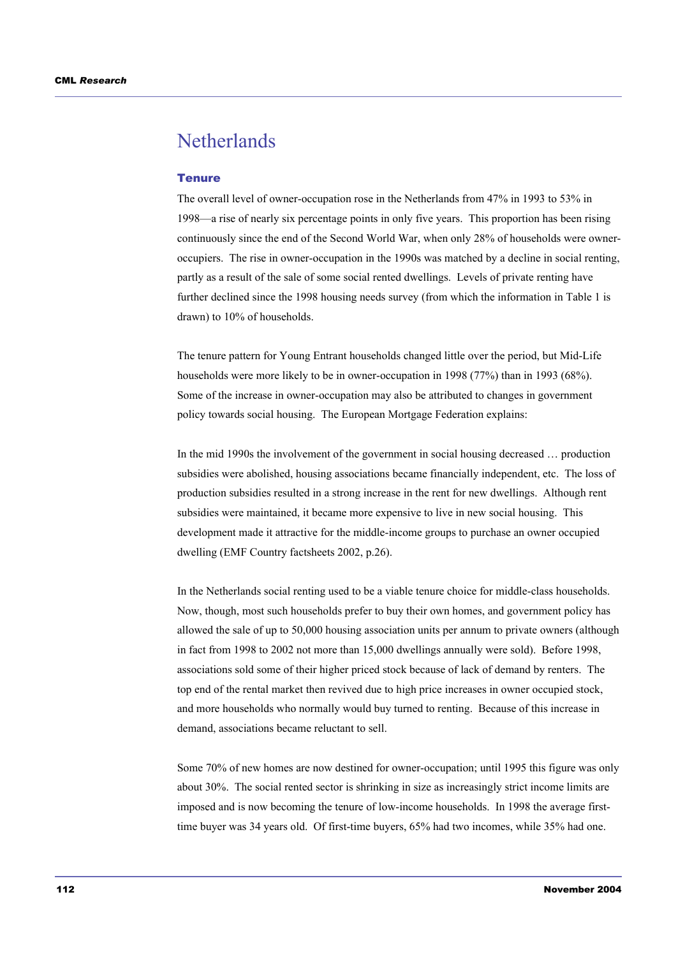# Netherlands

#### **Tenure**

The overall level of owner-occupation rose in the Netherlands from 47% in 1993 to 53% in 1998—a rise of nearly six percentage points in only five years. This proportion has been rising continuously since the end of the Second World War, when only 28% of households were owneroccupiers. The rise in owner-occupation in the 1990s was matched by a decline in social renting, partly as a result of the sale of some social rented dwellings. Levels of private renting have further declined since the 1998 housing needs survey (from which the information in Table 1 is drawn) to 10% of households.

The tenure pattern for Young Entrant households changed little over the period, but Mid-Life households were more likely to be in owner-occupation in 1998 (77%) than in 1993 (68%). Some of the increase in owner-occupation may also be attributed to changes in government policy towards social housing. The European Mortgage Federation explains:

In the mid 1990s the involvement of the government in social housing decreased ... production subsidies were abolished, housing associations became financially independent, etc. The loss of production subsidies resulted in a strong increase in the rent for new dwellings. Although rent subsidies were maintained, it became more expensive to live in new social housing. This development made it attractive for the middle-income groups to purchase an owner occupied dwelling (EMF Country factsheets 2002, p.26).

In the Netherlands social renting used to be a viable tenure choice for middle-class households. Now, though, most such households prefer to buy their own homes, and government policy has allowed the sale of up to 50,000 housing association units per annum to private owners (although in fact from 1998 to 2002 not more than 15,000 dwellings annually were sold). Before 1998, associations sold some of their higher priced stock because of lack of demand by renters. The top end of the rental market then revived due to high price increases in owner occupied stock, and more households who normally would buy turned to renting. Because of this increase in demand, associations became reluctant to sell.

Some 70% of new homes are now destined for owner-occupation; until 1995 this figure was only about 30%. The social rented sector is shrinking in size as increasingly strict income limits are imposed and is now becoming the tenure of low-income households. In 1998 the average firsttime buyer was 34 years old. Of first-time buyers, 65% had two incomes, while 35% had one.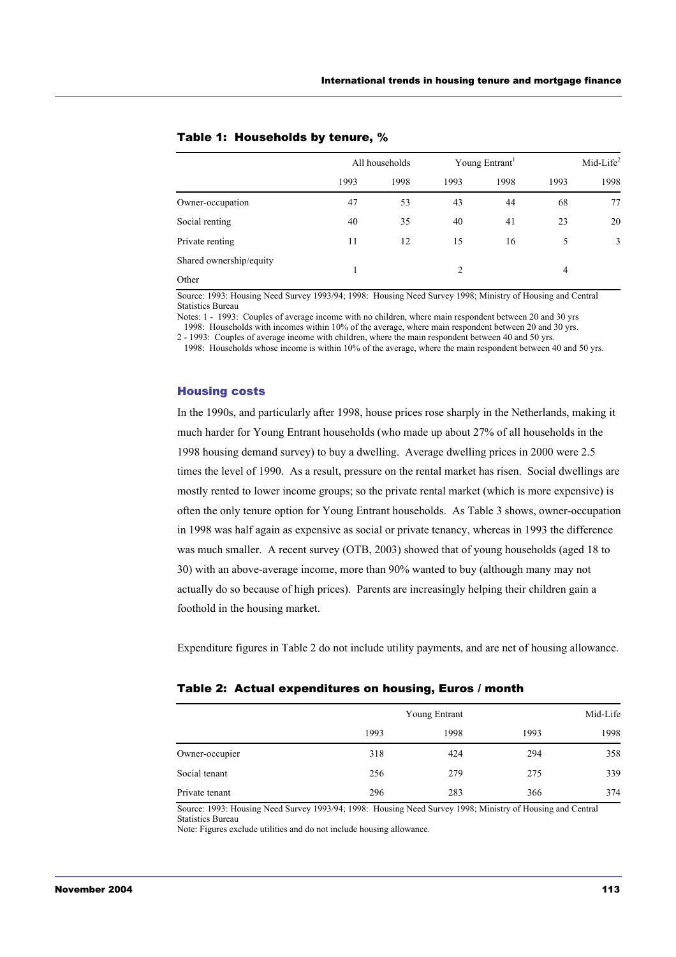|                         |      | All households |      | Young Entrant <sup>1</sup> |      | $Mid-Life2$ |
|-------------------------|------|----------------|------|----------------------------|------|-------------|
|                         | 1993 | 1998           | 1993 | 1998                       | 1993 | 1998        |
| Owner-occupation        | 47   | 53             | 43   | 44                         | 68   | 77          |
| Social renting          | 40   | 35             | 40   | 41                         | 23   | 20          |
| Private renting         | 11   | 12             | 15   | 16                         | 5    | 3           |
| Shared ownership/equity |      |                |      |                            |      |             |
| Other                   |      |                | 2    |                            | 4    |             |

### Table 1: Households by tenure, %

Source: 1993: Housing Need Survey 1993/94; 1998: Housing Need Survey 1998; Ministry of Housing and Central Statistics Bureau

Notes: 1 - 1993: Couples of average income with no children, where main respondent between 20 and 30 yrs 1998: Households with incomes within 10% of the average, where main respondent between 20 and 30 yrs.

2 - 1993: Couples of average income with children, where the main respondent between 40 and 50 yrs.

1998: Households whose income is within 10% of the average, where the main respondent between 40 and 50 yrs.

## Housing costs

In the 1990s, and particularly after 1998, house prices rose sharply in the Netherlands, making it much harder for Young Entrant households (who made up about 27% of all households in the 1998 housing demand survey) to buy a dwelling. Average dwelling prices in 2000 were 2.5 times the level of 1990. As a result, pressure on the rental market has risen. Social dwellings are mostly rented to lower income groups; so the private rental market (which is more expensive) is often the only tenure option for Young Entrant households. As Table 3 shows, owner-occupation in 1998 was half again as expensive as social or private tenancy, whereas in 1993 the difference was much smaller. A recent survey (OTB, 2003) showed that of young households (aged 18 to 30) with an above-average income, more than 90% wanted to buy (although many may not actually do so because of high prices). Parents are increasingly helping their children gain a foothold in the housing market.

Expenditure figures in Table 2 do not include utility payments, and are net of housing allowance.

## Table 2: Actual expenditures on housing, Euros / month

|                |      | Young Entrant |      | Mid-Life |  |
|----------------|------|---------------|------|----------|--|
|                | 1993 | 1998          | 1993 | 1998     |  |
| Owner-occupier | 318  | 424           | 294  | 358      |  |
| Social tenant  | 256  | 279           | 275  | 339      |  |
| Private tenant | 296  | 283           | 366  | 374      |  |

Source: 1993: Housing Need Survey 1993/94; 1998: Housing Need Survey 1998; Ministry of Housing and Central Statistics Bureau

Note: Figures exclude utilities and do not include housing allowance.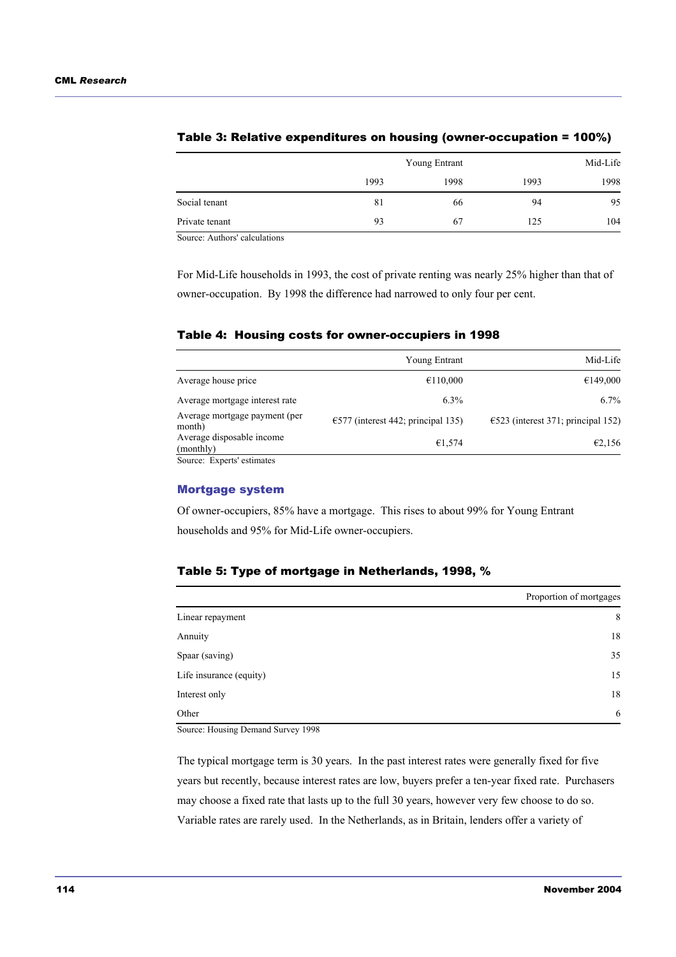|                | Young Entrant |      | Mid-Life |      |
|----------------|---------------|------|----------|------|
|                | 1993          | 1998 | 1993     | 1998 |
| Social tenant  | 81            | 66   | 94       | 95   |
| Private tenant | 93            | 67   | 125      | 104  |

#### Table 3: Relative expenditures on housing (owner-occupation = 100%)

Source: Authors' calculations

For Mid-Life households in 1993, the cost of private renting was nearly 25% higher than that of owner-occupation. By 1998 the difference had narrowed to only four per cent.

# Table 4: Housing costs for owner-occupiers in 1998

|                                                                    | Young Entrant                                | Mid-Life                                     |
|--------------------------------------------------------------------|----------------------------------------------|----------------------------------------------|
| Average house price                                                | €110,000                                     | €149,000                                     |
| Average mortgage interest rate                                     | 6.3%                                         | $6.7\%$                                      |
| Average mortgage payment (per<br>month)                            | $\epsilon$ 577 (interest 442; principal 135) | $\epsilon$ 523 (interest 371; principal 152) |
|                                                                    | €1.574                                       | E2.156                                       |
| Average disposable income<br>(monthly)<br>Course Experte ostimator |                                              |                                              |

Source: Experts' estimates

# Mortgage system

Of owner-occupiers, 85% have a mortgage. This rises to about 99% for Young Entrant households and 95% for Mid-Life owner-occupiers.

# Table 5: Type of mortgage in Netherlands, 1998, %

|                         | Proportion of mortgages |
|-------------------------|-------------------------|
| Linear repayment        | 8                       |
| Annuity                 | 18                      |
| Spaar (saving)          | 35                      |
| Life insurance (equity) | 15                      |
| Interest only           | 18                      |
| Other                   | 6                       |

Source: Housing Demand Survey 1998

The typical mortgage term is 30 years. In the past interest rates were generally fixed for five years but recently, because interest rates are low, buyers prefer a ten-year fixed rate. Purchasers may choose a fixed rate that lasts up to the full 30 years, however very few choose to do so. Variable rates are rarely used. In the Netherlands, as in Britain, lenders offer a variety of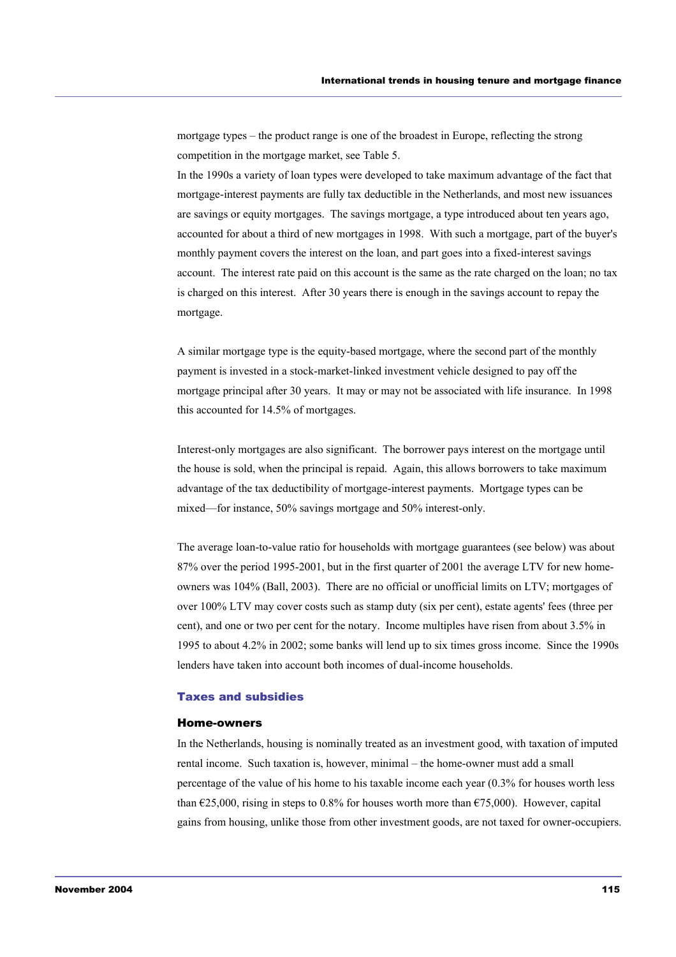mortgage types – the product range is one of the broadest in Europe, reflecting the strong competition in the mortgage market, see Table 5. In the 1990s a variety of loan types were developed to take maximum advantage of the fact that mortgage-interest payments are fully tax deductible in the Netherlands, and most new issuances are savings or equity mortgages. The savings mortgage, a type introduced about ten years ago, accounted for about a third of new mortgages in 1998. With such a mortgage, part of the buyer's monthly payment covers the interest on the loan, and part goes into a fixed-interest savings account. The interest rate paid on this account is the same as the rate charged on the loan; no tax is charged on this interest. After 30 years there is enough in the savings account to repay the mortgage.

A similar mortgage type is the equity-based mortgage, where the second part of the monthly payment is invested in a stock-market-linked investment vehicle designed to pay off the mortgage principal after 30 years. It may or may not be associated with life insurance. In 1998 this accounted for 14.5% of mortgages.

Interest-only mortgages are also significant. The borrower pays interest on the mortgage until the house is sold, when the principal is repaid. Again, this allows borrowers to take maximum advantage of the tax deductibility of mortgage-interest payments. Mortgage types can be mixed–for instance, 50% savings mortgage and 50% interest-only.

The average loan-to-value ratio for households with mortgage guarantees (see below) was about 87% over the period 1995-2001, but in the first quarter of 2001 the average LTV for new homeowners was 104% (Ball, 2003). There are no official or unofficial limits on LTV; mortgages of over 100% LTV may cover costs such as stamp duty (six per cent), estate agents' fees (three per cent), and one or two per cent for the notary. Income multiples have risen from about 3.5% in 1995 to about 4.2% in 2002; some banks will lend up to six times gross income. Since the 1990s lenders have taken into account both incomes of dual-income households.

# Taxes and subsidies

#### Home-owners

In the Netherlands, housing is nominally treated as an investment good, with taxation of imputed rental income. Such taxation is, however, minimal – the home-owner must add a small percentage of the value of his home to his taxable income each year (0.3% for houses worth less than  $E$ 25,000, rising in steps to 0.8% for houses worth more than  $E$ 75,000). However, capital gains from housing, unlike those from other investment goods, are not taxed for owner-occupiers.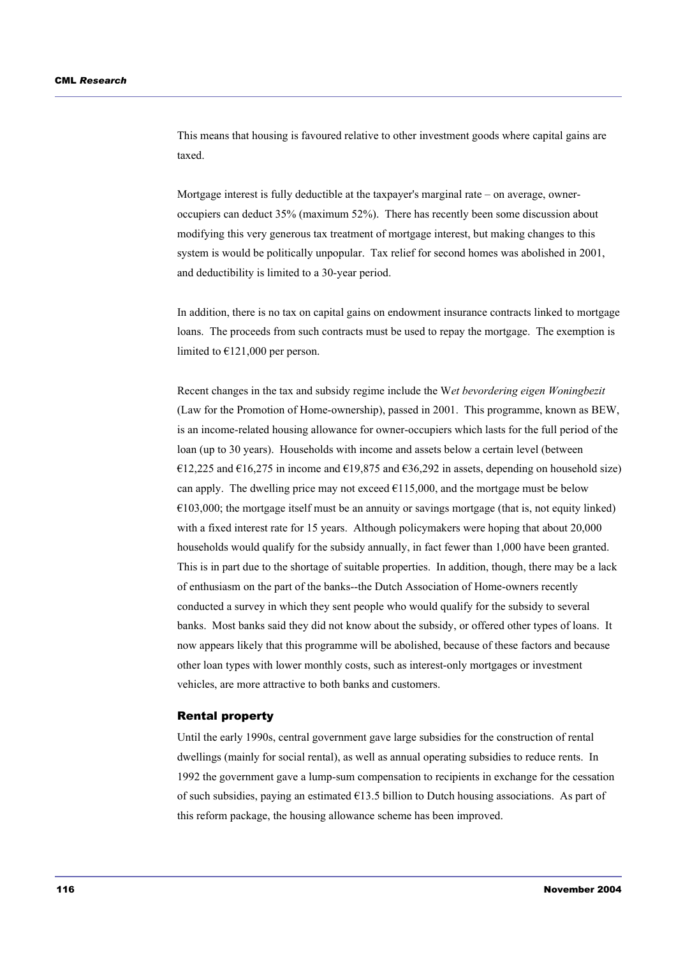This means that housing is favoured relative to other investment goods where capital gains are taxed.

Mortgage interest is fully deductible at the taxpayer's marginal rate  $-$  on average, owneroccupiers can deduct 35% (maximum 52%). There has recently been some discussion about modifying this very generous tax treatment of mortgage interest, but making changes to this system is would be politically unpopular. Tax relief for second homes was abolished in 2001, and deductibility is limited to a 30-year period.

In addition, there is no tax on capital gains on endowment insurance contracts linked to mortgage loans. The proceeds from such contracts must be used to repay the mortgage. The exemption is limited to  $£121,000$  per person.

Recent changes in the tax and subsidy regime include the W*et bevordering eigen Woningbezit*  (Law for the Promotion of Home-ownership), passed in 2001. This programme, known as BEW, is an income-related housing allowance for owner-occupiers which lasts for the full period of the loan (up to 30 years). Households with income and assets below a certain level (between  $\epsilon$ 12,225 and  $\epsilon$ 16,275 in income and  $\epsilon$ 19,875 and  $\epsilon$ 36,292 in assets, depending on household size) can apply. The dwelling price may not exceed  $E115,000$ , and the mortgage must be below  $£103,000$ ; the mortgage itself must be an annuity or savings mortgage (that is, not equity linked) with a fixed interest rate for 15 years. Although policymakers were hoping that about 20,000 households would qualify for the subsidy annually, in fact fewer than 1,000 have been granted. This is in part due to the shortage of suitable properties. In addition, though, there may be a lack of enthusiasm on the part of the banks--the Dutch Association of Home-owners recently conducted a survey in which they sent people who would qualify for the subsidy to several banks. Most banks said they did not know about the subsidy, or offered other types of loans. It now appears likely that this programme will be abolished, because of these factors and because other loan types with lower monthly costs, such as interest-only mortgages or investment vehicles, are more attractive to both banks and customers.

#### Rental property

Until the early 1990s, central government gave large subsidies for the construction of rental dwellings (mainly for social rental), as well as annual operating subsidies to reduce rents. In 1992 the government gave a lump-sum compensation to recipients in exchange for the cessation of such subsidies, paying an estimated  $E13.5$  billion to Dutch housing associations. As part of this reform package, the housing allowance scheme has been improved.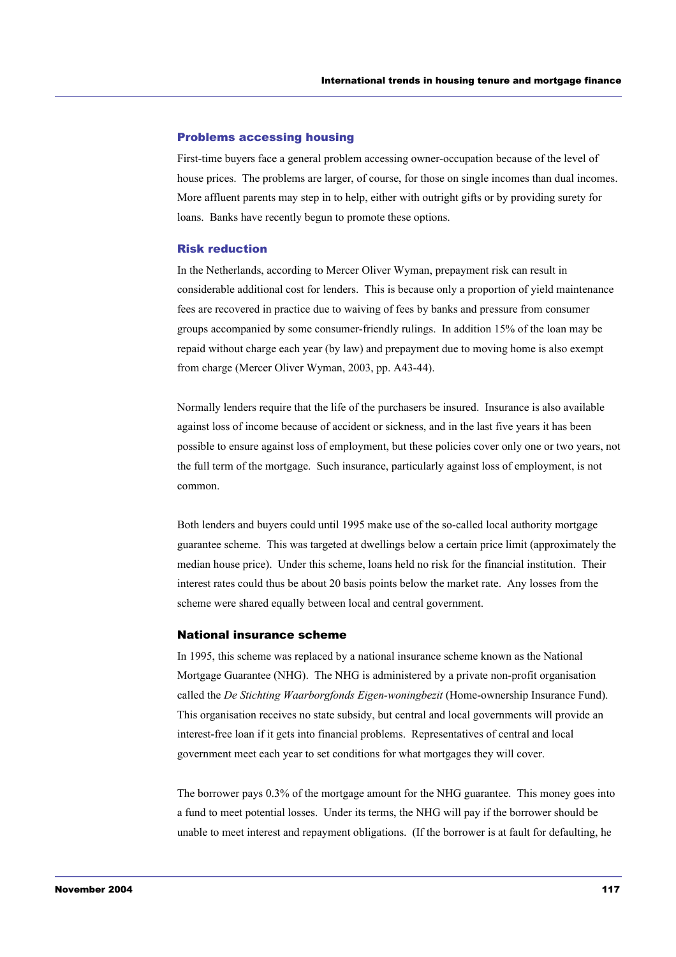#### Problems accessing housing

First-time buyers face a general problem accessing owner-occupation because of the level of house prices. The problems are larger, of course, for those on single incomes than dual incomes. More affluent parents may step in to help, either with outright gifts or by providing surety for loans. Banks have recently begun to promote these options.

#### Risk reduction

In the Netherlands, according to Mercer Oliver Wyman, prepayment risk can result in considerable additional cost for lenders. This is because only a proportion of yield maintenance fees are recovered in practice due to waiving of fees by banks and pressure from consumer groups accompanied by some consumer-friendly rulings. In addition 15% of the loan may be repaid without charge each year (by law) and prepayment due to moving home is also exempt from charge (Mercer Oliver Wyman, 2003, pp. A43-44).

Normally lenders require that the life of the purchasers be insured. Insurance is also available against loss of income because of accident or sickness, and in the last five years it has been possible to ensure against loss of employment, but these policies cover only one or two years, not the full term of the mortgage. Such insurance, particularly against loss of employment, is not common.

Both lenders and buyers could until 1995 make use of the so-called local authority mortgage guarantee scheme. This was targeted at dwellings below a certain price limit (approximately the median house price). Under this scheme, loans held no risk for the financial institution. Their interest rates could thus be about 20 basis points below the market rate. Any losses from the scheme were shared equally between local and central government.

## National insurance scheme

In 1995, this scheme was replaced by a national insurance scheme known as the National Mortgage Guarantee (NHG). The NHG is administered by a private non-profit organisation called the *De Stichting Waarborgfonds Eigen-woningbezit* (Home-ownership Insurance Fund). This organisation receives no state subsidy, but central and local governments will provide an interest-free loan if it gets into financial problems. Representatives of central and local government meet each year to set conditions for what mortgages they will cover.

The borrower pays 0.3% of the mortgage amount for the NHG guarantee. This money goes into a fund to meet potential losses. Under its terms, the NHG will pay if the borrower should be unable to meet interest and repayment obligations. (If the borrower is at fault for defaulting, he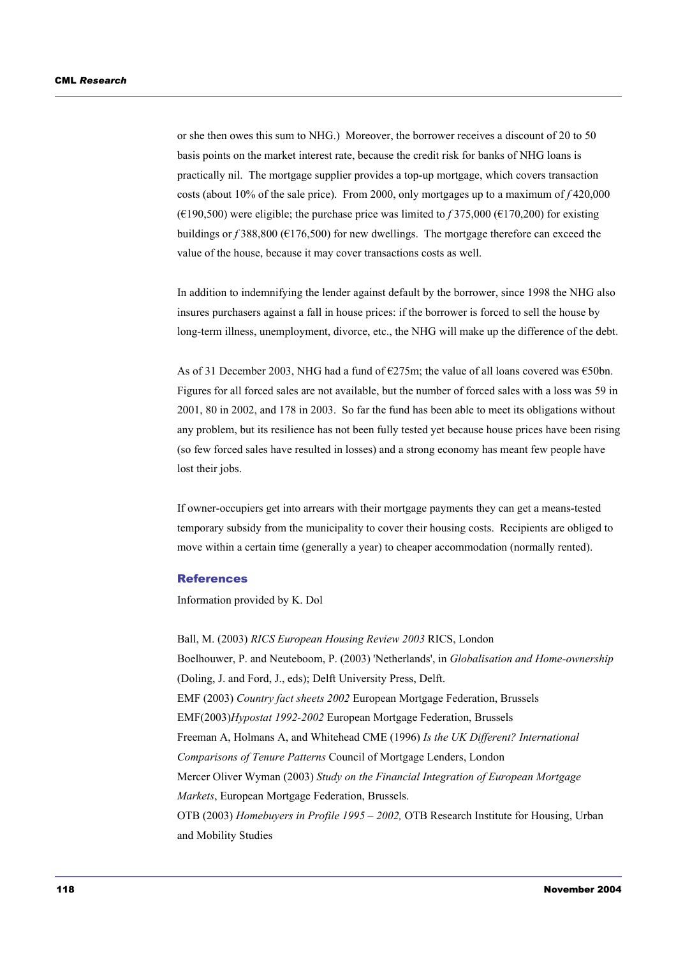or she then owes this sum to NHG.) Moreover, the borrower receives a discount of 20 to 50 basis points on the market interest rate, because the credit risk for banks of NHG loans is practically nil. The mortgage supplier provides a top-up mortgage, which covers transaction costs (about 10% of the sale price). From 2000, only mortgages up to a maximum of *f* 420,000 ( $€190,500$ ) were eligible; the purchase price was limited to  $f375,000$  ( $€170,200$ ) for existing buildings or  $f$  388,800 ( $E$ 176,500) for new dwellings. The mortgage therefore can exceed the value of the house, because it may cover transactions costs as well.

In addition to indemnifying the lender against default by the borrower, since 1998 the NHG also insures purchasers against a fall in house prices: if the borrower is forced to sell the house by long-term illness, unemployment, divorce, etc., the NHG will make up the difference of the debt.

As of 31 December 2003, NHG had a fund of  $\epsilon$ 275m; the value of all loans covered was  $\epsilon$ 50bn. Figures for all forced sales are not available, but the number of forced sales with a loss was 59 in 2001, 80 in 2002, and 178 in 2003. So far the fund has been able to meet its obligations without any problem, but its resilience has not been fully tested yet because house prices have been rising (so few forced sales have resulted in losses) and a strong economy has meant few people have lost their jobs.

If owner-occupiers get into arrears with their mortgage payments they can get a means-tested temporary subsidy from the municipality to cover their housing costs. Recipients are obliged to move within a certain time (generally a year) to cheaper accommodation (normally rented).

## References

Information provided by K. Dol

Ball, M. (2003) *RICS European Housing Review 2003* RICS, London Boelhouwer, P. and Neuteboom, P. (2003) 'Netherlands', in *Globalisation and Home-ownership*  (Doling, J. and Ford, J., eds); Delft University Press, Delft. EMF (2003) *Country fact sheets 2002* European Mortgage Federation, Brussels EMF(2003)*Hypostat 1992-2002* European Mortgage Federation, Brussels Freeman A, Holmans A, and Whitehead CME (1996) *Is the UK Different? International Comparisons of Tenure Patterns* Council of Mortgage Lenders, London Mercer Oliver Wyman (2003) *Study on the Financial Integration of European Mortgage Markets*, European Mortgage Federation, Brussels. OTB (2003) *Homebuyers in Profile 1995 – 2002*, OTB Research Institute for Housing, Urban and Mobility Studies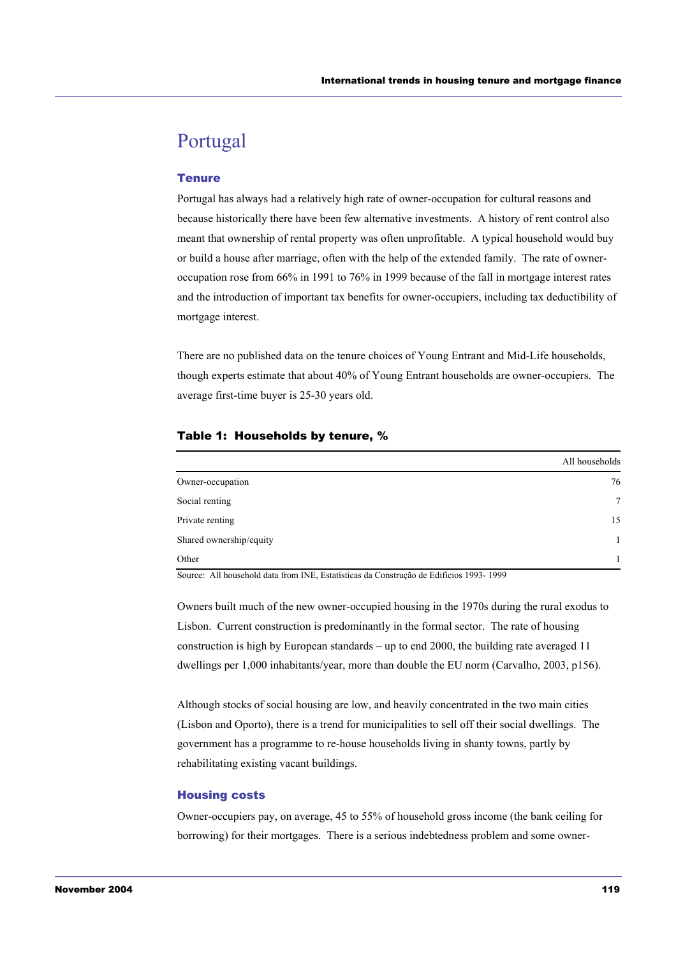# Portugal

#### **Tenure**

Portugal has always had a relatively high rate of owner-occupation for cultural reasons and because historically there have been few alternative investments. A history of rent control also meant that ownership of rental property was often unprofitable. A typical household would buy or build a house after marriage, often with the help of the extended family. The rate of owneroccupation rose from 66% in 1991 to 76% in 1999 because of the fall in mortgage interest rates and the introduction of important tax benefits for owner-occupiers, including tax deductibility of mortgage interest.

There are no published data on the tenure choices of Young Entrant and Mid-Life households, though experts estimate that about 40% of Young Entrant households are owner-occupiers. The average first-time buyer is 25-30 years old.

# All households Owner-occupation 76 Social renting 7 Private renting 15 Shared ownership/equity 1 Other 1 and 1 and 2 and 2 and 2 and 2 and 2 and 2 and 2 and 2 and 2 and 2 and 2 and 2 and 2 and 2 and 2 and 2 and 2 and 2 and 2 and 2 and 2 and 2 and 2 and 2 and 2 and 2 and 2 and 2 and 2 and 2 and 2 and 2 and 2 and 2 and

Table 1: Households by tenure, %

Source: All household data from INE, Estatísticas da Construção de Edifícios 1993- 1999

Owners built much of the new owner-occupied housing in the 1970s during the rural exodus to Lisbon. Current construction is predominantly in the formal sector. The rate of housing construction is high by European standards – up to end  $2000$ , the building rate averaged 11 dwellings per 1,000 inhabitants/year, more than double the EU norm (Carvalho, 2003, p156).

Although stocks of social housing are low, and heavily concentrated in the two main cities (Lisbon and Oporto), there is a trend for municipalities to sell off their social dwellings. The government has a programme to re-house households living in shanty towns, partly by rehabilitating existing vacant buildings.

# Housing costs

Owner-occupiers pay, on average, 45 to 55% of household gross income (the bank ceiling for borrowing) for their mortgages. There is a serious indebtedness problem and some owner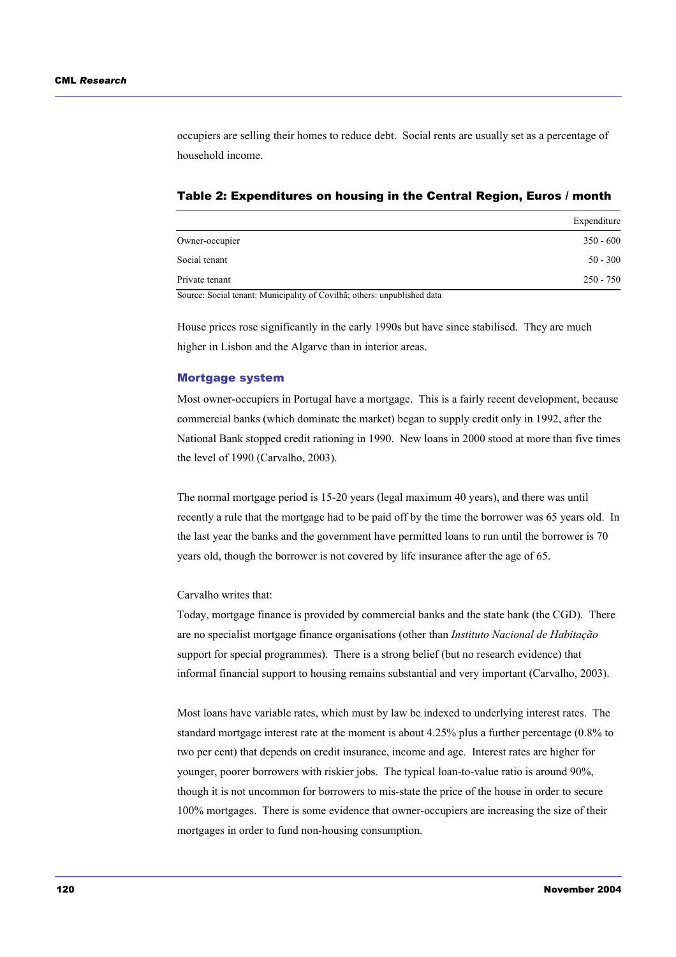occupiers are selling their homes to reduce debt. Social rents are usually set as a percentage of household income.

# Table 2: Expenditures on housing in the Central Region, Euros / month

|                                                                          | Expenditure |
|--------------------------------------------------------------------------|-------------|
| Owner-occupier                                                           | $350 - 600$ |
| Social tenant                                                            | $50 - 300$  |
| Private tenant                                                           | $250 - 750$ |
| Source: Social tenant: Municipality of Covilhã; others: unpublished data |             |

House prices rose significantly in the early 1990s but have since stabilised. They are much higher in Lisbon and the Algarve than in interior areas.

## Mortgage system

Most owner-occupiers in Portugal have a mortgage. This is a fairly recent development, because commercial banks (which dominate the market) began to supply credit only in 1992, after the National Bank stopped credit rationing in 1990. New loans in 2000 stood at more than five times the level of 1990 (Carvalho, 2003).

The normal mortgage period is 15-20 years (legal maximum 40 years), and there was until recently a rule that the mortgage had to be paid off by the time the borrower was 65 years old. In the last year the banks and the government have permitted loans to run until the borrower is 70 years old, though the borrower is not covered by life insurance after the age of 65.

# Carvalho writes that:

Today, mortgage finance is provided by commercial banks and the state bank (the CGD). There are no specialist mortgage finance organisations (other than *Instituto Nacional de Habitação* support for special programmes). There is a strong belief (but no research evidence) that informal financial support to housing remains substantial and very important (Carvalho, 2003).

Most loans have variable rates, which must by law be indexed to underlying interest rates. The standard mortgage interest rate at the moment is about 4.25% plus a further percentage (0.8% to two per cent) that depends on credit insurance, income and age. Interest rates are higher for younger, poorer borrowers with riskier jobs. The typical loan-to-value ratio is around 90%, though it is not uncommon for borrowers to mis-state the price of the house in order to secure 100% mortgages. There is some evidence that owner-occupiers are increasing the size of their mortgages in order to fund non-housing consumption.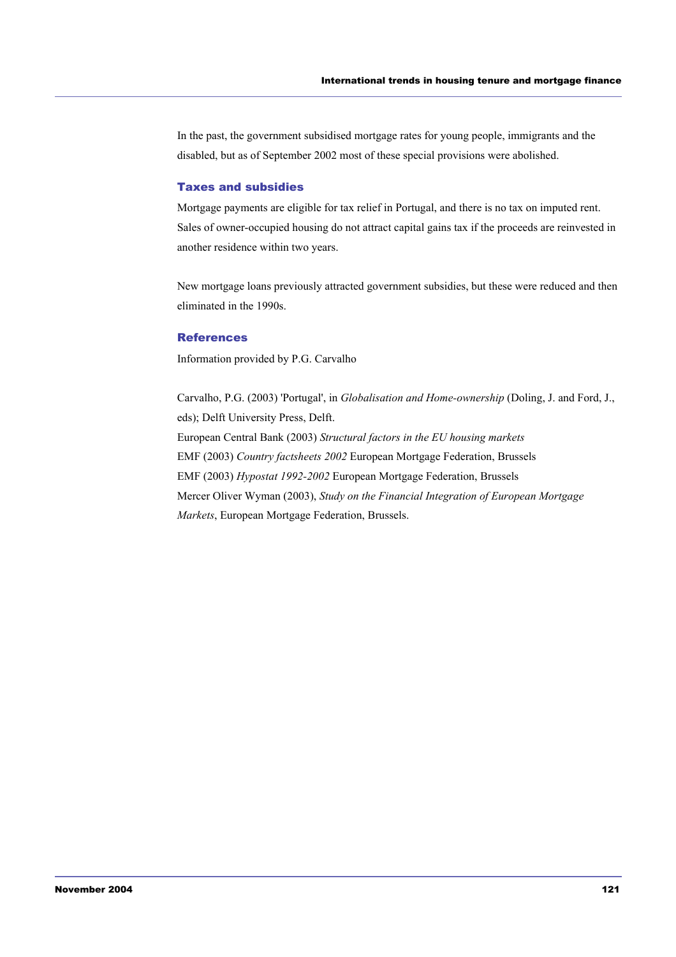In the past, the government subsidised mortgage rates for young people, immigrants and the disabled, but as of September 2002 most of these special provisions were abolished.

# Taxes and subsidies

Mortgage payments are eligible for tax relief in Portugal, and there is no tax on imputed rent. Sales of owner-occupied housing do not attract capital gains tax if the proceeds are reinvested in another residence within two years.

New mortgage loans previously attracted government subsidies, but these were reduced and then eliminated in the 1990s.

## **References**

Information provided by P.G. Carvalho

Carvalho, P.G. (2003) 'Portugal', in *Globalisation and Home-ownership* (Doling, J. and Ford, J., eds); Delft University Press, Delft. European Central Bank (2003) *Structural factors in the EU housing markets*  EMF (2003) *Country factsheets 2002* European Mortgage Federation, Brussels EMF (2003) *Hypostat 1992-2002* European Mortgage Federation, Brussels Mercer Oliver Wyman (2003), *Study on the Financial Integration of European Mortgage Markets*, European Mortgage Federation, Brussels.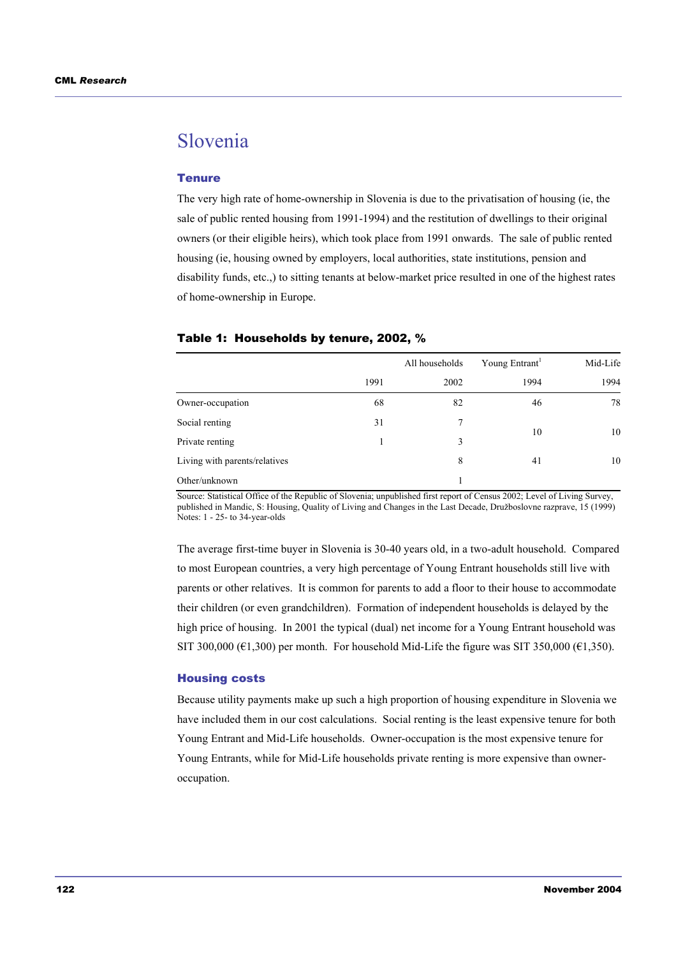# Slovenia

#### **Tenure**

The very high rate of home-ownership in Slovenia is due to the privatisation of housing (ie, the sale of public rented housing from 1991-1994) and the restitution of dwellings to their original owners (or their eligible heirs), which took place from 1991 onwards. The sale of public rented housing (ie, housing owned by employers, local authorities, state institutions, pension and disability funds, etc.,) to sitting tenants at below-market price resulted in one of the highest rates of home-ownership in Europe.

|                               |      | All households | Young Entrant <sup>1</sup> | Mid-Life |
|-------------------------------|------|----------------|----------------------------|----------|
|                               | 1991 | 2002           | 1994                       | 1994     |
| Owner-occupation              | 68   | 82             | 46                         | 78       |
| Social renting                | 31   |                |                            |          |
| Private renting               |      | 3              | 10                         | 10       |
| Living with parents/relatives |      | 8              | 41                         | 10       |
| Other/unknown                 |      |                |                            |          |

# Table 1: Households by tenure, 2002, %

Source: Statistical Office of the Republic of Slovenia; unpublished first report of Census 2002; Level of Living Survey, published in Mandic, S: Housing, Quality of Living and Changes in the Last Decade, Druûboslovne razprave, 15 (1999) Notes: 1 - 25- to 34-year-olds

The average first-time buyer in Slovenia is 30-40 years old, in a two-adult household. Compared to most European countries, a very high percentage of Young Entrant households still live with parents or other relatives. It is common for parents to add a floor to their house to accommodate their children (or even grandchildren). Formation of independent households is delayed by the high price of housing. In 2001 the typical (dual) net income for a Young Entrant household was SIT 300,000 ( $\epsilon$ 1,300) per month. For household Mid-Life the figure was SIT 350,000 ( $\epsilon$ 1,350).

## Housing costs

Because utility payments make up such a high proportion of housing expenditure in Slovenia we have included them in our cost calculations. Social renting is the least expensive tenure for both Young Entrant and Mid-Life households. Owner-occupation is the most expensive tenure for Young Entrants, while for Mid-Life households private renting is more expensive than owneroccupation.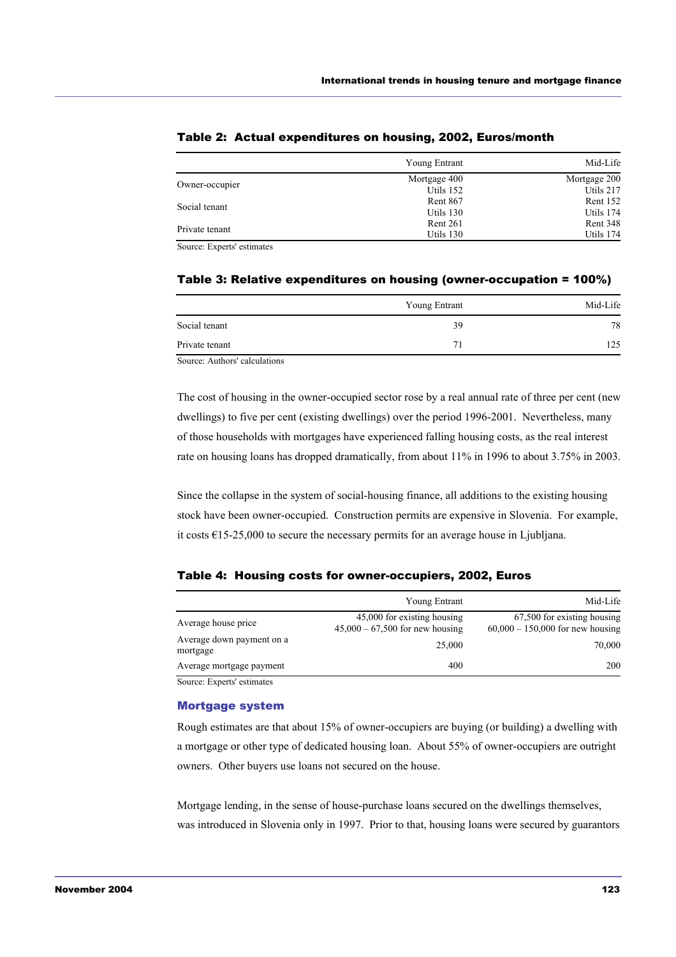|                                                                                                                                           | Young Entrant   | Mid-Life        |
|-------------------------------------------------------------------------------------------------------------------------------------------|-----------------|-----------------|
|                                                                                                                                           | Mortgage 400    | Mortgage 200    |
| Owner-occupier                                                                                                                            | Utils 152       | Utils 217       |
|                                                                                                                                           | <b>Rent 867</b> | <b>Rent 152</b> |
| Social tenant                                                                                                                             | Utils 130       | Utils 174       |
| Private tenant                                                                                                                            | <b>Rent 261</b> | <b>Rent 348</b> |
|                                                                                                                                           | Utils 130       | Utils 174       |
| $\sim$<br>$\mathbf{r}$<br>the contract of the contract of the contract of the contract of the contract of the contract of the contract of |                 |                 |

Table 2: Actual expenditures on housing, 2002, Euros/month

Source: Experts' estimates

# Table 3: Relative expenditures on housing (owner-occupation = 100%)

|                                                                                       | Young Entrant | Mid-Life |
|---------------------------------------------------------------------------------------|---------------|----------|
| Social tenant                                                                         | 39            | 78       |
| Private tenant                                                                        |               | 125      |
| $\sim$<br>$\mathbf{A}$ and $\mathbf{A}$ and $\mathbf{A}$ and $\mathbf{A}$<br>$\cdots$ |               |          |

Source: Authors' calculations

The cost of housing in the owner-occupied sector rose by a real annual rate of three per cent (new dwellings) to five per cent (existing dwellings) over the period 1996-2001. Nevertheless, many of those households with mortgages have experienced falling housing costs, as the real interest rate on housing loans has dropped dramatically, from about 11% in 1996 to about 3.75% in 2003.

Since the collapse in the system of social-housing finance, all additions to the existing housing stock have been owner-occupied. Construction permits are expensive in Slovenia. For example, it costs  $£15-25,000$  to secure the necessary permits for an average house in Ljubljana.

# Table 4: Housing costs for owner-occupiers, 2002, Euros

|                                       | Young Entrant                                                    | Mid-Life                                                          |
|---------------------------------------|------------------------------------------------------------------|-------------------------------------------------------------------|
| Average house price                   | 45,000 for existing housing<br>$45,000 - 67,500$ for new housing | 67,500 for existing housing<br>$60,000 - 150,000$ for new housing |
| Average down payment on a<br>mortgage | 25,000                                                           | 70,000                                                            |
| Average mortgage payment              | 400                                                              | 200                                                               |
| Course Experte of imagine             |                                                                  |                                                                   |

Source: Experts' estimates

#### Mortgage system

Rough estimates are that about 15% of owner-occupiers are buying (or building) a dwelling with a mortgage or other type of dedicated housing loan. About 55% of owner-occupiers are outright owners. Other buyers use loans not secured on the house.

Mortgage lending, in the sense of house-purchase loans secured on the dwellings themselves, was introduced in Slovenia only in 1997. Prior to that, housing loans were secured by guarantors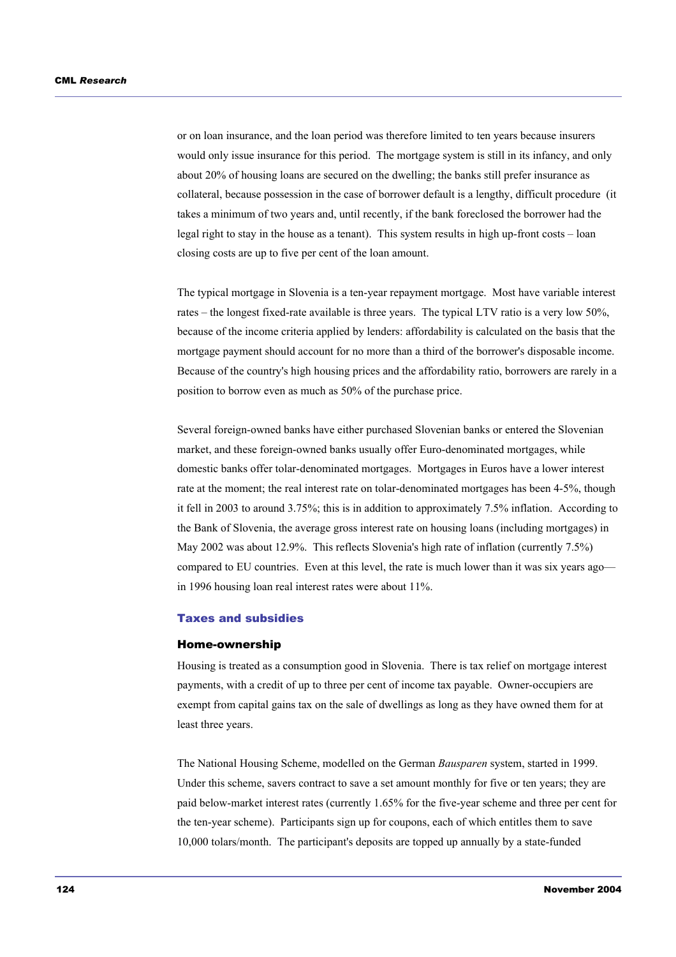or on loan insurance, and the loan period was therefore limited to ten years because insurers would only issue insurance for this period. The mortgage system is still in its infancy, and only about 20% of housing loans are secured on the dwelling; the banks still prefer insurance as collateral, because possession in the case of borrower default is a lengthy, difficult procedure (it takes a minimum of two years and, until recently, if the bank foreclosed the borrower had the legal right to stay in the house as a tenant). This system results in high up-front costs  $-\lambda$  loan closing costs are up to five per cent of the loan amount.

The typical mortgage in Slovenia is a ten-year repayment mortgage. Most have variable interest rates – the longest fixed-rate available is three years. The typical LTV ratio is a very low  $50\%$ , because of the income criteria applied by lenders: affordability is calculated on the basis that the mortgage payment should account for no more than a third of the borrower's disposable income. Because of the country's high housing prices and the affordability ratio, borrowers are rarely in a position to borrow even as much as 50% of the purchase price.

Several foreign-owned banks have either purchased Slovenian banks or entered the Slovenian market, and these foreign-owned banks usually offer Euro-denominated mortgages, while domestic banks offer tolar-denominated mortgages. Mortgages in Euros have a lower interest rate at the moment; the real interest rate on tolar-denominated mortgages has been 4-5%, though it fell in 2003 to around 3.75%; this is in addition to approximately 7.5% inflation. According to the Bank of Slovenia, the average gross interest rate on housing loans (including mortgages) in May 2002 was about 12.9%. This reflects Slovenia's high rate of inflation (currently 7.5%) compared to EU countries. Even at this level, the rate is much lower than it was six years ago in 1996 housing loan real interest rates were about 11%.

### Taxes and subsidies

## Home-ownership

Housing is treated as a consumption good in Slovenia. There is tax relief on mortgage interest payments, with a credit of up to three per cent of income tax payable. Owner-occupiers are exempt from capital gains tax on the sale of dwellings as long as they have owned them for at least three years.

The National Housing Scheme, modelled on the German *Bausparen* system, started in 1999. Under this scheme, savers contract to save a set amount monthly for five or ten years; they are paid below-market interest rates (currently 1.65% for the five-year scheme and three per cent for the ten-year scheme). Participants sign up for coupons, each of which entitles them to save 10,000 tolars/month. The participant's deposits are topped up annually by a state-funded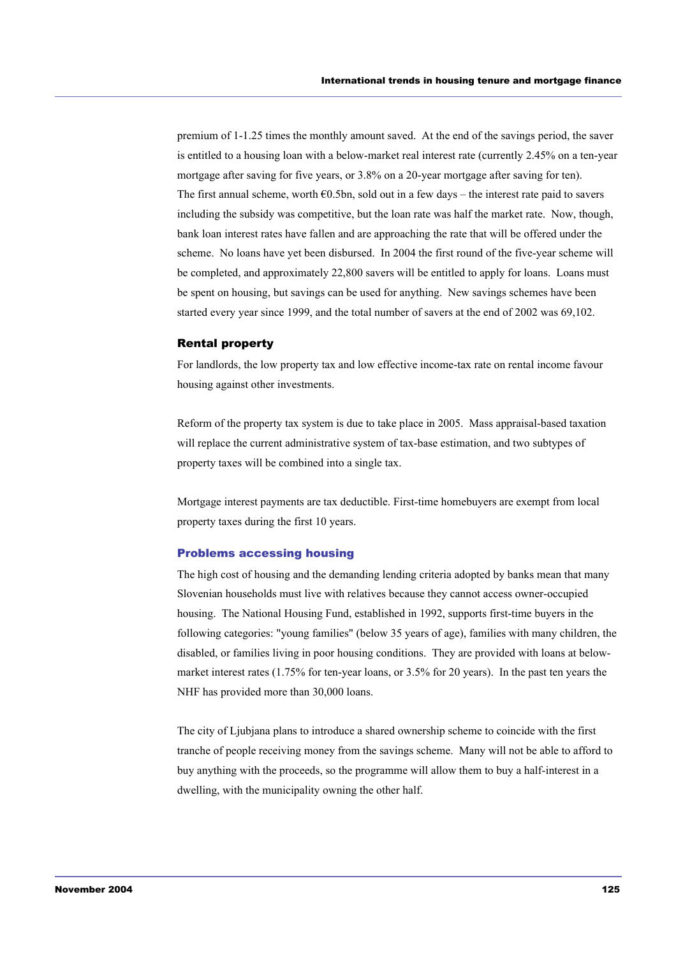premium of 1-1.25 times the monthly amount saved. At the end of the savings period, the saver is entitled to a housing loan with a below-market real interest rate (currently 2.45% on a ten-year mortgage after saving for five years, or 3.8% on a 20-year mortgage after saving for ten). The first annual scheme, worth  $\epsilon$ 0.5bn, sold out in a few days – the interest rate paid to savers including the subsidy was competitive, but the loan rate was half the market rate. Now, though, bank loan interest rates have fallen and are approaching the rate that will be offered under the scheme. No loans have yet been disbursed. In 2004 the first round of the five-year scheme will be completed, and approximately 22,800 savers will be entitled to apply for loans. Loans must be spent on housing, but savings can be used for anything. New savings schemes have been started every year since 1999, and the total number of savers at the end of 2002 was 69,102.

#### Rental property

For landlords, the low property tax and low effective income-tax rate on rental income favour housing against other investments.

Reform of the property tax system is due to take place in 2005. Mass appraisal-based taxation will replace the current administrative system of tax-base estimation, and two subtypes of property taxes will be combined into a single tax.

Mortgage interest payments are tax deductible. First-time homebuyers are exempt from local property taxes during the first 10 years.

## Problems accessing housing

The high cost of housing and the demanding lending criteria adopted by banks mean that many Slovenian households must live with relatives because they cannot access owner-occupied housing. The National Housing Fund, established in 1992, supports first-time buyers in the following categories: "young families" (below 35 years of age), families with many children, the disabled, or families living in poor housing conditions. They are provided with loans at belowmarket interest rates (1.75% for ten-year loans, or 3.5% for 20 years). In the past ten years the NHF has provided more than 30,000 loans.

The city of Ljubjana plans to introduce a shared ownership scheme to coincide with the first tranche of people receiving money from the savings scheme. Many will not be able to afford to buy anything with the proceeds, so the programme will allow them to buy a half-interest in a dwelling, with the municipality owning the other half.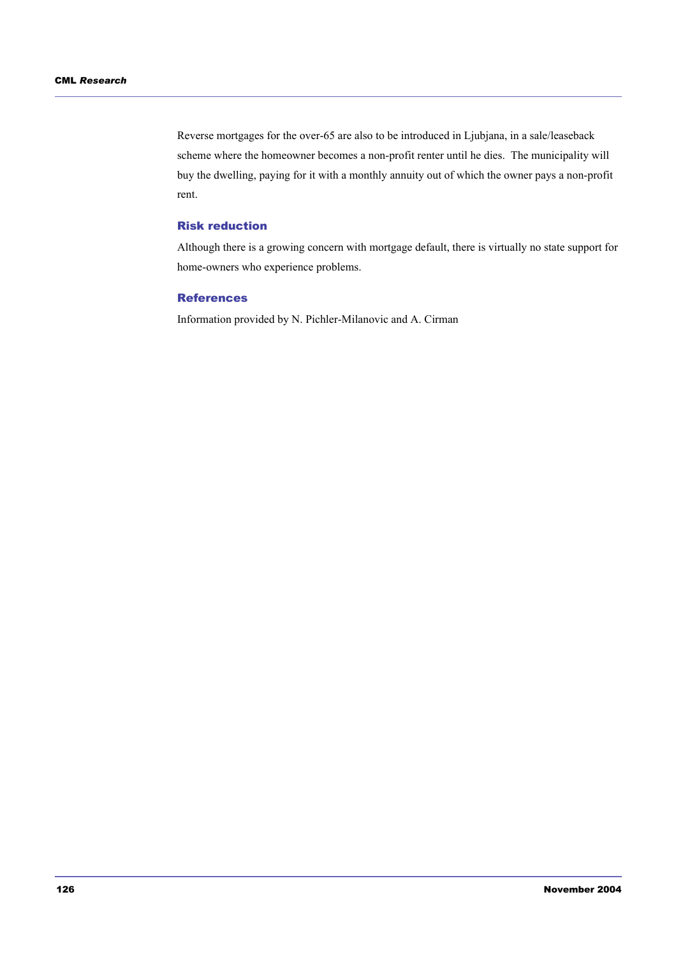Reverse mortgages for the over-65 are also to be introduced in Ljubjana, in a sale/leaseback scheme where the homeowner becomes a non-profit renter until he dies. The municipality will buy the dwelling, paying for it with a monthly annuity out of which the owner pays a non-profit rent.

# Risk reduction

Although there is a growing concern with mortgage default, there is virtually no state support for home-owners who experience problems.

# References

Information provided by N. Pichler-Milanovic and A. Cirman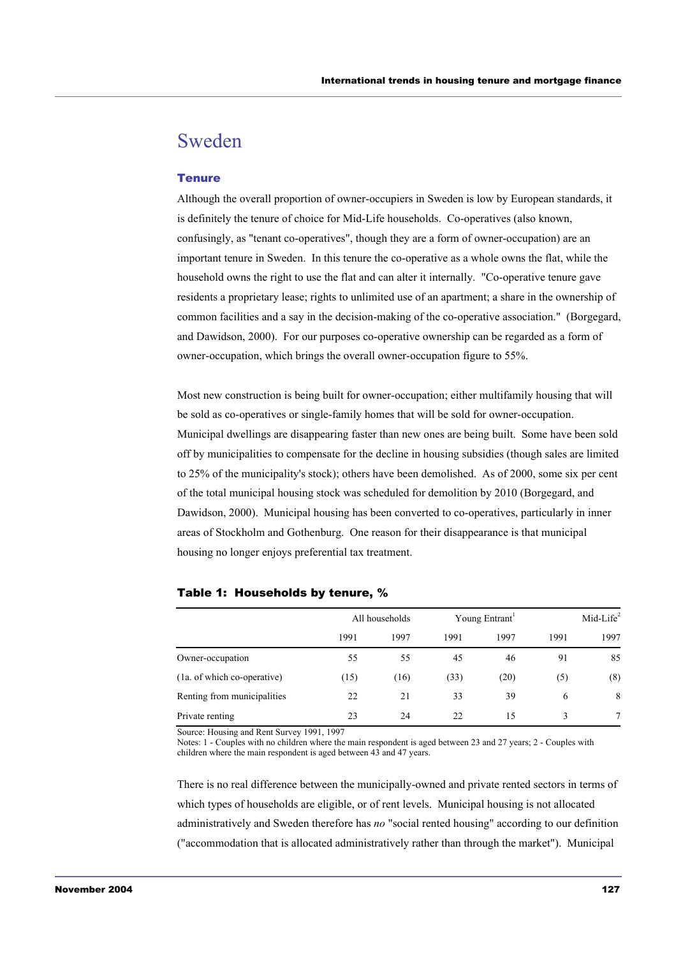# Sweden

#### **Tenure**

Although the overall proportion of owner-occupiers in Sweden is low by European standards, it is definitely the tenure of choice for Mid-Life households. Co-operatives (also known, confusingly, as "tenant co-operatives", though they are a form of owner-occupation) are an important tenure in Sweden. In this tenure the co-operative as a whole owns the flat, while the household owns the right to use the flat and can alter it internally. "Co-operative tenure gave residents a proprietary lease; rights to unlimited use of an apartment; a share in the ownership of common facilities and a say in the decision-making of the co-operative association." (Borgegard, and Dawidson, 2000). For our purposes co-operative ownership can be regarded as a form of owner-occupation, which brings the overall owner-occupation figure to 55%.

Most new construction is being built for owner-occupation; either multifamily housing that will be sold as co-operatives or single-family homes that will be sold for owner-occupation. Municipal dwellings are disappearing faster than new ones are being built. Some have been sold off by municipalities to compensate for the decline in housing subsidies (though sales are limited to 25% of the municipality's stock); others have been demolished. As of 2000, some six per cent of the total municipal housing stock was scheduled for demolition by 2010 (Borgegard, and Dawidson, 2000). Municipal housing has been converted to co-operatives, particularly in inner areas of Stockholm and Gothenburg. One reason for their disappearance is that municipal housing no longer enjoys preferential tax treatment.

|                             | All households |      | Young Entrant |      | $Mid-Life2$ |        |
|-----------------------------|----------------|------|---------------|------|-------------|--------|
|                             | 1991           | 1997 | 1991          | 1997 | 1991        | 1997   |
| Owner-occupation            | 55             | 55   | 45            | 46   | 91          | 85     |
| (1a. of which co-operative) | (15)           | (16) | (33)          | (20) | (5)         | (8)    |
| Renting from municipalities | 22             | 21   | 33            | 39   | 6           | 8      |
| Private renting             | 23             | 24   | 22            | 15   |             | $\tau$ |

# Table 1: Households by tenure, %

Source: Housing and Rent Survey 1991, 1997

Notes: 1 - Couples with no children where the main respondent is aged between 23 and 27 years; 2 - Couples with children where the main respondent is aged between 43 and 47 years.

There is no real difference between the municipally-owned and private rented sectors in terms of which types of households are eligible, or of rent levels. Municipal housing is not allocated administratively and Sweden therefore has *no* "social rented housing" according to our definition ("accommodation that is allocated administratively rather than through the market"). Municipal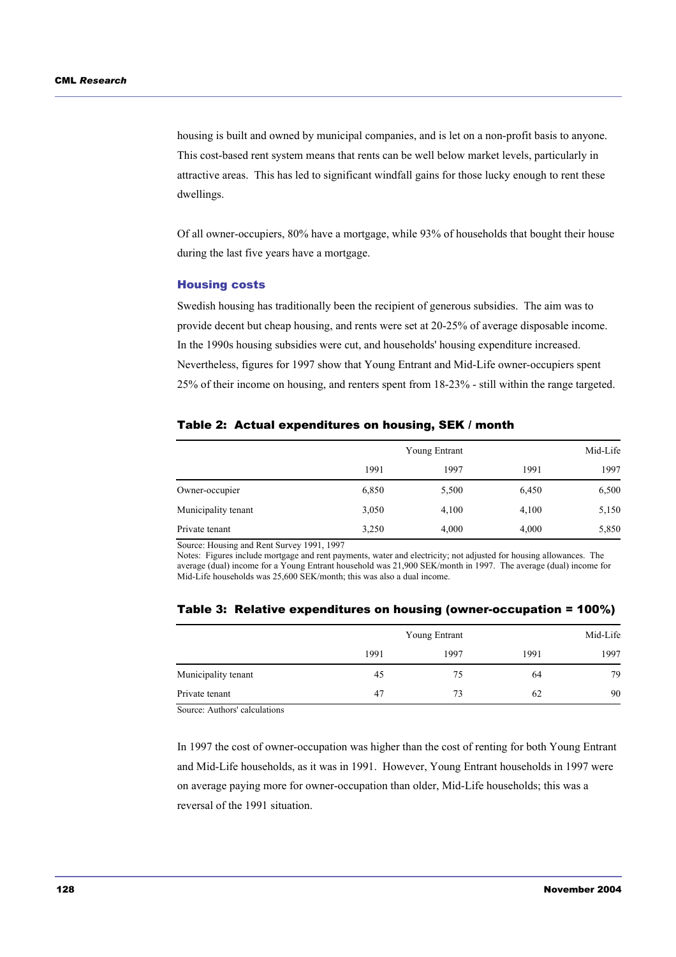housing is built and owned by municipal companies, and is let on a non-profit basis to anyone. This cost-based rent system means that rents can be well below market levels, particularly in attractive areas. This has led to significant windfall gains for those lucky enough to rent these dwellings.

Of all owner-occupiers, 80% have a mortgage, while 93% of households that bought their house during the last five years have a mortgage.

## Housing costs

Swedish housing has traditionally been the recipient of generous subsidies. The aim was to provide decent but cheap housing, and rents were set at 20-25% of average disposable income. In the 1990s housing subsidies were cut, and households' housing expenditure increased. Nevertheless, figures for 1997 show that Young Entrant and Mid-Life owner-occupiers spent 25% of their income on housing, and renters spent from 18-23% - still within the range targeted.

# Table 2: Actual expenditures on housing, SEK / month

|                     |       | Young Entrant |       |       |
|---------------------|-------|---------------|-------|-------|
|                     | 1991  | 1997          | 1991  | 1997  |
| Owner-occupier      | 6,850 | 5,500         | 6,450 | 6,500 |
| Municipality tenant | 3,050 | 4,100         | 4,100 | 5,150 |
| Private tenant      | 3,250 | 4,000         | 4,000 | 5,850 |

Source: Housing and Rent Survey 1991, 1997

Notes: Figures include mortgage and rent payments, water and electricity; not adjusted for housing allowances. The average (dual) income for a Young Entrant household was 21,900 SEK/month in 1997. The average (dual) income for Mid-Life households was 25,600 SEK/month; this was also a dual income.

|                     | Young Entrant |      |      | Mid-Life |
|---------------------|---------------|------|------|----------|
|                     | 1991          | 1997 | 1991 | 1997     |
| Municipality tenant | 45            | 75   | 64   | 79       |
| Private tenant      | 47            | 73   | 62   | 90       |

Table 3: Relative expenditures on housing (owner-occupation = 100%)

Source: Authors' calculations

In 1997 the cost of owner-occupation was higher than the cost of renting for both Young Entrant and Mid-Life households, as it was in 1991. However, Young Entrant households in 1997 were on average paying more for owner-occupation than older, Mid-Life households; this was a reversal of the 1991 situation.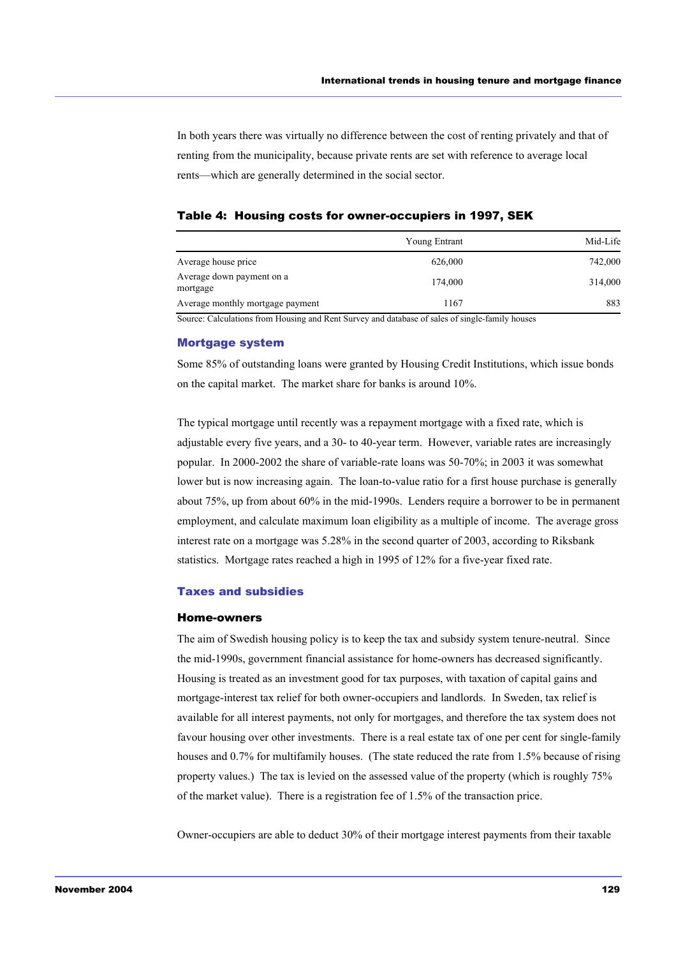In both years there was virtually no difference between the cost of renting privately and that of renting from the municipality, because private rents are set with reference to average local rents—which are generally determined in the social sector.

| Table 4: Housing costs for owner-occupiers in 1997, SEK |  |  |
|---------------------------------------------------------|--|--|
|---------------------------------------------------------|--|--|

|                                       | Young Entrant | Mid-Life |
|---------------------------------------|---------------|----------|
| Average house price                   | 626,000       | 742,000  |
| Average down payment on a<br>mortgage | 174,000       | 314,000  |
| Average monthly mortgage payment      | 1167          | 883      |

Source: Calculations from Housing and Rent Survey and database of sales of single-family houses

#### Mortgage system

Some 85% of outstanding loans were granted by Housing Credit Institutions, which issue bonds on the capital market. The market share for banks is around 10%.

The typical mortgage until recently was a repayment mortgage with a fixed rate, which is adjustable every five years, and a 30- to 40-year term. However, variable rates are increasingly popular. In 2000-2002 the share of variable-rate loans was 50-70%; in 2003 it was somewhat lower but is now increasing again. The loan-to-value ratio for a first house purchase is generally about 75%, up from about 60% in the mid-1990s. Lenders require a borrower to be in permanent employment, and calculate maximum loan eligibility as a multiple of income. The average gross interest rate on a mortgage was 5.28% in the second quarter of 2003, according to Riksbank statistics. Mortgage rates reached a high in 1995 of 12% for a five-year fixed rate.

# Taxes and subsidies

#### Home-owners

The aim of Swedish housing policy is to keep the tax and subsidy system tenure-neutral. Since the mid-1990s, government financial assistance for home-owners has decreased significantly. Housing is treated as an investment good for tax purposes, with taxation of capital gains and mortgage-interest tax relief for both owner-occupiers and landlords. In Sweden, tax relief is available for all interest payments, not only for mortgages, and therefore the tax system does not favour housing over other investments. There is a real estate tax of one per cent for single-family houses and 0.7% for multifamily houses. (The state reduced the rate from 1.5% because of rising property values.) The tax is levied on the assessed value of the property (which is roughly 75% of the market value). There is a registration fee of 1.5% of the transaction price.

Owner-occupiers are able to deduct 30% of their mortgage interest payments from their taxable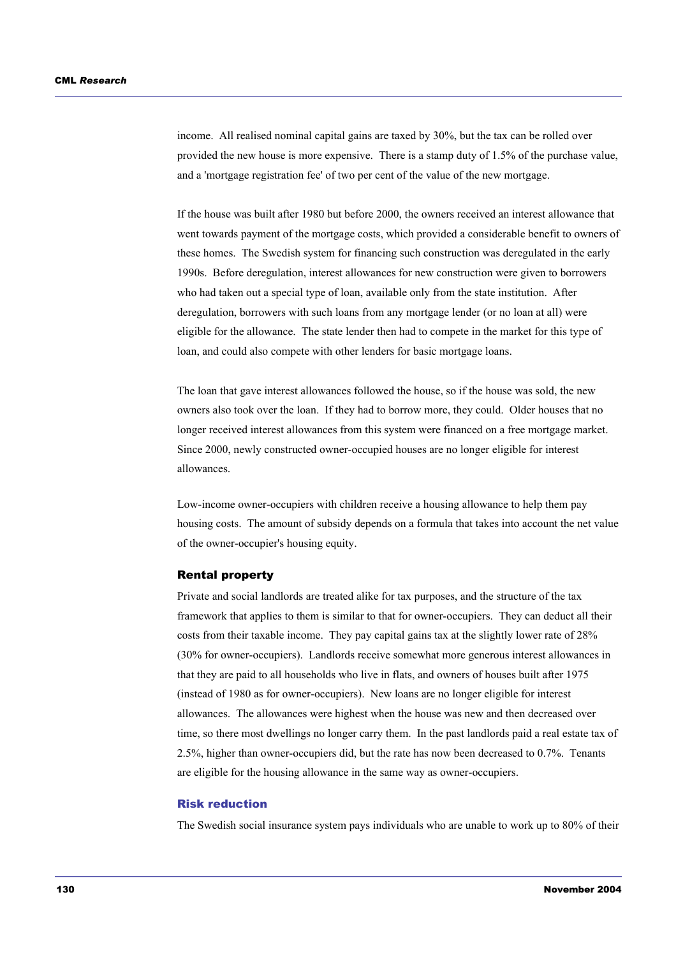income. All realised nominal capital gains are taxed by 30%, but the tax can be rolled over provided the new house is more expensive. There is a stamp duty of 1.5% of the purchase value, and a 'mortgage registration fee' of two per cent of the value of the new mortgage.

If the house was built after 1980 but before 2000, the owners received an interest allowance that went towards payment of the mortgage costs, which provided a considerable benefit to owners of these homes. The Swedish system for financing such construction was deregulated in the early 1990s. Before deregulation, interest allowances for new construction were given to borrowers who had taken out a special type of loan, available only from the state institution. After deregulation, borrowers with such loans from any mortgage lender (or no loan at all) were eligible for the allowance. The state lender then had to compete in the market for this type of loan, and could also compete with other lenders for basic mortgage loans.

The loan that gave interest allowances followed the house, so if the house was sold, the new owners also took over the loan. If they had to borrow more, they could. Older houses that no longer received interest allowances from this system were financed on a free mortgage market. Since 2000, newly constructed owner-occupied houses are no longer eligible for interest allowances.

Low-income owner-occupiers with children receive a housing allowance to help them pay housing costs. The amount of subsidy depends on a formula that takes into account the net value of the owner-occupier's housing equity.

#### Rental property

Private and social landlords are treated alike for tax purposes, and the structure of the tax framework that applies to them is similar to that for owner-occupiers. They can deduct all their costs from their taxable income. They pay capital gains tax at the slightly lower rate of 28% (30% for owner-occupiers). Landlords receive somewhat more generous interest allowances in that they are paid to all households who live in flats, and owners of houses built after 1975 (instead of 1980 as for owner-occupiers). New loans are no longer eligible for interest allowances. The allowances were highest when the house was new and then decreased over time, so there most dwellings no longer carry them. In the past landlords paid a real estate tax of 2.5%, higher than owner-occupiers did, but the rate has now been decreased to 0.7%. Tenants are eligible for the housing allowance in the same way as owner-occupiers.

## Risk reduction

The Swedish social insurance system pays individuals who are unable to work up to 80% of their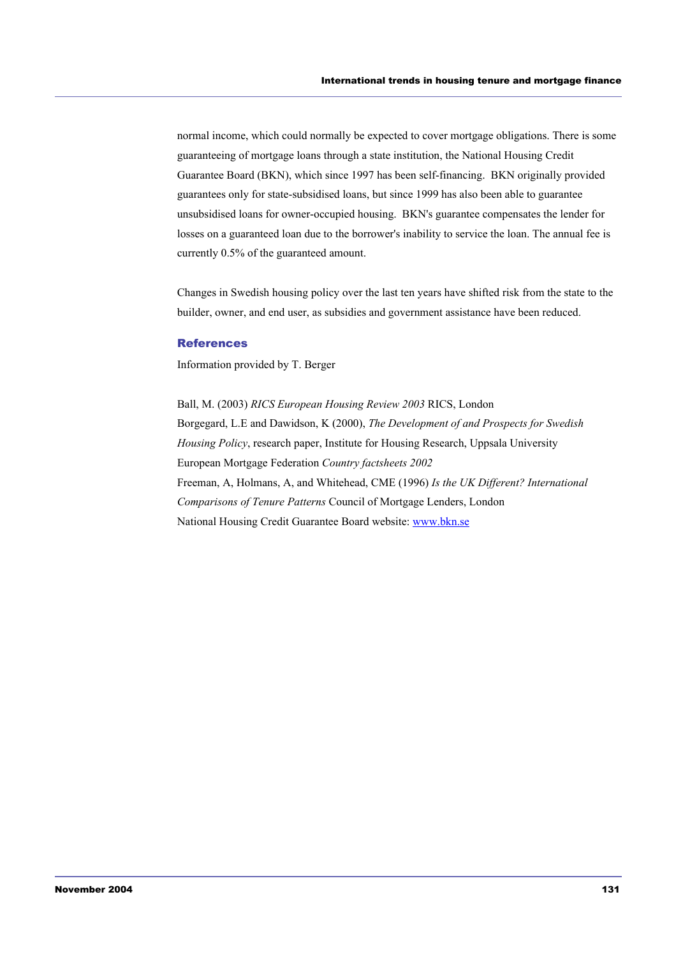normal income, which could normally be expected to cover mortgage obligations. There is some guaranteeing of mortgage loans through a state institution, the National Housing Credit Guarantee Board (BKN), which since 1997 has been self-financing. BKN originally provided guarantees only for state-subsidised loans, but since 1999 has also been able to guarantee unsubsidised loans for owner-occupied housing. BKN's guarantee compensates the lender for losses on a guaranteed loan due to the borrower's inability to service the loan. The annual fee is currently 0.5% of the guaranteed amount.

Changes in Swedish housing policy over the last ten years have shifted risk from the state to the builder, owner, and end user, as subsidies and government assistance have been reduced.

# References

Information provided by T. Berger

Ball, M. (2003) *RICS European Housing Review 2003* RICS, London Borgegard, L.E and Dawidson, K (2000), *The Development of and Prospects for Swedish Housing Policy*, research paper, Institute for Housing Research, Uppsala University European Mortgage Federation *Country factsheets 2002*  Freeman, A, Holmans, A, and Whitehead, CME (1996) *Is the UK Different? International Comparisons of Tenure Patterns* Council of Mortgage Lenders, London National Housing Credit Guarantee Board website: www.bkn.se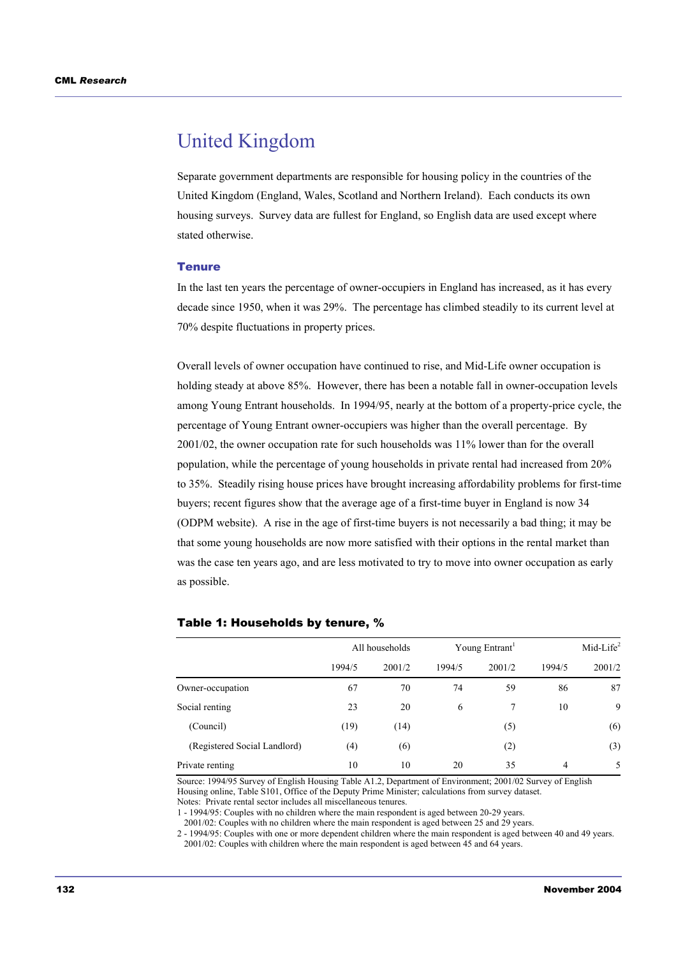# United Kingdom

Separate government departments are responsible for housing policy in the countries of the United Kingdom (England, Wales, Scotland and Northern Ireland). Each conducts its own housing surveys. Survey data are fullest for England, so English data are used except where stated otherwise.

# **Tenure**

In the last ten years the percentage of owner-occupiers in England has increased, as it has every decade since 1950, when it was 29%. The percentage has climbed steadily to its current level at 70% despite fluctuations in property prices.

Overall levels of owner occupation have continued to rise, and Mid-Life owner occupation is holding steady at above 85%. However, there has been a notable fall in owner-occupation levels among Young Entrant households. In 1994/95, nearly at the bottom of a property-price cycle, the percentage of Young Entrant owner-occupiers was higher than the overall percentage. By 2001/02, the owner occupation rate for such households was 11% lower than for the overall population, while the percentage of young households in private rental had increased from 20% to 35%. Steadily rising house prices have brought increasing affordability problems for first-time buyers; recent figures show that the average age of a first-time buyer in England is now 34 (ODPM website). A rise in the age of first-time buyers is not necessarily a bad thing; it may be that some young households are now more satisfied with their options in the rental market than was the case ten years ago, and are less motivated to try to move into owner occupation as early as possible.

|                              | All households   |        |        | Young Entrant |        | $Mid-Life2$ |
|------------------------------|------------------|--------|--------|---------------|--------|-------------|
|                              | 1994/5           | 2001/2 | 1994/5 | 2001/2        | 1994/5 | 2001/2      |
| Owner-occupation             | 67               | 70     | 74     | 59            | 86     | 87          |
| Social renting               | 23               | 20     | 6      | 7             | 10     | 9           |
| (Council)                    | (19)             | (14)   |        | (5)           |        | (6)         |
| (Registered Social Landlord) | $\left(4\right)$ | (6)    |        | (2)           |        | (3)         |
| Private renting              | 10               | 10     | 20     | 35            | 4      | 5           |

### Table 1: Households by tenure, %

Source: 1994/95 Survey of English Housing Table A1.2, Department of Environment; 2001/02 Survey of English Housing online, Table S101, Office of the Deputy Prime Minister; calculations from survey dataset.

Notes: Private rental sector includes all miscellaneous tenures.

1 - 1994/95: Couples with no children where the main respondent is aged between 20-29 years.

2001/02: Couples with no children where the main respondent is aged between 25 and 29 years.

2 - 1994/95: Couples with one or more dependent children where the main respondent is aged between 40 and 49 years. 2001/02: Couples with children where the main respondent is aged between 45 and 64 years.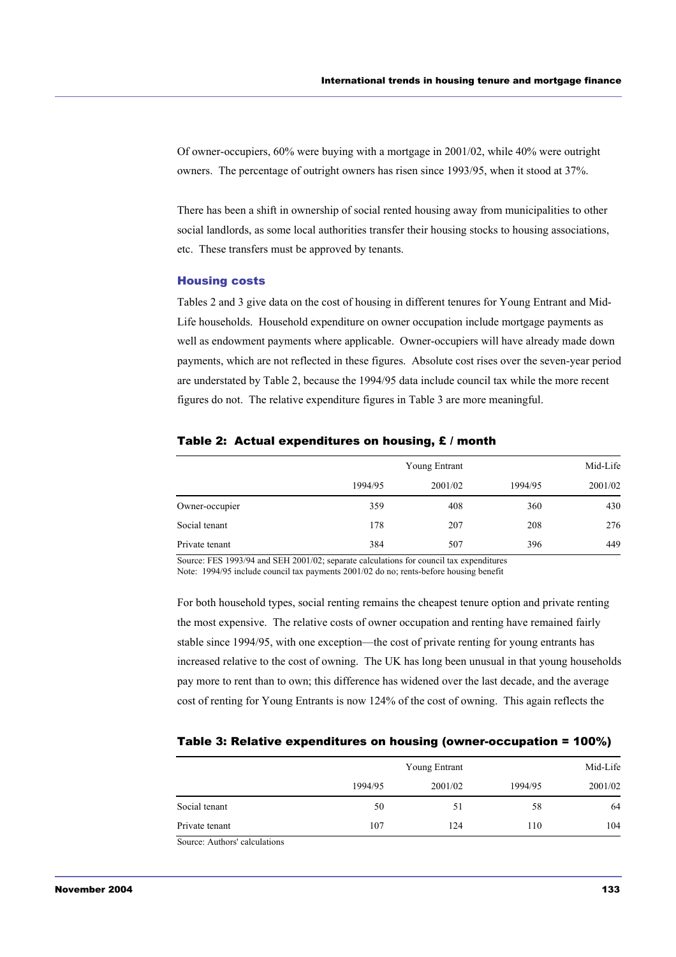Of owner-occupiers, 60% were buying with a mortgage in 2001/02, while 40% were outright owners. The percentage of outright owners has risen since 1993/95, when it stood at 37%.

There has been a shift in ownership of social rented housing away from municipalities to other social landlords, as some local authorities transfer their housing stocks to housing associations, etc. These transfers must be approved by tenants.

# Housing costs

Tables 2 and 3 give data on the cost of housing in different tenures for Young Entrant and Mid-Life households. Household expenditure on owner occupation include mortgage payments as well as endowment payments where applicable. Owner-occupiers will have already made down payments, which are not reflected in these figures. Absolute cost rises over the seven-year period are understated by Table 2, because the 1994/95 data include council tax while the more recent figures do not. The relative expenditure figures in Table 3 are more meaningful.

# Table 2: Actual expenditures on housing, £ / month

|                |         | Mid-Life |         |         |
|----------------|---------|----------|---------|---------|
|                | 1994/95 | 2001/02  | 1994/95 | 2001/02 |
| Owner-occupier | 359     | 408      | 360     | 430     |
| Social tenant  | 178     | 207      | 208     | 276     |
| Private tenant | 384     | 507      | 396     | 449     |

Source: FES 1993/94 and SEH 2001/02; separate calculations for council tax expenditures Note: 1994/95 include council tax payments 2001/02 do no; rents-before housing benefit

For both household types, social renting remains the cheapest tenure option and private renting the most expensive. The relative costs of owner occupation and renting have remained fairly stable since 1994/95, with one exception—the cost of private renting for young entrants has increased relative to the cost of owning. The UK has long been unusual in that young households pay more to rent than to own; this difference has widened over the last decade, and the average cost of renting for Young Entrants is now 124% of the cost of owning. This again reflects the

## Table 3: Relative expenditures on housing (owner-occupation = 100%)

|                |         | Young Entrant |         |         |  |
|----------------|---------|---------------|---------|---------|--|
|                | 1994/95 | 2001/02       | 1994/95 | 2001/02 |  |
| Social tenant  | 50      | 51            | 58      | 64      |  |
| Private tenant | 107     | 124           | 110     | 104     |  |

Source: Authors' calculations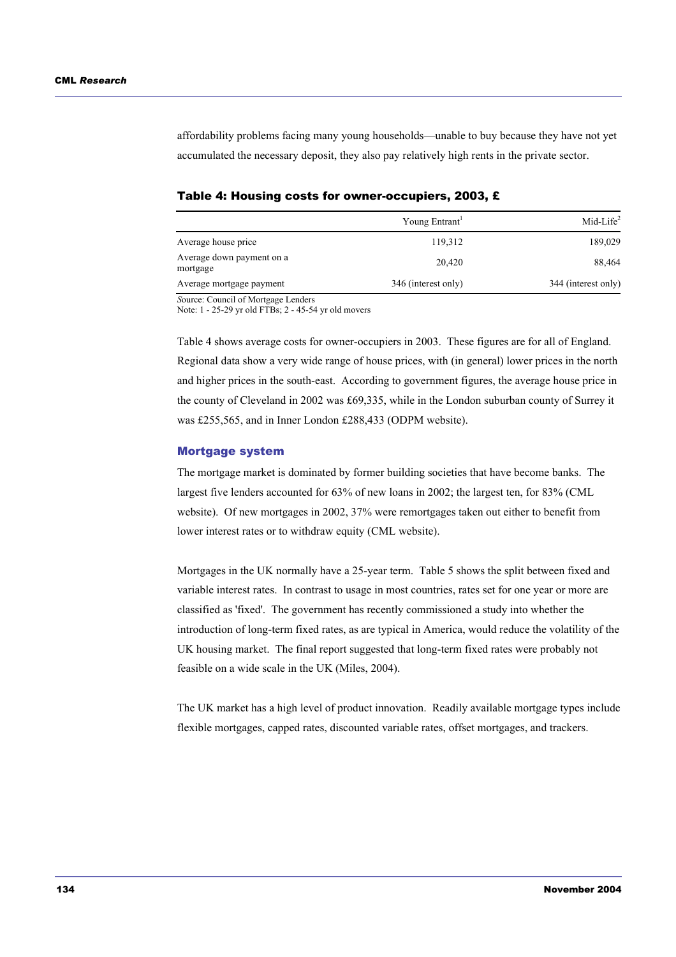affordability problems facing many young households—unable to buy because they have not yet accumulated the necessary deposit, they also pay relatively high rents in the private sector.

|  |  | Table 4: Housing costs for owner-occupiers, 2003, £ |  |
|--|--|-----------------------------------------------------|--|
|--|--|-----------------------------------------------------|--|

|                                               | Young Entrant <sup>1</sup> | $Mid-Life2$         |
|-----------------------------------------------|----------------------------|---------------------|
| Average house price                           | 119,312                    | 189,029             |
| Average down payment on a<br>mortgage         | 20.420                     | 88,464              |
| Average mortgage payment                      | 346 (interest only)        | 344 (interest only) |
| $\sim$<br>$\sim$<br>$\mathbf{a}$ $\mathbf{b}$ |                            |                     |

*S*ource: Council of Mortgage Lenders

Note: 1 - 25-29 yr old FTBs; 2 - 45-54 yr old movers

Table 4 shows average costs for owner-occupiers in 2003. These figures are for all of England. Regional data show a very wide range of house prices, with (in general) lower prices in the north and higher prices in the south-east. According to government figures, the average house price in the county of Cleveland in 2002 was £69,335, while in the London suburban county of Surrey it was £255,565, and in Inner London £288,433 (ODPM website).

#### Mortgage system

The mortgage market is dominated by former building societies that have become banks. The largest five lenders accounted for 63% of new loans in 2002; the largest ten, for 83% (CML website). Of new mortgages in 2002, 37% were remortgages taken out either to benefit from lower interest rates or to withdraw equity (CML website).

Mortgages in the UK normally have a 25-year term. Table 5 shows the split between fixed and variable interest rates. In contrast to usage in most countries, rates set for one year or more are classified as 'fixed'. The government has recently commissioned a study into whether the introduction of long-term fixed rates, as are typical in America, would reduce the volatility of the UK housing market. The final report suggested that long-term fixed rates were probably not feasible on a wide scale in the UK (Miles, 2004).

The UK market has a high level of product innovation. Readily available mortgage types include flexible mortgages, capped rates, discounted variable rates, offset mortgages, and trackers.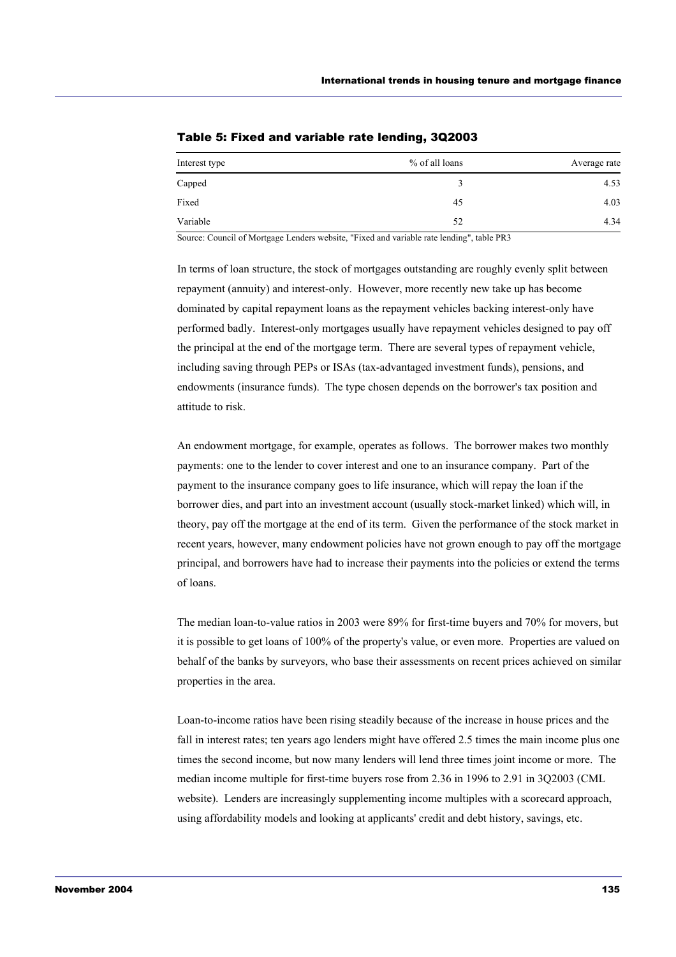| % of all loans | Average rate |
|----------------|--------------|
| 3              | 4.53         |
| 45             | 4.03         |
| 52             | 4.34         |
|                |              |

Table 5: Fixed and variable rate lending, 3Q2003

Source: Council of Mortgage Lenders website, "Fixed and variable rate lending", table PR3

In terms of loan structure, the stock of mortgages outstanding are roughly evenly split between repayment (annuity) and interest-only. However, more recently new take up has become dominated by capital repayment loans as the repayment vehicles backing interest-only have performed badly. Interest-only mortgages usually have repayment vehicles designed to pay off the principal at the end of the mortgage term. There are several types of repayment vehicle, including saving through PEPs or ISAs (tax-advantaged investment funds), pensions, and endowments (insurance funds). The type chosen depends on the borrower's tax position and attitude to risk.

An endowment mortgage, for example, operates as follows. The borrower makes two monthly payments: one to the lender to cover interest and one to an insurance company. Part of the payment to the insurance company goes to life insurance, which will repay the loan if the borrower dies, and part into an investment account (usually stock-market linked) which will, in theory, pay off the mortgage at the end of its term. Given the performance of the stock market in recent years, however, many endowment policies have not grown enough to pay off the mortgage principal, and borrowers have had to increase their payments into the policies or extend the terms of loans.

The median loan-to-value ratios in 2003 were 89% for first-time buyers and 70% for movers, but it is possible to get loans of 100% of the property's value, or even more. Properties are valued on behalf of the banks by surveyors, who base their assessments on recent prices achieved on similar properties in the area.

Loan-to-income ratios have been rising steadily because of the increase in house prices and the fall in interest rates; ten years ago lenders might have offered 2.5 times the main income plus one times the second income, but now many lenders will lend three times joint income or more. The median income multiple for first-time buyers rose from 2.36 in 1996 to 2.91 in 3Q2003 (CML website). Lenders are increasingly supplementing income multiples with a scorecard approach, using affordability models and looking at applicants' credit and debt history, savings, etc.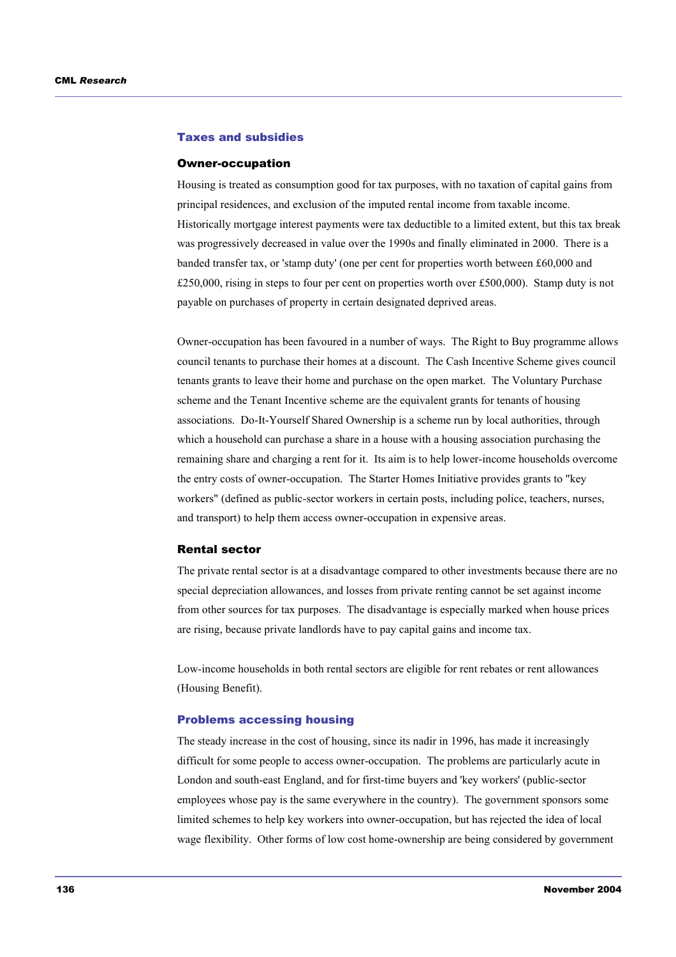#### Taxes and subsidies

#### Owner-occupation

Housing is treated as consumption good for tax purposes, with no taxation of capital gains from principal residences, and exclusion of the imputed rental income from taxable income. Historically mortgage interest payments were tax deductible to a limited extent, but this tax break was progressively decreased in value over the 1990s and finally eliminated in 2000. There is a banded transfer tax, or 'stamp duty' (one per cent for properties worth between £60,000 and £250,000, rising in steps to four per cent on properties worth over £500,000). Stamp duty is not payable on purchases of property in certain designated deprived areas.

Owner-occupation has been favoured in a number of ways. The Right to Buy programme allows council tenants to purchase their homes at a discount. The Cash Incentive Scheme gives council tenants grants to leave their home and purchase on the open market. The Voluntary Purchase scheme and the Tenant Incentive scheme are the equivalent grants for tenants of housing associations. Do-It-Yourself Shared Ownership is a scheme run by local authorities, through which a household can purchase a share in a house with a housing association purchasing the remaining share and charging a rent for it. Its aim is to help lower-income households overcome the entry costs of owner-occupation. The Starter Homes Initiative provides grants to "key workers" (defined as public-sector workers in certain posts, including police, teachers, nurses, and transport) to help them access owner-occupation in expensive areas.

### Rental sector

The private rental sector is at a disadvantage compared to other investments because there are no special depreciation allowances, and losses from private renting cannot be set against income from other sources for tax purposes. The disadvantage is especially marked when house prices are rising, because private landlords have to pay capital gains and income tax.

Low-income households in both rental sectors are eligible for rent rebates or rent allowances (Housing Benefit).

#### Problems accessing housing

The steady increase in the cost of housing, since its nadir in 1996, has made it increasingly difficult for some people to access owner-occupation. The problems are particularly acute in London and south-east England, and for first-time buyers and 'key workers' (public-sector employees whose pay is the same everywhere in the country). The government sponsors some limited schemes to help key workers into owner-occupation, but has rejected the idea of local wage flexibility. Other forms of low cost home-ownership are being considered by government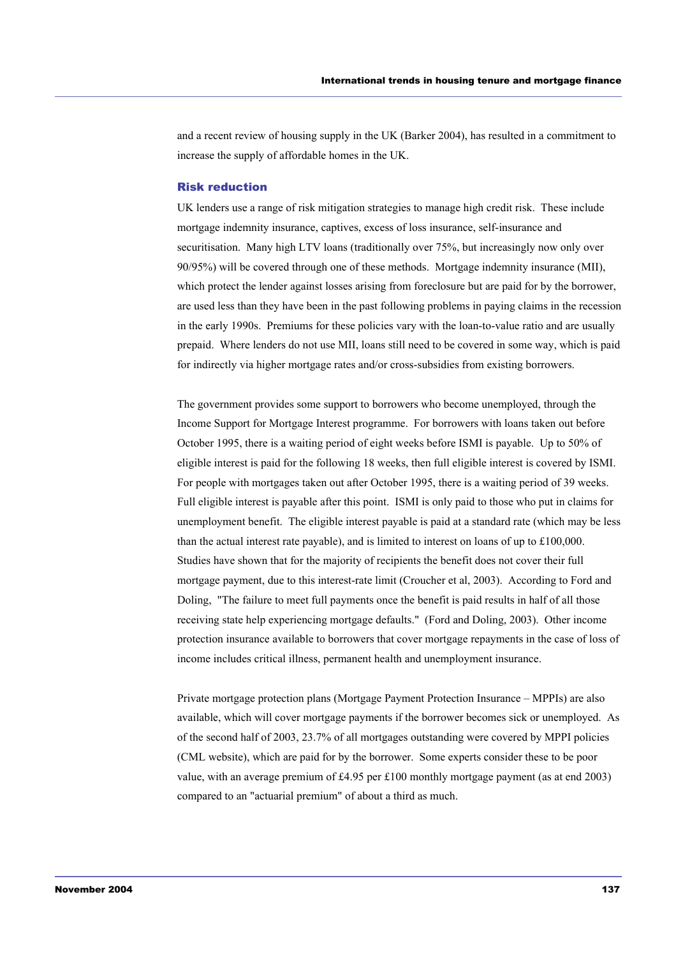and a recent review of housing supply in the UK (Barker 2004), has resulted in a commitment to increase the supply of affordable homes in the UK.

### Risk reduction

UK lenders use a range of risk mitigation strategies to manage high credit risk. These include mortgage indemnity insurance, captives, excess of loss insurance, self-insurance and securitisation. Many high LTV loans (traditionally over 75%, but increasingly now only over 90/95%) will be covered through one of these methods. Mortgage indemnity insurance (MII), which protect the lender against losses arising from foreclosure but are paid for by the borrower, are used less than they have been in the past following problems in paying claims in the recession in the early 1990s. Premiums for these policies vary with the loan-to-value ratio and are usually prepaid. Where lenders do not use MII, loans still need to be covered in some way, which is paid for indirectly via higher mortgage rates and/or cross-subsidies from existing borrowers.

The government provides some support to borrowers who become unemployed, through the Income Support for Mortgage Interest programme. For borrowers with loans taken out before October 1995, there is a waiting period of eight weeks before ISMI is payable. Up to 50% of eligible interest is paid for the following 18 weeks, then full eligible interest is covered by ISMI. For people with mortgages taken out after October 1995, there is a waiting period of 39 weeks. Full eligible interest is payable after this point. ISMI is only paid to those who put in claims for unemployment benefit. The eligible interest payable is paid at a standard rate (which may be less than the actual interest rate payable), and is limited to interest on loans of up to £100,000. Studies have shown that for the majority of recipients the benefit does not cover their full mortgage payment, due to this interest-rate limit (Croucher et al, 2003). According to Ford and Doling, "The failure to meet full payments once the benefit is paid results in half of all those receiving state help experiencing mortgage defaults." (Ford and Doling, 2003). Other income protection insurance available to borrowers that cover mortgage repayments in the case of loss of income includes critical illness, permanent health and unemployment insurance.

Private mortgage protection plans (Mortgage Payment Protection Insurance – MPPIs) are also available, which will cover mortgage payments if the borrower becomes sick or unemployed. As of the second half of 2003, 23.7% of all mortgages outstanding were covered by MPPI policies (CML website), which are paid for by the borrower. Some experts consider these to be poor value, with an average premium of £4.95 per £100 monthly mortgage payment (as at end 2003) compared to an "actuarial premium" of about a third as much.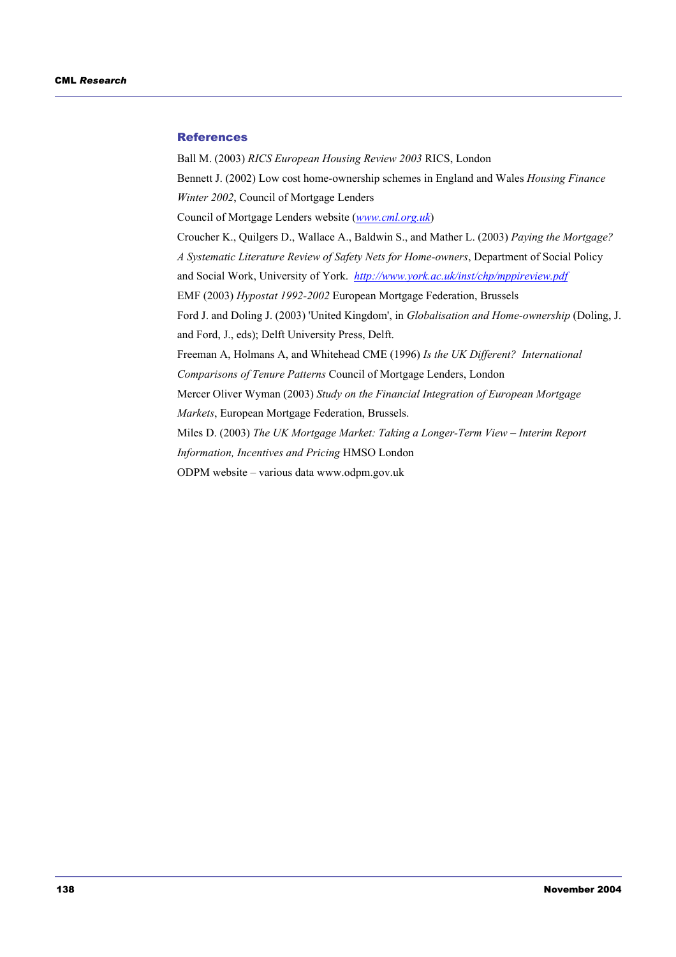## **References**

Ball M. (2003) *RICS European Housing Review 2003* RICS, London Bennett J. (2002) Low cost home-ownership schemes in England and Wales *Housing Finance Winter 2002*, Council of Mortgage Lenders Council of Mortgage Lenders website (*www.cml.org.uk*) Croucher K., Quilgers D., Wallace A., Baldwin S., and Mather L. (2003) *Paying the Mortgage? A Systematic Literature Review of Safety Nets for Home-owners*, Department of Social Policy and Social Work, University of York. *http://www.york.ac.uk/inst/chp/mppireview.pdf* EMF (2003) *Hypostat 1992-2002* European Mortgage Federation, Brussels Ford J. and Doling J. (2003) 'United Kingdom', in *Globalisation and Home-ownership* (Doling, J. and Ford, J., eds); Delft University Press, Delft. Freeman A, Holmans A, and Whitehead CME (1996) *Is the UK Different? International Comparisons of Tenure Patterns* Council of Mortgage Lenders, London Mercer Oliver Wyman (2003) *Study on the Financial Integration of European Mortgage Markets*, European Mortgage Federation, Brussels. Miles D. (2003) *The UK Mortgage Market: Taking a Longer-Term View - Interim Report Information, Incentives and Pricing* HMSO London ODPM website – various data www.odpm.gov.uk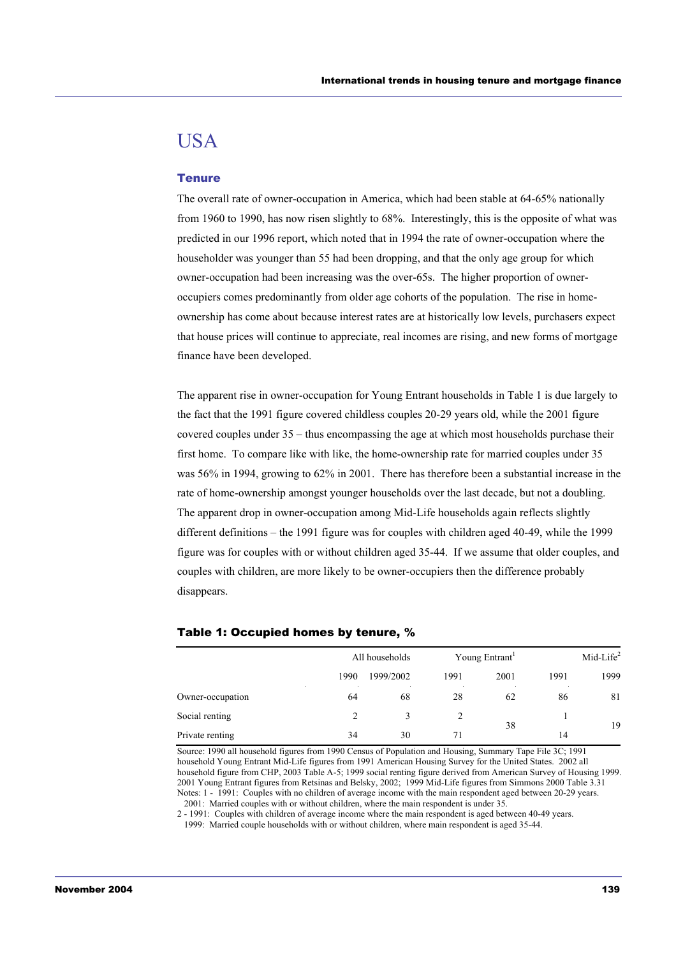# USA

### **Tenure**

The overall rate of owner-occupation in America, which had been stable at 64-65% nationally from 1960 to 1990, has now risen slightly to 68%. Interestingly, this is the opposite of what was predicted in our 1996 report, which noted that in 1994 the rate of owner-occupation where the householder was younger than 55 had been dropping, and that the only age group for which owner-occupation had been increasing was the over-65s. The higher proportion of owneroccupiers comes predominantly from older age cohorts of the population. The rise in homeownership has come about because interest rates are at historically low levels, purchasers expect that house prices will continue to appreciate, real incomes are rising, and new forms of mortgage finance have been developed.

The apparent rise in owner-occupation for Young Entrant households in Table 1 is due largely to the fact that the 1991 figure covered childless couples 20-29 years old, while the 2001 figure covered couples under  $35 -$  thus encompassing the age at which most households purchase their first home. To compare like with like, the home-ownership rate for married couples under 35 was 56% in 1994, growing to 62% in 2001. There has therefore been a substantial increase in the rate of home-ownership amongst younger households over the last decade, but not a doubling. The apparent drop in owner-occupation among Mid-Life households again reflects slightly different definitions – the 1991 figure was for couples with children aged  $40-49$ , while the 1999 figure was for couples with or without children aged 35-44. If we assume that older couples, and couples with children, are more likely to be owner-occupiers then the difference probably disappears.

|                  | All households |           |      | Young Entrant |      | Mid-Life <sup>2</sup> |  |
|------------------|----------------|-----------|------|---------------|------|-----------------------|--|
|                  | 1990           | 1999/2002 | 1991 | 2001          | 1991 | 1999                  |  |
| Owner-occupation | 64             | 68        | 28   | 62            | 86   | 81                    |  |
| Social renting   | $\mathcal{L}$  |           |      |               |      |                       |  |
| Private renting  | 34             | 30        | 71   | 38            | 14   | 19                    |  |

#### Table 1: Occupied homes by tenure, %

Source: 1990 all household figures from 1990 Census of Population and Housing, Summary Tape File 3C; 1991 household Young Entrant Mid-Life figures from 1991 American Housing Survey for the United States. 2002 all household figure from CHP, 2003 Table A-5; 1999 social renting figure derived from American Survey of Housing 1999. 2001 Young Entrant figures from Retsinas and Belsky, 2002; 1999 Mid-Life figures from Simmons 2000 Table 3.31 Notes: 1 - 1991: Couples with no children of average income with the main respondent aged between 20-29 years. 2001: Married couples with or without children, where the main respondent is under 35.

2 - 1991: Couples with children of average income where the main respondent is aged between 40-49 years.

1999: Married couple households with or without children, where main respondent is aged 35-44.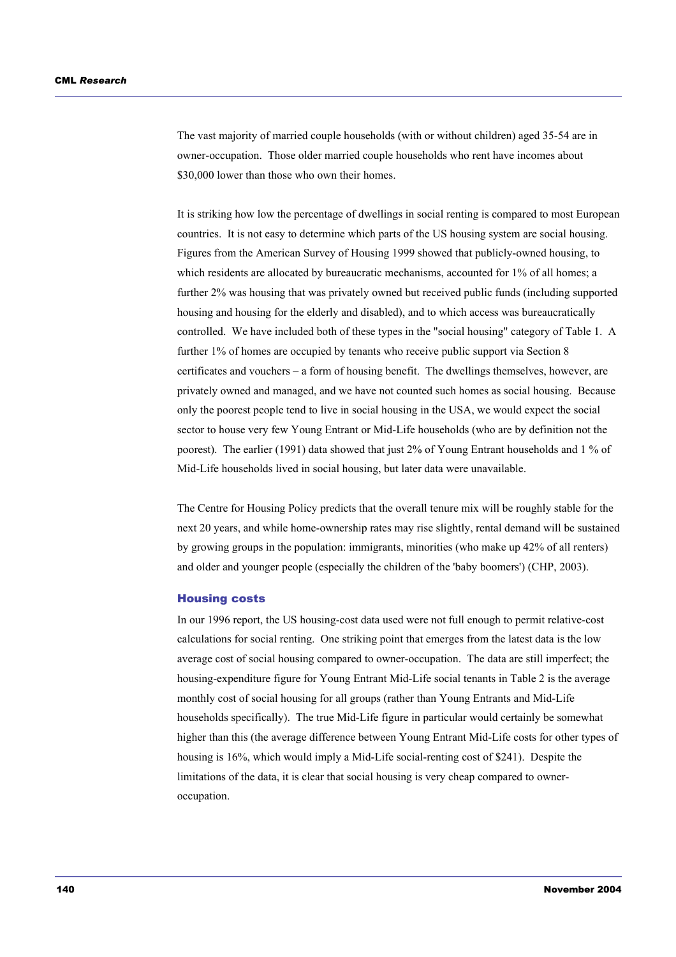The vast majority of married couple households (with or without children) aged 35-54 are in owner-occupation. Those older married couple households who rent have incomes about \$30,000 lower than those who own their homes.

It is striking how low the percentage of dwellings in social renting is compared to most European countries. It is not easy to determine which parts of the US housing system are social housing. Figures from the American Survey of Housing 1999 showed that publicly-owned housing, to which residents are allocated by bureaucratic mechanisms, accounted for 1% of all homes; a further 2% was housing that was privately owned but received public funds (including supported housing and housing for the elderly and disabled), and to which access was bureaucratically controlled. We have included both of these types in the "social housing" category of Table 1. A further 1% of homes are occupied by tenants who receive public support via Section 8 certificates and vouchers – a form of housing benefit. The dwellings themselves, however, are privately owned and managed, and we have not counted such homes as social housing. Because only the poorest people tend to live in social housing in the USA, we would expect the social sector to house very few Young Entrant or Mid-Life households (who are by definition not the poorest). The earlier (1991) data showed that just 2% of Young Entrant households and 1 % of Mid-Life households lived in social housing, but later data were unavailable.

The Centre for Housing Policy predicts that the overall tenure mix will be roughly stable for the next 20 years, and while home-ownership rates may rise slightly, rental demand will be sustained by growing groups in the population: immigrants, minorities (who make up 42% of all renters) and older and younger people (especially the children of the 'baby boomers') (CHP, 2003).

#### Housing costs

In our 1996 report, the US housing-cost data used were not full enough to permit relative-cost calculations for social renting. One striking point that emerges from the latest data is the low average cost of social housing compared to owner-occupation. The data are still imperfect; the housing-expenditure figure for Young Entrant Mid-Life social tenants in Table 2 is the average monthly cost of social housing for all groups (rather than Young Entrants and Mid-Life households specifically). The true Mid-Life figure in particular would certainly be somewhat higher than this (the average difference between Young Entrant Mid-Life costs for other types of housing is 16%, which would imply a Mid-Life social-renting cost of \$241). Despite the limitations of the data, it is clear that social housing is very cheap compared to owneroccupation.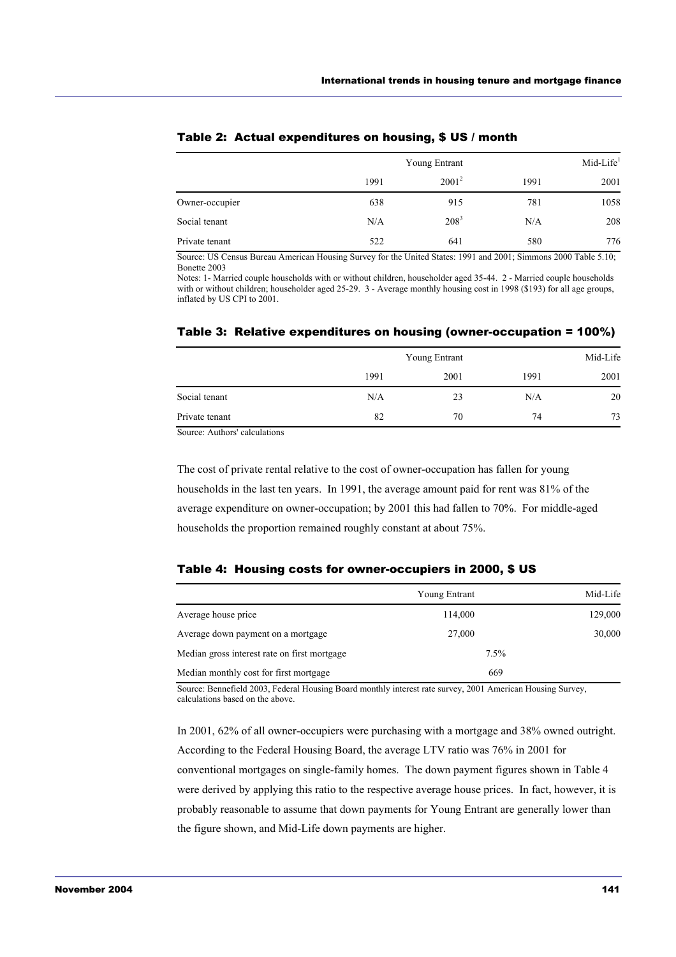|                                                                  |                               | Young Entrant                                       |           | Mid-Life <sup>1</sup>         |  |
|------------------------------------------------------------------|-------------------------------|-----------------------------------------------------|-----------|-------------------------------|--|
|                                                                  | 1991                          | $2001^2$                                            | 1991      | 2001                          |  |
| Owner-occupier                                                   | 638                           | 915                                                 | 781       | 1058                          |  |
| Social tenant                                                    | N/A                           | $208^3$                                             | N/A       | 208                           |  |
| Private tenant                                                   | 522                           | 641                                                 | 580       | 776                           |  |
| $\bullet$<br>$\mathbf{v}$ $\alpha$<br>$\sim$<br>$\sim$<br>$\sim$ | $\mathbf{v}$<br>$\sim$ $\sim$ | $\alpha$ a vertex and $\alpha$<br>$\sim$ 0.0 $\sim$ | 1.0001.01 | $0.000 \text{ m}$ 1.1<br>$-1$ |  |

## Table 2: Actual expenditures on housing, \$ US / month

Source: US Census Bureau American Housing Survey for the United States: 1991 and 2001; Simmons 2000 Table 5.10; Bonette 2003

Notes: 1- Married couple households with or without children, householder aged 35-44. 2 - Married couple households with or without children; householder aged 25-29. 3 - Average monthly housing cost in 1998 (\$193) for all age groups, inflated by US CPI to 2001.

# Table 3: Relative expenditures on housing (owner-occupation = 100%)

|                |      | Young Entrant |      |      |
|----------------|------|---------------|------|------|
|                | 1991 | 2001          | 1991 | 2001 |
| Social tenant  | N/A  | 23            | N/A  | 20   |
| Private tenant | 82   | 70            | 74   | 73   |

Source: Authors' calculations

The cost of private rental relative to the cost of owner-occupation has fallen for young households in the last ten years. In 1991, the average amount paid for rent was 81% of the average expenditure on owner-occupation; by 2001 this had fallen to 70%. For middle-aged households the proportion remained roughly constant at about 75%.

# Table 4: Housing costs for owner-occupiers in 2000, \$ US

|                                              | Young Entrant | Mid-Life |
|----------------------------------------------|---------------|----------|
| Average house price                          | 114,000       | 129,000  |
| Average down payment on a mortgage           | 27,000        | 30,000   |
| Median gross interest rate on first mortgage | $7.5\%$       |          |
| Median monthly cost for first mortgage       | 669           |          |

Source: Bennefield 2003, Federal Housing Board monthly interest rate survey, 2001 American Housing Survey, calculations based on the above.

In 2001, 62% of all owner-occupiers were purchasing with a mortgage and 38% owned outright. According to the Federal Housing Board, the average LTV ratio was 76% in 2001 for conventional mortgages on single-family homes. The down payment figures shown in Table 4 were derived by applying this ratio to the respective average house prices. In fact, however, it is probably reasonable to assume that down payments for Young Entrant are generally lower than the figure shown, and Mid-Life down payments are higher.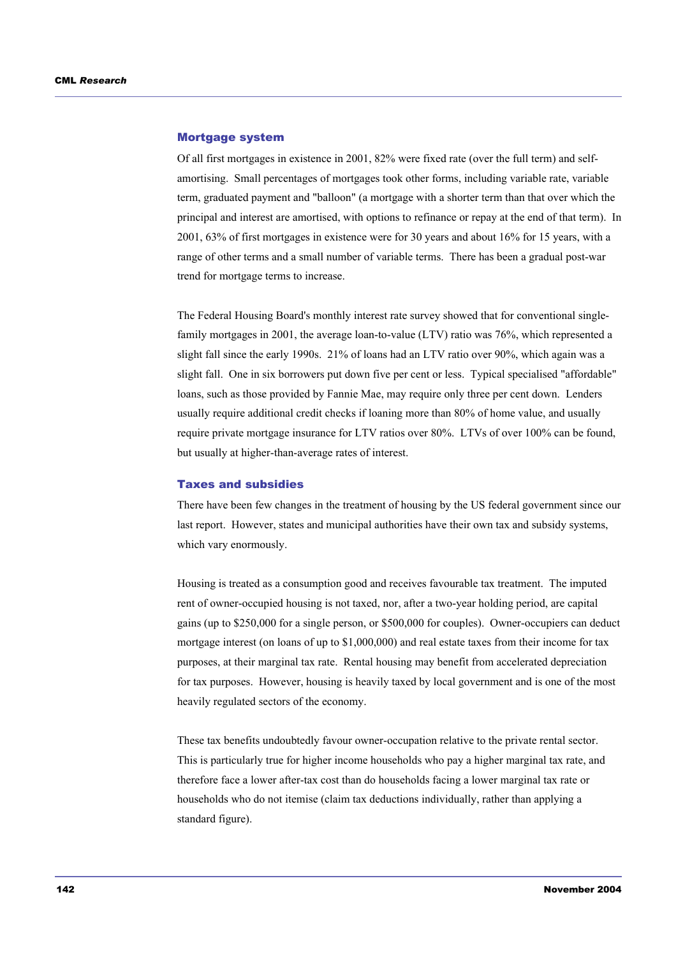#### Mortgage system

Of all first mortgages in existence in 2001, 82% were fixed rate (over the full term) and selfamortising. Small percentages of mortgages took other forms, including variable rate, variable term, graduated payment and "balloon" (a mortgage with a shorter term than that over which the principal and interest are amortised, with options to refinance or repay at the end of that term). In 2001, 63% of first mortgages in existence were for 30 years and about 16% for 15 years, with a range of other terms and a small number of variable terms. There has been a gradual post-war trend for mortgage terms to increase.

The Federal Housing Board's monthly interest rate survey showed that for conventional singlefamily mortgages in 2001, the average loan-to-value (LTV) ratio was 76%, which represented a slight fall since the early 1990s. 21% of loans had an LTV ratio over 90%, which again was a slight fall. One in six borrowers put down five per cent or less. Typical specialised "affordable" loans, such as those provided by Fannie Mae, may require only three per cent down. Lenders usually require additional credit checks if loaning more than 80% of home value, and usually require private mortgage insurance for LTV ratios over 80%. LTVs of over 100% can be found, but usually at higher-than-average rates of interest.

## Taxes and subsidies

There have been few changes in the treatment of housing by the US federal government since our last report. However, states and municipal authorities have their own tax and subsidy systems, which vary enormously.

Housing is treated as a consumption good and receives favourable tax treatment. The imputed rent of owner-occupied housing is not taxed, nor, after a two-year holding period, are capital gains (up to \$250,000 for a single person, or \$500,000 for couples). Owner-occupiers can deduct mortgage interest (on loans of up to \$1,000,000) and real estate taxes from their income for tax purposes, at their marginal tax rate. Rental housing may benefit from accelerated depreciation for tax purposes. However, housing is heavily taxed by local government and is one of the most heavily regulated sectors of the economy.

These tax benefits undoubtedly favour owner-occupation relative to the private rental sector. This is particularly true for higher income households who pay a higher marginal tax rate, and therefore face a lower after-tax cost than do households facing a lower marginal tax rate or households who do not itemise (claim tax deductions individually, rather than applying a standard figure).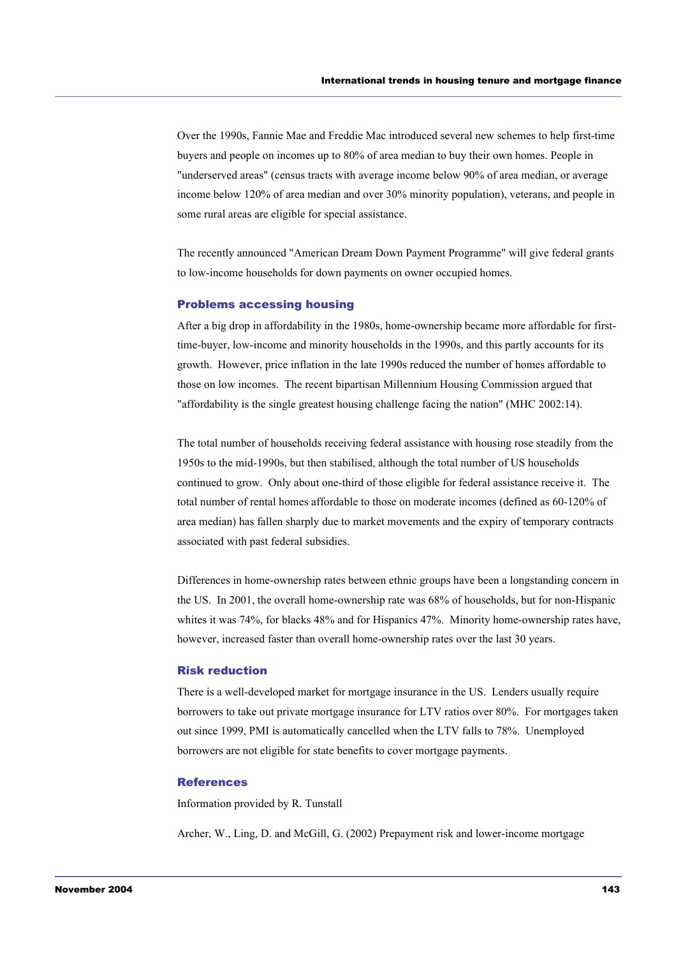Over the 1990s, Fannie Mae and Freddie Mac introduced several new schemes to help first-time buyers and people on incomes up to 80% of area median to buy their own homes. People in "underserved areas" (census tracts with average income below 90% of area median, or average income below 120% of area median and over 30% minority population), veterans, and people in some rural areas are eligible for special assistance.

The recently announced "American Dream Down Payment Programme" will give federal grants to low-income households for down payments on owner occupied homes.

## Problems accessing housing

After a big drop in affordability in the 1980s, home-ownership became more affordable for firsttime-buyer, low-income and minority households in the 1990s, and this partly accounts for its growth. However, price inflation in the late 1990s reduced the number of homes affordable to those on low incomes. The recent bipartisan Millennium Housing Commission argued that "affordability is the single greatest housing challenge facing the nation" (MHC 2002:14).

The total number of households receiving federal assistance with housing rose steadily from the 1950s to the mid-1990s, but then stabilised, although the total number of US households continued to grow. Only about one-third of those eligible for federal assistance receive it. The total number of rental homes affordable to those on moderate incomes (defined as 60-120% of area median) has fallen sharply due to market movements and the expiry of temporary contracts associated with past federal subsidies.

Differences in home-ownership rates between ethnic groups have been a longstanding concern in the US. In 2001, the overall home-ownership rate was 68% of households, but for non-Hispanic whites it was 74%, for blacks 48% and for Hispanics 47%. Minority home-ownership rates have, however, increased faster than overall home-ownership rates over the last 30 years.

## Risk reduction

There is a well-developed market for mortgage insurance in the US. Lenders usually require borrowers to take out private mortgage insurance for LTV ratios over 80%. For mortgages taken out since 1999, PMI is automatically cancelled when the LTV falls to 78%. Unemployed borrowers are not eligible for state benefits to cover mortgage payments.

## **References**

Information provided by R. Tunstall

Archer, W., Ling, D. and McGill, G. (2002) Prepayment risk and lower-income mortgage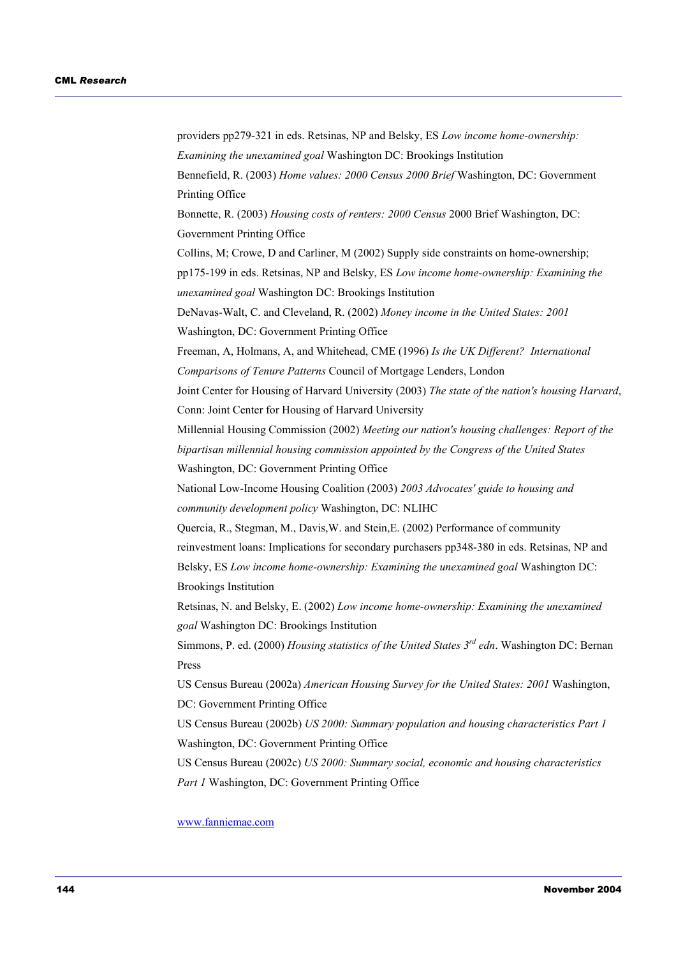providers pp279-321 in eds. Retsinas, NP and Belsky, ES *Low income home-ownership: Examining the unexamined goal* Washington DC: Brookings Institution Bennefield, R. (2003) *Home values: 2000 Census 2000 Brief* Washington, DC: Government Printing Office Bonnette, R. (2003) *Housing costs of renters: 2000 Census* 2000 Brief Washington, DC: Government Printing Office Collins, M; Crowe, D and Carliner, M (2002) Supply side constraints on home-ownership; pp175-199 in eds. Retsinas, NP and Belsky, ES *Low income home-ownership: Examining the unexamined goal* Washington DC: Brookings Institution DeNavas-Walt, C. and Cleveland, R. (2002) *Money income in the United States: 2001* Washington, DC: Government Printing Office Freeman, A, Holmans, A, and Whitehead, CME (1996) *Is the UK Different? International Comparisons of Tenure Patterns* Council of Mortgage Lenders, London Joint Center for Housing of Harvard University (2003) *The state of the nation's housing Harvard*, Conn: Joint Center for Housing of Harvard University Millennial Housing Commission (2002) *Meeting our nation's housing challenges: Report of the bipartisan millennial housing commission appointed by the Congress of the United States* Washington, DC: Government Printing Office National Low-Income Housing Coalition (2003) *2003 Advocates' guide to housing and community development policy* Washington, DC: NLIHC Quercia, R., Stegman, M., Davis,W. and Stein,E. (2002) Performance of community reinvestment loans: Implications for secondary purchasers pp348-380 in eds. Retsinas, NP and Belsky, ES *Low income home-ownership: Examining the unexamined goal* Washington DC: Brookings Institution Retsinas, N. and Belsky, E. (2002) *Low income home-ownership: Examining the unexamined goal* Washington DC: Brookings Institution Simmons, P. ed. (2000) *Housing statistics of the United States 3rd edn*. Washington DC: Bernan Press US Census Bureau (2002a) *American Housing Survey for the United States: 2001* Washington, DC: Government Printing Office US Census Bureau (2002b) *US 2000: Summary population and housing characteristics Part 1* Washington, DC: Government Printing Office US Census Bureau (2002c) *US 2000: Summary social, economic and housing characteristics Part 1* Washington, DC: Government Printing Office

www.fanniemae.com